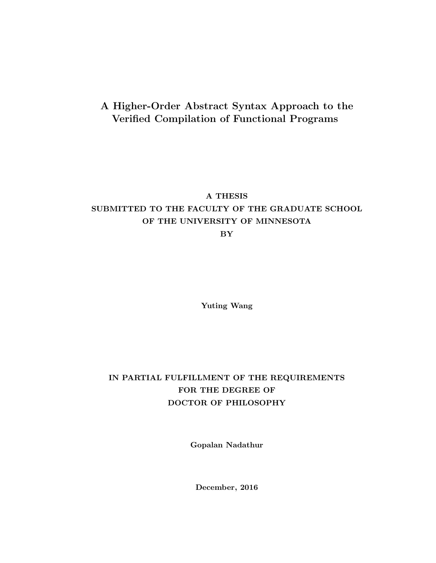### A Higher-Order Abstract Syntax Approach to the Verified Compilation of Functional Programs

#### A THESIS

### SUBMITTED TO THE FACULTY OF THE GRADUATE SCHOOL OF THE UNIVERSITY OF MINNESOTA

BY

Yuting Wang

### IN PARTIAL FULFILLMENT OF THE REQUIREMENTS FOR THE DEGREE OF DOCTOR OF PHILOSOPHY

Gopalan Nadathur

December, 2016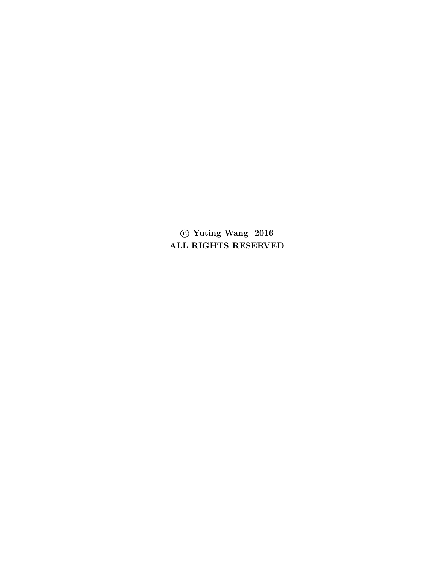c Yuting Wang 2016 ALL RIGHTS RESERVED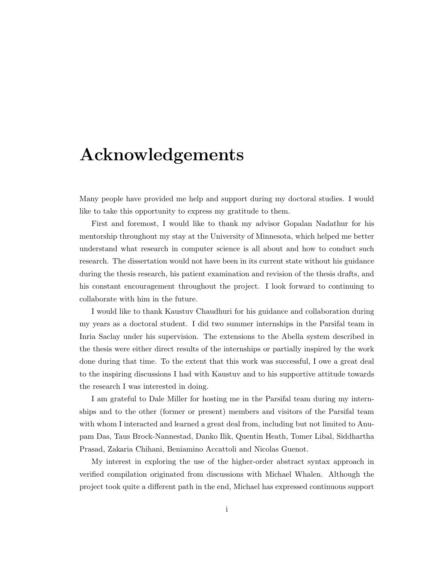## <span id="page-2-0"></span>Acknowledgements

Many people have provided me help and support during my doctoral studies. I would like to take this opportunity to express my gratitude to them.

First and foremost, I would like to thank my advisor Gopalan Nadathur for his mentorship throughout my stay at the University of Minnesota, which helped me better understand what research in computer science is all about and how to conduct such research. The dissertation would not have been in its current state without his guidance during the thesis research, his patient examination and revision of the thesis drafts, and his constant encouragement throughout the project. I look forward to continuing to collaborate with him in the future.

I would like to thank Kaustuv Chaudhuri for his guidance and collaboration during my years as a doctoral student. I did two summer internships in the Parsifal team in Inria Saclay under his supervision. The extensions to the Abella system described in the thesis were either direct results of the internships or partially inspired by the work done during that time. To the extent that this work was successful, I owe a great deal to the inspiring discussions I had with Kaustuv and to his supportive attitude towards the research I was interested in doing.

I am grateful to Dale Miller for hosting me in the Parsifal team during my internships and to the other (former or present) members and visitors of the Parsifal team with whom I interacted and learned a great deal from, including but not limited to Anupam Das, Taus Brock-Nannestad, Danko Ilik, Quentin Heath, Tomer Libal, Siddhartha Prasad, Zakaria Chihani, Beniamino Accattoli and Nicolas Guenot.

My interest in exploring the use of the higher-order abstract syntax approach in verified compilation originated from discussions with Michael Whalen. Although the project took quite a different path in the end, Michael has expressed continuous support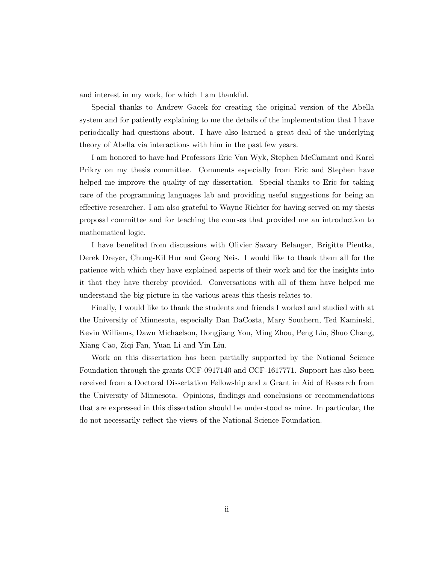and interest in my work, for which I am thankful.

Special thanks to Andrew Gacek for creating the original version of the Abella system and for patiently explaining to me the details of the implementation that I have periodically had questions about. I have also learned a great deal of the underlying theory of Abella via interactions with him in the past few years.

I am honored to have had Professors Eric Van Wyk, Stephen McCamant and Karel Prikry on my thesis committee. Comments especially from Eric and Stephen have helped me improve the quality of my dissertation. Special thanks to Eric for taking care of the programming languages lab and providing useful suggestions for being an effective researcher. I am also grateful to Wayne Richter for having served on my thesis proposal committee and for teaching the courses that provided me an introduction to mathematical logic.

I have benefited from discussions with Olivier Savary Belanger, Brigitte Pientka, Derek Dreyer, Chung-Kil Hur and Georg Neis. I would like to thank them all for the patience with which they have explained aspects of their work and for the insights into it that they have thereby provided. Conversations with all of them have helped me understand the big picture in the various areas this thesis relates to.

Finally, I would like to thank the students and friends I worked and studied with at the University of Minnesota, especially Dan DaCosta, Mary Southern, Ted Kaminski, Kevin Williams, Dawn Michaelson, Dongjiang You, Ming Zhou, Peng Liu, Shuo Chang, Xiang Cao, Ziqi Fan, Yuan Li and Yin Liu.

Work on this dissertation has been partially supported by the National Science Foundation through the grants CCF-0917140 and CCF-1617771. Support has also been received from a Doctoral Dissertation Fellowship and a Grant in Aid of Research from the University of Minnesota. Opinions, findings and conclusions or recommendations that are expressed in this dissertation should be understood as mine. In particular, the do not necessarily reflect the views of the National Science Foundation.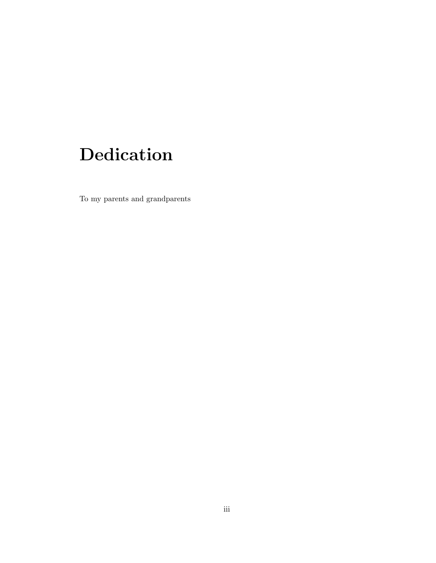# <span id="page-4-0"></span>Dedication

To my parents and grandparents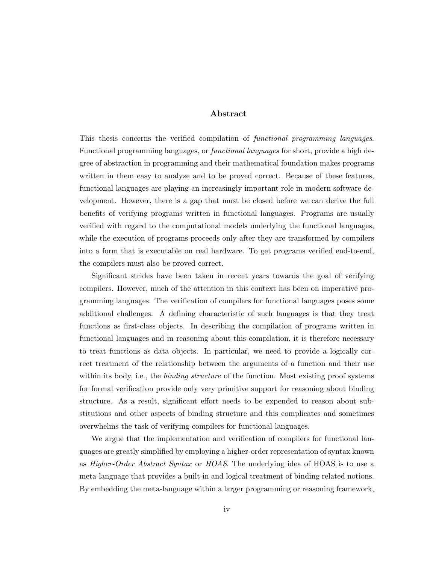#### Abstract

This thesis concerns the verified compilation of functional programming languages. Functional programming languages, or functional languages for short, provide a high degree of abstraction in programming and their mathematical foundation makes programs written in them easy to analyze and to be proved correct. Because of these features, functional languages are playing an increasingly important role in modern software development. However, there is a gap that must be closed before we can derive the full benefits of verifying programs written in functional languages. Programs are usually verified with regard to the computational models underlying the functional languages, while the execution of programs proceeds only after they are transformed by compilers into a form that is executable on real hardware. To get programs verified end-to-end, the compilers must also be proved correct.

Significant strides have been taken in recent years towards the goal of verifying compilers. However, much of the attention in this context has been on imperative programming languages. The verification of compilers for functional languages poses some additional challenges. A defining characteristic of such languages is that they treat functions as first-class objects. In describing the compilation of programs written in functional languages and in reasoning about this compilation, it is therefore necessary to treat functions as data objects. In particular, we need to provide a logically correct treatment of the relationship between the arguments of a function and their use within its body, i.e., the *binding structure* of the function. Most existing proof systems for formal verification provide only very primitive support for reasoning about binding structure. As a result, significant effort needs to be expended to reason about substitutions and other aspects of binding structure and this complicates and sometimes overwhelms the task of verifying compilers for functional languages.

We argue that the implementation and verification of compilers for functional languages are greatly simplified by employing a higher-order representation of syntax known as *Higher-Order Abstract Syntax* or *HOAS*. The underlying idea of HOAS is to use a meta-language that provides a built-in and logical treatment of binding related notions. By embedding the meta-language within a larger programming or reasoning framework,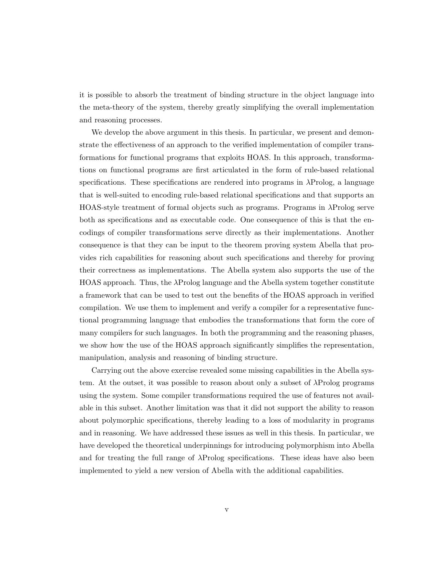it is possible to absorb the treatment of binding structure in the object language into the meta-theory of the system, thereby greatly simplifying the overall implementation and reasoning processes.

We develop the above argument in this thesis. In particular, we present and demonstrate the effectiveness of an approach to the verified implementation of compiler transformations for functional programs that exploits HOAS. In this approach, transformations on functional programs are first articulated in the form of rule-based relational specifications. These specifications are rendered into programs in λProlog, a language that is well-suited to encoding rule-based relational specifications and that supports an HOAS-style treatment of formal objects such as programs. Programs in λProlog serve both as specifications and as executable code. One consequence of this is that the encodings of compiler transformations serve directly as their implementations. Another consequence is that they can be input to the theorem proving system Abella that provides rich capabilities for reasoning about such specifications and thereby for proving their correctness as implementations. The Abella system also supports the use of the HOAS approach. Thus, the λProlog language and the Abella system together constitute a framework that can be used to test out the benefits of the HOAS approach in verified compilation. We use them to implement and verify a compiler for a representative functional programming language that embodies the transformations that form the core of many compilers for such languages. In both the programming and the reasoning phases, we show how the use of the HOAS approach significantly simplifies the representation, manipulation, analysis and reasoning of binding structure.

Carrying out the above exercise revealed some missing capabilities in the Abella system. At the outset, it was possible to reason about only a subset of λProlog programs using the system. Some compiler transformations required the use of features not available in this subset. Another limitation was that it did not support the ability to reason about polymorphic specifications, thereby leading to a loss of modularity in programs and in reasoning. We have addressed these issues as well in this thesis. In particular, we have developed the theoretical underpinnings for introducing polymorphism into Abella and for treating the full range of  $\lambda$ Prolog specifications. These ideas have also been implemented to yield a new version of Abella with the additional capabilities.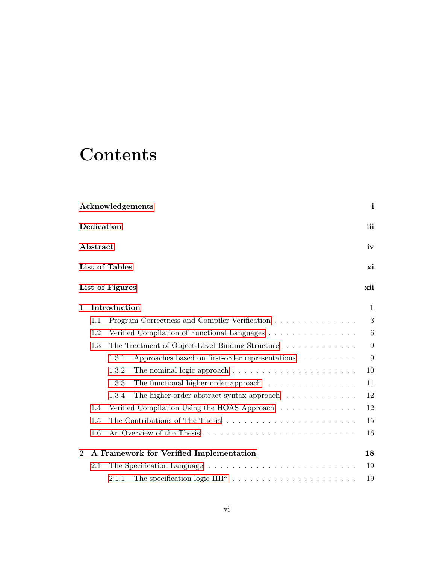## **Contents**

|          |                | Acknowledgements                                                                       | $\mathbf{i}$ |  |  |  |  |
|----------|----------------|----------------------------------------------------------------------------------------|--------------|--|--|--|--|
|          | Dedication     |                                                                                        | iii          |  |  |  |  |
|          | Abstract<br>iv |                                                                                        |              |  |  |  |  |
|          |                | List of Tables                                                                         | xi           |  |  |  |  |
|          |                | List of Figures                                                                        | xii          |  |  |  |  |
| 1        |                | Introduction                                                                           | $\mathbf{1}$ |  |  |  |  |
|          | 1.1            | Program Correctness and Compiler Verification                                          | 3            |  |  |  |  |
|          | 1.2            | Verified Compilation of Functional Languages                                           | 6            |  |  |  |  |
|          | 1.3            | The Treatment of Object-Level Binding Structure                                        | 9            |  |  |  |  |
|          |                | Approaches based on first-order representations $\ldots \ldots \ldots$<br>1.3.1        | 9            |  |  |  |  |
|          |                | The nominal logic approach $\ldots \ldots \ldots \ldots \ldots \ldots \ldots$<br>1.3.2 | 10           |  |  |  |  |
|          |                | 1.3.3<br>The functional higher-order approach $\ldots \ldots \ldots \ldots \ldots$     | 11           |  |  |  |  |
|          |                | 1.3.4<br>The higher-order abstract syntax approach $\ldots \ldots \ldots \ldots$       | 12           |  |  |  |  |
|          | 1.4            | Verified Compilation Using the HOAS Approach $\ldots \ldots \ldots \ldots$             | 12           |  |  |  |  |
|          | 1.5            |                                                                                        | 15           |  |  |  |  |
|          | 1.6            | An Overview of the Thesis                                                              | 16           |  |  |  |  |
| $\bf{2}$ |                | A Framework for Verified Implementation                                                | 18           |  |  |  |  |
|          | 2.1            |                                                                                        | 19           |  |  |  |  |
|          |                | 2.1.1                                                                                  | 19           |  |  |  |  |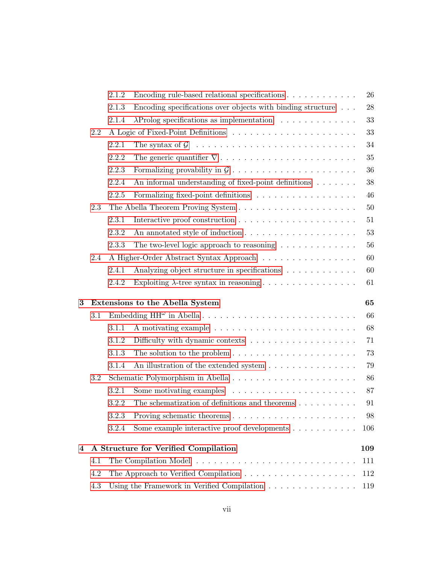|                                                                                 | 26  |
|---------------------------------------------------------------------------------|-----|
| Encoding specifications over objects with binding structure $\ldots$            | 28  |
|                                                                                 | 33  |
|                                                                                 | 33  |
|                                                                                 | 34  |
| The generic quantifier $\nabla \dots \dots \dots \dots \dots \dots \dots \dots$ | 35  |
|                                                                                 | 36  |
| An informal understanding of fixed-point definitions                            | 38  |
|                                                                                 | 46  |
|                                                                                 | 50  |
|                                                                                 | 51  |
|                                                                                 | 53  |
|                                                                                 | 56  |
| The two-level logic approach to reasoning $\ldots \ldots \ldots \ldots$         |     |
| A Higher-Order Abstract Syntax Approach                                         | 60  |
| Analyzing object structure in specifications                                    | 60  |
|                                                                                 | 61  |
|                                                                                 | 65  |
|                                                                                 | 66  |
|                                                                                 | 68  |
|                                                                                 | 71  |
| The solution to the problem $\dots \dots \dots \dots \dots \dots \dots \dots$   | 73  |
| An illustration of the extended system                                          | 79  |
|                                                                                 | 86  |
| Some motivating examples $\dots \dots \dots \dots \dots \dots \dots$            | 87  |
| The schematization of definitions and theorems $\dots \dots \dots$              | 91  |
|                                                                                 | 98  |
| Some example interactive proof developments                                     | 106 |
|                                                                                 | 109 |
|                                                                                 | 111 |
|                                                                                 | 112 |
|                                                                                 |     |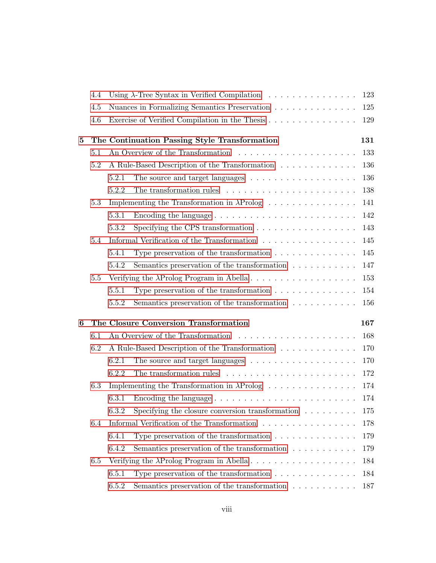|   | 4.4 | Using $\lambda$ -Tree Syntax in Verified Compilation<br>123 |                                                                                 |     |  |  |  |  |
|---|-----|-------------------------------------------------------------|---------------------------------------------------------------------------------|-----|--|--|--|--|
|   | 4.5 |                                                             | Nuances in Formalizing Semantics Preservation                                   | 125 |  |  |  |  |
|   | 4.6 | Exercise of Verified Compilation in the Thesis              |                                                                                 |     |  |  |  |  |
| 5 |     |                                                             | The Continuation Passing Style Transformation                                   | 131 |  |  |  |  |
|   | 5.1 |                                                             |                                                                                 | 133 |  |  |  |  |
|   | 5.2 |                                                             | A Rule-Based Description of the Transformation $\ldots \ldots \ldots \ldots$    | 136 |  |  |  |  |
|   |     | 5.2.1                                                       | The source and target languages $\dots \dots \dots \dots \dots \dots$           | 136 |  |  |  |  |
|   |     | 5.2.2                                                       | The transformation rules $\ldots \ldots \ldots \ldots \ldots \ldots \ldots$     | 138 |  |  |  |  |
|   | 5.3 |                                                             | Implementing the Transformation in $\lambda$ Prolog                             | 141 |  |  |  |  |
|   |     | 5.3.1                                                       | Encoding the language $\ldots \ldots \ldots \ldots \ldots \ldots \ldots \ldots$ | 142 |  |  |  |  |
|   |     | 5.3.2                                                       | Specifying the CPS transformation $\ldots \ldots \ldots \ldots \ldots$          | 143 |  |  |  |  |
|   | 5.4 |                                                             | Informal Verification of the Transformation                                     | 145 |  |  |  |  |
|   |     | 5.4.1                                                       | Type preservation of the transformation $\ldots \ldots \ldots \ldots$           | 145 |  |  |  |  |
|   |     | 5.4.2                                                       | Semantics preservation of the transformation $\ldots \ldots \ldots$             | 147 |  |  |  |  |
|   | 5.5 |                                                             |                                                                                 | 153 |  |  |  |  |
|   |     | 5.5.1                                                       | Type preservation of the transformation $\ldots \ldots \ldots \ldots$           | 154 |  |  |  |  |
|   |     | 5.5.2                                                       | Semantics preservation of the transformation $\ldots \ldots \ldots$             | 156 |  |  |  |  |
| 6 |     |                                                             | The Closure Conversion Transformation                                           | 167 |  |  |  |  |
|   | 6.1 |                                                             |                                                                                 | 168 |  |  |  |  |
|   | 6.2 |                                                             | A Rule-Based Description of the Transformation $\ldots \ldots \ldots \ldots$    | 170 |  |  |  |  |
|   |     | 6.2.1                                                       | The source and target languages $\dots \dots \dots \dots \dots \dots$           | 170 |  |  |  |  |
|   |     | 6.2.2                                                       |                                                                                 | 172 |  |  |  |  |
|   | 6.3 |                                                             | Implementing the Transformation in $\lambda$ Prolog                             | 174 |  |  |  |  |
|   |     | 6.3.1                                                       | Encoding the language $\dots \dots \dots \dots \dots \dots \dots \dots \dots$   | 174 |  |  |  |  |
|   |     |                                                             | 6.3.2 Specifying the closure conversion transformation                          | 175 |  |  |  |  |
|   | 6.4 |                                                             | Informal Verification of the Transformation                                     | 178 |  |  |  |  |
|   |     | 6.4.1                                                       | Type preservation of the transformation $\ldots \ldots \ldots \ldots$           | 179 |  |  |  |  |
|   |     | 6.4.2                                                       | Semantics preservation of the transformation $\ldots \ldots \ldots$             | 179 |  |  |  |  |
|   | 6.5 |                                                             |                                                                                 | 184 |  |  |  |  |
|   |     | 6.5.1                                                       | Type preservation of the transformation $\ldots \ldots \ldots \ldots$           | 184 |  |  |  |  |
|   |     | 6.5.2                                                       | Semantics preservation of the transformation $\ldots \ldots \ldots$             | 187 |  |  |  |  |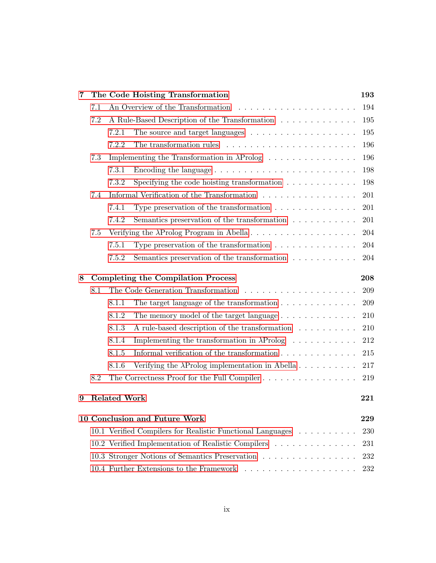| 7 |                                                                   |                     | The Code Hoisting Transformation                                          | 193 |  |  |  |
|---|-------------------------------------------------------------------|---------------------|---------------------------------------------------------------------------|-----|--|--|--|
|   | 7.1                                                               |                     | An Overview of the Transformation                                         | 194 |  |  |  |
|   | 7.2                                                               |                     | A Rule-Based Description of the Transformation                            | 195 |  |  |  |
|   |                                                                   | 7.2.1               |                                                                           | 195 |  |  |  |
|   |                                                                   | 7.2.2               | The transformation rules $\dots \dots \dots \dots \dots \dots \dots$      | 196 |  |  |  |
|   | 7.3                                                               |                     |                                                                           | 196 |  |  |  |
|   |                                                                   | 7.3.1               | Encoding the language                                                     | 198 |  |  |  |
|   |                                                                   | 7.3.2               | Specifying the code hoisting transformation $\ldots \ldots \ldots \ldots$ | 198 |  |  |  |
|   | 7.4                                                               |                     | Informal Verification of the Transformation                               | 201 |  |  |  |
|   |                                                                   | 7.4.1               | Type preservation of the transformation $\dots \dots \dots \dots$         | 201 |  |  |  |
|   |                                                                   | 7.4.2               | Semantics preservation of the transformation $\ldots \ldots \ldots$       | 201 |  |  |  |
|   | 7.5                                                               |                     |                                                                           | 204 |  |  |  |
|   |                                                                   | 7.5.1               | Type preservation of the transformation $\ldots \ldots \ldots \ldots$     | 204 |  |  |  |
|   |                                                                   | 7.5.2               | Semantics preservation of the transformation $\ldots \ldots \ldots$       | 204 |  |  |  |
| 8 |                                                                   |                     | <b>Completing the Compilation Process</b>                                 | 208 |  |  |  |
|   | 8.1                                                               |                     |                                                                           | 209 |  |  |  |
|   |                                                                   | 8.1.1               | The target language of the transformation $\ldots \ldots \ldots \ldots$   | 209 |  |  |  |
|   |                                                                   | 8.1.2               | The memory model of the target language $\dots \dots \dots \dots$         | 210 |  |  |  |
|   |                                                                   | 8.1.3               | A rule-based description of the transformation                            | 210 |  |  |  |
|   |                                                                   | 8.1.4               | Implementing the transformation in $\lambda \text{Prolog}$                | 212 |  |  |  |
|   |                                                                   | 8.1.5               | Informal verification of the transformation $\ldots \ldots \ldots \ldots$ | 215 |  |  |  |
|   |                                                                   | 8.1.6               | Verifying the $\lambda$ Prolog implementation in Abella                   | 217 |  |  |  |
|   | 8.2                                                               |                     | The Correctness Proof for the Full Compiler                               | 219 |  |  |  |
| 9 |                                                                   | <b>Related Work</b> |                                                                           | 221 |  |  |  |
|   |                                                                   |                     |                                                                           |     |  |  |  |
|   |                                                                   |                     | 10 Conclusion and Future Work                                             | 229 |  |  |  |
|   | 10.1 Verified Compilers for Realistic Functional Languages<br>230 |                     |                                                                           |     |  |  |  |
|   |                                                                   |                     | 10.2 Verified Implementation of Realistic Compilers                       | 231 |  |  |  |
|   | 10.3 Stronger Notions of Semantics Preservation<br>232            |                     |                                                                           |     |  |  |  |
|   | 232                                                               |                     |                                                                           |     |  |  |  |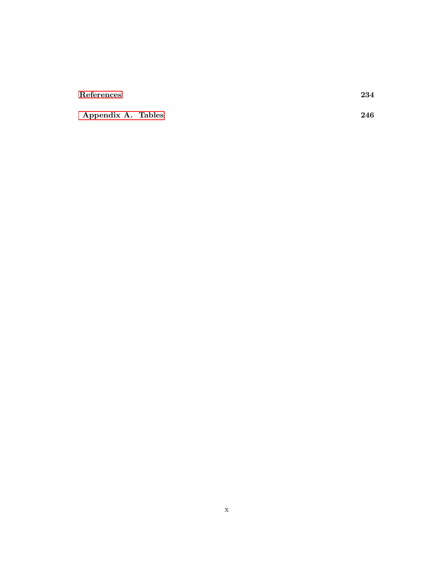#### [References](#page-248-0) 234

[Appendix A. Tables](#page-260-0) 246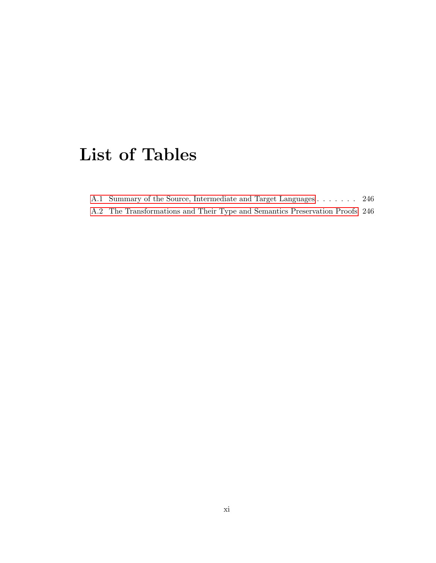## <span id="page-12-0"></span>List of Tables

|  |  | A.1 Summary of the Source, Intermediate and Target Languages 246 |  |  |  |  |  |
|--|--|------------------------------------------------------------------|--|--|--|--|--|
|  |  |                                                                  |  |  |  |  |  |

[A.2 The Transformations and Their Type and Semantics Preservation Proofs](#page-260-2) 246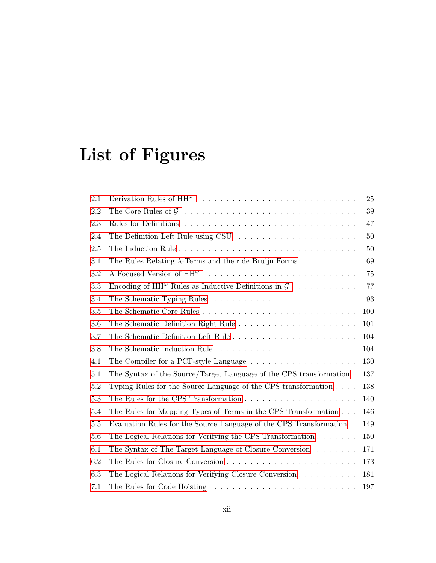# <span id="page-13-0"></span>List of Figures

| 2.1     |                                                                                   | 25  |
|---------|-----------------------------------------------------------------------------------|-----|
| 2.2     |                                                                                   | 39  |
| 2.3     |                                                                                   | 47  |
| 2.4     |                                                                                   | 50  |
| 2.5     |                                                                                   | 50  |
| 3.1     | The Rules Relating $\lambda$ -Terms and their de Bruijn Forms                     | 69  |
| 3.2     |                                                                                   | 75  |
| 3.3     | Encoding of $HH^{\omega}$ Rules as Inductive Definitions in $\mathcal{G}$         | 77  |
| 3.4     |                                                                                   | 93  |
| 3.5     |                                                                                   | 100 |
| 3.6     |                                                                                   | 101 |
| 3.7     |                                                                                   | 104 |
| 3.8     |                                                                                   | 104 |
| 4.1     | The Compiler for a PCF-style Language $\dots \dots \dots \dots \dots \dots \dots$ | 130 |
| 5.1     | The Syntax of the Source/Target Language of the CPS transformation.               | 137 |
| $5.2\,$ | Typing Rules for the Source Language of the CPS transformation $\ldots$ .         | 138 |
| $5.3\,$ | The Rules for the CPS Transformation $\ldots \ldots \ldots \ldots \ldots \ldots$  | 140 |
| 5.4     | The Rules for Mapping Types of Terms in the CPS Transformation                    | 146 |
| 5.5     | Evaluation Rules for the Source Language of the CPS Transformation.               | 149 |
| 5.6     | The Logical Relations for Verifying the CPS Transformation $\ldots \ldots$        | 150 |
| 6.1     | The Syntax of The Target Language of Closure Conversion $\dots \dots$             | 171 |
| 6.2     |                                                                                   | 173 |
| 6.3     | The Logical Relations for Verifying Closure Conversion $\dots \dots \dots$        | 181 |
| 7.1     |                                                                                   | 197 |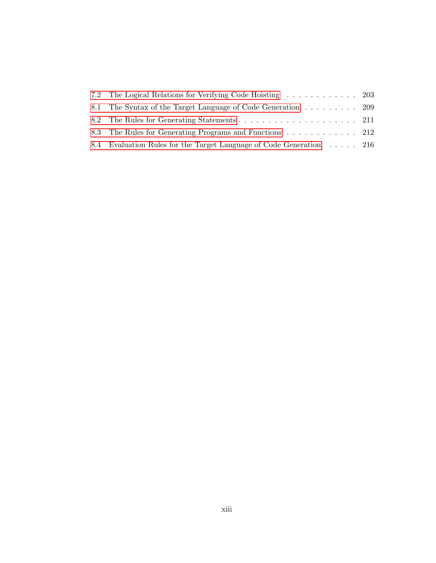| 8.1 The Syntax of the Target Language of Code Generation 209        |  |
|---------------------------------------------------------------------|--|
|                                                                     |  |
| 8.3 The Rules for Generating Programs and Functions  212            |  |
| 8.4 Evaluation Rules for the Target Language of Code Generation 216 |  |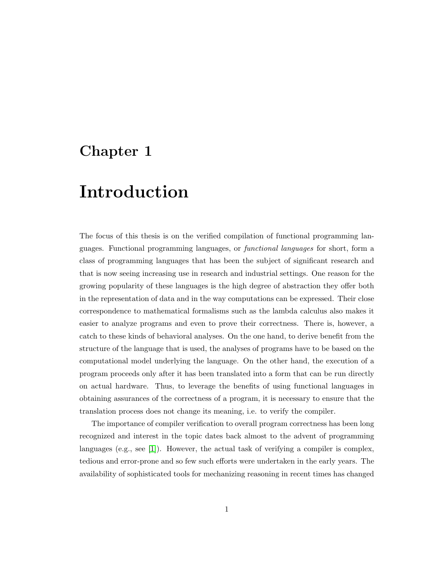## <span id="page-15-0"></span>Chapter 1

## Introduction

The focus of this thesis is on the verified compilation of functional programming languages. Functional programming languages, or functional languages for short, form a class of programming languages that has been the subject of significant research and that is now seeing increasing use in research and industrial settings. One reason for the growing popularity of these languages is the high degree of abstraction they offer both in the representation of data and in the way computations can be expressed. Their close correspondence to mathematical formalisms such as the lambda calculus also makes it easier to analyze programs and even to prove their correctness. There is, however, a catch to these kinds of behavioral analyses. On the one hand, to derive benefit from the structure of the language that is used, the analyses of programs have to be based on the computational model underlying the language. On the other hand, the execution of a program proceeds only after it has been translated into a form that can be run directly on actual hardware. Thus, to leverage the benefits of using functional languages in obtaining assurances of the correctness of a program, it is necessary to ensure that the translation process does not change its meaning, i.e. to verify the compiler.

The importance of compiler verification to overall program correctness has been long recognized and interest in the topic dates back almost to the advent of programming languages (e.g., see [\[1\]](#page-248-1)). However, the actual task of verifying a compiler is complex, tedious and error-prone and so few such efforts were undertaken in the early years. The availability of sophisticated tools for mechanizing reasoning in recent times has changed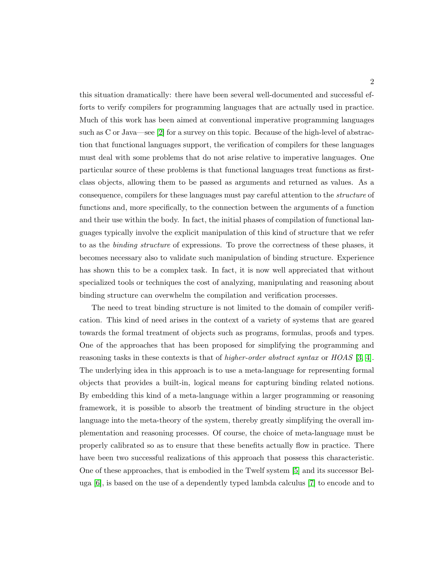this situation dramatically: there have been several well-documented and successful efforts to verify compilers for programming languages that are actually used in practice. Much of this work has been aimed at conventional imperative programming languages such as C or Java—see [\[2\]](#page-248-2) for a survey on this topic. Because of the high-level of abstraction that functional languages support, the verification of compilers for these languages must deal with some problems that do not arise relative to imperative languages. One particular source of these problems is that functional languages treat functions as firstclass objects, allowing them to be passed as arguments and returned as values. As a consequence, compilers for these languages must pay careful attention to the structure of functions and, more specifically, to the connection between the arguments of a function and their use within the body. In fact, the initial phases of compilation of functional languages typically involve the explicit manipulation of this kind of structure that we refer to as the binding structure of expressions. To prove the correctness of these phases, it becomes necessary also to validate such manipulation of binding structure. Experience has shown this to be a complex task. In fact, it is now well appreciated that without specialized tools or techniques the cost of analyzing, manipulating and reasoning about binding structure can overwhelm the compilation and verification processes.

The need to treat binding structure is not limited to the domain of compiler verification. This kind of need arises in the context of a variety of systems that are geared towards the formal treatment of objects such as programs, formulas, proofs and types. One of the approaches that has been proposed for simplifying the programming and reasoning tasks in these contexts is that of *higher-order abstract syntax* or  $HOAS$  [\[3,](#page-248-3) [4\]](#page-248-4). The underlying idea in this approach is to use a meta-language for representing formal objects that provides a built-in, logical means for capturing binding related notions. By embedding this kind of a meta-language within a larger programming or reasoning framework, it is possible to absorb the treatment of binding structure in the object language into the meta-theory of the system, thereby greatly simplifying the overall implementation and reasoning processes. Of course, the choice of meta-language must be properly calibrated so as to ensure that these benefits actually flow in practice. There have been two successful realizations of this approach that possess this characteristic. One of these approaches, that is embodied in the Twelf system [\[5\]](#page-248-5) and its successor Beluga [\[6\]](#page-248-6), is based on the use of a dependently typed lambda calculus [\[7\]](#page-249-0) to encode and to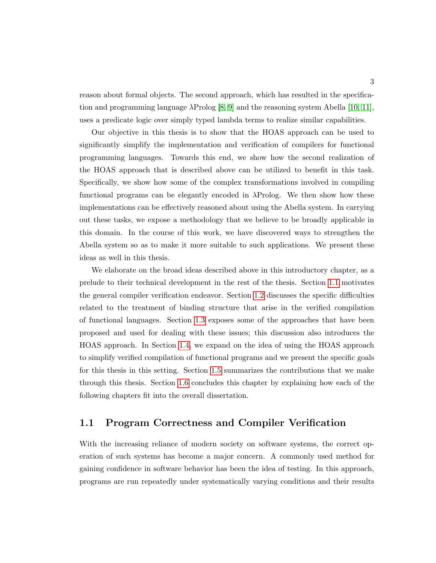reason about formal objects. The second approach, which has resulted in the specification and programming language  $\lambda \text{Prolog}$  [\[8,](#page-249-1) [9\]](#page-249-2) and the reasoning system Abella [\[10,](#page-249-3) [11\]](#page-249-4), uses a predicate logic over simply typed lambda terms to realize similar capabilities.

Our objective in this thesis is to show that the HOAS approach can be used to significantly simplify the implementation and verification of compilers for functional programming languages. Towards this end, we show how the second realization of the HOAS approach that is described above can be utilized to benefit in this task. Specifically, we show how some of the complex transformations involved in compiling functional programs can be elegantly encoded in  $\lambda$ Prolog. We then show how these implementations can be effectively reasoned about using the Abella system. In carrying out these tasks, we expose a methodology that we believe to be broadly applicable in this domain. In the course of this work, we have discovered ways to strengthen the Abella system so as to make it more suitable to such applications. We present these ideas as well in this thesis.

We elaborate on the broad ideas described above in this introductory chapter, as a prelude to their technical development in the rest of the thesis. Section [1.1](#page-17-0) motivates the general compiler verification endeavor. Section [1.2](#page-20-0) discusses the specific difficulties related to the treatment of binding structure that arise in the verified compilation of functional languages. Section [1.3](#page-23-0) exposes some of the approaches that have been proposed and used for dealing with these issues; this discussion also introduces the HOAS approach. In Section [1.4,](#page-26-1) we expand on the idea of using the HOAS approach to simplify verified compilation of functional programs and we present the specific goals for this thesis in this setting. Section [1.5](#page-29-0) summarizes the contributions that we make through this thesis. Section [1.6](#page-30-0) concludes this chapter by explaining how each of the following chapters fit into the overall dissertation.

#### <span id="page-17-0"></span>1.1 Program Correctness and Compiler Verification

With the increasing reliance of modern society on software systems, the correct operation of such systems has become a major concern. A commonly used method for gaining confidence in software behavior has been the idea of testing. In this approach, programs are run repeatedly under systematically varying conditions and their results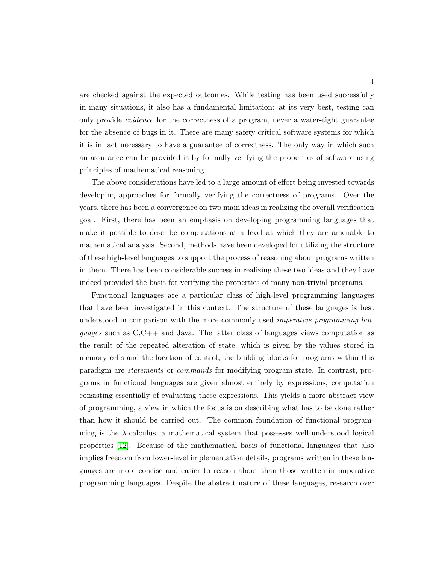are checked against the expected outcomes. While testing has been used successfully in many situations, it also has a fundamental limitation: at its very best, testing can only provide evidence for the correctness of a program, never a water-tight guarantee for the absence of bugs in it. There are many safety critical software systems for which it is in fact necessary to have a guarantee of correctness. The only way in which such an assurance can be provided is by formally verifying the properties of software using principles of mathematical reasoning.

The above considerations have led to a large amount of effort being invested towards developing approaches for formally verifying the correctness of programs. Over the years, there has been a convergence on two main ideas in realizing the overall verification goal. First, there has been an emphasis on developing programming languages that make it possible to describe computations at a level at which they are amenable to mathematical analysis. Second, methods have been developed for utilizing the structure of these high-level languages to support the process of reasoning about programs written in them. There has been considerable success in realizing these two ideas and they have indeed provided the basis for verifying the properties of many non-trivial programs.

Functional languages are a particular class of high-level programming languages that have been investigated in this context. The structure of these languages is best understood in comparison with the more commonly used *imperative programming lan*guages such as C,C++ and Java. The latter class of languages views computation as the result of the repeated alteration of state, which is given by the values stored in memory cells and the location of control; the building blocks for programs within this paradigm are statements or commands for modifying program state. In contrast, programs in functional languages are given almost entirely by expressions, computation consisting essentially of evaluating these expressions. This yields a more abstract view of programming, a view in which the focus is on describing what has to be done rather than how it should be carried out. The common foundation of functional programming is the λ-calculus, a mathematical system that possesses well-understood logical properties [\[12\]](#page-249-5). Because of the mathematical basis of functional languages that also implies freedom from lower-level implementation details, programs written in these languages are more concise and easier to reason about than those written in imperative programming languages. Despite the abstract nature of these languages, research over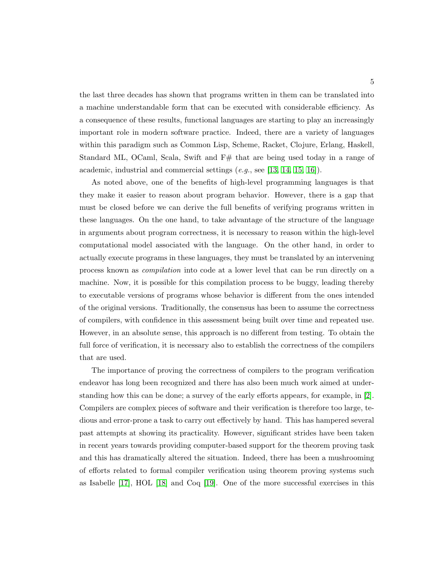the last three decades has shown that programs written in them can be translated into a machine understandable form that can be executed with considerable efficiency. As a consequence of these results, functional languages are starting to play an increasingly important role in modern software practice. Indeed, there are a variety of languages within this paradigm such as Common Lisp, Scheme, Racket, Clojure, Erlang, Haskell, Standard ML, OCaml, Scala, Swift and  $F#$  that are being used today in a range of academic, industrial and commercial settings  $(e.g.,\, see [13, 14, 15, 16]).$  $(e.g.,\, see [13, 14, 15, 16]).$  $(e.g.,\, see [13, 14, 15, 16]).$  $(e.g.,\, see [13, 14, 15, 16]).$  $(e.g.,\, see [13, 14, 15, 16]).$  $(e.g.,\, see [13, 14, 15, 16]).$ 

As noted above, one of the benefits of high-level programming languages is that they make it easier to reason about program behavior. However, there is a gap that must be closed before we can derive the full benefits of verifying programs written in these languages. On the one hand, to take advantage of the structure of the language in arguments about program correctness, it is necessary to reason within the high-level computational model associated with the language. On the other hand, in order to actually execute programs in these languages, they must be translated by an intervening process known as compilation into code at a lower level that can be run directly on a machine. Now, it is possible for this compilation process to be buggy, leading thereby to executable versions of programs whose behavior is different from the ones intended of the original versions. Traditionally, the consensus has been to assume the correctness of compilers, with confidence in this assessment being built over time and repeated use. However, in an absolute sense, this approach is no different from testing. To obtain the full force of verification, it is necessary also to establish the correctness of the compilers that are used.

The importance of proving the correctness of compilers to the program verification endeavor has long been recognized and there has also been much work aimed at understanding how this can be done; a survey of the early efforts appears, for example, in [\[2\]](#page-248-2). Compilers are complex pieces of software and their verification is therefore too large, tedious and error-prone a task to carry out effectively by hand. This has hampered several past attempts at showing its practicality. However, significant strides have been taken in recent years towards providing computer-based support for the theorem proving task and this has dramatically altered the situation. Indeed, there has been a mushrooming of efforts related to formal compiler verification using theorem proving systems such as Isabelle [\[17\]](#page-250-0), HOL [\[18\]](#page-250-1) and Coq [\[19\]](#page-250-2). One of the more successful exercises in this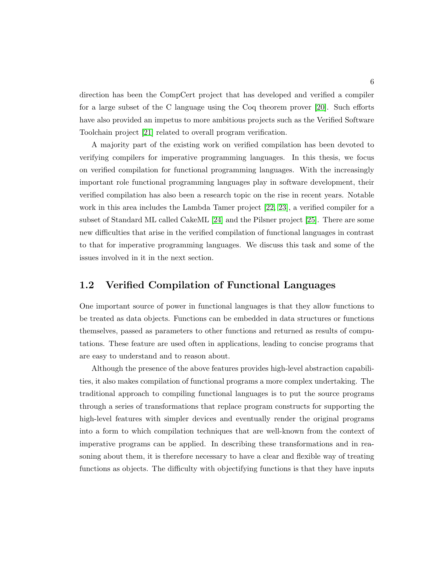direction has been the CompCert project that has developed and verified a compiler for a large subset of the C language using the Coq theorem prover [\[20\]](#page-250-3). Such efforts have also provided an impetus to more ambitious projects such as the Verified Software Toolchain project [\[21\]](#page-250-4) related to overall program verification.

A majority part of the existing work on verified compilation has been devoted to verifying compilers for imperative programming languages. In this thesis, we focus on verified compilation for functional programming languages. With the increasingly important role functional programming languages play in software development, their verified compilation has also been a research topic on the rise in recent years. Notable work in this area includes the Lambda Tamer project [\[22,](#page-250-5) [23\]](#page-250-6), a verified compiler for a subset of Standard ML called CakeML [\[24\]](#page-250-7) and the Pilsner project [\[25\]](#page-251-0). There are some new difficulties that arise in the verified compilation of functional languages in contrast to that for imperative programming languages. We discuss this task and some of the issues involved in it in the next section.

#### <span id="page-20-0"></span>1.2 Verified Compilation of Functional Languages

One important source of power in functional languages is that they allow functions to be treated as data objects. Functions can be embedded in data structures or functions themselves, passed as parameters to other functions and returned as results of computations. These feature are used often in applications, leading to concise programs that are easy to understand and to reason about.

Although the presence of the above features provides high-level abstraction capabilities, it also makes compilation of functional programs a more complex undertaking. The traditional approach to compiling functional languages is to put the source programs through a series of transformations that replace program constructs for supporting the high-level features with simpler devices and eventually render the original programs into a form to which compilation techniques that are well-known from the context of imperative programs can be applied. In describing these transformations and in reasoning about them, it is therefore necessary to have a clear and flexible way of treating functions as objects. The difficulty with objectifying functions is that they have inputs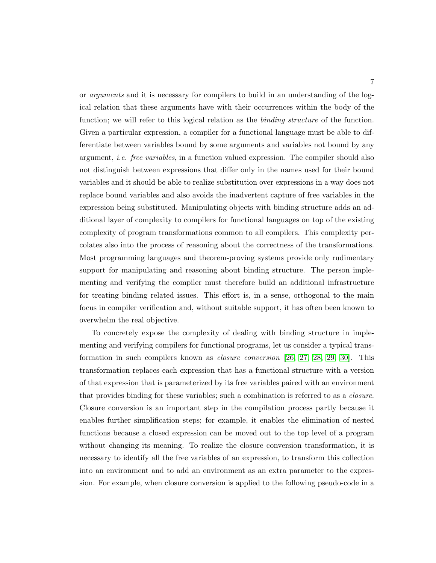or arguments and it is necessary for compilers to build in an understanding of the logical relation that these arguments have with their occurrences within the body of the function; we will refer to this logical relation as the *binding structure* of the function. Given a particular expression, a compiler for a functional language must be able to differentiate between variables bound by some arguments and variables not bound by any argument, i.e. free variables, in a function valued expression. The compiler should also not distinguish between expressions that differ only in the names used for their bound variables and it should be able to realize substitution over expressions in a way does not replace bound variables and also avoids the inadvertent capture of free variables in the expression being substituted. Manipulating objects with binding structure adds an additional layer of complexity to compilers for functional languages on top of the existing complexity of program transformations common to all compilers. This complexity percolates also into the process of reasoning about the correctness of the transformations. Most programming languages and theorem-proving systems provide only rudimentary support for manipulating and reasoning about binding structure. The person implementing and verifying the compiler must therefore build an additional infrastructure for treating binding related issues. This effort is, in a sense, orthogonal to the main focus in compiler verification and, without suitable support, it has often been known to overwhelm the real objective.

To concretely expose the complexity of dealing with binding structure in implementing and verifying compilers for functional programs, let us consider a typical transformation in such compilers known as closure conversion [\[26,](#page-251-1) [27,](#page-251-2) [28,](#page-251-3) [29,](#page-251-4) [30\]](#page-251-5). This transformation replaces each expression that has a functional structure with a version of that expression that is parameterized by its free variables paired with an environment that provides binding for these variables; such a combination is referred to as a closure. Closure conversion is an important step in the compilation process partly because it enables further simplification steps; for example, it enables the elimination of nested functions because a closed expression can be moved out to the top level of a program without changing its meaning. To realize the closure conversion transformation, it is necessary to identify all the free variables of an expression, to transform this collection into an environment and to add an environment as an extra parameter to the expression. For example, when closure conversion is applied to the following pseudo-code in a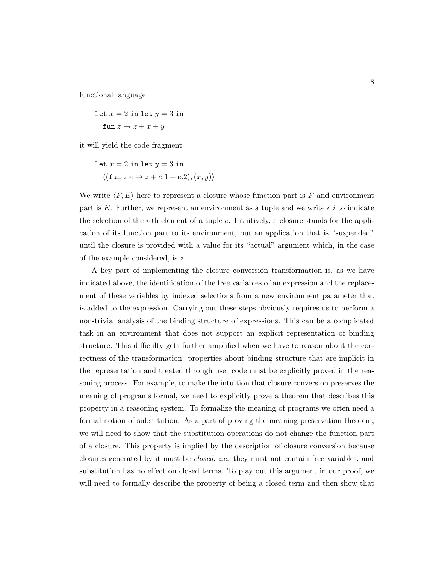functional language

$$
let x = 2 in let y = 3 in
$$
  

$$
fun z \rightarrow z + x + y
$$

it will yield the code fragment

let 
$$
x = 2
$$
 in let  $y = 3$  in  
\n $\langle (\text{fun } z e \rightarrow z + e.1 + e.2), (x, y) \rangle$ 

We write  $\langle F, E \rangle$  here to represent a closure whose function part is F and environment part is  $E$ . Further, we represent an environment as a tuple and we write  $e.i$  to indicate the selection of the *i*-th element of a tuple  $e$ . Intuitively, a closure stands for the application of its function part to its environment, but an application that is "suspended" until the closure is provided with a value for its "actual" argument which, in the case of the example considered, is z.

A key part of implementing the closure conversion transformation is, as we have indicated above, the identification of the free variables of an expression and the replacement of these variables by indexed selections from a new environment parameter that is added to the expression. Carrying out these steps obviously requires us to perform a non-trivial analysis of the binding structure of expressions. This can be a complicated task in an environment that does not support an explicit representation of binding structure. This difficulty gets further amplified when we have to reason about the correctness of the transformation: properties about binding structure that are implicit in the representation and treated through user code must be explicitly proved in the reasoning process. For example, to make the intuition that closure conversion preserves the meaning of programs formal, we need to explicitly prove a theorem that describes this property in a reasoning system. To formalize the meaning of programs we often need a formal notion of substitution. As a part of proving the meaning preservation theorem, we will need to show that the substitution operations do not change the function part of a closure. This property is implied by the description of closure conversion because closures generated by it must be closed, i.e. they must not contain free variables, and substitution has no effect on closed terms. To play out this argument in our proof, we will need to formally describe the property of being a closed term and then show that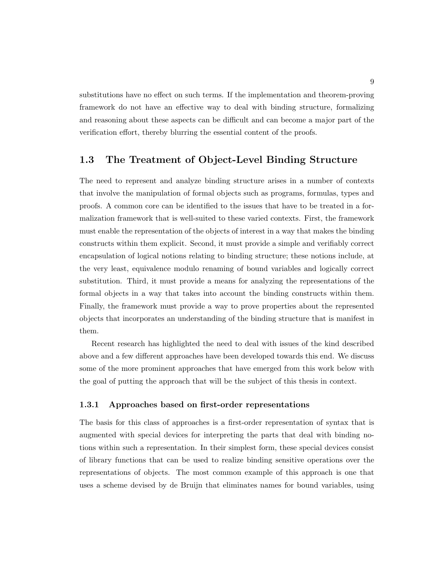substitutions have no effect on such terms. If the implementation and theorem-proving framework do not have an effective way to deal with binding structure, formalizing and reasoning about these aspects can be difficult and can become a major part of the verification effort, thereby blurring the essential content of the proofs.

#### <span id="page-23-0"></span>1.3 The Treatment of Object-Level Binding Structure

The need to represent and analyze binding structure arises in a number of contexts that involve the manipulation of formal objects such as programs, formulas, types and proofs. A common core can be identified to the issues that have to be treated in a formalization framework that is well-suited to these varied contexts. First, the framework must enable the representation of the objects of interest in a way that makes the binding constructs within them explicit. Second, it must provide a simple and verifiably correct encapsulation of logical notions relating to binding structure; these notions include, at the very least, equivalence modulo renaming of bound variables and logically correct substitution. Third, it must provide a means for analyzing the representations of the formal objects in a way that takes into account the binding constructs within them. Finally, the framework must provide a way to prove properties about the represented objects that incorporates an understanding of the binding structure that is manifest in them.

Recent research has highlighted the need to deal with issues of the kind described above and a few different approaches have been developed towards this end. We discuss some of the more prominent approaches that have emerged from this work below with the goal of putting the approach that will be the subject of this thesis in context.

#### <span id="page-23-1"></span>1.3.1 Approaches based on first-order representations

The basis for this class of approaches is a first-order representation of syntax that is augmented with special devices for interpreting the parts that deal with binding notions within such a representation. In their simplest form, these special devices consist of library functions that can be used to realize binding sensitive operations over the representations of objects. The most common example of this approach is one that uses a scheme devised by de Bruijn that eliminates names for bound variables, using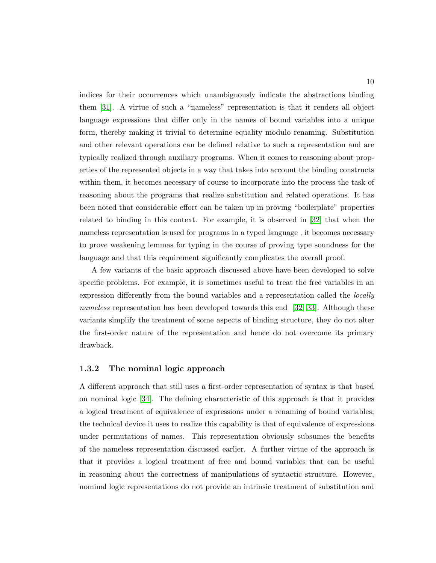indices for their occurrences which unambiguously indicate the abstractions binding them [\[31\]](#page-251-6). A virtue of such a "nameless" representation is that it renders all object language expressions that differ only in the names of bound variables into a unique form, thereby making it trivial to determine equality modulo renaming. Substitution and other relevant operations can be defined relative to such a representation and are typically realized through auxiliary programs. When it comes to reasoning about properties of the represented objects in a way that takes into account the binding constructs within them, it becomes necessary of course to incorporate into the process the task of reasoning about the programs that realize substitution and related operations. It has been noted that considerable effort can be taken up in proving "boilerplate" properties related to binding in this context. For example, it is observed in [\[32\]](#page-251-7) that when the nameless representation is used for programs in a typed language , it becomes necessary to prove weakening lemmas for typing in the course of proving type soundness for the language and that this requirement significantly complicates the overall proof.

A few variants of the basic approach discussed above have been developed to solve specific problems. For example, it is sometimes useful to treat the free variables in an expression differently from the bound variables and a representation called the *locally* nameless representation has been developed towards this end [\[32,](#page-251-7) [33\]](#page-251-8). Although these variants simplify the treatment of some aspects of binding structure, they do not alter the first-order nature of the representation and hence do not overcome its primary drawback.

#### <span id="page-24-0"></span>1.3.2 The nominal logic approach

A different approach that still uses a first-order representation of syntax is that based on nominal logic [\[34\]](#page-252-0). The defining characteristic of this approach is that it provides a logical treatment of equivalence of expressions under a renaming of bound variables; the technical device it uses to realize this capability is that of equivalence of expressions under permutations of names. This representation obviously subsumes the benefits of the nameless representation discussed earlier. A further virtue of the approach is that it provides a logical treatment of free and bound variables that can be useful in reasoning about the correctness of manipulations of syntactic structure. However, nominal logic representations do not provide an intrinsic treatment of substitution and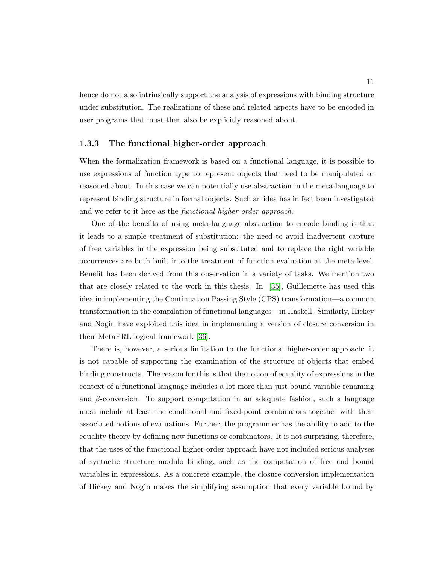hence do not also intrinsically support the analysis of expressions with binding structure under substitution. The realizations of these and related aspects have to be encoded in user programs that must then also be explicitly reasoned about.

#### <span id="page-25-0"></span>1.3.3 The functional higher-order approach

When the formalization framework is based on a functional language, it is possible to use expressions of function type to represent objects that need to be manipulated or reasoned about. In this case we can potentially use abstraction in the meta-language to represent binding structure in formal objects. Such an idea has in fact been investigated and we refer to it here as the *functional higher-order approach*.

One of the benefits of using meta-language abstraction to encode binding is that it leads to a simple treatment of substitution: the need to avoid inadvertent capture of free variables in the expression being substituted and to replace the right variable occurrences are both built into the treatment of function evaluation at the meta-level. Benefit has been derived from this observation in a variety of tasks. We mention two that are closely related to the work in this thesis. In [\[35\]](#page-252-1), Guillemette has used this idea in implementing the Continuation Passing Style (CPS) transformation—a common transformation in the compilation of functional languages—in Haskell. Similarly, Hickey and Nogin have exploited this idea in implementing a version of closure conversion in their MetaPRL logical framework [\[36\]](#page-252-2).

There is, however, a serious limitation to the functional higher-order approach: it is not capable of supporting the examination of the structure of objects that embed binding constructs. The reason for this is that the notion of equality of expressions in the context of a functional language includes a lot more than just bound variable renaming and  $\beta$ -conversion. To support computation in an adequate fashion, such a language must include at least the conditional and fixed-point combinators together with their associated notions of evaluations. Further, the programmer has the ability to add to the equality theory by defining new functions or combinators. It is not surprising, therefore, that the uses of the functional higher-order approach have not included serious analyses of syntactic structure modulo binding, such as the computation of free and bound variables in expressions. As a concrete example, the closure conversion implementation of Hickey and Nogin makes the simplifying assumption that every variable bound by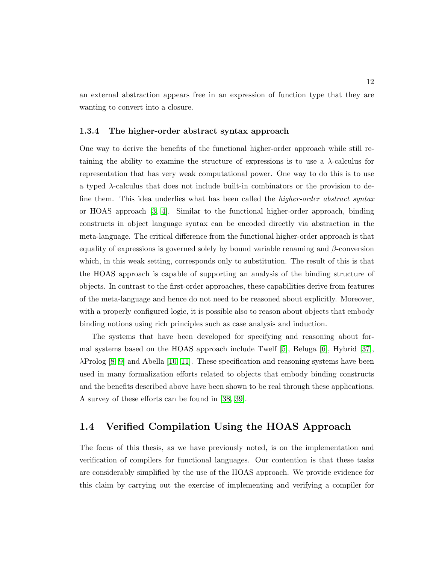an external abstraction appears free in an expression of function type that they are wanting to convert into a closure.

#### <span id="page-26-0"></span>1.3.4 The higher-order abstract syntax approach

One way to derive the benefits of the functional higher-order approach while still retaining the ability to examine the structure of expressions is to use a  $\lambda$ -calculus for representation that has very weak computational power. One way to do this is to use a typed λ-calculus that does not include built-in combinators or the provision to define them. This idea underlies what has been called the *higher-order abstract syntax* or HOAS approach [\[3,](#page-248-3) [4\]](#page-248-4). Similar to the functional higher-order approach, binding constructs in object language syntax can be encoded directly via abstraction in the meta-language. The critical difference from the functional higher-order approach is that equality of expressions is governed solely by bound variable renaming and  $\beta$ -conversion which, in this weak setting, corresponds only to substitution. The result of this is that the HOAS approach is capable of supporting an analysis of the binding structure of objects. In contrast to the first-order approaches, these capabilities derive from features of the meta-language and hence do not need to be reasoned about explicitly. Moreover, with a properly configured logic, it is possible also to reason about objects that embody binding notions using rich principles such as case analysis and induction.

The systems that have been developed for specifying and reasoning about formal systems based on the HOAS approach include Twelf [\[5\]](#page-248-5), Beluga [\[6\]](#page-248-6), Hybrid [\[37\]](#page-252-3),  $\lambda$ Prolog [\[8,](#page-249-1) [9\]](#page-249-2) and Abella [\[10,](#page-249-3) [11\]](#page-249-4). These specification and reasoning systems have been used in many formalization efforts related to objects that embody binding constructs and the benefits described above have been shown to be real through these applications. A survey of these efforts can be found in [\[38,](#page-252-4) [39\]](#page-252-5).

#### <span id="page-26-1"></span>1.4 Verified Compilation Using the HOAS Approach

The focus of this thesis, as we have previously noted, is on the implementation and verification of compilers for functional languages. Our contention is that these tasks are considerably simplified by the use of the HOAS approach. We provide evidence for this claim by carrying out the exercise of implementing and verifying a compiler for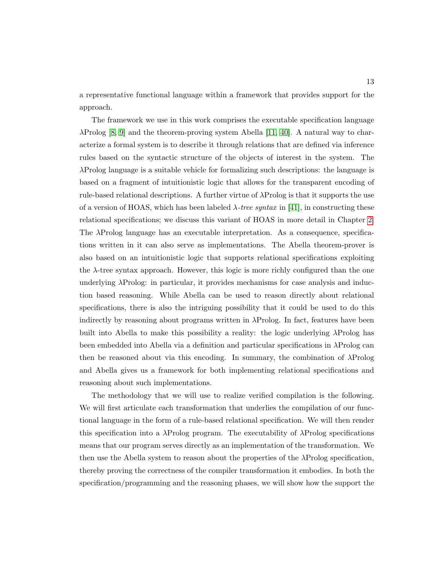a representative functional language within a framework that provides support for the approach.

The framework we use in this work comprises the executable specification language  $\lambda$ Prolog [\[8,](#page-249-1) [9\]](#page-249-2) and the theorem-proving system Abella [\[11,](#page-249-4) [40\]](#page-252-6). A natural way to characterize a formal system is to describe it through relations that are defined via inference rules based on the syntactic structure of the objects of interest in the system. The λProlog language is a suitable vehicle for formalizing such descriptions: the language is based on a fragment of intuitionistic logic that allows for the transparent encoding of rule-based relational descriptions. A further virtue of  $\lambda$ Prolog is that it supports the use of a version of HOAS, which has been labeled  $\lambda$ -tree syntax in [\[41\]](#page-252-7), in constructing these relational specifications; we discuss this variant of HOAS in more detail in Chapter [2.](#page-32-0) The λProlog language has an executable interpretation. As a consequence, specifications written in it can also serve as implementations. The Abella theorem-prover is also based on an intuitionistic logic that supports relational specifications exploiting the  $\lambda$ -tree syntax approach. However, this logic is more richly configured than the one underlying  $\lambda$ Prolog: in particular, it provides mechanisms for case analysis and induction based reasoning. While Abella can be used to reason directly about relational specifications, there is also the intriguing possibility that it could be used to do this indirectly by reasoning about programs written in  $\lambda$ Prolog. In fact, features have been built into Abella to make this possibility a reality: the logic underlying λProlog has been embedded into Abella via a definition and particular specifications in λProlog can then be reasoned about via this encoding. In summary, the combination of λProlog and Abella gives us a framework for both implementing relational specifications and reasoning about such implementations.

The methodology that we will use to realize verified compilation is the following. We will first articulate each transformation that underlies the compilation of our functional language in the form of a rule-based relational specification. We will then render this specification into a  $\lambda$ Prolog program. The executability of  $\lambda$ Prolog specifications means that our program serves directly as an implementation of the transformation. We then use the Abella system to reason about the properties of the λProlog specification, thereby proving the correctness of the compiler transformation it embodies. In both the specification/programming and the reasoning phases, we will show how the support the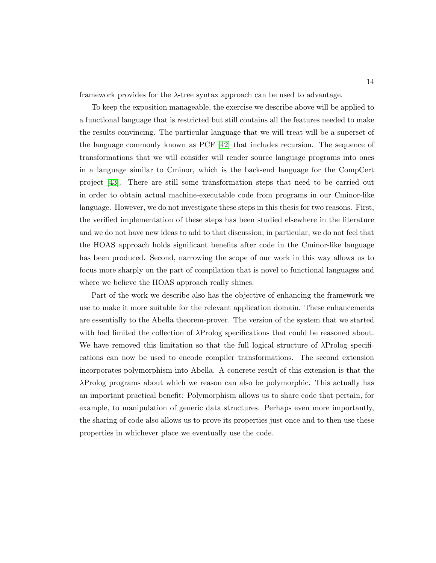framework provides for the  $\lambda$ -tree syntax approach can be used to advantage.

To keep the exposition manageable, the exercise we describe above will be applied to a functional language that is restricted but still contains all the features needed to make the results convincing. The particular language that we will treat will be a superset of the language commonly known as PCF [\[42\]](#page-252-8) that includes recursion. The sequence of transformations that we will consider will render source language programs into ones in a language similar to Cminor, which is the back-end language for the CompCert project [\[43\]](#page-252-9). There are still some transformation steps that need to be carried out in order to obtain actual machine-executable code from programs in our Cminor-like language. However, we do not investigate these steps in this thesis for two reasons. First, the verified implementation of these steps has been studied elsewhere in the literature and we do not have new ideas to add to that discussion; in particular, we do not feel that the HOAS approach holds significant benefits after code in the Cminor-like language has been produced. Second, narrowing the scope of our work in this way allows us to focus more sharply on the part of compilation that is novel to functional languages and where we believe the HOAS approach really shines.

Part of the work we describe also has the objective of enhancing the framework we use to make it more suitable for the relevant application domain. These enhancements are essentially to the Abella theorem-prover. The version of the system that we started with had limited the collection of λProlog specifications that could be reasoned about. We have removed this limitation so that the full logical structure of λProlog specifications can now be used to encode compiler transformations. The second extension incorporates polymorphism into Abella. A concrete result of this extension is that the λProlog programs about which we reason can also be polymorphic. This actually has an important practical benefit: Polymorphism allows us to share code that pertain, for example, to manipulation of generic data structures. Perhaps even more importantly, the sharing of code also allows us to prove its properties just once and to then use these properties in whichever place we eventually use the code.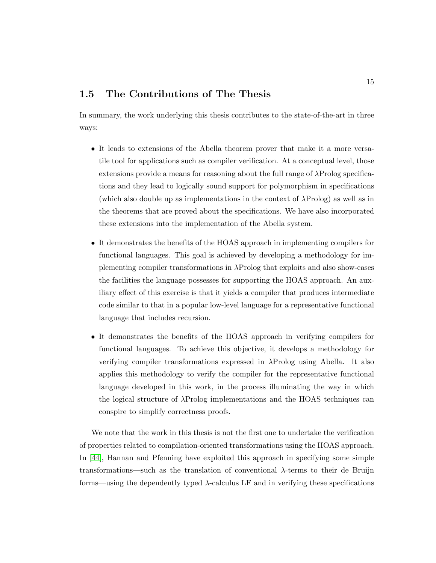#### <span id="page-29-0"></span>1.5 The Contributions of The Thesis

In summary, the work underlying this thesis contributes to the state-of-the-art in three ways:

- It leads to extensions of the Abella theorem prover that make it a more versatile tool for applications such as compiler verification. At a conceptual level, those extensions provide a means for reasoning about the full range of  $\lambda$ Prolog specifications and they lead to logically sound support for polymorphism in specifications (which also double up as implementations in the context of  $\lambda \text{Prolog}$ ) as well as in the theorems that are proved about the specifications. We have also incorporated these extensions into the implementation of the Abella system.
- It demonstrates the benefits of the HOAS approach in implementing compilers for functional languages. This goal is achieved by developing a methodology for implementing compiler transformations in λProlog that exploits and also show-cases the facilities the language possesses for supporting the HOAS approach. An auxiliary effect of this exercise is that it yields a compiler that produces intermediate code similar to that in a popular low-level language for a representative functional language that includes recursion.
- It demonstrates the benefits of the HOAS approach in verifying compilers for functional languages. To achieve this objective, it develops a methodology for verifying compiler transformations expressed in  $\lambda$ Prolog using Abella. It also applies this methodology to verify the compiler for the representative functional language developed in this work, in the process illuminating the way in which the logical structure of  $\lambda$ Prolog implementations and the HOAS techniques can conspire to simplify correctness proofs.

We note that the work in this thesis is not the first one to undertake the verification of properties related to compilation-oriented transformations using the HOAS approach. In [\[44\]](#page-252-10), Hannan and Pfenning have exploited this approach in specifying some simple transformations—such as the translation of conventional λ-terms to their de Bruijn forms—using the dependently typed  $\lambda$ -calculus LF and in verifying these specifications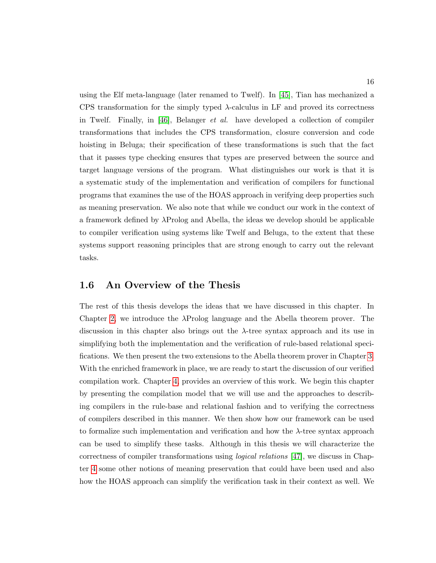using the Elf meta-language (later renamed to Twelf). In [\[45\]](#page-253-0), Tian has mechanized a CPS transformation for the simply typed λ-calculus in LF and proved its correctness in Twelf. Finally, in [\[46\]](#page-253-1), Belanger *et al.* have developed a collection of compiler transformations that includes the CPS transformation, closure conversion and code hoisting in Beluga; their specification of these transformations is such that the fact that it passes type checking ensures that types are preserved between the source and target language versions of the program. What distinguishes our work is that it is a systematic study of the implementation and verification of compilers for functional programs that examines the use of the HOAS approach in verifying deep properties such as meaning preservation. We also note that while we conduct our work in the context of a framework defined by λProlog and Abella, the ideas we develop should be applicable to compiler verification using systems like Twelf and Beluga, to the extent that these systems support reasoning principles that are strong enough to carry out the relevant tasks.

#### <span id="page-30-0"></span>1.6 An Overview of the Thesis

The rest of this thesis develops the ideas that we have discussed in this chapter. In Chapter [2,](#page-32-0) we introduce the λProlog language and the Abella theorem prover. The discussion in this chapter also brings out the  $\lambda$ -tree syntax approach and its use in simplifying both the implementation and the verification of rule-based relational specifications. We then present the two extensions to the Abella theorem prover in Chapter [3.](#page-79-0) With the enriched framework in place, we are ready to start the discussion of our verified compilation work. Chapter [4,](#page-123-0) provides an overview of this work. We begin this chapter by presenting the compilation model that we will use and the approaches to describing compilers in the rule-base and relational fashion and to verifying the correctness of compilers described in this manner. We then show how our framework can be used to formalize such implementation and verification and how the  $\lambda$ -tree syntax approach can be used to simplify these tasks. Although in this thesis we will characterize the correctness of compiler transformations using logical relations [\[47\]](#page-253-2), we discuss in Chapter [4](#page-123-0) some other notions of meaning preservation that could have been used and also how the HOAS approach can simplify the verification task in their context as well. We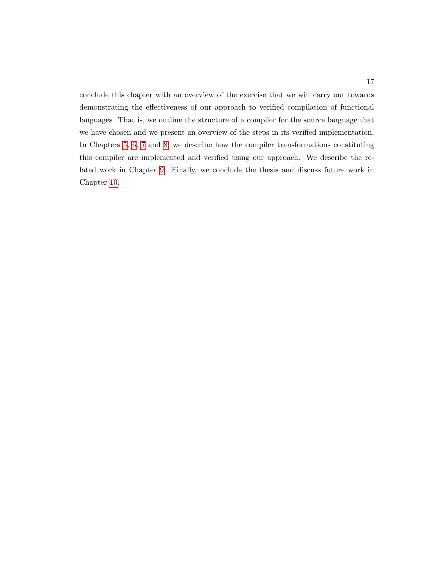conclude this chapter with an overview of the exercise that we will carry out towards demonstrating the effectiveness of our approach to verified compilation of functional languages. That is, we outline the structure of a compiler for the source language that we have chosen and we present an overview of the steps in its verified implementation. In Chapters [5,](#page-145-0) [6,](#page-181-0) [7](#page-207-0) and [8,](#page-222-0) we describe how the compiler transformations constituting this compiler are implemented and verified using our approach. We describe the related work in Chapter [9.](#page-235-0) Finally, we conclude the thesis and discuss future work in Chapter [10.](#page-243-0)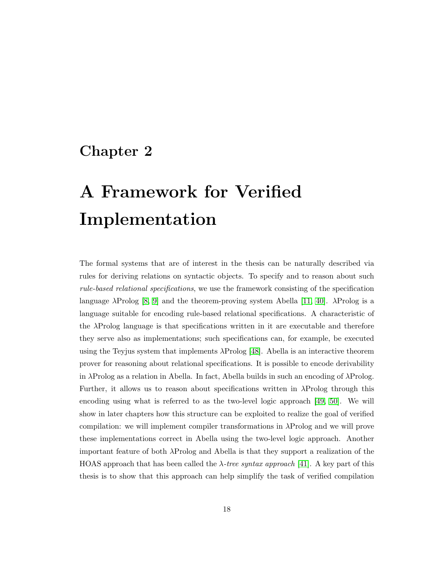## <span id="page-32-0"></span>Chapter 2

# A Framework for Verified Implementation

The formal systems that are of interest in the thesis can be naturally described via rules for deriving relations on syntactic objects. To specify and to reason about such rule-based relational specifications, we use the framework consisting of the specification language  $\lambda$ Prolog [\[8,](#page-249-1) [9\]](#page-249-2) and the theorem-proving system Abella [\[11,](#page-249-4) [40\]](#page-252-6).  $\lambda$ Prolog is a language suitable for encoding rule-based relational specifications. A characteristic of the λProlog language is that specifications written in it are executable and therefore they serve also as implementations; such specifications can, for example, be executed using the Teyjus system that implements  $\lambda \text{Prolog}$  [\[48\]](#page-253-3). Abella is an interactive theorem prover for reasoning about relational specifications. It is possible to encode derivability in  $\lambda$ Prolog as a relation in Abella. In fact, Abella builds in such an encoding of  $\lambda$ Prolog. Further, it allows us to reason about specifications written in λProlog through this encoding using what is referred to as the two-level logic approach [\[49,](#page-253-4) [50\]](#page-253-5). We will show in later chapters how this structure can be exploited to realize the goal of verified compilation: we will implement compiler transformations in λProlog and we will prove these implementations correct in Abella using the two-level logic approach. Another important feature of both λProlog and Abella is that they support a realization of the HOAS approach that has been called the  $\lambda$ -tree syntax approach [\[41\]](#page-252-7). A key part of this thesis is to show that this approach can help simplify the task of verified compilation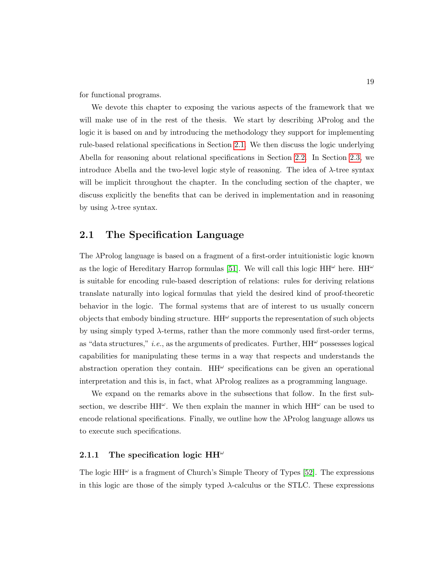for functional programs.

We devote this chapter to exposing the various aspects of the framework that we will make use of in the rest of the thesis. We start by describing λProlog and the logic it is based on and by introducing the methodology they support for implementing rule-based relational specifications in Section [2.1.](#page-33-0) We then discuss the logic underlying Abella for reasoning about relational specifications in Section [2.2.](#page-47-1) In Section [2.3,](#page-64-0) we introduce Abella and the two-level logic style of reasoning. The idea of λ-tree syntax will be implicit throughout the chapter. In the concluding section of the chapter, we discuss explicitly the benefits that can be derived in implementation and in reasoning by using  $\lambda$ -tree syntax.

#### <span id="page-33-0"></span>2.1 The Specification Language

The λProlog language is based on a fragment of a first-order intuitionistic logic known as the logic of Hereditary Harrop formulas [\[51\]](#page-253-6). We will call this logic  $HH^{\omega}$  here.  $HH^{\omega}$ is suitable for encoding rule-based description of relations: rules for deriving relations translate naturally into logical formulas that yield the desired kind of proof-theoretic behavior in the logic. The formal systems that are of interest to us usually concern objects that embody binding structure.  $HH^{\omega}$  supports the representation of such objects by using simply typed  $\lambda$ -terms, rather than the more commonly used first-order terms, as "data structures," *i.e.*, as the arguments of predicates. Further,  $HH^{\omega}$  possesses logical capabilities for manipulating these terms in a way that respects and understands the abstraction operation they contain.  $HH^{\omega}$  specifications can be given an operational interpretation and this is, in fact, what  $\lambda$ Prolog realizes as a programming language.

We expand on the remarks above in the subsections that follow. In the first subsection, we describe  $HH^{\omega}$ . We then explain the manner in which  $HH^{\omega}$  can be used to encode relational specifications. Finally, we outline how the  $\lambda$ Prolog language allows us to execute such specifications.

#### <span id="page-33-1"></span>2.1.1 The specification logic HH $\omega$

The logic  $HH^{\omega}$  is a fragment of Church's Simple Theory of Types [\[52\]](#page-253-7). The expressions in this logic are those of the simply typed  $\lambda$ -calculus or the STLC. These expressions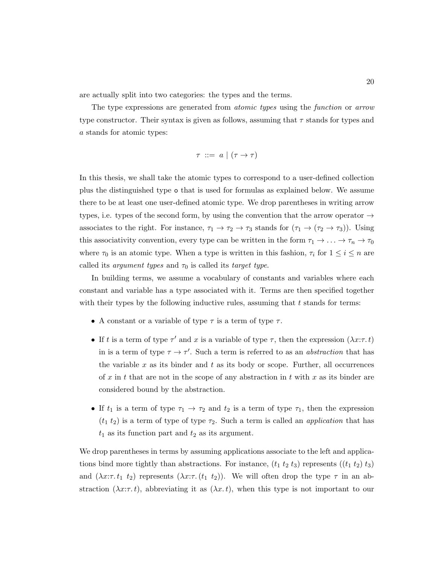are actually split into two categories: the types and the terms.

The type expressions are generated from atomic types using the function or arrow type constructor. Their syntax is given as follows, assuming that  $\tau$  stands for types and a stands for atomic types:

$$
\tau \ ::= \ a \mid (\tau \to \tau)
$$

In this thesis, we shall take the atomic types to correspond to a user-defined collection plus the distinguished type o that is used for formulas as explained below. We assume there to be at least one user-defined atomic type. We drop parentheses in writing arrow types, i.e. types of the second form, by using the convention that the arrow operator  $\rightarrow$ associates to the right. For instance,  $\tau_1 \to \tau_2 \to \tau_3$  stands for  $(\tau_1 \to (\tau_2 \to \tau_3))$ . Using this associativity convention, every type can be written in the form  $\tau_1 \to \ldots \to \tau_n \to \tau_0$ where  $\tau_0$  is an atomic type. When a type is written in this fashion,  $\tau_i$  for  $1 \leq i \leq n$  are called its *argument types* and  $\tau_0$  is called its *target type*.

In building terms, we assume a vocabulary of constants and variables where each constant and variable has a type associated with it. Terms are then specified together with their types by the following inductive rules, assuming that  $t$  stands for terms:

- A constant or a variable of type  $\tau$  is a term of type  $\tau$ .
- If t is a term of type  $\tau'$  and x is a variable of type  $\tau$ , then the expression  $(\lambda x:\tau, t)$ in is a term of type  $\tau \to \tau'$ . Such a term is referred to as an *abstraction* that has the variable x as its binder and t as its body or scope. Further, all occurrences of x in t that are not in the scope of any abstraction in t with x as its binder are considered bound by the abstraction.
- If  $t_1$  is a term of type  $\tau_1 \to \tau_2$  and  $t_2$  is a term of type  $\tau_1$ , then the expression  $(t_1 t_2)$  is a term of type of type  $\tau_2$ . Such a term is called an *application* that has  $t_1$  as its function part and  $t_2$  as its argument.

We drop parentheses in terms by assuming applications associate to the left and applications bind more tightly than abstractions. For instance,  $(t_1 t_2 t_3)$  represents  $((t_1 t_2) t_3)$ and  $(\lambda x:\tau \cdot t_1 \cdot t_2)$  represents  $(\lambda x:\tau \cdot (t_1 \cdot t_2))$ . We will often drop the type  $\tau$  in an abstraction  $(\lambda x:\tau, t)$ , abbreviating it as  $(\lambda x.t)$ , when this type is not important to our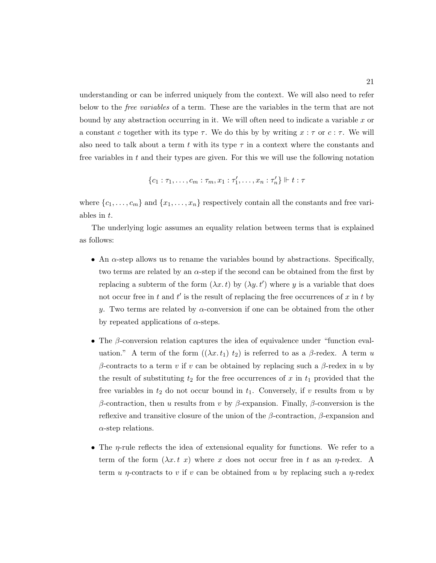understanding or can be inferred uniquely from the context. We will also need to refer below to the free variables of a term. These are the variables in the term that are not bound by any abstraction occurring in it. We will often need to indicate a variable  $x$  or a constant c together with its type  $\tau$ . We do this by by writing  $x : \tau$  or  $c : \tau$ . We will also need to talk about a term t with its type  $\tau$  in a context where the constants and free variables in  $t$  and their types are given. For this we will use the following notation

$$
\{c_1 : \tau_1, \ldots, c_m : \tau_m, x_1 : \tau'_1, \ldots, x_n : \tau'_n\} \Vdash t : \tau
$$

where  $\{c_1, \ldots, c_m\}$  and  $\{x_1, \ldots, x_n\}$  respectively contain all the constants and free variables in t.

The underlying logic assumes an equality relation between terms that is explained as follows:

- An  $\alpha$ -step allows us to rename the variables bound by abstractions. Specifically, two terms are related by an  $\alpha$ -step if the second can be obtained from the first by replacing a subterm of the form  $(\lambda x. t)$  by  $(\lambda y. t')$  where y is a variable that does not occur free in t and  $t'$  is the result of replacing the free occurrences of x in t by y. Two terms are related by  $\alpha$ -conversion if one can be obtained from the other by repeated applications of  $\alpha$ -steps.
- The β-conversion relation captures the idea of equivalence under "function evaluation." A term of the form  $((\lambda x. t_1), t_2)$  is referred to as a  $\beta$ -redex. A term u β-contracts to a term v if v can be obtained by replacing such a β-redex in u by the result of substituting  $t_2$  for the free occurrences of x in  $t_1$  provided that the free variables in  $t_2$  do not occur bound in  $t_1$ . Conversely, if v results from u by β-contraction, then u results from v by β-expansion. Finally, β-conversion is the reflexive and transitive closure of the union of the  $\beta$ -contraction,  $\beta$ -expansion and  $\alpha$ -step relations.
- The  $\eta$ -rule reflects the idea of extensional equality for functions. We refer to a term of the form  $(\lambda x. t x)$  where x does not occur free in t as an  $\eta$ -redex. A term u  $\eta$ -contracts to v if v can be obtained from u by replacing such a  $\eta$ -redex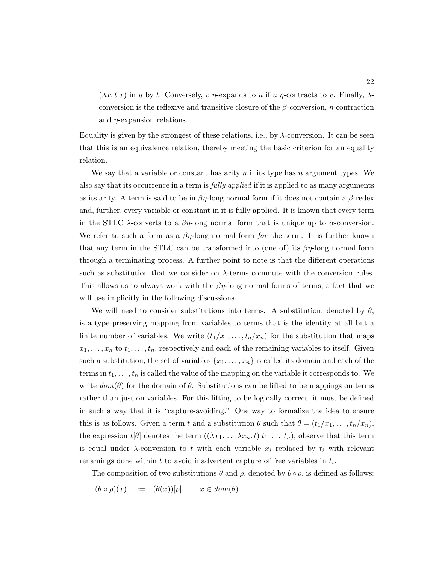$(\lambda x. t x)$  in u by t. Conversely, v  $\eta$ -expands to u if u  $\eta$ -contracts to v. Finally,  $\lambda$ conversion is the reflexive and transitive closure of the  $\beta$ -conversion,  $\eta$ -contraction and  $\eta$ -expansion relations.

Equality is given by the strongest of these relations, i.e., by  $\lambda$ -conversion. It can be seen that this is an equivalence relation, thereby meeting the basic criterion for an equality relation.

We say that a variable or constant has arity n if its type has n argument types. We also say that its occurrence in a term is *fully applied* if it is applied to as many arguments as its arity. A term is said to be in  $\beta\eta$ -long normal form if it does not contain a  $\beta$ -redex and, further, every variable or constant in it is fully applied. It is known that every term in the STLC  $\lambda$ -converts to a  $\beta\eta$ -long normal form that is unique up to  $\alpha$ -conversion. We refer to such a form as a  $\beta\eta$ -long normal form for the term. It is further known that any term in the STLC can be transformed into (one of) its  $\beta\eta$ -long normal form through a terminating process. A further point to note is that the different operations such as substitution that we consider on  $\lambda$ -terms commute with the conversion rules. This allows us to always work with the  $\beta\eta$ -long normal forms of terms, a fact that we will use implicitly in the following discussions.

We will need to consider substitutions into terms. A substitution, denoted by  $\theta$ , is a type-preserving mapping from variables to terms that is the identity at all but a finite number of variables. We write  $(t_1/x_1, \ldots, t_n/x_n)$  for the substitution that maps  $x_1, \ldots, x_n$  to  $t_1, \ldots, t_n$ , respectively and each of the remaining variables to itself. Given such a substitution, the set of variables  $\{x_1, \ldots, x_n\}$  is called its domain and each of the terms in  $t_1, \ldots, t_n$  is called the value of the mapping on the variable it corresponds to. We write  $dom(\theta)$  for the domain of  $\theta$ . Substitutions can be lifted to be mappings on terms rather than just on variables. For this lifting to be logically correct, it must be defined in such a way that it is "capture-avoiding." One way to formalize the idea to ensure this is as follows. Given a term t and a substitution  $\theta$  such that  $\theta = (t_1/x_1, \ldots, t_n/x_n)$ , the expression  $t[\theta]$  denotes the term  $((\lambda x_1 \ldots \lambda x_n, t) t_1 \ldots t_n)$ ; observe that this term is equal under  $\lambda$ -conversion to t with each variable  $x_i$  replaced by  $t_i$  with relevant renamings done within  $t$  to avoid inadvertent capture of free variables in  $t_i$ .

The composition of two substitutions  $\theta$  and  $\rho$ , denoted by  $\theta \circ \rho$ , is defined as follows:

$$
(\theta \circ \rho)(x) \quad := \quad (\theta(x))[\rho] \qquad x \in \mathit{dom}(\theta)
$$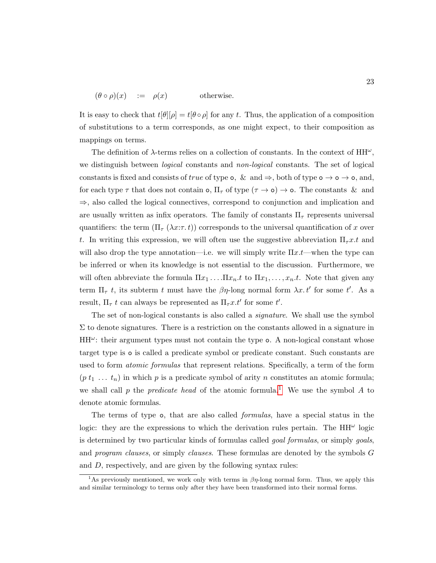$$
(\theta \circ \rho)(x) \quad := \quad \rho(x) \qquad \text{otherwise.}
$$

It is easy to check that  $t[\theta][\rho] = t[\theta \circ \rho]$  for any t. Thus, the application of a composition of substitutions to a term corresponds, as one might expect, to their composition as mappings on terms.

The definition of  $\lambda$ -terms relies on a collection of constants. In the context of  $HH^{\omega}$ , we distinguish between *logical* constants and *non-logical* constants. The set of logical constants is fixed and consists of true of type  $\circ$ , & and  $\Rightarrow$ , both of type  $\circ \rightarrow \circ \rightarrow \circ$ , and, for each type  $\tau$  that does not contain **o**,  $\Pi_{\tau}$  of type  $(\tau \to \mathsf{o}) \to \mathsf{o}$ . The constants & and ⇒, also called the logical connectives, correspond to conjunction and implication and are usually written as infix operators. The family of constants  $\Pi_{\tau}$  represents universal quantifiers: the term  $(\Pi_\tau(\lambda x:\tau,t))$  corresponds to the universal quantification of x over t. In writing this expression, we will often use the suggestive abbreviation  $\Pi_\tau x.t$  and will also drop the type annotation—i.e. we will simply write  $\Pi x.t$ —when the type can be inferred or when its knowledge is not essential to the discussion. Furthermore, we will often abbreviate the formula  $\Pi x_1 \ldots \Pi x_n.t$  to  $\Pi x_1, \ldots, x_n.t$ . Note that given any term  $\Pi_{\tau}$  t, its subterm t must have the  $\beta\eta$ -long normal form  $\lambda x. t'$  for some t'. As a result,  $\Pi_{\tau} t$  can always be represented as  $\Pi_{\tau} x.t'$  for some  $t'.$ 

The set of non-logical constants is also called a *signature*. We shall use the symbol  $\Sigma$  to denote signatures. There is a restriction on the constants allowed in a signature in  $HH^{\omega}$ : their argument types must not contain the type o. A non-logical constant whose target type is o is called a predicate symbol or predicate constant. Such constants are used to form *atomic formulas* that represent relations. Specifically, a term of the form  $(p t_1 ... t_n)$  in which p is a predicate symbol of arity n constitutes an atomic formula; we shall call p the predicate head of the atomic formula.<sup>[1](#page-37-0)</sup> We use the symbol A to denote atomic formulas.

The terms of type o, that are also called formulas, have a special status in the logic: they are the expressions to which the derivation rules pertain. The  $HH^{\omega}$  logic is determined by two particular kinds of formulas called *goal formulas*, or simply *goals*, and program clauses, or simply clauses. These formulas are denoted by the symbols G and D, respectively, and are given by the following syntax rules:

<span id="page-37-0"></span><sup>&</sup>lt;sup>1</sup>As previously mentioned, we work only with terms in  $\beta\eta$ -long normal form. Thus, we apply this and similar terminology to terms only after they have been transformed into their normal forms.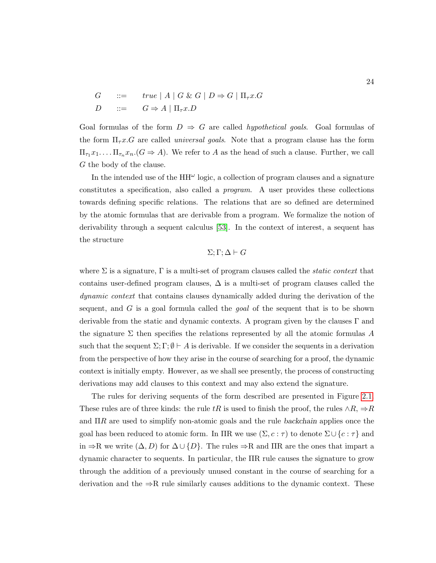$$
G \quad ::= \quad true \mid A \mid G \& G \mid D \Rightarrow G \mid \Pi_{\tau} x. G
$$

$$
D \quad ::= \quad G \Rightarrow A \mid \Pi_{\tau} x. D
$$

Goal formulas of the form  $D \Rightarrow G$  are called *hypothetical goals*. Goal formulas of the form  $\Pi_{\tau} x. G$  are called *universal goals*. Note that a program clause has the form  $\Pi_{\tau_1} x_1 \ldots \Pi_{\tau_n} x_n$  ( $G \Rightarrow A$ ). We refer to A as the head of such a clause. Further, we call G the body of the clause.

In the intended use of the  $HH^{\omega}$  logic, a collection of program clauses and a signature constitutes a specification, also called a program. A user provides these collections towards defining specific relations. The relations that are so defined are determined by the atomic formulas that are derivable from a program. We formalize the notion of derivability through a sequent calculus [\[53\]](#page-253-0). In the context of interest, a sequent has the structure

 $\Sigma; \Gamma; \Delta \vdash G$ 

where  $\Sigma$  is a signature,  $\Gamma$  is a multi-set of program clauses called the *static context* that contains user-defined program clauses,  $\Delta$  is a multi-set of program clauses called the dynamic context that contains clauses dynamically added during the derivation of the sequent, and  $G$  is a goal formula called the *goal* of the sequent that is to be shown derivable from the static and dynamic contexts. A program given by the clauses  $\Gamma$  and the signature  $\Sigma$  then specifies the relations represented by all the atomic formulas A such that the sequent  $\Sigma$ ;  $\Gamma$ ;  $\emptyset \vdash A$  is derivable. If we consider the sequents in a derivation from the perspective of how they arise in the course of searching for a proof, the dynamic context is initially empty. However, as we shall see presently, the process of constructing derivations may add clauses to this context and may also extend the signature.

The rules for deriving sequents of the form described are presented in Figure [2.1.](#page-39-0) These rules are of three kinds: the rule tR is used to finish the proof, the rules  $\land R$ ,  $\Rightarrow R$ and  $\Pi R$  are used to simplify non-atomic goals and the rule backchain applies once the goal has been reduced to atomic form. In ΠR we use  $(\Sigma, c : \tau)$  to denote  $\Sigma \cup \{c : \tau\}$  and in  $\Rightarrow$ R we write  $(\Delta, D)$  for  $\Delta \cup \{D\}$ . The rules  $\Rightarrow$ R and IIR are the ones that impart a dynamic character to sequents. In particular, the ΠR rule causes the signature to grow through the addition of a previously unused constant in the course of searching for a derivation and the  $\Rightarrow R$  rule similarly causes additions to the dynamic context. These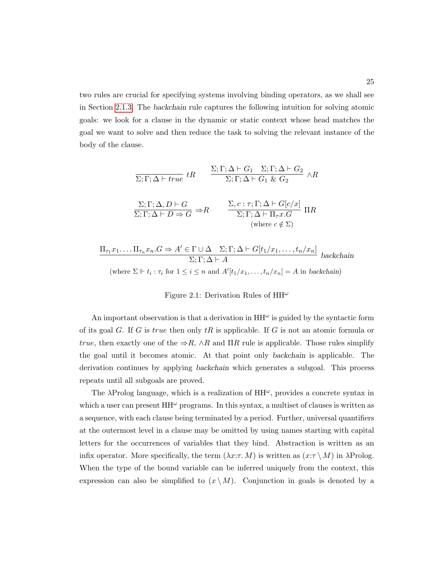two rules are crucial for specifying systems involving binding operators, as we shall see in Section [2.1.3.](#page-42-0) The backchain rule captures the following intuition for solving atomic goals: we look for a clause in the dynamic or static context whose head matches the goal we want to solve and then reduce the task to solving the relevant instance of the body of the clause.

<span id="page-39-0"></span>
$$
\frac{\Sigma; \Gamma; \Delta \vdash G_1 \quad \Sigma; \Gamma; \Delta \vdash G_2 \quad \wedge R}{\Sigma; \Gamma; \Delta \vdash G_1 \& G_2} \quad \wedge R
$$
\n
$$
\frac{\Sigma; \Gamma; \Delta, D \vdash G}{\Sigma; \Gamma; \Delta \vdash D \Rightarrow G} \Rightarrow R \qquad \frac{\Sigma, c: \tau; \Gamma; \Delta \vdash G[c/x]}{\Sigma; \Gamma; \Delta \vdash \Pi_{\tau} x.G} \Pi R
$$
\n(where  $c \notin \Sigma$ )

$$
\frac{\Pi_{\tau_1} x_1 \dots \Pi_{\tau_n} x_n . G \Rightarrow A' \in \Gamma \cup \Delta \quad \Sigma; \Gamma; \Delta \vdash G[t_1/x_1, \dots, t_n/x_n]}{\Sigma; \Gamma; \Delta \vdash A} \text{ backchain}
$$
\n(where  $\Sigma \Vdash t_i : \tau_i$  for  $1 \leq i \leq n$  and  $A'[t_1/x_1, \dots, t_n/x_n] = A$  in backchain)

## Figure 2.1: Derivation Rules of  $HH^{\omega}$

An important observation is that a derivation in  $HH^{\omega}$  is guided by the syntactic form of its goal G. If G is true then only  $tR$  is applicable. If G is not an atomic formula or true, then exactly one of the  $\Rightarrow R$ ,  $\wedge R$  and  $\Pi R$  rule is applicable. Those rules simplify the goal until it becomes atomic. At that point only backchain is applicable. The derivation continues by applying backchain which generates a subgoal. This process repeats until all subgoals are proved.

The  $\lambda$ Prolog language, which is a realization of  $HH^{\omega}$ , provides a concrete syntax in which a user can present  $HH^{\omega}$  programs. In this syntax, a multiset of clauses is written as a sequence, with each clause being terminated by a period. Further, universal quantifiers at the outermost level in a clause may be omitted by using names starting with capital letters for the occurrences of variables that they bind. Abstraction is written as an infix operator. More specifically, the term  $(\lambda x:\tau M)$  is written as  $(x:\tau M)$  in  $\lambda \text{Prolog}$ . When the type of the bound variable can be inferred uniquely from the context, this expression can also be simplified to  $(x \setminus M)$ . Conjunction in goals is denoted by a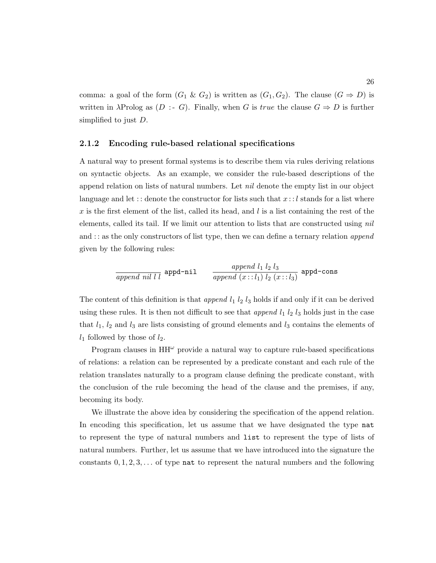comma: a goal of the form  $(G_1 \& G_2)$  is written as  $(G_1, G_2)$ . The clause  $(G \Rightarrow D)$  is written in  $\lambda$ Prolog as  $(D : G)$ . Finally, when G is true the clause  $G \Rightarrow D$  is further simplified to just D.

## 2.1.2 Encoding rule-based relational specifications

A natural way to present formal systems is to describe them via rules deriving relations on syntactic objects. As an example, we consider the rule-based descriptions of the append relation on lists of natural numbers. Let *nil* denote the empty list in our object language and let :: denote the constructor for lists such that  $x : l$  stands for a list where x is the first element of the list, called its head, and  $l$  is a list containing the rest of the elements, called its tail. If we limit our attention to lists that are constructed using nil and  $\cdots$  as the only constructors of list type, then we can define a ternary relation append given by the following rules:

$$
\frac{append\,\,nil\,\,l\,\,l\,\,l\,\,b}{append\,\,l\,\,l\,\,l\,\,p}
$$

The content of this definition is that *append*  $l_1$   $l_2$   $l_3$  holds if and only if it can be derived using these rules. It is then not difficult to see that *append*  $l_1$   $l_2$   $l_3$  holds just in the case that  $l_1$ ,  $l_2$  and  $l_3$  are lists consisting of ground elements and  $l_3$  contains the elements of  $l_1$  followed by those of  $l_2$ .

Program clauses in  $HH^{\omega}$  provide a natural way to capture rule-based specifications of relations: a relation can be represented by a predicate constant and each rule of the relation translates naturally to a program clause defining the predicate constant, with the conclusion of the rule becoming the head of the clause and the premises, if any, becoming its body.

We illustrate the above idea by considering the specification of the append relation. In encoding this specification, let us assume that we have designated the type nat to represent the type of natural numbers and list to represent the type of lists of natural numbers. Further, let us assume that we have introduced into the signature the constants  $0, 1, 2, 3, \ldots$  of type nat to represent the natural numbers and the following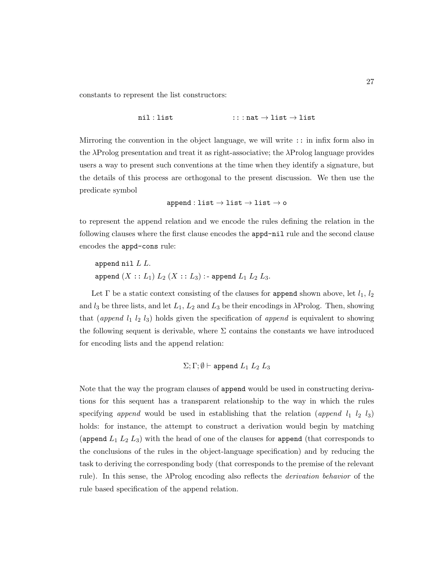constants to represent the list constructors:

$$
\mathtt{nil} : \mathtt{list} \qquad \qquad : : : \mathtt{nat} \to \mathtt{list} \to \mathtt{list}
$$

Mirroring the convention in the object language, we will write :: in infix form also in the  $\lambda$ Prolog presentation and treat it as right-associative; the  $\lambda$ Prolog language provides users a way to present such conventions at the time when they identify a signature, but the details of this process are orthogonal to the present discussion. We then use the predicate symbol

$$
\mathtt{append}:\mathtt{list}\to\mathtt{list}\to\mathtt{list}\to\mathtt{o}
$$

to represent the append relation and we encode the rules defining the relation in the following clauses where the first clause encodes the appd-nil rule and the second clause encodes the appd-cons rule:

```
append nil L L.
append (X :: L_1) L_2 (X :: L_3) :- append L_1 L_2 L_3.
```
Let  $\Gamma$  be a static context consisting of the clauses for append shown above, let  $l_1$ ,  $l_2$ and  $l_3$  be three lists, and let  $L_1, L_2$  and  $L_3$  be their encodings in  $\lambda$ Prolog. Then, showing that (append  $l_1$   $l_2$   $l_3$ ) holds given the specification of append is equivalent to showing the following sequent is derivable, where  $\Sigma$  contains the constants we have introduced for encoding lists and the append relation:

$$
\Sigma;\Gamma;\emptyset\vdash \texttt{append } L_1\ L_2\ L_3
$$

Note that the way the program clauses of append would be used in constructing derivations for this sequent has a transparent relationship to the way in which the rules specifying append would be used in establishing that the relation (append  $l_1$   $l_2$   $l_3$ ) holds: for instance, the attempt to construct a derivation would begin by matching (append  $L_1 L_2 L_3$ ) with the head of one of the clauses for append (that corresponds to the conclusions of the rules in the object-language specification) and by reducing the task to deriving the corresponding body (that corresponds to the premise of the relevant rule). In this sense, the λProlog encoding also reflects the derivation behavior of the rule based specification of the append relation.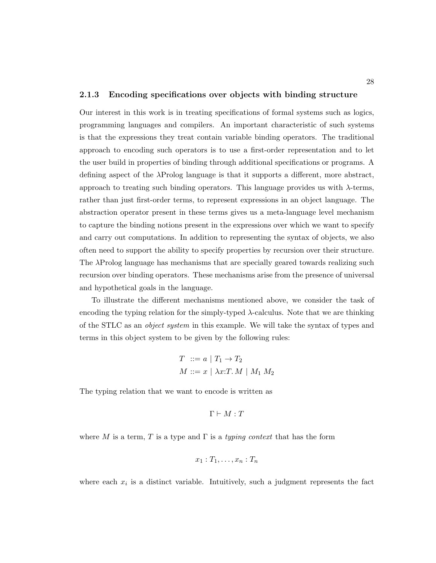#### <span id="page-42-0"></span>2.1.3 Encoding specifications over objects with binding structure

Our interest in this work is in treating specifications of formal systems such as logics, programming languages and compilers. An important characteristic of such systems is that the expressions they treat contain variable binding operators. The traditional approach to encoding such operators is to use a first-order representation and to let the user build in properties of binding through additional specifications or programs. A defining aspect of the  $\lambda$ Prolog language is that it supports a different, more abstract, approach to treating such binding operators. This language provides us with  $\lambda$ -terms, rather than just first-order terms, to represent expressions in an object language. The abstraction operator present in these terms gives us a meta-language level mechanism to capture the binding notions present in the expressions over which we want to specify and carry out computations. In addition to representing the syntax of objects, we also often need to support the ability to specify properties by recursion over their structure. The λProlog language has mechanisms that are specially geared towards realizing such recursion over binding operators. These mechanisms arise from the presence of universal and hypothetical goals in the language.

To illustrate the different mechanisms mentioned above, we consider the task of encoding the typing relation for the simply-typed  $\lambda$ -calculus. Note that we are thinking of the STLC as an object system in this example. We will take the syntax of types and terms in this object system to be given by the following rules:

$$
T \ ::= a \mid T_1 \to T_2
$$
  

$$
M ::= x \mid \lambda x : T. M \mid M_1 M_2
$$

The typing relation that we want to encode is written as

$$
\Gamma \vdash M : T
$$

where M is a term, T is a type and  $\Gamma$  is a typing context that has the form

$$
x_1: T_1, \ldots, x_n: T_n
$$

where each  $x_i$  is a distinct variable. Intuitively, such a judgment represents the fact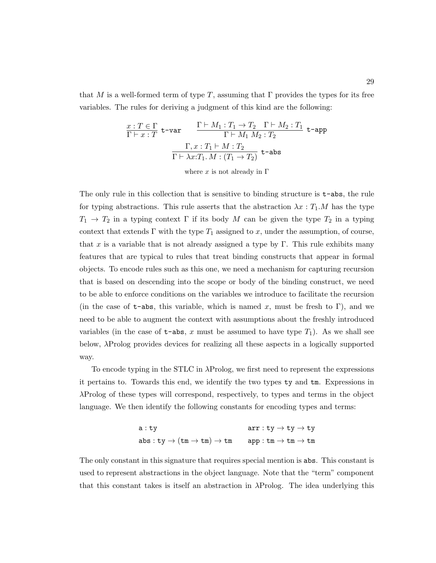that M is a well-formed term of type T, assuming that  $\Gamma$  provides the types for its free variables. The rules for deriving a judgment of this kind are the following:

$$
\frac{x: T \in \Gamma}{\Gamma \vdash x: T} \text{ t-var} \qquad \frac{\Gamma \vdash M_1: T_1 \to T_2 \quad \Gamma \vdash M_2: T_1}{\Gamma \vdash M_1 M_2: T_2} \text{ t-app}
$$
\n
$$
\frac{\Gamma, x: T_1 \vdash M: T_2}{\Gamma \vdash \lambda x: T_1. M: (T_1 \to T_2)} \text{ t-abs}
$$

where  $x$  is not already in  $\Gamma$ 

The only rule in this collection that is sensitive to binding structure is  $t$ -abs, the rule for typing abstractions. This rule asserts that the abstraction  $\lambda x : T_1.M$  has the type  $T_1 \rightarrow T_2$  in a typing context  $\Gamma$  if its body M can be given the type  $T_2$  in a typing context that extends  $\Gamma$  with the type  $T_1$  assigned to x, under the assumption, of course, that x is a variable that is not already assigned a type by  $\Gamma$ . This rule exhibits many features that are typical to rules that treat binding constructs that appear in formal objects. To encode rules such as this one, we need a mechanism for capturing recursion that is based on descending into the scope or body of the binding construct, we need to be able to enforce conditions on the variables we introduce to facilitate the recursion (in the case of  $t$ -abs, this variable, which is named x, must be fresh to Γ), and we need to be able to augment the context with assumptions about the freshly introduced variables (in the case of  $t$ -abs, x must be assumed to have type  $T_1$ ). As we shall see below, λProlog provides devices for realizing all these aspects in a logically supported way.

To encode typing in the STLC in λProlog, we first need to represent the expressions it pertains to. Towards this end, we identify the two types ty and tm. Expressions in λProlog of these types will correspond, respectively, to types and terms in the object language. We then identify the following constants for encoding types and terms:

$$
\begin{array}{ll} \texttt{a}: \texttt{ty} & \texttt{arr}: \texttt{ty} \rightarrow \texttt{ty} \rightarrow \texttt{ty} \\ \texttt{abs}: \texttt{ty} \rightarrow (\texttt{tm} \rightarrow \texttt{tm}) \rightarrow \texttt{tm} & \texttt{app}: \texttt{tm} \rightarrow \texttt{tm} \rightarrow \texttt{tm} \end{array}
$$

The only constant in this signature that requires special mention is abs. This constant is used to represent abstractions in the object language. Note that the "term" component that this constant takes is itself an abstraction in  $\lambda$ Prolog. The idea underlying this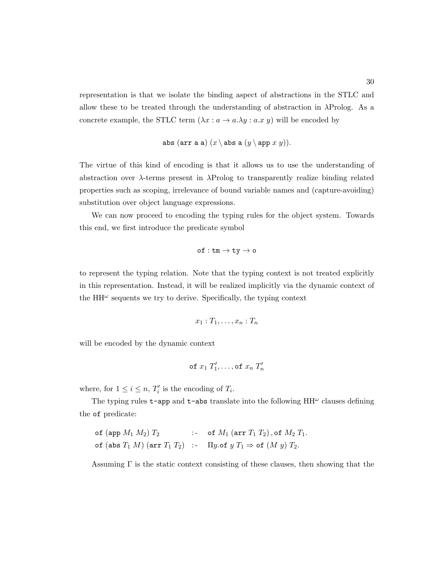representation is that we isolate the binding aspect of abstractions in the STLC and allow these to be treated through the understanding of abstraction in  $\lambda \text{Prolog}$ . As a concrete example, the STLC term  $(\lambda x : a \to a.\lambda y : a.x y)$  will be encoded by

$$
\mathtt{abs}~(\mathtt{arr}~\mathtt{a}~\mathtt{a})~(x \setminus \mathtt{abs}~\mathtt{a}~(y \setminus \mathtt{app}~x~y)).
$$

The virtue of this kind of encoding is that it allows us to use the understanding of abstraction over  $\lambda$ -terms present in  $\lambda$ Prolog to transparently realize binding related properties such as scoping, irrelevance of bound variable names and (capture-avoiding) substitution over object language expressions.

We can now proceed to encoding the typing rules for the object system. Towards this end, we first introduce the predicate symbol

$$
\texttt{of}: \texttt{tm} \rightarrow \texttt{ty} \rightarrow \texttt{o}
$$

to represent the typing relation. Note that the typing context is not treated explicitly in this representation. Instead, it will be realized implicitly via the dynamic context of the  $HH^{\omega}$  sequents we try to derive. Specifically, the typing context

$$
x_1: T_1, \ldots, x_n: T_n
$$

will be encoded by the dynamic context

of 
$$
x_1 T'_1, \ldots
$$
, of  $x_n T'_n$ 

where, for  $1 \leq i \leq n$ ,  $T'_{i}$  is the encoding of  $T_{i}$ .

The typing rules  $t$ -app and  $t$ -abs translate into the following  $HH^{\omega}$  clauses defining the of predicate:

```
of (app M_1 M_2) T_2 :- of M_1 (arr T_1 T_2), of M_2 T_1.
of (abs T_1 M) (arr T_1 T_2) :- \Pi y.of y T_1 \Rightarrow of (M y) T_2.
```
Assuming  $\Gamma$  is the static context consisting of these clauses, then showing that the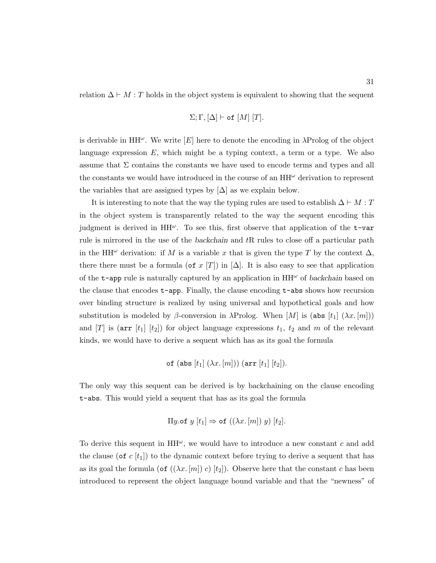relation  $\Delta \vdash M : T$  holds in the object system is equivalent to showing that the sequent

$$
\Sigma; \Gamma, [\Delta] \vdash \mathtt{of} [M] [T].
$$

is derivable in  $HH^{\omega}$ . We write  $[E]$  here to denote the encoding in  $\lambda$ Prolog of the object language expression  $E$ , which might be a typing context, a term or a type. We also assume that  $\Sigma$  contains the constants we have used to encode terms and types and all the constants we would have introduced in the course of an  $HH^{\omega}$  derivation to represent the variables that are assigned types by  $[\Delta]$  as we explain below.

It is interesting to note that the way the typing rules are used to establish  $\Delta \vdash M : T$ in the object system is transparently related to the way the sequent encoding this judgment is derived in  $HH^{\omega}$ . To see this, first observe that application of the  $t$ -var rule is mirrored in the use of the backchain and tR rules to close off a particular path in the HH<sup> $\omega$ </sup> derivation: if M is a variable x that is given the type T by the context  $\Delta$ , there there must be a formula (of x [T]) in  $[\Delta]$ . It is also easy to see that application of the  $t$ -app rule is naturally captured by an application in  $HH^{\omega}$  of backchain based on the clause that encodes  $t$ -app. Finally, the clause encoding  $t$ -abs shows how recursion over binding structure is realized by using universal and hypothetical goals and how substitution is modeled by  $\beta$ -conversion in  $\lambda$ Prolog. When [M] is (abs [t<sub>1</sub>] ( $\lambda x.$  [m])) and  $[T]$  is (arr  $[t_1]$   $[t_2]$ ) for object language expressions  $t_1$ ,  $t_2$  and m of the relevant kinds, we would have to derive a sequent which has as its goal the formula

of (abs 
$$
[t_1]
$$
 ( $\lambda x$ .  $[m]$ )) (arr  $[t_1]$   $[t_2]$ ).

The only way this sequent can be derived is by backchaining on the clause encoding t-abs. This would yield a sequent that has as its goal the formula

$$
\Pi y.\mathsf{of}\; y[t_1] \Rightarrow \mathsf{of}\; ((\lambda x.\, [m])\; y)\; [t_2].
$$

To derive this sequent in  $HH^{\omega}$ , we would have to introduce a new constant c and add the clause (of c  $[t_1]$ ) to the dynamic context before trying to derive a sequent that has as its goal the formula (of  $((\lambda x. [m]) c) [t_2]$ ). Observe here that the constant c has been introduced to represent the object language bound variable and that the "newness" of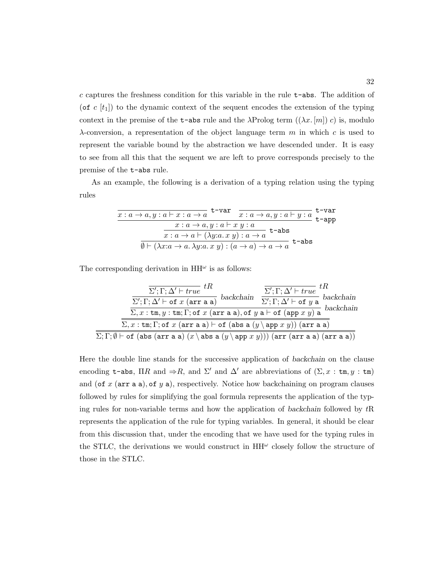c captures the freshness condition for this variable in the rule t-abs. The addition of (of c  $[t_1]$ ) to the dynamic context of the sequent encodes the extension of the typing context in the premise of the **t-abs** rule and the  $\lambda$ Prolog term  $((\lambda x. [m]) c)$  is, modulo  $\lambda$ -conversion, a representation of the object language term m in which c is used to represent the variable bound by the abstraction we have descended under. It is easy to see from all this that the sequent we are left to prove corresponds precisely to the premise of the t-abs rule.

As an example, the following is a derivation of a typing relation using the typing rules

| t-var<br>$x: a \rightarrow a, y: a \vdash x: a \rightarrow a$                             |                                              |       |  |
|-------------------------------------------------------------------------------------------|----------------------------------------------|-------|--|
|                                                                                           | $x: a \rightarrow a, y: a \vdash y: a$ t-app |       |  |
| $x: a \rightarrow a, y: a \vdash x y: a$                                                  |                                              |       |  |
| $x: a \to a \vdash (\lambda y: a. x y): a \to a$                                          | $t$ -abs                                     |       |  |
| $\emptyset \vdash (\lambda x : a \to a \ldotp \lambda y : a x y) : (a \to a) \to a \to a$ |                                              | t-abs |  |

The corresponding derivation in  $HH^{\omega}$  is as follows:

| $\Sigma'; \Gamma; \Delta' \vdash true \hspace{1mm} tR$                                                                                                                                                                                                                        | $\overline{\wedge} \xrightarrow{\text{backchain}} \frac{\overline{\Sigma'}; \Gamma; \Delta' \vdash true} tR$ |
|-------------------------------------------------------------------------------------------------------------------------------------------------------------------------------------------------------------------------------------------------------------------------------|--------------------------------------------------------------------------------------------------------------|
| $\overline{\Sigma';\Gamma;\Delta'\vdash \mathtt{of}\ x\ (\mathtt{arr}\ \mathtt{a}\ \mathtt{a})}$<br>$\Sigma, x : \text{tm}, y : \text{tm}; \Gamma; \overline{\text{of } x \text{ (arr a a)}, \text{of } y \text{ a} \vdash \text{of } (\text{app } x y) \text{ a}}$ backchain |                                                                                                              |
| $\Sigma, x : \text{tm}; \Gamma$ ; of $x$ (arr a a) $\vdash$ of (abs a $(y \setminus \text{app } x y)$ ) (arr a a)                                                                                                                                                             |                                                                                                              |
| $\Sigma ; \Gamma ; \emptyset \vdash$ of (abs (arr a a) $(x \setminus abs a(y \setminus app x y)))$ (arr (arr a a) (arr a a))                                                                                                                                                  |                                                                                                              |

Here the double line stands for the successive application of backchain on the clause encoding t-abs,  $\Pi R$  and  $\Rightarrow R$ , and  $\Sigma'$  and  $\Delta'$  are abbreviations of  $(\Sigma, x : \text{tm}, y : \text{tm})$ and (of  $x$  (arr a a), of  $y$  a), respectively. Notice how backchaining on program clauses followed by rules for simplifying the goal formula represents the application of the typing rules for non-variable terms and how the application of backchain followed by tR represents the application of the rule for typing variables. In general, it should be clear from this discussion that, under the encoding that we have used for the typing rules in the STLC, the derivations we would construct in  $HH^{\omega}$  closely follow the structure of those in the STLC.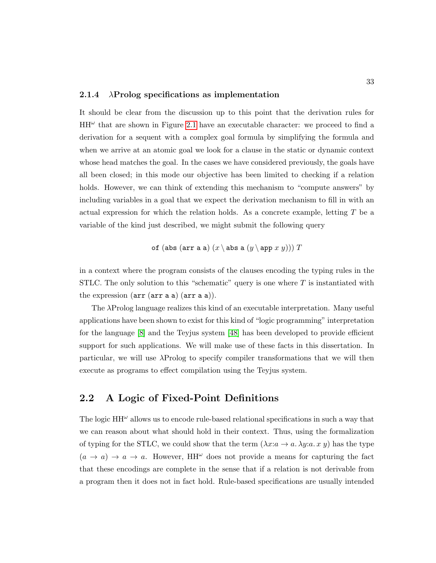## 2.1.4  $\lambda$ Prolog specifications as implementation

It should be clear from the discussion up to this point that the derivation rules for  $HH^{\omega}$  that are shown in Figure [2.1](#page-39-0) have an executable character: we proceed to find a derivation for a sequent with a complex goal formula by simplifying the formula and when we arrive at an atomic goal we look for a clause in the static or dynamic context whose head matches the goal. In the cases we have considered previously, the goals have all been closed; in this mode our objective has been limited to checking if a relation holds. However, we can think of extending this mechanism to "compute answers" by including variables in a goal that we expect the derivation mechanism to fill in with an actual expression for which the relation holds. As a concrete example, letting  $T$  be a variable of the kind just described, we might submit the following query

of (abs (arr a a) 
$$
(x \setminus abs a (y \setminus app x y)))
$$
 T

in a context where the program consists of the clauses encoding the typing rules in the STLC. The only solution to this "schematic" query is one where  $T$  is instantiated with the expression  $(\text{arr} (\text{arr} a \text{ a}) (\text{arr} a \text{ a})).$ 

The λProlog language realizes this kind of an executable interpretation. Many useful applications have been shown to exist for this kind of "logic programming" interpretation for the language [\[8\]](#page-249-0) and the Teyjus system [\[48\]](#page-253-1) has been developed to provide efficient support for such applications. We will make use of these facts in this dissertation. In particular, we will use λProlog to specify compiler transformations that we will then execute as programs to effect compilation using the Teyjus system.

# 2.2 A Logic of Fixed-Point Definitions

The logic  $HH^{\omega}$  allows us to encode rule-based relational specifications in such a way that we can reason about what should hold in their context. Thus, using the formalization of typing for the STLC, we could show that the term  $(\lambda x:a \rightarrow a \cdot \lambda y:a \cdot x \cdot y)$  has the type  $(a \to a) \to a \to a$ . However, HH<sup> $\omega$ </sup> does not provide a means for capturing the fact that these encodings are complete in the sense that if a relation is not derivable from a program then it does not in fact hold. Rule-based specifications are usually intended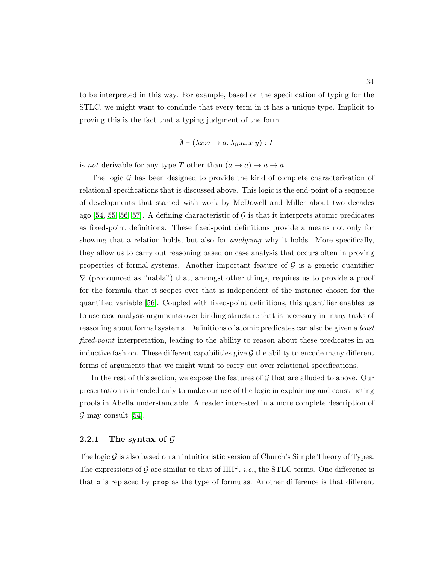to be interpreted in this way. For example, based on the specification of typing for the STLC, we might want to conclude that every term in it has a unique type. Implicit to proving this is the fact that a typing judgment of the form

$$
\emptyset \vdash (\lambda x : a \to a. \lambda y : a. x y) : T
$$

is *not* derivable for any type T other than  $(a \to a) \to a \to a$ .

The logic  $\mathcal G$  has been designed to provide the kind of complete characterization of relational specifications that is discussed above. This logic is the end-point of a sequence of developments that started with work by McDowell and Miller about two decades ago [\[54,](#page-253-2) [55,](#page-253-3) [56,](#page-254-0) [57\]](#page-254-1). A defining characteristic of  $\mathcal G$  is that it interprets atomic predicates as fixed-point definitions. These fixed-point definitions provide a means not only for showing that a relation holds, but also for *analyzing* why it holds. More specifically, they allow us to carry out reasoning based on case analysis that occurs often in proving properties of formal systems. Another important feature of  $\mathcal G$  is a generic quantifier  $\nabla$  (pronounced as "nabla") that, amongst other things, requires us to provide a proof for the formula that it scopes over that is independent of the instance chosen for the quantified variable [\[56\]](#page-254-0). Coupled with fixed-point definitions, this quantifier enables us to use case analysis arguments over binding structure that is necessary in many tasks of reasoning about formal systems. Definitions of atomic predicates can also be given a *least* fixed-point interpretation, leading to the ability to reason about these predicates in an inductive fashion. These different capabilities give  $\mathcal G$  the ability to encode many different forms of arguments that we might want to carry out over relational specifications.

In the rest of this section, we expose the features of  $\mathcal G$  that are alluded to above. Our presentation is intended only to make our use of the logic in explaining and constructing proofs in Abella understandable. A reader interested in a more complete description of  $\mathcal G$  may consult [\[54\]](#page-253-2).

## 2.2.1 The syntax of  $\mathcal G$

The logic  $\mathcal G$  is also based on an intuitionistic version of Church's Simple Theory of Types. The expressions of  $\mathcal G$  are similar to that of  $HH^\omega$ , *i.e.*, the STLC terms. One difference is that o is replaced by prop as the type of formulas. Another difference is that different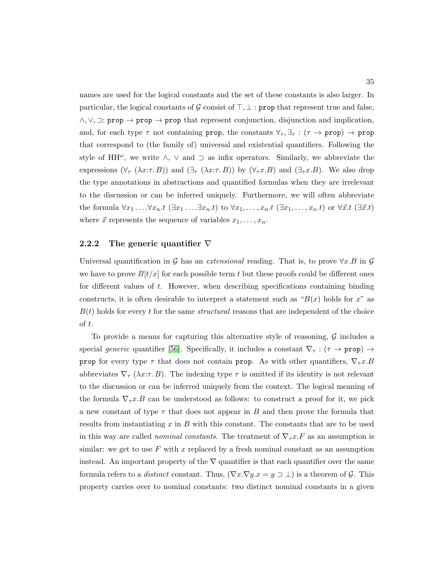names are used for the logical constants and the set of these constants is also larger. In particular, the logical constants of G consist of  $\top, \bot$ : prop that represent true and false,  $\wedge, \vee, \supset$ : prop  $\rightarrow$  prop  $\rightarrow$  prop that represent conjunction, disjunction and implication, and, for each type  $\tau$  not containing prop, the constants  $\forall_{\tau}$ ,  $\exists_{\tau}$ : ( $\tau \to \text{prop}$ )  $\to \text{prop}$ that correspond to (the family of) universal and existential quantifiers. Following the style of HH $\omega$ , we write  $\wedge$ ,  $\vee$  and  $\supset$  as infix operators. Similarly, we abbreviate the expressions  $(\forall_{\tau} (\lambda x:\tau,B))$  and  $(\exists_{\tau} (\lambda x:\tau,B))$  by  $(\forall_{\tau} x.B)$  and  $(\exists_{\tau} x.B)$ . We also drop the type annotations in abstractions and quantified formulas when they are irrelevant to the discussion or can be inferred uniquely. Furthermore, we will often abbreviate the formula  $\forall x_1 \ldots \forall x_n.t \ (\exists x_1 \ldots \exists x_n.t)$  to  $\forall x_1, \ldots, x_n.t \ (\exists x_1, \ldots, x_n.t)$  or  $\forall \vec{x}.t \ (\exists \vec{x}.t)$ where  $\vec{x}$  represents the sequence of variables  $x_1, \ldots, x_n$ .

#### <span id="page-49-0"></span>2.2.2 The generic quantifier  $\nabla$

Universal quantification in G has an extensional reading. That is, to prove  $\forall x.B$  in G we have to prove  $B[t/x]$  for each possible term t but these proofs could be different ones for different values of  $t$ . However, when describing specifications containing binding constructs, it is often desirable to interpret a statement such as " $B(x)$  holds for x" as  $B(t)$  holds for every t for the same *structural* reasons that are independent of the choice of t.

To provide a means for capturing this alternative style of reasoning,  $\mathcal G$  includes a special generic quantifier [\[56\]](#page-254-0). Specifically, it includes a constant  $\nabla_{\tau} : (\tau \to \text{prop}) \to$ prop for every type  $\tau$  that does not contain prop. As with other quantifiers,  $\nabla_{\tau} x.B$ abbreviates  $\nabla_{\tau}(\lambda x:\tau,B)$ . The indexing type  $\tau$  is omitted if its identity is not relevant to the discussion or can be inferred uniquely from the context. The logical meaning of the formula  $\nabla_{\tau} x . B$  can be understood as follows: to construct a proof for it, we pick a new constant of type  $\tau$  that does not appear in B and then prove the formula that results from instantiating x in B with this constant. The constants that are to be used in this way are called *nominal constants*. The treatment of  $\nabla_{\tau} x.F$  as an assumption is similar: we get to use  $F$  with x replaced by a fresh nominal constant as an assumption instead. An important property of the  $\nabla$  quantifier is that each quantifier over the same formula refers to a *distinct* constant. Thus,  $(\nabla x.\nabla y.x = y \supset \bot)$  is a theorem of G. This property carries over to nominal constants: two distinct nominal constants in a given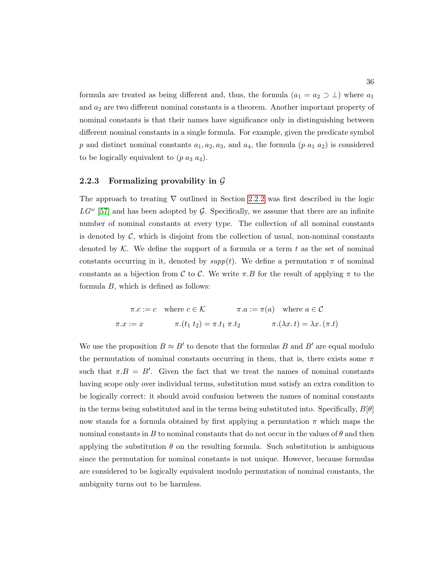formula are treated as being different and, thus, the formula  $(a_1 = a_2 \supset \bot)$  where  $a_1$ and  $a_2$  are two different nominal constants is a theorem. Another important property of nominal constants is that their names have significance only in distinguishing between different nominal constants in a single formula. For example, given the predicate symbol p and distinct nominal constants  $a_1, a_2, a_3$ , and  $a_4$ , the formula  $(p a_1 a_2)$  is considered to be logically equivalent to  $(p \ a_3 \ a_4)$ .

### 2.2.3 Formalizing provability in  $\mathcal G$

The approach to treating  $\nabla$  outlined in Section [2.2.2](#page-49-0) was first described in the logic  $LG^{\omega}$  [\[57\]](#page-254-1) and has been adopted by G. Specifically, we assume that there are an infinite number of nominal constants at every type. The collection of all nominal constants is denoted by  $\mathcal{C}$ , which is disjoint from the collection of usual, non-nominal constants denoted by  $K$ . We define the support of a formula or a term t as the set of nominal constants occurring in it, denoted by  $supp(t)$ . We define a permutation  $\pi$  of nominal constants as a bijection from C to C. We write  $\pi.B$  for the result of applying  $\pi$  to the formula B, which is defined as follows:

$$
\pi.c := c \quad \text{where } c \in \mathcal{K} \qquad \pi.a := \pi(a) \quad \text{where } a \in \mathcal{C}
$$
\n
$$
\pi.x := x \qquad \pi.(t_1 \ t_2) = \pi.t_1 \ \pi.t_2 \qquad \pi.(\lambda x. t) = \lambda x. (\pi.t)
$$

We use the proposition  $B \approx B'$  to denote that the formulas B and B' are equal modulo the permutation of nominal constants occurring in them, that is, there exists some  $\pi$ such that  $\pi.B = B'$ . Given the fact that we treat the names of nominal constants having scope only over individual terms, substitution must satisfy an extra condition to be logically correct: it should avoid confusion between the names of nominal constants in the terms being substituted and in the terms being substituted into. Specifically,  $B[\theta]$ now stands for a formula obtained by first applying a permutation  $\pi$  which maps the nominal constants in B to nominal constants that do not occur in the values of  $\theta$  and then applying the substitution  $\theta$  on the resulting formula. Such substitution is ambiguous since the permutation for nominal constants is not unique. However, because formulas are considered to be logically equivalent modulo permutation of nominal constants, the ambiguity turns out to be harmless.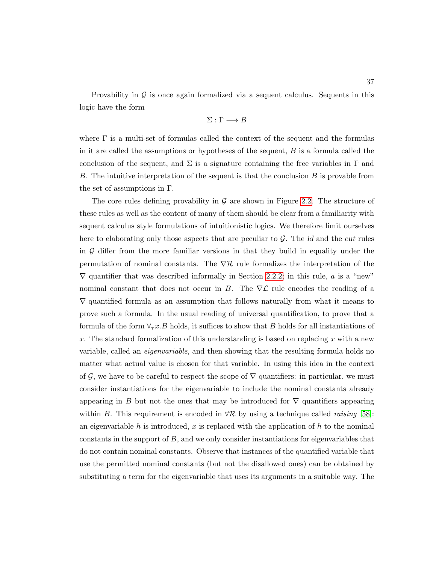Provability in  $\mathcal G$  is once again formalized via a sequent calculus. Sequents in this logic have the form

$$
\Sigma : \Gamma \longrightarrow B
$$

where  $\Gamma$  is a multi-set of formulas called the context of the sequent and the formulas in it are called the assumptions or hypotheses of the sequent,  $B$  is a formula called the conclusion of the sequent, and  $\Sigma$  is a signature containing the free variables in  $\Gamma$  and B. The intuitive interpretation of the sequent is that the conclusion B is provable from the set of assumptions in Γ.

The core rules defining provability in  $\mathcal G$  are shown in Figure [2.2.](#page-53-0) The structure of these rules as well as the content of many of them should be clear from a familiarity with sequent calculus style formulations of intuitionistic logics. We therefore limit ourselves here to elaborating only those aspects that are peculiar to  $G$ . The id and the cut rules in  $\mathcal G$  differ from the more familiar versions in that they build in equality under the permutation of nominal constants. The  $\nabla \mathcal{R}$  rule formalizes the interpretation of the  $\nabla$  quantifier that was described informally in Section [2.2.2;](#page-49-0) in this rule, a is a "new" nominal constant that does not occur in B. The  $\nabla\mathcal{L}$  rule encodes the reading of a ∇-quantified formula as an assumption that follows naturally from what it means to prove such a formula. In the usual reading of universal quantification, to prove that a formula of the form  $\forall_{\tau} x. B$  holds, it suffices to show that B holds for all instantiations of x. The standard formalization of this understanding is based on replacing x with a new variable, called an *eigenvariable*, and then showing that the resulting formula holds no matter what actual value is chosen for that variable. In using this idea in the context of G, we have to be careful to respect the scope of  $\nabla$  quantifiers: in particular, we must consider instantiations for the eigenvariable to include the nominal constants already appearing in B but not the ones that may be introduced for  $\nabla$  quantifiers appearing within B. This requirement is encoded in  $\forall \mathcal{R}$  by using a technique called *raising* [\[58\]](#page-254-2): an eigenvariable h is introduced, x is replaced with the application of h to the nominal constants in the support of  $B$ , and we only consider instantiations for eigenvariables that do not contain nominal constants. Observe that instances of the quantified variable that use the permitted nominal constants (but not the disallowed ones) can be obtained by substituting a term for the eigenvariable that uses its arguments in a suitable way. The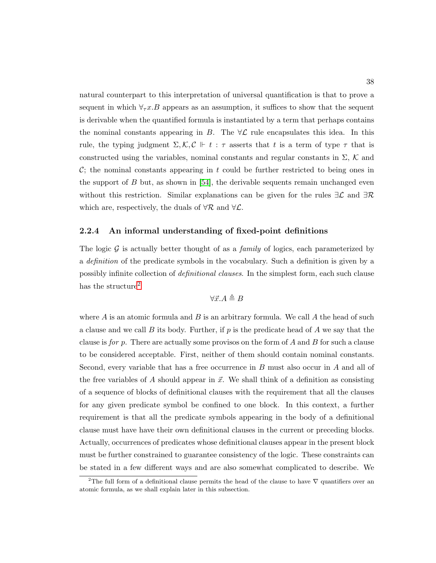natural counterpart to this interpretation of universal quantification is that to prove a sequent in which  $\forall_{\tau} x. B$  appears as an assumption, it suffices to show that the sequent is derivable when the quantified formula is instantiated by a term that perhaps contains the nominal constants appearing in B. The  $\forall \mathcal{L}$  rule encapsulates this idea. In this rule, the typing judgment  $\Sigma, \mathcal{K}, \mathcal{C} \Vdash t : \tau$  asserts that t is a term of type  $\tau$  that is constructed using the variables, nominal constants and regular constants in  $\Sigma$ , K and  $\mathcal{C}$ ; the nominal constants appearing in t could be further restricted to being ones in the support of B but, as shown in  $[54]$ , the derivable sequents remain unchanged even without this restriction. Similar explanations can be given for the rules  $\exists \mathcal{L}$  and  $\exists \mathcal{R}$ which are, respectively, the duals of  $\forall \mathcal{R}$  and  $\forall \mathcal{L}$ .

### <span id="page-52-1"></span>2.2.4 An informal understanding of fixed-point definitions

The logic  $\mathcal G$  is actually better thought of as a *family* of logics, each parameterized by a *definition* of the predicate symbols in the vocabulary. Such a definition is given by a possibly infinite collection of *definitional clauses*. In the simplest form, each such clause has the structure<sup>[2](#page-52-0)</sup>

$$
\forall \vec{x}.A \triangleq B
$$

where  $A$  is an atomic formula and  $B$  is an arbitrary formula. We call  $A$  the head of such a clause and we call  $B$  its body. Further, if  $p$  is the predicate head of  $A$  we say that the clause is for p. There are actually some provisos on the form of  $A$  and  $B$  for such a clause to be considered acceptable. First, neither of them should contain nominal constants. Second, every variable that has a free occurrence in B must also occur in A and all of the free variables of A should appear in  $\vec{x}$ . We shall think of a definition as consisting of a sequence of blocks of definitional clauses with the requirement that all the clauses for any given predicate symbol be confined to one block. In this context, a further requirement is that all the predicate symbols appearing in the body of a definitional clause must have have their own definitional clauses in the current or preceding blocks. Actually, occurrences of predicates whose definitional clauses appear in the present block must be further constrained to guarantee consistency of the logic. These constraints can be stated in a few different ways and are also somewhat complicated to describe. We

<span id="page-52-0"></span><sup>&</sup>lt;sup>2</sup>The full form of a definitional clause permits the head of the clause to have  $\nabla$  quantifiers over an atomic formula, as we shall explain later in this subsection.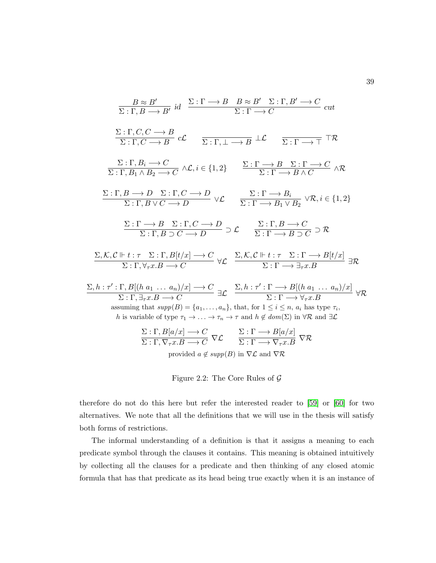<span id="page-53-0"></span>
$$
\frac{B \approx B'}{\Sigma : \Gamma, B \longrightarrow B'} \text{ id } \frac{\Sigma : \Gamma \longrightarrow B \quad B \approx B' \quad \Sigma : \Gamma, B' \longrightarrow C}{\Sigma : \Gamma \longrightarrow C} \text{ cut}
$$
\n
$$
\frac{\Sigma : \Gamma, C, C \longrightarrow B}{\Sigma : \Gamma, C \longrightarrow B} \text{ cC} \qquad \frac{}{\Sigma : \Gamma, \bot \longrightarrow B} \bot \text{ c} \qquad \frac{}{\Sigma : \Gamma \longrightarrow \top} \top \mathcal{R}
$$
\n
$$
\frac{\Sigma : \Gamma, B_i \longrightarrow C}{\Sigma : \Gamma, B_1 \land B_2 \longrightarrow C} \land \mathcal{L}, i \in \{1, 2\} \qquad \frac{\Sigma : \Gamma \longrightarrow B \quad \Sigma : \Gamma \longrightarrow C}{\Sigma : \Gamma \longrightarrow B \land C} \land \mathcal{R}
$$
\n
$$
\frac{\Sigma : \Gamma, B \longrightarrow D \quad \Sigma : \Gamma, C \longrightarrow D}{\Sigma : \Gamma, B \lor C \longrightarrow D} \lor \mathcal{L} \qquad \frac{\Sigma : \Gamma \longrightarrow B_i}{\Sigma : \Gamma \longrightarrow B_1 \lor B_2} \lor \mathcal{R}, i \in \{1, 2\}
$$
\n
$$
\frac{\Sigma : \Gamma \longrightarrow B \quad \Sigma : \Gamma, C \longrightarrow D}{\Sigma : \Gamma, B \supset C \longrightarrow D} \supset \mathcal{L} \qquad \frac{\Sigma : \Gamma, B \longrightarrow C}{\Sigma : \Gamma \longrightarrow B \cap C} \supset \mathcal{R}
$$
\n
$$
\frac{\Sigma, \mathcal{K}, \mathcal{C} \Vdash t : \tau \quad \Sigma : \Gamma, B[t/x] \longrightarrow C}{\Sigma : \Gamma, \forall \tau x B \longrightarrow C} \forall \mathcal{L} \qquad \frac{\Sigma, \mathcal{K}, \mathcal{C} \Vdash t : \tau \quad \Sigma : \Gamma \longrightarrow B[t/x]}{\Sigma : \Gamma \longrightarrow \exists \tau x B} \exists \mathcal{R}
$$
\n
$$
\frac{\Sigma, h : \tau' : \Gamma, B[(h a_1 \dots a_n)/x] \longrightarrow C}{\Sigma : \Gamma, \exists \tau x B \longrightarrow C} \exists \mathcal{L} \qquad \frac{\Sigma, h : \tau' : \Gamma \longrightarrow B[(h a_1 \dots a_n)/x]}{\Sigma : \Gamma \longrightarrow \forall \tau x B} \forall \mathcal{R}
$$
\nassuming that  $\text{supp}(B) = \{a_1, \dots, a_n\}$ , that, for  $1 \le i \le n$ ,  $a_i$ 

Figure 2.2: The Core Rules of  $\mathcal G$ 

therefore do not do this here but refer the interested reader to [\[59\]](#page-254-3) or [\[60\]](#page-254-4) for two alternatives. We note that all the definitions that we will use in the thesis will satisfy both forms of restrictions.

The informal understanding of a definition is that it assigns a meaning to each predicate symbol through the clauses it contains. This meaning is obtained intuitively by collecting all the clauses for a predicate and then thinking of any closed atomic formula that has that predicate as its head being true exactly when it is an instance of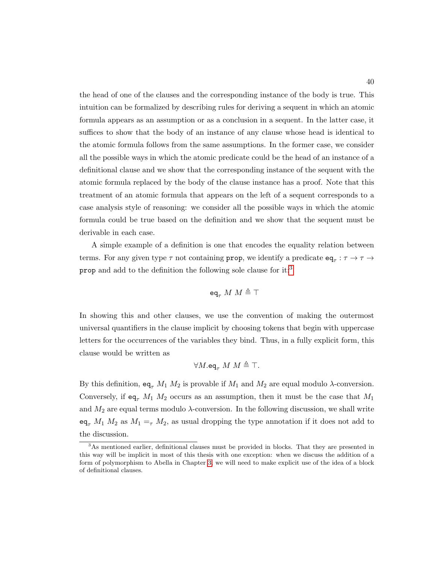the head of one of the clauses and the corresponding instance of the body is true. This intuition can be formalized by describing rules for deriving a sequent in which an atomic formula appears as an assumption or as a conclusion in a sequent. In the latter case, it suffices to show that the body of an instance of any clause whose head is identical to the atomic formula follows from the same assumptions. In the former case, we consider all the possible ways in which the atomic predicate could be the head of an instance of a definitional clause and we show that the corresponding instance of the sequent with the atomic formula replaced by the body of the clause instance has a proof. Note that this treatment of an atomic formula that appears on the left of a sequent corresponds to a case analysis style of reasoning: we consider all the possible ways in which the atomic formula could be true based on the definition and we show that the sequent must be derivable in each case.

A simple example of a definition is one that encodes the equality relation between terms. For any given type  $\tau$  not containing **prop**, we identify a predicate  $eq_{\tau} : \tau \to \tau \to$ prop and add to the definition the following sole clause for it:[3](#page-54-0)

$$
\texttt{eq}_\tau~M~M\triangleq\top
$$

In showing this and other clauses, we use the convention of making the outermost universal quantifiers in the clause implicit by choosing tokens that begin with uppercase letters for the occurrences of the variables they bind. Thus, in a fully explicit form, this clause would be written as

$$
\forall M.\mathtt{eq}_{\tau} \ M \ M \triangleq \top.
$$

By this definition,  $eq_{\tau} M_1 M_2$  is provable if  $M_1$  and  $M_2$  are equal modulo  $\lambda$ -conversion. Conversely, if  $eq_{\tau} M_1 M_2$  occurs as an assumption, then it must be the case that  $M_1$ and  $M_2$  are equal terms modulo  $\lambda$ -conversion. In the following discussion, we shall write  $eq_{\tau} M_1 M_2$  as  $M_1 =_{\tau} M_2$ , as usual dropping the type annotation if it does not add to the discussion.

<span id="page-54-0"></span> $3$ As mentioned earlier, definitional clauses must be provided in blocks. That they are presented in this way will be implicit in most of this thesis with one exception: when we discuss the addition of a form of polymorphism to Abella in Chapter [3,](#page-79-0) we will need to make explicit use of the idea of a block of definitional clauses.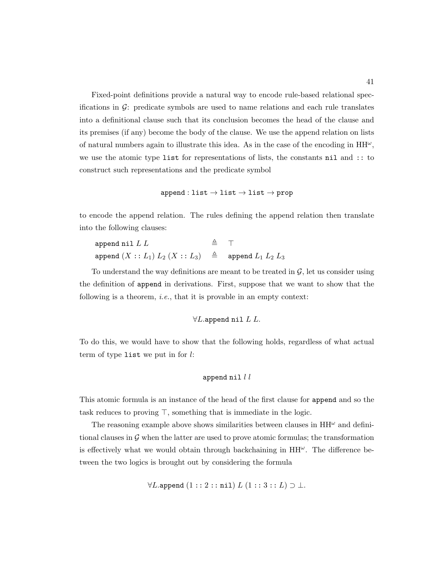Fixed-point definitions provide a natural way to encode rule-based relational specifications in  $\mathcal{G}$ : predicate symbols are used to name relations and each rule translates into a definitional clause such that its conclusion becomes the head of the clause and its premises (if any) become the body of the clause. We use the append relation on lists of natural numbers again to illustrate this idea. As in the case of the encoding in  $HH^{\omega}$ , we use the atomic type list for representations of lists, the constants nil and :: to construct such representations and the predicate symbol

$$
\mathtt{append}:\mathtt{list}\to\mathtt{list}\to\mathtt{list}\to\mathtt{prop}
$$

to encode the append relation. The rules defining the append relation then translate into the following clauses:

| append nil $L$ $L$                                                                            | $\triangleq$ T |  |
|-----------------------------------------------------------------------------------------------|----------------|--|
| $\mathtt{append}\ (X::L_1)\ L_2\ (X::L_3)\quad\triangleq\quad \mathtt{append}\ L_1\ L_2\ L_3$ |                |  |

To understand the way definitions are meant to be treated in  $\mathcal{G}$ , let us consider using the definition of append in derivations. First, suppose that we want to show that the following is a theorem, *i.e.*, that it is provable in an empty context:

## $\forall L$ .append nil  $L$   $L$ .

To do this, we would have to show that the following holds, regardless of what actual term of type list we put in for  $l$ :

#### append nil  $l$   $l$

This atomic formula is an instance of the head of the first clause for append and so the task reduces to proving  $\top$ , something that is immediate in the logic.

The reasoning example above shows similarities between clauses in  $HH^{\omega}$  and definitional clauses in  $\mathcal G$  when the latter are used to prove atomic formulas; the transformation is effectively what we would obtain through backchaining in  $HH^{\omega}$ . The difference between the two logics is brought out by considering the formula

 $\forall L.\mathtt{append}(1::2::\mathtt{nil})\ L\ (1::3::L)\supset \bot.$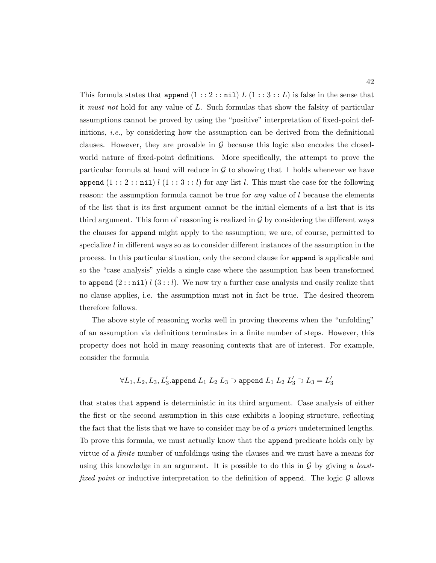This formula states that append  $(1 : 2 : \text{nil}) L (1 : 3 : L)$  is false in the sense that it must not hold for any value of L. Such formulas that show the falsity of particular assumptions cannot be proved by using the "positive" interpretation of fixed-point definitions, i.e., by considering how the assumption can be derived from the definitional clauses. However, they are provable in  $\mathcal G$  because this logic also encodes the closedworld nature of fixed-point definitions. More specifically, the attempt to prove the particular formula at hand will reduce in G to showing that  $\perp$  holds whenever we have append  $(1 : 2 : \text{nil})$   $l$   $(1 : 3 : l)$  for any list l. This must the case for the following reason: the assumption formula cannot be true for *any* value of  $l$  because the elements of the list that is its first argument cannot be the initial elements of a list that is its third argument. This form of reasoning is realized in  $\mathcal G$  by considering the different ways the clauses for append might apply to the assumption; we are, of course, permitted to specialize  $l$  in different ways so as to consider different instances of the assumption in the process. In this particular situation, only the second clause for append is applicable and so the "case analysis" yields a single case where the assumption has been transformed to append  $(2::\niil)$   $l(3::\nl)$ . We now try a further case analysis and easily realize that no clause applies, i.e. the assumption must not in fact be true. The desired theorem therefore follows.

The above style of reasoning works well in proving theorems when the "unfolding" of an assumption via definitions terminates in a finite number of steps. However, this property does not hold in many reasoning contexts that are of interest. For example, consider the formula

$$
\forall L_1,L_2,L_3,L_3'.\text{append }L_1\ L_2\ L_3\supset\text{append }L_1\ L_2\ L_3'\supset L_3=L_3'
$$

that states that append is deterministic in its third argument. Case analysis of either the first or the second assumption in this case exhibits a looping structure, reflecting the fact that the lists that we have to consider may be of a *priori* undetermined lengths. To prove this formula, we must actually know that the append predicate holds only by virtue of a finite number of unfoldings using the clauses and we must have a means for using this knowledge in an argument. It is possible to do this in  $\mathcal G$  by giving a *least*fixed point or inductive interpretation to the definition of append. The logic  $\mathcal G$  allows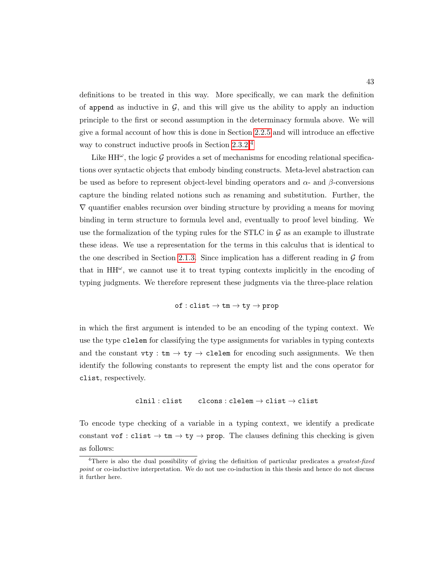definitions to be treated in this way. More specifically, we can mark the definition of append as inductive in  $\mathcal{G}$ , and this will give us the ability to apply an induction principle to the first or second assumption in the determinacy formula above. We will give a formal account of how this is done in Section [2.2.5](#page-60-0) and will introduce an effective way to construct inductive proofs in Section [2.3.2.](#page-67-0)[4](#page-57-0)

Like  $HH^{\omega}$ , the logic G provides a set of mechanisms for encoding relational specifications over syntactic objects that embody binding constructs. Meta-level abstraction can be used as before to represent object-level binding operators and  $\alpha$ - and  $\beta$ -conversions capture the binding related notions such as renaming and substitution. Further, the  $\nabla$  quantifier enables recursion over binding structure by providing a means for moving binding in term structure to formula level and, eventually to proof level binding. We use the formalization of the typing rules for the STLC in  $\mathcal G$  as an example to illustrate these ideas. We use a representation for the terms in this calculus that is identical to the one described in Section [2.1.3.](#page-42-0) Since implication has a different reading in  $\mathcal G$  from that in  $HH^{\omega}$ , we cannot use it to treat typing contexts implicitly in the encoding of typing judgments. We therefore represent these judgments via the three-place relation

$$
\texttt{of} : \texttt{clist} \rightarrow \texttt{tm} \rightarrow \texttt{ty} \rightarrow \texttt{prop}
$$

in which the first argument is intended to be an encoding of the typing context. We use the type clelem for classifying the type assignments for variables in typing contexts and the constant  $vty : tm \rightarrow ty \rightarrow$  clelem for encoding such assignments. We then identify the following constants to represent the empty list and the cons operator for clist, respectively.

$$
\mathtt{clnil} : \mathtt{clist} \qquad \mathtt{clcons} : \mathtt{clelem} \to \mathtt{clist} \to \mathtt{clist}
$$

To encode type checking of a variable in a typing context, we identify a predicate constant vof : clist  $\rightarrow$  tm  $\rightarrow$  ty  $\rightarrow$  prop. The clauses defining this checking is given as follows:

<span id="page-57-0"></span><sup>&</sup>lt;sup>4</sup>There is also the dual possibility of giving the definition of particular predicates a *greatest-fixed* point or co-inductive interpretation. We do not use co-induction in this thesis and hence do not discuss it further here.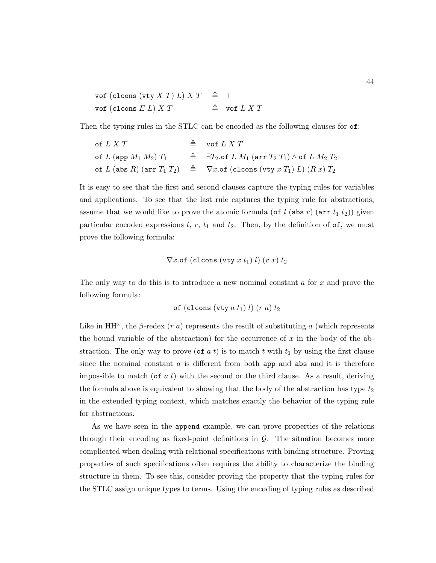| vof (clcons (vty X T) L) X T $\triangleq$ T |                        |
|---------------------------------------------|------------------------|
| vof (clcons $E L$ ) $X T$                   | $\triangleq$ vof L X T |

Then the typing rules in the STLC can be encoded as the following clauses for of:

of 
$$
L X T
$$
  $\triangleq$  **of**  $L X T$   
\nof  $L$  (app  $M_1 M_2) T_1$   $\triangleq$   $\exists T_2$  of  $L M_1$  (arr  $T_2 T_1$ )  $\wedge$  of  $L M_2 T_2$   
\nof  $L$  (abs  $R$ ) (arr  $T_1 T_2$ )  $\triangleq$   $\nabla x$ .of (cloons (vty  $x T_1$ )  $L$ )  $(R x) T_2$ 

It is easy to see that the first and second clauses capture the typing rules for variables and applications. To see that the last rule captures the typing rule for abstractions, assume that we would like to prove the atomic formula (of l (abs r) (arr  $t_1$   $t_2$ )) given particular encoded expressions  $l, r, t_1$  and  $t_2$ . Then, by the definition of  $\sigma f$ , we must prove the following formula:

$$
\nabla x.\texttt{of} (c \texttt{lcons} (v \texttt{ty} x t_1) l) (r x) t_2
$$

The only way to do this is to introduce a new nominal constant a for x and prove the following formula:

of (cloons (vty 
$$
a t_1
$$
)  $l$ )  $(r a) t_2$ 

Like in HH<sup> $\omega$ </sup>, the  $\beta$ -redex (r a) represents the result of substituting a (which represents the bound variable of the abstraction) for the occurrence of  $x$  in the body of the abstraction. The only way to prove (of  $a t$ ) is to match t with  $t_1$  by using the first clause since the nominal constant  $a$  is different from both app and abs and it is therefore impossible to match (of  $a t$ ) with the second or the third clause. As a result, deriving the formula above is equivalent to showing that the body of the abstraction has type  $t_2$ in the extended typing context, which matches exactly the behavior of the typing rule for abstractions.

As we have seen in the append example, we can prove properties of the relations through their encoding as fixed-point definitions in  $G$ . The situation becomes more complicated when dealing with relational specifications with binding structure. Proving properties of such specifications often requires the ability to characterize the binding structure in them. To see this, consider proving the property that the typing rules for the STLC assign unique types to terms. Using the encoding of typing rules as described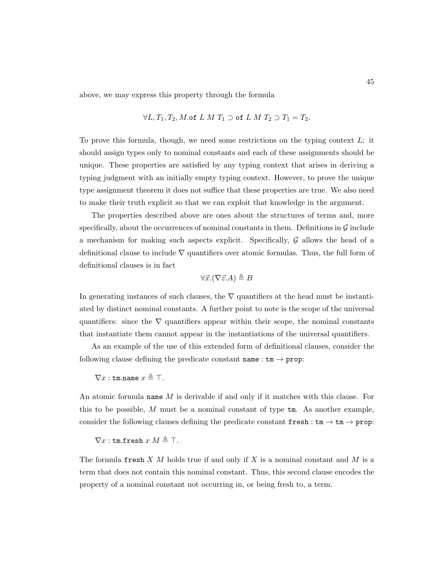above, we may express this property through the formula

$$
\forall L, T_1, T_2, M \text{.of } L M T_1 \supset \text{of } L M T_2 \supset T_1 = T_2.
$$

To prove this formula, though, we need some restrictions on the typing context L: it should assign types only to nominal constants and each of these assignments should be unique. These properties are satisfied by any typing context that arises in deriving a typing judgment with an initially empty typing context. However, to prove the unique type assignment theorem it does not suffice that these properties are true. We also need to make their truth explicit so that we can exploit that knowledge in the argument.

The properties described above are ones about the structures of terms and, more specifically, about the occurrences of nominal constants in them. Definitions in  $\mathcal G$  include a mechanism for making such aspects explicit. Specifically,  $\mathcal G$  allows the head of a definitional clause to include  $\nabla$  quantifiers over atomic formulas. Thus, the full form of definitional clauses is in fact

$$
\forall \vec{x}. (\nabla \vec{z}.A) \triangleq B
$$

In generating instances of such clauses, the  $\nabla$  quantifiers at the head must be instantiated by distinct nominal constants. A further point to note is the scope of the universal quantifiers: since the  $\nabla$  quantifiers appear within their scope, the nominal constants that instantiate them cannot appear in the instantiations of the universal quantifiers.

As an example of the use of this extended form of definitional clauses, consider the following clause defining the predicate constant  $name : tm \rightarrow prop$ :

$$
\nabla x:\texttt{tm.name}~x\triangleq\top.
$$

An atomic formula name M is derivable if and only if it matches with this clause. For this to be possible, M must be a nominal constant of type  $tm$ . As another example, consider the following clauses defining the predicate constant  ${\tt fresh}: {\tt tm} \to {\tt tm} \to {\tt prop}:$ 

## $\nabla x$ : tm.fresh  $x M \triangleq T$ .

The formula fresh X  $M$  holds true if and only if X is a nominal constant and  $M$  is a term that does not contain this nominal constant. Thus, this second clause encodes the property of a nominal constant not occurring in, or being fresh to, a term.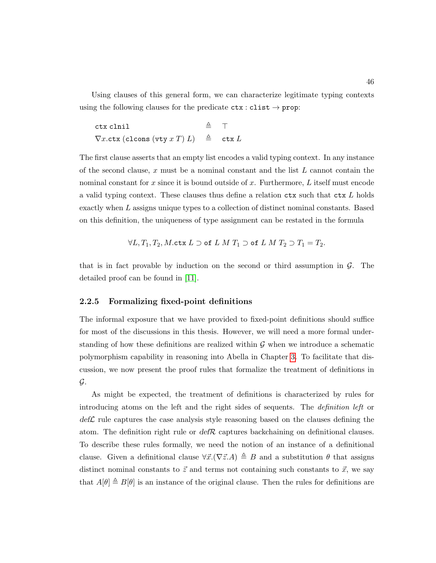Using clauses of this general form, we can characterize legitimate typing contexts using the following clauses for the predicate  $\texttt{ctx} : \texttt{clist} \rightarrow \texttt{prop}:$ 

ctx clnil  $\triangleq$   $\top$  $\nabla x.$ ctx (clcons (vty x T) L)  $\triangleq$  ctx L

The first clause asserts that an empty list encodes a valid typing context. In any instance of the second clause, x must be a nominal constant and the list  $L$  cannot contain the nominal constant for x since it is bound outside of x. Furthermore,  $L$  itself must encode a valid typing context. These clauses thus define a relation  $\texttt{ctx}$  such that  $\texttt{ctx} L$  holds exactly when L assigns unique types to a collection of distinct nominal constants. Based on this definition, the uniqueness of type assignment can be restated in the formula

$$
\forall L, T_1, T_2, M. \text{ctx } L \supset \text{of } L M T_1 \supset \text{of } L M T_2 \supset T_1 = T_2.
$$

that is in fact provable by induction on the second or third assumption in  $\mathcal{G}$ . The detailed proof can be found in [\[11\]](#page-249-1).

### <span id="page-60-0"></span>2.2.5 Formalizing fixed-point definitions

The informal exposure that we have provided to fixed-point definitions should suffice for most of the discussions in this thesis. However, we will need a more formal understanding of how these definitions are realized within  $\mathcal G$  when we introduce a schematic polymorphism capability in reasoning into Abella in Chapter [3.](#page-79-0) To facilitate that discussion, we now present the proof rules that formalize the treatment of definitions in G.

As might be expected, the treatment of definitions is characterized by rules for introducing atoms on the left and the right sides of sequents. The definition left or  $\text{def}\mathcal{L}$  rule captures the case analysis style reasoning based on the clauses defining the atom. The definition right rule or  $\text{def } \mathcal{R}$  captures backchaining on definitional clauses. To describe these rules formally, we need the notion of an instance of a definitional clause. Given a definitional clause  $\forall \vec{x}.(\nabla \vec{z}.A) \triangleq B$  and a substitution  $\theta$  that assigns distinct nominal constants to  $\vec{z}$  and terms not containing such constants to  $\vec{x}$ , we say that  $A[\theta] \triangleq B[\theta]$  is an instance of the original clause. Then the rules for definitions are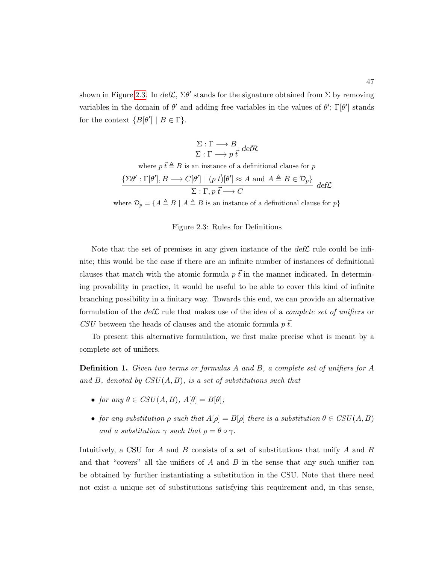<span id="page-61-0"></span>shown in Figure [2.3.](#page-61-0) In  $def\mathcal{L}, \Sigma \theta'$  stands for the signature obtained from  $\Sigma$  by removing variables in the domain of  $\theta'$  and adding free variables in the values of  $\theta'$ ;  $\Gamma[\theta']$  stands for the context  ${B[\theta'] | B \in \Gamma}.$ 

$$
\frac{\Sigma : \Gamma \longrightarrow B}{\Sigma : \Gamma \longrightarrow p \overrightarrow{t} \text{ def } \mathcal{R}}
$$

where 
$$
p \, \vec{t} \triangleq B
$$
 is an instance of a definitional clause for  $p$   
\n
$$
\frac{\{\Sigma \theta' : \Gamma[\theta'], B \longrightarrow C[\theta'] \mid (p \, \vec{t})[\theta'] \approx A \text{ and } A \triangleq B \in \mathcal{D}_p\}}{\Sigma : \Gamma, p \, \vec{t} \longrightarrow C} \, \text{def}\mathcal{L}
$$

where  $\mathcal{D}_p = \{A \triangleq B \mid A \triangleq B$  is an instance of a definitional clause for  $p\}$ 

## Figure 2.3: Rules for Definitions

Note that the set of premises in any given instance of the  $\text{def}\mathcal{L}$  rule could be infinite; this would be the case if there are an infinite number of instances of definitional clauses that match with the atomic formula  $p \, \vec{t}$  in the manner indicated. In determining provability in practice, it would be useful to be able to cover this kind of infinite branching possibility in a finitary way. Towards this end, we can provide an alternative formulation of the def $\mathcal L$  rule that makes use of the idea of a *complete set of unifiers* or CSU between the heads of clauses and the atomic formula  $p \, \vec{t}$ .

To present this alternative formulation, we first make precise what is meant by a complete set of unifiers.

Definition 1. Given two terms or formulas A and B, a complete set of unifiers for A and  $B$ , denoted by  $CSU(A, B)$ , is a set of substitutions such that

- for any  $\theta \in CSU(A, B), A[\theta] = B[\theta];$
- for any substitution  $\rho$  such that  $A[\rho] = B[\rho]$  there is a substitution  $\theta \in \mathcal{CSU}(A, B)$ and a substitution  $\gamma$  such that  $\rho = \theta \circ \gamma$ .

Intuitively, a CSU for A and B consists of a set of substitutions that unify A and B and that "covers" all the unifiers of  $A$  and  $B$  in the sense that any such unifier can be obtained by further instantiating a substitution in the CSU. Note that there need not exist a unique set of substitutions satisfying this requirement and, in this sense,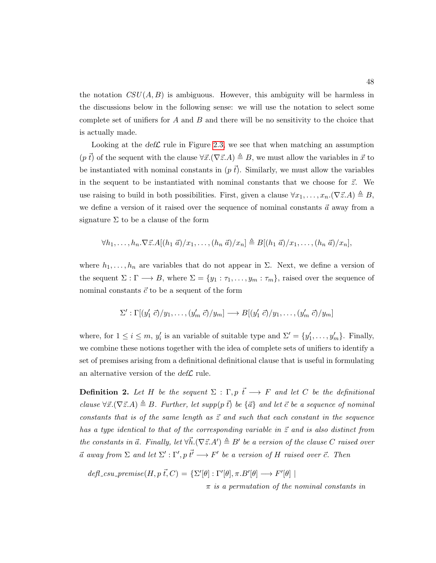the notation  $CSU(A, B)$  is ambiguous. However, this ambiguity will be harmless in the discussions below in the following sense: we will use the notation to select some complete set of unifiers for  $A$  and  $B$  and there will be no sensitivity to the choice that is actually made.

Looking at the  $def\mathcal{L}$  rule in Figure [2.3,](#page-61-0) we see that when matching an assumption  $(p \vec{t})$  of the sequent with the clause  $\forall \vec{x}.(\nabla \vec{z}.A) \triangleq B$ , we must allow the variables in  $\vec{x}$  to be instantiated with nominal constants in  $(p \, \vec{t})$ . Similarly, we must allow the variables in the sequent to be instantiated with nominal constants that we choose for  $\vec{z}$ . We use raising to build in both possibilities. First, given a clause  $\forall x_1, \ldots, x_n. (\nabla \vec{z}.A) \triangleq B$ , we define a version of it raised over the sequence of nominal constants  $\vec{a}$  away from a signature  $\Sigma$  to be a clause of the form

$$
\forall h_1,\ldots,h_n.\nabla \vec{z}.A[(h_1\ \vec{a})/x_1,\ldots,(h_n\ \vec{a})/x_n] \triangleq B[(h_1\ \vec{a})/x_1,\ldots,(h_n\ \vec{a})/x_n],
$$

where  $h_1, \ldots, h_n$  are variables that do not appear in  $\Sigma$ . Next, we define a version of the sequent  $\Sigma : \Gamma \longrightarrow B$ , where  $\Sigma = \{y_1 : \tau_1, \ldots, y_m : \tau_m\}$ , raised over the sequence of nominal constants  $\vec{c}$  to be a sequent of the form

$$
\Sigma':\Gamma[(y'_1\ \vec{c})/y_1,\ldots,(y'_m\ \vec{c})/y_m]\longrightarrow B[(y'_1\ \vec{c})/y_1,\ldots,(y'_m\ \vec{c})/y_m]
$$

where, for  $1 \leq i \leq m$ ,  $y'_i$  is an variable of suitable type and  $\Sigma' = \{y'_1, \ldots, y'_m\}$ . Finally, we combine these notions together with the idea of complete sets of unifiers to identify a set of premises arising from a definitional definitional clause that is useful in formulating an alternative version of the  $\det \mathcal{L}$  rule.

**Definition 2.** Let H be the sequent  $\Sigma : \Gamma, p \, \vec{t} \longrightarrow F$  and let C be the definitional clause  $\forall \vec{x}.(\nabla \vec{z}.A) \triangleq B$ . Further, let supp(p  $\vec{t}$ ) be  $\{\vec{a}\}\$  and let  $\vec{c}$  be a sequence of nominal constants that is of the same length as  $\vec{z}$  and such that each constant in the sequence has a type identical to that of the corresponding variable in  $\vec{z}$  and is also distinct from the constants in  $\vec{a}$ . Finally, let  $\forall \vec{h}.(\nabla \vec{z}.A') \triangleq B'$  be a version of the clause C raised over  $\vec{a}$  away from  $\Sigma$  and let  $\Sigma': \Gamma', p \, \vec{t'} \longrightarrow F'$  be a version of H raised over  $\vec{c}$ . Then

 $def_{c}s u\_premise(H, p \vec{t}, C) = {\Sigma'[\theta] : \Gamma'[\theta], \pi . B'[\theta] \longrightarrow F'[\theta] |}$ 

 $\pi$  is a permutation of the nominal constants in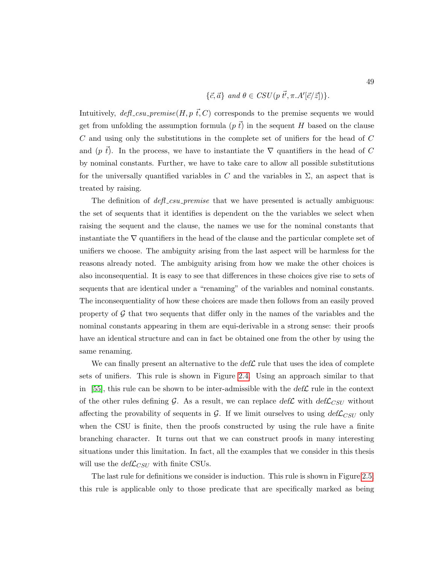$$
\{\vec{c}, \vec{a}\} \text{ and } \theta \in \text{CSU}(p\ \vec{t'}, \pi.A'[\vec{c}/\vec{z}])\}.
$$

Intuitively,  $\text{defl\_csu\_premise}(H, p \, \vec{t}, C)$  corresponds to the premise sequents we would get from unfolding the assumption formula  $(p~t)$  in the sequent H based on the clause  $C$  and using only the substitutions in the complete set of unifiers for the head of  $C$ and (p  $\bar{t}$ ). In the process, we have to instantiate the  $\nabla$  quantifiers in the head of C by nominal constants. Further, we have to take care to allow all possible substitutions for the universally quantified variables in C and the variables in  $\Sigma$ , an aspect that is treated by raising.

The definition of  $\text{def}_{\text{L}}\text{c}su$ -premise that we have presented is actually ambiguous: the set of sequents that it identifies is dependent on the the variables we select when raising the sequent and the clause, the names we use for the nominal constants that instantiate the  $\nabla$  quantifiers in the head of the clause and the particular complete set of unifiers we choose. The ambiguity arising from the last aspect will be harmless for the reasons already noted. The ambiguity arising from how we make the other choices is also inconsequential. It is easy to see that differences in these choices give rise to sets of sequents that are identical under a "renaming" of the variables and nominal constants. The inconsequentiality of how these choices are made then follows from an easily proved property of  $\mathcal G$  that two sequents that differ only in the names of the variables and the nominal constants appearing in them are equi-derivable in a strong sense: their proofs have an identical structure and can in fact be obtained one from the other by using the same renaming.

We can finally present an alternative to the  $\text{def}\mathcal{L}$  rule that uses the idea of complete sets of unifiers. This rule is shown in Figure [2.4.](#page-64-0) Using an approach similar to that in [\[55\]](#page-253-3), this rule can be shown to be inter-admissible with the  $\text{def}\mathcal{L}$  rule in the context of the other rules defining G. As a result, we can replace  $def{\mathcal{L}}$  with  $def{\mathcal{L}}_{CSU}$  without affecting the provability of sequents in  $G$ . If we limit ourselves to using  $def{\mathcal{L}}_{CSU}$  only when the CSU is finite, then the proofs constructed by using the rule have a finite branching character. It turns out that we can construct proofs in many interesting situations under this limitation. In fact, all the examples that we consider in this thesis will use the  $def{\mathcal{L}}_{CSU}$  with finite CSUs.

The last rule for definitions we consider is induction. This rule is shown in Figure [2.5;](#page-64-1) this rule is applicable only to those predicate that are specifically marked as being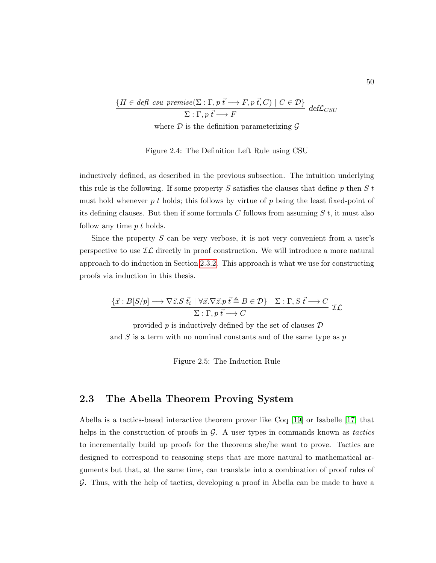<span id="page-64-0"></span>
$$
\frac{\{H \in defl\_csu\_premise(\Sigma : \Gamma, p \overrightarrow{t} \longrightarrow F, p \overrightarrow{t}, C) \mid C \in \mathcal{D}\}}{\Sigma : \Gamma, p \overrightarrow{t} \longrightarrow F} \text{ def } \mathcal{L}_{CSU}
$$

where  $\mathcal D$  is the definition parameterizing  $\mathcal G$ 

Figure 2.4: The Definition Left Rule using CSU

inductively defined, as described in the previous subsection. The intuition underlying this rule is the following. If some property S satisfies the clauses that define p then S t must hold whenever  $p t$  holds; this follows by virtue of  $p$  being the least fixed-point of its defining clauses. But then if some formula C follows from assuming  $S t$ , it must also follow any time  $p t$  holds.

Since the property  $S$  can be very verbose, it is not very convenient from a user's perspective to use  $\mathcal{IL}$  directly in proof construction. We will introduce a more natural approach to do induction in Section [2.3.2.](#page-67-0) This approach is what we use for constructing proofs via induction in this thesis.

<span id="page-64-1"></span>
$$
\frac{\{\vec{x}: B[S/p] \longrightarrow \nabla \vec{z}. S \ \vec{t}_i \mid \forall \vec{x}. \nabla \vec{z}. p \ \vec{t} \triangleq B \in \mathcal{D}\}}{\Sigma : \Gamma, p \ \vec{t} \longrightarrow C} \ \mathcal{IL}
$$

provided  $p$  is inductively defined by the set of clauses  $\mathcal D$ and  $S$  is a term with no nominal constants and of the same type as  $p$ 

Figure 2.5: The Induction Rule

# 2.3 The Abella Theorem Proving System

Abella is a tactics-based interactive theorem prover like Coq [\[19\]](#page-250-0) or Isabelle [\[17\]](#page-250-1) that helps in the construction of proofs in  $G$ . A user types in commands known as tactics to incrementally build up proofs for the theorems she/he want to prove. Tactics are designed to correspond to reasoning steps that are more natural to mathematical arguments but that, at the same time, can translate into a combination of proof rules of G. Thus, with the help of tactics, developing a proof in Abella can be made to have a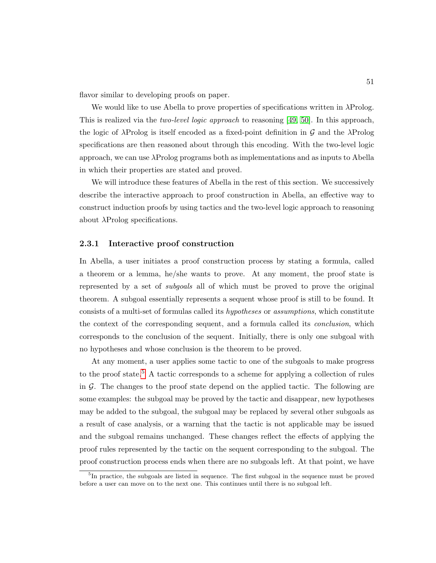flavor similar to developing proofs on paper.

We would like to use Abella to prove properties of specifications written in  $\lambda$ Prolog. This is realized via the *two-level logic approach* to reasoning [\[49,](#page-253-4) [50\]](#page-253-5). In this approach, the logic of  $\lambda$ Prolog is itself encoded as a fixed-point definition in G and the  $\lambda$ Prolog specifications are then reasoned about through this encoding. With the two-level logic approach, we can use λProlog programs both as implementations and as inputs to Abella in which their properties are stated and proved.

We will introduce these features of Abella in the rest of this section. We successively describe the interactive approach to proof construction in Abella, an effective way to construct induction proofs by using tactics and the two-level logic approach to reasoning about  $\lambda$ Prolog specifications.

#### 2.3.1 Interactive proof construction

In Abella, a user initiates a proof construction process by stating a formula, called a theorem or a lemma, he/she wants to prove. At any moment, the proof state is represented by a set of subgoals all of which must be proved to prove the original theorem. A subgoal essentially represents a sequent whose proof is still to be found. It consists of a multi-set of formulas called its hypotheses or assumptions, which constitute the context of the corresponding sequent, and a formula called its conclusion, which corresponds to the conclusion of the sequent. Initially, there is only one subgoal with no hypotheses and whose conclusion is the theorem to be proved.

At any moment, a user applies some tactic to one of the subgoals to make progress to the proof state.<sup>[5](#page-65-0)</sup> A tactic corresponds to a scheme for applying a collection of rules in  $G$ . The changes to the proof state depend on the applied tactic. The following are some examples: the subgoal may be proved by the tactic and disappear, new hypotheses may be added to the subgoal, the subgoal may be replaced by several other subgoals as a result of case analysis, or a warning that the tactic is not applicable may be issued and the subgoal remains unchanged. These changes reflect the effects of applying the proof rules represented by the tactic on the sequent corresponding to the subgoal. The proof construction process ends when there are no subgoals left. At that point, we have

<span id="page-65-0"></span><sup>&</sup>lt;sup>5</sup>In practice, the subgoals are listed in sequence. The first subgoal in the sequence must be proved before a user can move on to the next one. This continues until there is no subgoal left.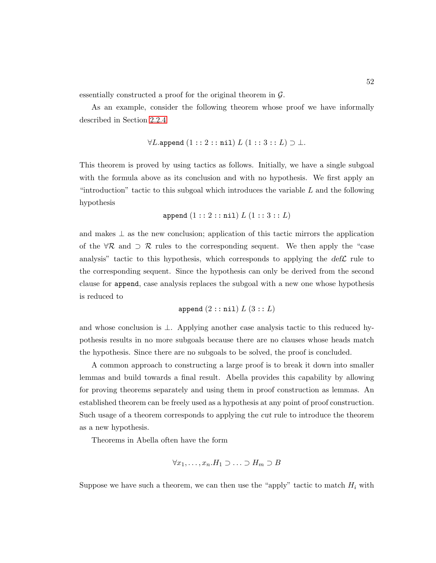essentially constructed a proof for the original theorem in  $\mathcal{G}$ .

As an example, consider the following theorem whose proof we have informally described in Section [2.2.4](#page-52-1)

$$
\forall L.\mathtt{append}\ (1::2::\mathtt{nil})\ L\ (1::3::L)\supset\bot.
$$

This theorem is proved by using tactics as follows. Initially, we have a single subgoal with the formula above as its conclusion and with no hypothesis. We first apply an "introduction" tactic to this subgoal which introduces the variable  $L$  and the following hypothesis

$$
append (1::2::nil) L (1::3::L)
$$

and makes  $\perp$  as the new conclusion; application of this tactic mirrors the application of the  $\forall \mathcal{R}$  and  $\supset \mathcal{R}$  rules to the corresponding sequent. We then apply the "case analysis" tactic to this hypothesis, which corresponds to applying the  $def\mathcal{L}$  rule to the corresponding sequent. Since the hypothesis can only be derived from the second clause for append, case analysis replaces the subgoal with a new one whose hypothesis is reduced to

$$
\text{append } (2::\texttt{nil}) \ L \ (3::L)
$$

and whose conclusion is ⊥. Applying another case analysis tactic to this reduced hypothesis results in no more subgoals because there are no clauses whose heads match the hypothesis. Since there are no subgoals to be solved, the proof is concluded.

A common approach to constructing a large proof is to break it down into smaller lemmas and build towards a final result. Abella provides this capability by allowing for proving theorems separately and using them in proof construction as lemmas. An established theorem can be freely used as a hypothesis at any point of proof construction. Such usage of a theorem corresponds to applying the cut rule to introduce the theorem as a new hypothesis.

Theorems in Abella often have the form

$$
\forall x_1, \ldots, x_n. H_1 \supset \ldots \supset H_m \supset B
$$

Suppose we have such a theorem, we can then use the "apply" tactic to match  $H_i$  with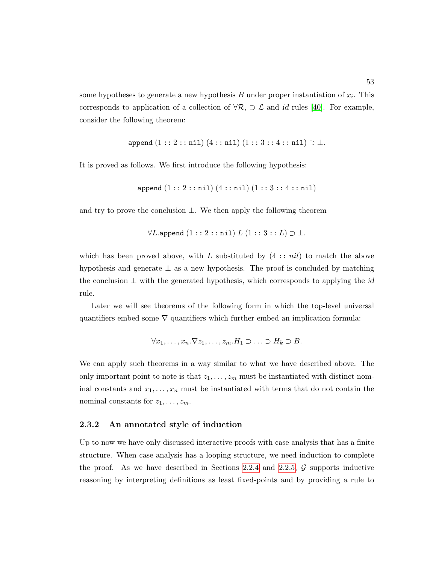some hypotheses to generate a new hypothesis  $B$  under proper instantiation of  $x_i$ . This corresponds to application of a collection of  $\forall \mathcal{R}, \supset \mathcal{L}$  and id rules [\[40\]](#page-252-0). For example, consider the following theorem:

$$
\text{append } (1::2::\texttt{nil}) \ (4::\texttt{nil}) \ (1::3::4::\texttt{nil}) \supset \bot.
$$

It is proved as follows. We first introduce the following hypothesis:

$$
\texttt{append}\left(1::2::\texttt{nil}\right)\left(4::\texttt{nil}\right)\left(1::3::4::\texttt{nil}\right)
$$

and try to prove the conclusion  $\bot$ . We then apply the following theorem

$$
\forall L.\text{append } (1::2::\texttt{nil}) \ L\ (1::3::L) \supset \bot.
$$

which has been proved above, with L substituted by  $(4::nil)$  to match the above hypothesis and generate ⊥ as a new hypothesis. The proof is concluded by matching the conclusion  $\perp$  with the generated hypothesis, which corresponds to applying the id rule.

Later we will see theorems of the following form in which the top-level universal quantifiers embed some  $\nabla$  quantifiers which further embed an implication formula:

$$
\forall x_1, \ldots, x_n. \nabla z_1, \ldots, z_m. H_1 \supset \ldots \supset H_k \supset B.
$$

We can apply such theorems in a way similar to what we have described above. The only important point to note is that  $z_1, \ldots, z_m$  must be instantiated with distinct nominal constants and  $x_1, \ldots, x_n$  must be instantiated with terms that do not contain the nominal constants for  $z_1, \ldots, z_m$ .

# <span id="page-67-0"></span>2.3.2 An annotated style of induction

Up to now we have only discussed interactive proofs with case analysis that has a finite structure. When case analysis has a looping structure, we need induction to complete the proof. As we have described in Sections [2.2.4](#page-52-1) and [2.2.5,](#page-60-0)  $\mathcal G$  supports inductive reasoning by interpreting definitions as least fixed-points and by providing a rule to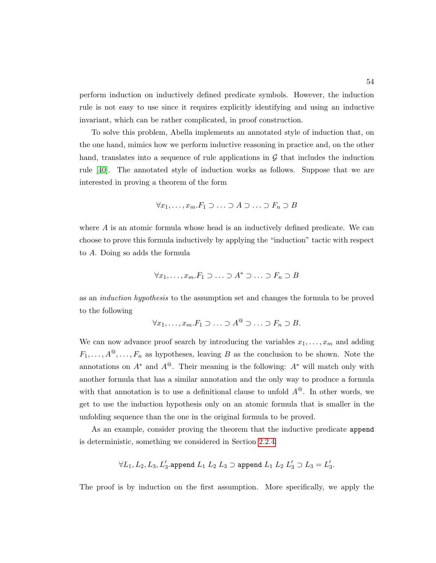perform induction on inductively defined predicate symbols. However, the induction rule is not easy to use since it requires explicitly identifying and using an inductive invariant, which can be rather complicated, in proof construction.

To solve this problem, Abella implements an annotated style of induction that, on the one hand, mimics how we perform inductive reasoning in practice and, on the other hand, translates into a sequence of rule applications in  $\mathcal G$  that includes the induction rule [\[40\]](#page-252-0). The annotated style of induction works as follows. Suppose that we are interested in proving a theorem of the form

$$
\forall x_1, \ldots, x_m \ldotp F_1 \supset \ldots \supset A \supset \ldots \supset F_n \supset B
$$

where  $A$  is an atomic formula whose head is an inductively defined predicate. We can choose to prove this formula inductively by applying the "induction" tactic with respect to A. Doing so adds the formula

$$
\forall x_1, \ldots, x_m \ldotp F_1 \supset \ldots \supset A^* \supset \ldots \supset F_n \supset B
$$

as an induction hypothesis to the assumption set and changes the formula to be proved to the following

$$
\forall x_1, \ldots, x_m \ldotp F_1 \supset \ldots \supset A^@ \supset \ldots \supset F_n \supset B.
$$

We can now advance proof search by introducing the variables  $x_1, \ldots, x_m$  and adding  $F_1, \ldots, A^{\mathcal{Q}}, \ldots, F_n$  as hypotheses, leaving B as the conclusion to be shown. Note the annotations on  $A^*$  and  $A^@$ . Their meaning is the following:  $A^*$  will match only with another formula that has a similar annotation and the only way to produce a formula with that annotation is to use a definitional clause to unfold  $A^@$ . In other words, we get to use the induction hypothesis only on an atomic formula that is smaller in the unfolding sequence than the one in the original formula to be proved.

As an example, consider proving the theorem that the inductive predicate append is deterministic, something we considered in Section [2.2.4:](#page-52-1)

$$
\forall L_1,L_2,L_3,L_3'.\text{append }L_1\ L_2\ L_3\supset\text{append }L_1\ L_2\ L_3'\supset L_3=L_3'.
$$

The proof is by induction on the first assumption. More specifically, we apply the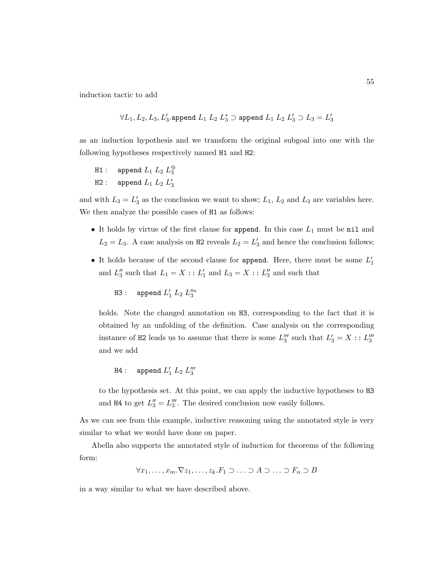induction tactic to add

$$
\forall L_1,L_2,L_3,L_3'.\text{append }L_1\;L_2\;L_3^*\supset\text{append }L_1\;L_2\;L_3'\supset L_3=L_3'
$$

as an induction hypothesis and we transform the original subgoal into one with the following hypotheses respectively named H1 and H2:

```
H1 : append L_1 L_2 L_3^{\textcircled{\tiny 1}}H2 : append L_1 L_2 L_3'
```
and with  $L_3 = L'_3$  as the conclusion we want to show;  $L_1$ ,  $L_2$  and  $L_3$  are variables here. We then analyze the possible cases of H1 as follows:

- It holds by virtue of the first clause for append. In this case  $L_1$  must be nil and  $L_2 = L_3$ . A case analysis on H2 reveals  $L_2 = L'_3$  and hence the conclusion follows;
- It holds because of the second clause for append. Here, there must be some  $L'_1$ and  $L_3''$  such that  $L_1 = X :: L_1'$  and  $L_3 = X :: L_3''$  and such that

```
H3 : append L'_1 L_2 L''_3
```
holds. Note the changed annotation on H3, corresponding to the fact that it is obtained by an unfolding of the definition. Case analysis on the corresponding instance of H2 leads us to assume that there is some  $L_3'''$  such that  $L_3' = X : L_3'''$ and we add

$$
H4: \quad \text{append } L'_1 \ L_2 \ L'''_3
$$

to the hypothesis set. At this point, we can apply the inductive hypotheses to H3 and H4 to get  $L_3'' = L_3'''$ . The desired conclusion now easily follows.

As we can see from this example, inductive reasoning using the annotated style is very similar to what we would have done on paper.

Abella also supports the annotated style of induction for theorems of the following form:

$$
\forall x_1, \ldots, x_m. \nabla z_1, \ldots, z_k. F_1 \supset \ldots \supset A \supset \ldots \supset F_n \supset B
$$

in a way similar to what we have described above.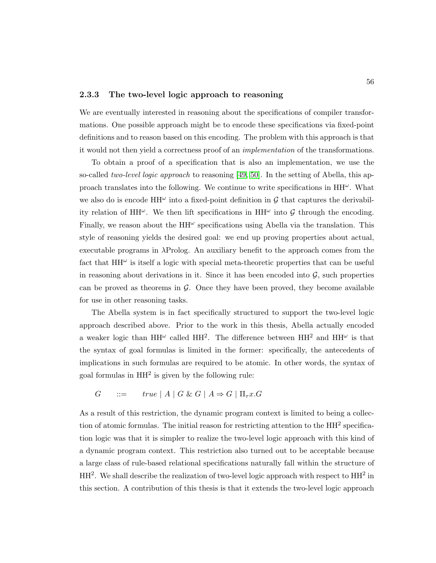#### 2.3.3 The two-level logic approach to reasoning

We are eventually interested in reasoning about the specifications of compiler transformations. One possible approach might be to encode these specifications via fixed-point definitions and to reason based on this encoding. The problem with this approach is that it would not then yield a correctness proof of an implementation of the transformations.

To obtain a proof of a specification that is also an implementation, we use the so-called two-level logic approach to reasoning [\[49,](#page-253-4) [50\]](#page-253-5). In the setting of Abella, this approach translates into the following. We continue to write specifications in  $HH^{\omega}$ . What we also do is encode  $HH^{\omega}$  into a fixed-point definition in  $\mathcal G$  that captures the derivability relation of HH $\omega$ . We then lift specifications in HH $\omega$  into G through the encoding. Finally, we reason about the  $HH^{\omega}$  specifications using Abella via the translation. This style of reasoning yields the desired goal: we end up proving properties about actual, executable programs in  $\lambda \text{Prolog}$ . An auxiliary benefit to the approach comes from the fact that  $HH^{\omega}$  is itself a logic with special meta-theoretic properties that can be useful in reasoning about derivations in it. Since it has been encoded into  $\mathcal{G}$ , such properties can be proved as theorems in  $\mathcal G$ . Once they have been proved, they become available for use in other reasoning tasks.

The Abella system is in fact specifically structured to support the two-level logic approach described above. Prior to the work in this thesis, Abella actually encoded a weaker logic than  $HH^{\omega}$  called  $HH^2$ . The difference between  $HH^2$  and  $HH^{\omega}$  is that the syntax of goal formulas is limited in the former: specifically, the antecedents of implications in such formulas are required to be atomic. In other words, the syntax of goal formulas in  $HH<sup>2</sup>$  is given by the following rule:

 $G$  ::=  $true | A | G \& G | A \Rightarrow G | \Pi_{\tau} x. G$ 

As a result of this restriction, the dynamic program context is limited to being a collection of atomic formulas. The initial reason for restricting attention to the HH<sup>2</sup> specification logic was that it is simpler to realize the two-level logic approach with this kind of a dynamic program context. This restriction also turned out to be acceptable because a large class of rule-based relational specifications naturally fall within the structure of  $HH<sup>2</sup>$ . We shall describe the realization of two-level logic approach with respect to  $HH<sup>2</sup>$  in this section. A contribution of this thesis is that it extends the two-level logic approach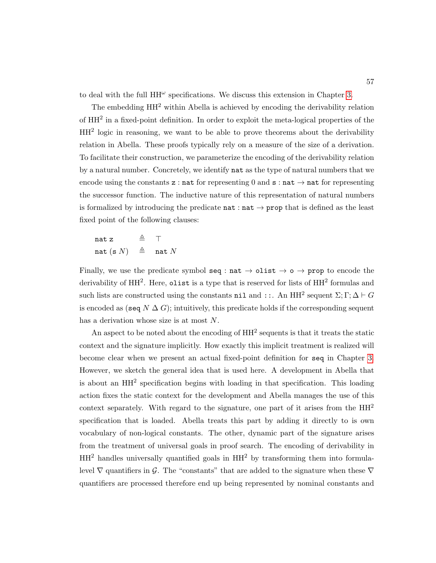to deal with the full  $HH^{\omega}$  specifications. We discuss this extension in Chapter [3.](#page-79-0)

The embedding HH<sup>2</sup> within Abella is achieved by encoding the derivability relation of  $HH<sup>2</sup>$  in a fixed-point definition. In order to exploit the meta-logical properties of the HH<sup>2</sup> logic in reasoning, we want to be able to prove theorems about the derivability relation in Abella. These proofs typically rely on a measure of the size of a derivation. To facilitate their construction, we parameterize the encoding of the derivability relation by a natural number. Concretely, we identify nat as the type of natural numbers that we encode using the constants z : nat for representing 0 and  $s : nat \rightarrow nat$  for representing the successor function. The inductive nature of this representation of natural numbers is formalized by introducing the predicate  $\texttt{nat} : \texttt{nat} \rightarrow \texttt{prop}$  that is defined as the least fixed point of the following clauses:

nat z  $\triangleq$   $\top$ nat (s N)  $\triangleq$  nat N

Finally, we use the predicate symbol seq :  $nat \rightarrow$  olist  $\rightarrow$  o  $\rightarrow$  prop to encode the derivability of HH<sup>2</sup>. Here, olist is a type that is reserved for lists of HH<sup>2</sup> formulas and such lists are constructed using the constants nil and ::. An  $HH^2$  sequent  $\Sigma$ ;  $\Gamma$ ;  $\Delta \vdash G$ is encoded as (seq  $N \Delta G$ ); intuitively, this predicate holds if the corresponding sequent has a derivation whose size is at most N.

An aspect to be noted about the encoding of  $HH^2$  sequents is that it treats the static context and the signature implicitly. How exactly this implicit treatment is realized will become clear when we present an actual fixed-point definition for seq in Chapter [3.](#page-79-0) However, we sketch the general idea that is used here. A development in Abella that is about an HH<sup>2</sup> specification begins with loading in that specification. This loading action fixes the static context for the development and Abella manages the use of this context separately. With regard to the signature, one part of it arises from the  $HH<sup>2</sup>$ specification that is loaded. Abella treats this part by adding it directly to is own vocabulary of non-logical constants. The other, dynamic part of the signature arises from the treatment of universal goals in proof search. The encoding of derivability in  $HH<sup>2</sup>$  handles universally quantified goals in  $HH<sup>2</sup>$  by transforming them into formulalevel  $\nabla$  quantifiers in G. The "constants" that are added to the signature when these  $\nabla$ quantifiers are processed therefore end up being represented by nominal constants and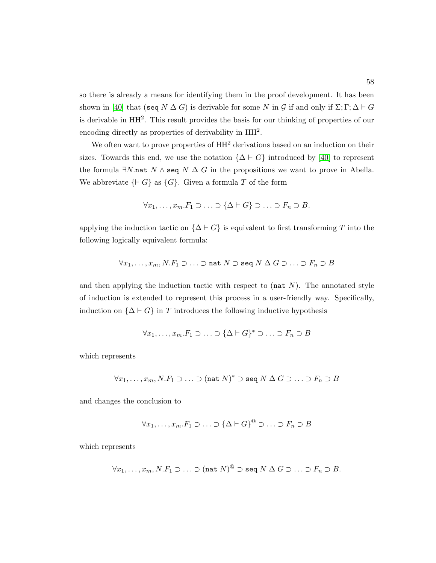so there is already a means for identifying them in the proof development. It has been shown in [\[40\]](#page-252-0) that (seq  $N \Delta G$ ) is derivable for some N in G if and only if  $\Sigma$ ;  $\Gamma$ ;  $\Delta \vdash G$ is derivable in HH<sup>2</sup>. This result provides the basis for our thinking of properties of our encoding directly as properties of derivability in  $HH<sup>2</sup>$ .

We often want to prove properties of  $HH^2$  derivations based on an induction on their sizes. Towards this end, we use the notation  $\{\Delta \vdash G\}$  introduced by [\[40\]](#page-252-0) to represent the formula  $\exists N.\mathtt{nat}\;N \wedge \mathtt{seq}\;N \; \Delta\;G$  in the propositions we want to prove in Abella. We abbreviate  $\{G\}$  as  $\{G\}$ . Given a formula T of the form

$$
\forall x_1, \ldots, x_m.F_1 \supset \ldots \supset \{\Delta \vdash G\} \supset \ldots \supset F_n \supset B.
$$

applying the induction tactic on  $\{\Delta \vdash G\}$  is equivalent to first transforming T into the following logically equivalent formula:

$$
\forall x_1,\ldots,x_m, N.F_1\supset\ldots\supset\mathtt{nat}\ N\supset\mathtt{seq}\ N\ \Delta\ G\supset\ldots\supset F_n\supset B
$$

and then applying the induction tactic with respect to  $(\text{nat } N)$ . The annotated style of induction is extended to represent this process in a user-friendly way. Specifically, induction on  $\{\Delta \vdash G\}$  in T introduces the following inductive hypothesis

$$
\forall x_1, \ldots, x_m. F_1 \supset \ldots \supset \{\Delta \vdash G\}^* \supset \ldots \supset F_n \supset B
$$

which represents

$$
\forall x_1, \ldots, x_m, N.F_1 \supset \ldots \supset (\text{nat } N)^* \supset \text{seq } N \Delta G \supset \ldots \supset F_n \supset B
$$

and changes the conclusion to

$$
\forall x_1, \ldots, x_m \ldotp F_1 \supset \ldots \supset \{\Delta \vdash G\}^{\mathbb{Q}} \supset \ldots \supset F_n \supset B
$$

which represents

$$
\forall x_1, \ldots, x_m, N.F_1 \supset \ldots \supset (\text{nat } N)^@ \supset \text{seq } N \Delta G \supset \ldots \supset F_n \supset B.
$$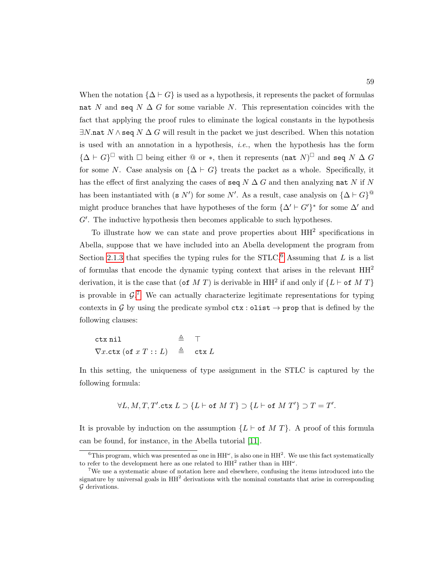When the notation  $\{\Delta \vdash G\}$  is used as a hypothesis, it represents the packet of formulas nat N and seq N  $\Delta G$  for some variable N. This representation coincides with the fact that applying the proof rules to eliminate the logical constants in the hypothesis  $\exists N$  nat  $N \wedge$  seq  $N \Delta G$  will result in the packet we just described. When this notation is used with an annotation in a hypothesis, *i.e.*, when the hypothesis has the form  ${\{\Delta \vdash G\}}^{\square}$  with  $\square$  being either  $@$  or \*, then it represents (nat  $N$ )<sup> $\square$ </sup> and seq  $N \Delta G$ for some N. Case analysis on  $\{\Delta \vdash G\}$  treats the packet as a whole. Specifically, it has the effect of first analyzing the cases of seq  $N \Delta G$  and then analyzing nat N if N has been instantiated with (s N') for some N'. As a result, case analysis on  ${\{\Delta \vdash G\}}^@$ might produce branches that have hypotheses of the form  $\{\Delta' \vdash G'\}^*$  for some  $\Delta'$  and  $G'$ . The inductive hypothesis then becomes applicable to such hypotheses.

To illustrate how we can state and prove properties about  $HH<sup>2</sup>$  specifications in Abella, suppose that we have included into an Abella development the program from Section [2.1.3](#page-42-0) that specifies the typing rules for the STLC.<sup>[6](#page-73-0)</sup> Assuming that L is a list of formulas that encode the dynamic typing context that arises in the relevant  $HH<sup>2</sup>$ derivation, it is the case that (of M T) is derivable in  $HH^2$  if and only if  $\{L \vdash$  of M T $\}$ is provable in  $\mathcal{G}^7$  $\mathcal{G}^7$ . We can actually characterize legitimate representations for typing contexts in G by using the predicate symbol  $\texttt{ctx} : \texttt{olist} \rightarrow \texttt{prop}$  that is defined by the following clauses:

ctx nil  $\triangleq$   $\top$  $\nabla x.\texttt{ctx}(\texttt{of} x T :: L) \triangleq \texttt{ctx} L$ 

In this setting, the uniqueness of type assignment in the STLC is captured by the following formula:

$$
\forall L,M,T,T'.\texttt{ctx } L \supset \{L \vdash \texttt{of } M\ T\} \supset \{L \vdash \texttt{of } M\ T'\} \supset T = T'.
$$

It is provable by induction on the assumption  $\{L \vdash \textsf{of} M T\}$ . A proof of this formula can be found, for instance, in the Abella tutorial [\[11\]](#page-249-0).

<span id="page-73-0"></span><sup>&</sup>lt;sup>6</sup>This program, which was presented as one in  $HH^{\omega}$ , is also one in  $HH^2$ . We use this fact systematically to refer to the development here as one related to  $HH^2$  rather than in  $HH^{\omega}$ .

<span id="page-73-1"></span><sup>7</sup>We use a systematic abuse of notation here and elsewhere, confusing the items introduced into the signature by universal goals in  $HH<sup>2</sup>$  derivations with the nominal constants that arise in corresponding G derivations.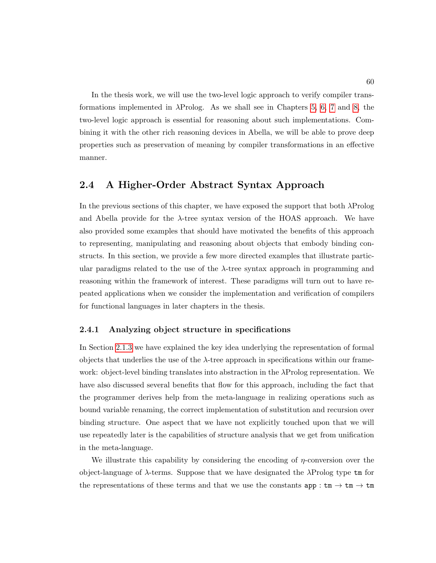In the thesis work, we will use the two-level logic approach to verify compiler transformations implemented in  $\lambda$ Prolog. As we shall see in Chapters [5,](#page-145-0) [6,](#page-181-0) [7](#page-207-0) and [8,](#page-222-0) the two-level logic approach is essential for reasoning about such implementations. Combining it with the other rich reasoning devices in Abella, we will be able to prove deep properties such as preservation of meaning by compiler transformations in an effective manner.

## 2.4 A Higher-Order Abstract Syntax Approach

In the previous sections of this chapter, we have exposed the support that both  $\lambda$ Prolog and Abella provide for the  $\lambda$ -tree syntax version of the HOAS approach. We have also provided some examples that should have motivated the benefits of this approach to representing, manipulating and reasoning about objects that embody binding constructs. In this section, we provide a few more directed examples that illustrate particular paradigms related to the use of the  $\lambda$ -tree syntax approach in programming and reasoning within the framework of interest. These paradigms will turn out to have repeated applications when we consider the implementation and verification of compilers for functional languages in later chapters in the thesis.

#### 2.4.1 Analyzing object structure in specifications

In Section [2.1.3](#page-42-0) we have explained the key idea underlying the representation of formal objects that underlies the use of the  $\lambda$ -tree approach in specifications within our framework: object-level binding translates into abstraction in the  $\lambda$ Prolog representation. We have also discussed several benefits that flow for this approach, including the fact that the programmer derives help from the meta-language in realizing operations such as bound variable renaming, the correct implementation of substitution and recursion over binding structure. One aspect that we have not explicitly touched upon that we will use repeatedly later is the capabilities of structure analysis that we get from unification in the meta-language.

We illustrate this capability by considering the encoding of  $\eta$ -conversion over the object-language of  $\lambda$ -terms. Suppose that we have designated the  $\lambda$ Prolog type  $\tan$  for the representations of these terms and that we use the constants  $app:tm\rightarrow tm$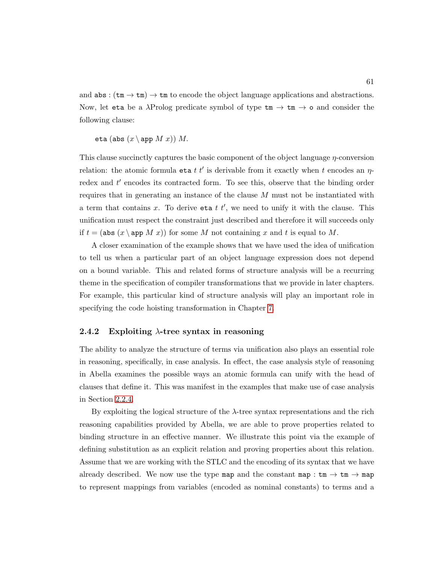and  $\texttt{abs}: (\texttt{tm} \rightarrow \texttt{tm}) \rightarrow \texttt{tm}$  to encode the object language applications and abstractions. Now, let eta be a  $\lambda$ Prolog predicate symbol of type tm  $\rightarrow$  tm  $\rightarrow$  o and consider the following clause:

eta (abs  $(x \ge p M x)$ ) M.

This clause succinctly captures the basic component of the object language *η*-conversion relation: the atomic formula eta  $t t'$  is derivable from it exactly when t encodes an  $\eta$ redex and  $t'$  encodes its contracted form. To see this, observe that the binding order requires that in generating an instance of the clause M must not be instantiated with a term that contains x. To derive eta  $t$   $t'$ , we need to unify it with the clause. This unification must respect the constraint just described and therefore it will succeeds only if  $t = (\text{abs } (x \setminus \text{app } M x))$  for some M not containing x and t is equal to M.

A closer examination of the example shows that we have used the idea of unification to tell us when a particular part of an object language expression does not depend on a bound variable. This and related forms of structure analysis will be a recurring theme in the specification of compiler transformations that we provide in later chapters. For example, this particular kind of structure analysis will play an important role in specifying the code hoisting transformation in Chapter [7.](#page-207-0)

#### 2.4.2 Exploiting  $\lambda$ -tree syntax in reasoning

The ability to analyze the structure of terms via unification also plays an essential role in reasoning, specifically, in case analysis. In effect, the case analysis style of reasoning in Abella examines the possible ways an atomic formula can unify with the head of clauses that define it. This was manifest in the examples that make use of case analysis in Section [2.2.4.](#page-52-0)

By exploiting the logical structure of the  $\lambda$ -tree syntax representations and the rich reasoning capabilities provided by Abella, we are able to prove properties related to binding structure in an effective manner. We illustrate this point via the example of defining substitution as an explicit relation and proving properties about this relation. Assume that we are working with the STLC and the encoding of its syntax that we have already described. We now use the type map and the constant map :  $\tan \rightarrow \tan \rightarrow$  map to represent mappings from variables (encoded as nominal constants) to terms and a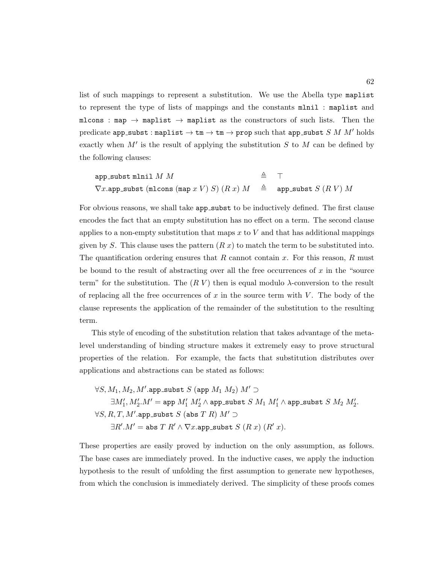list of such mappings to represent a substitution. We use the Abella type maplist to represent the type of lists of mappings and the constants mlnil : maplist and mlcons : map  $\rightarrow$  maplist  $\rightarrow$  maplist as the constructors of such lists. Then the predicate app\_subst : maplist  $\rightarrow \text{tm} \rightarrow \text{tm} \rightarrow$  prop such that app\_subst  $S$  M M' holds exactly when  $M'$  is the result of applying the substitution  $S$  to  $M$  can be defined by the following clauses:

$$
\begin{array}{lll} \texttt{app\_subst} \ \texttt{minil} \ M \ M & \triangleq & \top \\ \nabla x.\texttt{app\_subst} \ (\texttt{mlcons} \ (\texttt{map} \ x \ V) \ S) \ (R \ x) \ M & \triangleq & \texttt{app\_subst} \ S \ (R \ V) \ M \end{array}
$$

For obvious reasons, we shall take app\_subst to be inductively defined. The first clause encodes the fact that an empty substitution has no effect on a term. The second clause applies to a non-empty substitution that maps  $x$  to  $V$  and that has additional mappings given by S. This clause uses the pattern  $(R x)$  to match the term to be substituted into. The quantification ordering ensures that  $R$  cannot contain  $x$ . For this reason,  $R$  must be bound to the result of abstracting over all the free occurrences of  $x$  in the "source" term" for the substitution. The  $(R V)$  then is equal modulo  $\lambda$ -conversion to the result of replacing all the free occurrences of  $x$  in the source term with  $V$ . The body of the clause represents the application of the remainder of the substitution to the resulting term.

This style of encoding of the substitution relation that takes advantage of the metalevel understanding of binding structure makes it extremely easy to prove structural properties of the relation. For example, the facts that substitution distributes over applications and abstractions can be stated as follows:

$$
\forall S, M_1, M_2, M'.\text{app\_subst } S \text{ (app } M_1 \ M_2) \ M' \supset
$$
  
\n
$$
\exists M'_1, M'_2. M' = \text{app } M'_1 \ M'_2 \land \text{app\_subst } S \ M_1 \ M'_1 \land \text{app\_subst } S \ M_2 \ M'_2
$$
  
\n
$$
\forall S, R, T, M'.\text{app\_subst } S \text{ (abs } T \ R) \ M' \supset
$$
  
\n
$$
\exists R'. M' = \text{abs } T \ R' \land \nabla x.\text{app\_subst } S \ (R \ x) \ (R' \ x).
$$

These properties are easily proved by induction on the only assumption, as follows. The base cases are immediately proved. In the inductive cases, we apply the induction hypothesis to the result of unfolding the first assumption to generate new hypotheses, from which the conclusion is immediately derived. The simplicity of these proofs comes

.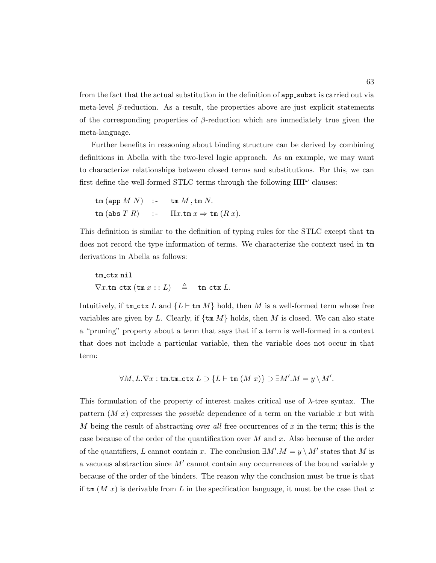from the fact that the actual substitution in the definition of app\_subst is carried out via meta-level  $\beta$ -reduction. As a result, the properties above are just explicit statements of the corresponding properties of  $\beta$ -reduction which are immediately true given the meta-language.

Further benefits in reasoning about binding structure can be derived by combining definitions in Abella with the two-level logic approach. As an example, we may want to characterize relationships between closed terms and substitutions. For this, we can first define the well-formed STLC terms through the following  $HH^{\omega}$  clauses:

$$
\begin{array}{lll}\n\text{\tt tm (app } M\ N) & \text{\tt :} & \text{\tt tm } M\,,\text{\tt tm } N. \\
\text{\tt tm (abs } T\ R) & \text{\tt :} & \text{\tt I} \ x.\text{\tt tm } x \Rightarrow \text{\tt tm } (R\ x).\n\end{array}
$$

This definition is similar to the definition of typing rules for the STLC except that tm does not record the type information of terms. We characterize the context used in tm derivations in Abella as follows:

$$
\texttt{tm\_ctx nil} \\ \nabla x.\texttt{tm\_ctx} (\texttt{tm} x::L) \triangleq \texttt{tm\_ctx} L.
$$

Intuitively, if  $t_{m}$  ctx L and  $\{L \vdash t_{m} M\}$  hold, then M is a well-formed term whose free variables are given by L. Clearly, if  $\{\text{tm }M\}$  holds, then M is closed. We can also state a "pruning" property about a term that says that if a term is well-formed in a context that does not include a particular variable, then the variable does not occur in that term:

$$
\forall M, L. \nabla x : \text{tm.tm\_ctx } L \supset \{L \vdash \text{tm } (M x) \} \supset \exists M'.M = y \setminus M'.
$$

This formulation of the property of interest makes critical use of  $\lambda$ -tree syntax. The pattern  $(M x)$  expresses the *possible* dependence of a term on the variable x but with M being the result of abstracting over all free occurrences of  $x$  in the term; this is the case because of the order of the quantification over  $M$  and  $x$ . Also because of the order of the quantifiers, L cannot contain x. The conclusion  $\exists M'.M = y \setminus M'$  states that M is a vacuous abstraction since  $M'$  cannot contain any occurrences of the bound variable y because of the order of the binders. The reason why the conclusion must be true is that if  $\text{tm} (M x)$  is derivable from L in the specification language, it must be the case that x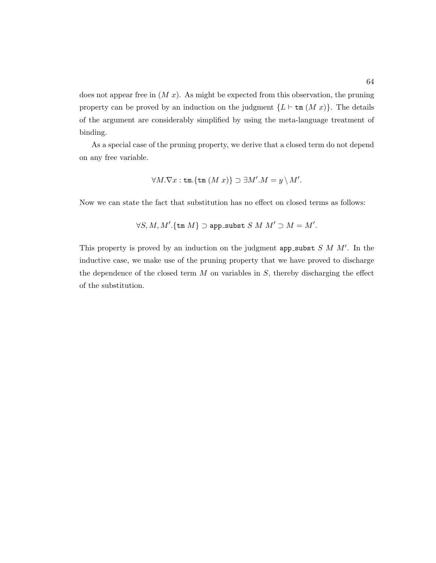does not appear free in  $(M x)$ . As might be expected from this observation, the pruning property can be proved by an induction on the judgment  $\{L \vdash \text{tm } (M x)\}\$ . The details of the argument are considerably simplified by using the meta-language treatment of binding.

As a special case of the pruning property, we derive that a closed term do not depend on any free variable.

$$
\forall M.\nabla x:\text{tm.}\{\text{tm}\:(M\;x)\}\supset\exists M'.M=y\setminus M'.
$$

Now we can state the fact that substitution has no effect on closed terms as follows:

$$
\forall S,M,M'.\{\mathtt{tm}\,M\}\supset\mathtt{app\_subst}\;S\;M\;M'\supset M=M'.
$$

This property is proved by an induction on the judgment app\_subst  $S$  M  $M'$ . In the inductive case, we make use of the pruning property that we have proved to discharge the dependence of the closed term  $M$  on variables in  $S$ , thereby discharging the effect of the substitution.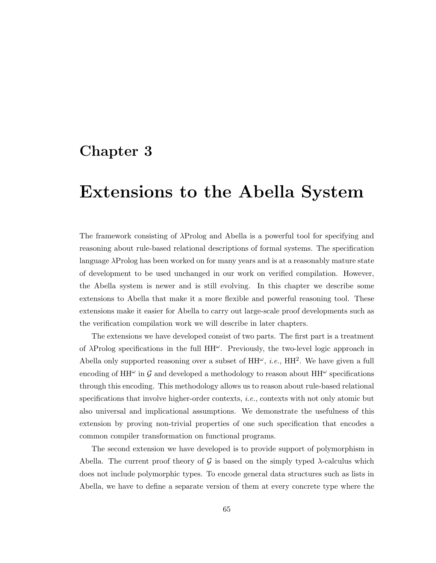## Chapter 3

# Extensions to the Abella System

The framework consisting of λProlog and Abella is a powerful tool for specifying and reasoning about rule-based relational descriptions of formal systems. The specification language  $\lambda$ Prolog has been worked on for many years and is at a reasonably mature state of development to be used unchanged in our work on verified compilation. However, the Abella system is newer and is still evolving. In this chapter we describe some extensions to Abella that make it a more flexible and powerful reasoning tool. These extensions make it easier for Abella to carry out large-scale proof developments such as the verification compilation work we will describe in later chapters.

The extensions we have developed consist of two parts. The first part is a treatment of  $\lambda$ Prolog specifications in the full  $HH^{\omega}$ . Previously, the two-level logic approach in Abella only supported reasoning over a subset of  $HH^{\omega}$ , *i.e.*,  $HH^2$ . We have given a full encoding of  $HH^{\omega}$  in  $\mathcal G$  and developed a methodology to reason about  $HH^{\omega}$  specifications through this encoding. This methodology allows us to reason about rule-based relational specifications that involve higher-order contexts, i.e., contexts with not only atomic but also universal and implicational assumptions. We demonstrate the usefulness of this extension by proving non-trivial properties of one such specification that encodes a common compiler transformation on functional programs.

The second extension we have developed is to provide support of polymorphism in Abella. The current proof theory of  $\mathcal G$  is based on the simply typed  $\lambda$ -calculus which does not include polymorphic types. To encode general data structures such as lists in Abella, we have to define a separate version of them at every concrete type where the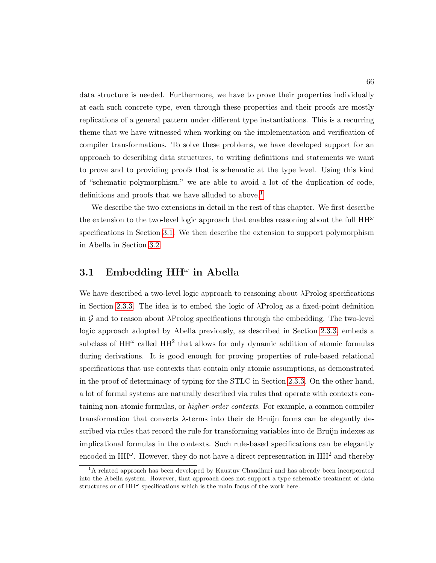data structure is needed. Furthermore, we have to prove their properties individually at each such concrete type, even through these properties and their proofs are mostly replications of a general pattern under different type instantiations. This is a recurring theme that we have witnessed when working on the implementation and verification of compiler transformations. To solve these problems, we have developed support for an approach to describing data structures, to writing definitions and statements we want to prove and to providing proofs that is schematic at the type level. Using this kind of "schematic polymorphism," we are able to avoid a lot of the duplication of code, definitions and proofs that we have alluded to above.<sup>[1](#page-80-0)</sup>

We describe the two extensions in detail in the rest of this chapter. We first describe the extension to the two-level logic approach that enables reasoning about the full  $HH^{\omega}$ specifications in Section [3.1.](#page-80-1) We then describe the extension to support polymorphism in Abella in Section [3.2.](#page-100-0)

## <span id="page-80-1"></span>3.1 Embedding  $HH^{\omega}$  in Abella

We have described a two-level logic approach to reasoning about  $\lambda$ Prolog specifications in Section [2.3.3.](#page-70-0) The idea is to embed the logic of  $\lambda$ Prolog as a fixed-point definition in  $\mathcal G$  and to reason about  $\lambda$ Prolog specifications through the embedding. The two-level logic approach adopted by Abella previously, as described in Section [2.3.3,](#page-70-0) embeds a subclass of  $HH^{\omega}$  called  $HH^2$  that allows for only dynamic addition of atomic formulas during derivations. It is good enough for proving properties of rule-based relational specifications that use contexts that contain only atomic assumptions, as demonstrated in the proof of determinacy of typing for the STLC in Section [2.3.3.](#page-70-0) On the other hand, a lot of formal systems are naturally described via rules that operate with contexts containing non-atomic formulas, or *higher-order contexts*. For example, a common compiler transformation that converts  $\lambda$ -terms into their de Bruijn forms can be elegantly described via rules that record the rule for transforming variables into de Bruijn indexes as implicational formulas in the contexts. Such rule-based specifications can be elegantly encoded in HH<sup> $\omega$ </sup>. However, they do not have a direct representation in HH<sup>2</sup> and thereby

<span id="page-80-0"></span><sup>&</sup>lt;sup>1</sup>A related approach has been developed by Kaustuv Chaudhuri and has already been incorporated into the Abella system. However, that approach does not support a type schematic treatment of data structures or of  $HH^{\omega}$  specifications which is the main focus of the work here.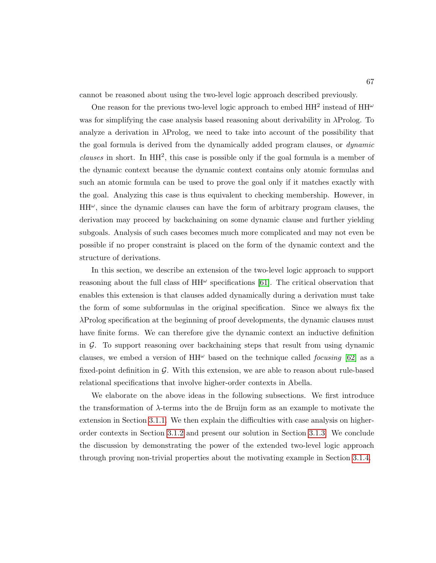cannot be reasoned about using the two-level logic approach described previously.

One reason for the previous two-level logic approach to embed  $HH^2$  instead of  $HH^{\omega}$ was for simplifying the case analysis based reasoning about derivability in  $\lambda$ Prolog. To analyze a derivation in  $\lambda$ Prolog, we need to take into account of the possibility that the goal formula is derived from the dynamically added program clauses, or dynamic  $clauses$  in short. In  $HH^2$ , this case is possible only if the goal formula is a member of the dynamic context because the dynamic context contains only atomic formulas and such an atomic formula can be used to prove the goal only if it matches exactly with the goal. Analyzing this case is thus equivalent to checking membership. However, in  $HH^{\omega}$ , since the dynamic clauses can have the form of arbitrary program clauses, the derivation may proceed by backchaining on some dynamic clause and further yielding subgoals. Analysis of such cases becomes much more complicated and may not even be possible if no proper constraint is placed on the form of the dynamic context and the structure of derivations.

In this section, we describe an extension of the two-level logic approach to support reasoning about the full class of  $HH^{\omega}$  specifications [\[61\]](#page-254-0). The critical observation that enables this extension is that clauses added dynamically during a derivation must take the form of some subformulas in the original specification. Since we always fix the λProlog specification at the beginning of proof developments, the dynamic clauses must have finite forms. We can therefore give the dynamic context an inductive definition in  $G$ . To support reasoning over backchaining steps that result from using dynamic clauses, we embed a version of  $HH^{\omega}$  based on the technique called *focusing* [\[62\]](#page-254-1) as a fixed-point definition in  $\mathcal G$ . With this extension, we are able to reason about rule-based relational specifications that involve higher-order contexts in Abella.

We elaborate on the above ideas in the following subsections. We first introduce the transformation of  $\lambda$ -terms into the de Bruijn form as an example to motivate the extension in Section [3.1.1.](#page-82-0) We then explain the difficulties with case analysis on higherorder contexts in Section [3.1.2](#page-85-0) and present our solution in Section [3.1.3.](#page-87-0) We conclude the discussion by demonstrating the power of the extended two-level logic approach through proving non-trivial properties about the motivating example in Section [3.1.4.](#page-93-0)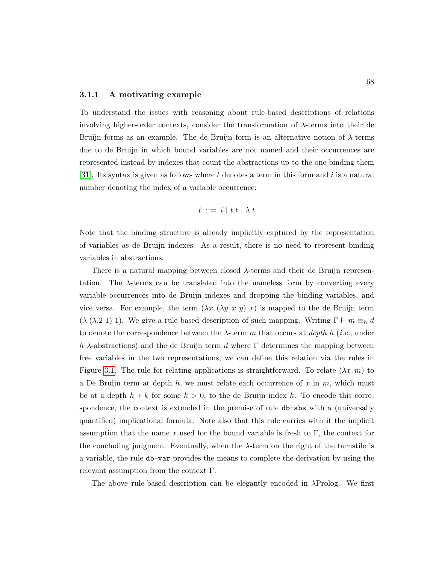#### <span id="page-82-0"></span>3.1.1 A motivating example

To understand the issues with reasoning about rule-based descriptions of relations involving higher-order contexts, consider the transformation of  $\lambda$ -terms into their de Bruijn forms as an example. The de Bruijn form is an alternative notion of  $\lambda$ -terms due to de Bruijn in which bound variables are not named and their occurrences are represented instead by indexes that count the abstractions up to the one binding them [\[31\]](#page-251-0). Its syntax is given as follows where  $t$  denotes a term in this form and  $i$  is a natural number denoting the index of a variable occurrence:

$$
t \ ::= \ i \mid t \ t \mid \lambda.t
$$

Note that the binding structure is already implicitly captured by the representation of variables as de Bruijn indexes. As a result, there is no need to represent binding variables in abstractions.

There is a natural mapping between closed  $\lambda$ -terms and their de Bruijn representation. The  $\lambda$ -terms can be translated into the nameless form by converting every variable occurrences into de Bruijn indexes and dropping the binding variables, and vice versa. For example, the term  $(\lambda x.(\lambda y. x y) x)$  is mapped to the de Bruijn term (λ.(λ.2 1) 1). We give a rule-based description of such mapping. Writing  $\Gamma \vdash m \equiv_h d$ to denote the correspondence between the  $\lambda$ -term m that occurs at *depth h* (*i.e.*, under h  $\lambda$ -abstractions) and the de Bruijn term d where  $\Gamma$  determines the mapping between free variables in the two representations, we can define this relation via the rules in Figure [3.1.](#page-83-0) The rule for relating applications is straightforward. To relate  $(\lambda x. m)$  to a De Bruijn term at depth  $h$ , we must relate each occurrence of x in  $m$ , which must be at a depth  $h + k$  for some  $k > 0$ , to the de Bruijn index k. To encode this correspondence, the context is extended in the premise of rule db-abs with a (universally quantified) implicational formula. Note also that this rule carries with it the implicit assumption that the name x used for the bound variable is fresh to  $\Gamma$ , the context for the concluding judgment. Eventually, when the  $\lambda$ -term on the right of the turnstile is a variable, the rule db-var provides the means to complete the derivation by using the relevant assumption from the context Γ.

The above rule-based description can be elegantly encoded in  $\lambda$ Prolog. We first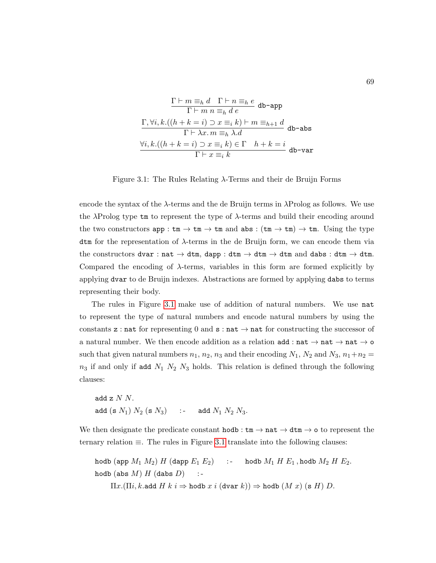<span id="page-83-0"></span>
$$
\frac{\Gamma \vdash m \equiv_h d \quad \Gamma \vdash n \equiv_h e}{\Gamma \vdash m \ n \equiv_h d \ e} \text{ db-app}
$$
\n
$$
\frac{\Gamma, \forall i, k.((h + k = i) \supset x \equiv_i k) \vdash m \equiv_{h+1} d}{\Gamma \vdash \lambda x. m \equiv_h \lambda. d} \text{ db-abs}
$$
\n
$$
\frac{\forall i, k.((h + k = i) \supset x \equiv_i k) \in \Gamma \quad h + k = i}{\Gamma \vdash x \equiv_i k} \text{ db-var}
$$

Figure 3.1: The Rules Relating  $\lambda$ -Terms and their de Bruijn Forms

encode the syntax of the  $\lambda$ -terms and the de Bruijn terms in  $\lambda$ Prolog as follows. We use the  $\lambda$ Prolog type tm to represent the type of  $\lambda$ -terms and build their encoding around the two constructors app :  $\tan \rightarrow \tan \rightarrow \tan$  and abs :  $(\tan \rightarrow \tan \rightarrow \tan \tan \tan \theta)$  tm. Using the type dtm for the representation of λ-terms in the de Bruijn form, we can encode them via the constructors dvar : nat  $\rightarrow$  dtm, dapp : dtm  $\rightarrow$  dtm  $\rightarrow$  dtm and dabs : dtm  $\rightarrow$  dtm. Compared the encoding of  $\lambda$ -terms, variables in this form are formed explicitly by applying dvar to de Bruijn indexes. Abstractions are formed by applying dabs to terms representing their body.

The rules in Figure [3.1](#page-83-0) make use of addition of natural numbers. We use nat to represent the type of natural numbers and encode natural numbers by using the constants z : nat for representing 0 and  $s : nat \rightarrow nat$  for constructing the successor of a natural number. We then encode addition as a relation  $\texttt{add} : \texttt{nat} \rightarrow \texttt{nat} \rightarrow \texttt{nat} \rightarrow \texttt{o}$ such that given natural numbers  $n_1$ ,  $n_2$ ,  $n_3$  and their encoding  $N_1$ ,  $N_2$  and  $N_3$ ,  $n_1+n_2 =$  $n_3$  if and only if add  $N_1$   $N_2$   $N_3$  holds. This relation is defined through the following clauses:

\n
$$
\text{add } z \, N \, N.
$$
\n  
\n $\text{add } (s \, N_1) \, N_2 \, (s \, N_3) \quad \text{:-} \quad \text{add } N_1 \, N_2 \, N_3.$ \n

We then designate the predicate constant  $\text{hodb}: \text{tm} \to \text{nat} \to \text{dtm} \to \text{o}$  to represent the ternary relation ≡. The rules in Figure [3.1](#page-83-0) translate into the following clauses:

```
hodb (app M_1 M_2) H (dapp E_1 E_2) :- hodb M_1 H E_1, hodb M_2 H E_2.
hodb (abs M) H (dabs D) :-
```
 $\Pi x.(\Pi i, k.\text{add } H k i \Rightarrow \text{hold } x i (\text{dvar } k)) \Rightarrow \text{hold } (M x) (\text{s } H) D.$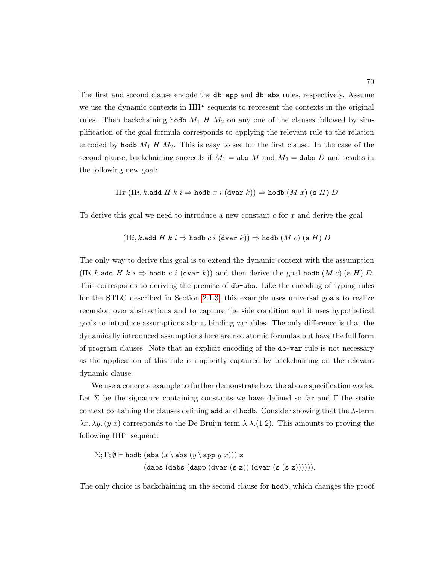The first and second clause encode the db-app and db-abs rules, respectively. Assume we use the dynamic contexts in  $HH^{\omega}$  sequents to represent the contexts in the original rules. Then backchaining hodb  $M_1$  H  $M_2$  on any one of the clauses followed by simplification of the goal formula corresponds to applying the relevant rule to the relation encoded by hodb  $M_1$  H  $M_2$ . This is easy to see for the first clause. In the case of the second clause, backchaining succeeds if  $M_1 =$  abs M and  $M_2 =$  dabs D and results in the following new goal:

$$
\Pi x.(\Pi i, k.\text{add } H \mid k \mid i \Rightarrow \text{hold } x \mid (\text{dvar } k)) \Rightarrow \text{hold } (M \mid x) \text{ (s } H) D
$$

To derive this goal we need to introduce a new constant  $c$  for  $x$  and derive the goal

$$
(\Pi i, k.\texttt{add}~H~k~i \Rightarrow \texttt{hold}~c~i~(\texttt{dvar}~k)) \Rightarrow \texttt{hold}~(M~c)~(\texttt{s}~H)~D
$$

The only way to derive this goal is to extend the dynamic context with the assumption  $(\Pi i, k.\text{add } H \; k \; i \Rightarrow \text{hold } c \; i \; (\text{dvar } k))$  and then derive the goal hodb  $(M c)$  (s H) D. This corresponds to deriving the premise of db-abs. Like the encoding of typing rules for the STLC described in Section [2.1.3,](#page-42-0) this example uses universal goals to realize recursion over abstractions and to capture the side condition and it uses hypothetical goals to introduce assumptions about binding variables. The only difference is that the dynamically introduced assumptions here are not atomic formulas but have the full form of program clauses. Note that an explicit encoding of the db-var rule is not necessary as the application of this rule is implicitly captured by backchaining on the relevant dynamic clause.

We use a concrete example to further demonstrate how the above specification works. Let  $\Sigma$  be the signature containing constants we have defined so far and  $\Gamma$  the static context containing the clauses defining add and hodb. Consider showing that the  $\lambda$ -term  $\lambda x.\lambda y.$  (y x) corresponds to the De Bruijn term  $\lambda.\lambda.$  (1.2). This amounts to proving the following  $HH^{\omega}$  sequent:

$$
\Sigma; \Gamma; \emptyset \vdash \text{hodb} (\text{abs } (x \setminus \text{abs } (y \setminus \text{app } y \ x))) \ z \newline (\text{dabs } (\text{dabs } (\text{dapp } (\text{dvar } (\texttt{s } z)) (\text{dvar } (\texttt{s } (s \ z)))))).
$$

The only choice is backchaining on the second clause for hodb, which changes the proof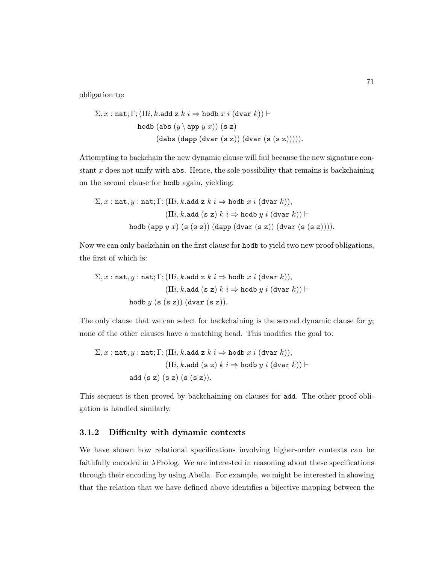obligation to:

$$
\Sigma, x : \texttt{nat}; \Gamma; (\Pi i, k \texttt{.add z } k \ i \Rightarrow \texttt{hold} \ x \ i \ (\texttt{dvar } k)) \vdash
$$
\n
$$
\texttt{hold} \ (\texttt{abs} \ (y \ \texttt{app} \ y \ x)) \ (\texttt{s z})
$$
\n
$$
(\texttt{dabs} \ (\texttt{dapp} \ (\texttt{dvar} \ (\texttt{s z})) \ (\texttt{dvar} \ (\texttt{s} \ (\texttt{s z}))))).
$$

Attempting to backchain the new dynamic clause will fail because the new signature constant  $x$  does not unify with abs. Hence, the sole possibility that remains is backchaining on the second clause for hodb again, yielding:

$$
\Sigma, x : \texttt{nat}, y : \texttt{nat}; \Gamma; (\Pi i, k.\texttt{add z } k \ i \Rightarrow \texttt{hold} \ x \ i \ (\texttt{dvar } k)),
$$

$$
(\Pi i, k.\texttt{add} \ (s \ z) \ k \ i \Rightarrow \texttt{hold} \ y \ i \ (\texttt{dvar } k)) \vdash
$$

$$
\texttt{holdb} \ (\texttt{app} \ y \ x) \ (s \ (s \ z)) \ (\texttt{dapp} \ (\texttt{dvar } (s \ z)) \ (\texttt{dvar } (s \ (s \ z))))
$$

Now we can only backchain on the first clause for hodb to yield two new proof obligations, the first of which is:

$$
\Sigma, x : \mathtt{nat}, y : \mathtt{nat}; \Gamma; (\Pi i, k.\mathtt{add}\ z\ k\ i \Rightarrow \mathtt{holdb}\ x\ i\ (\mathtt{dvar}\ k)),
$$

$$
(\Pi i, k.\mathtt{add}\ ( \mathtt{s}\ \mathtt{z})\ k\ i \Rightarrow \mathtt{holdb}\ y\ i\ (\mathtt{dvar}\ k)) \vdash
$$

$$
\mathtt{holdb}\ y\ (\mathtt{s}\ (\mathtt{s}\ \mathtt{z}))\ (\mathtt{dvar}\ (\mathtt{s}\ \mathtt{z})).
$$

The only clause that we can select for backchaining is the second dynamic clause for  $y$ ; none of the other clauses have a matching head. This modifies the goal to:

$$
\Sigma, x : \texttt{nat}, y : \texttt{nat}; \Gamma; (\Pi i, k.\texttt{add} \ z \ k \ i \Rightarrow \texttt{holdb} \ x \ i \ (\texttt{dvar} \ k)),
$$

$$
(\Pi i, k.\texttt{add} \ ( \texttt{s} \ z) \ k \ i \Rightarrow \texttt{holdb} \ y \ i \ (\texttt{dvar} \ k)) \vdash
$$

$$
\texttt{add} \ ( \texttt{s} \ z) \ ( \texttt{s} \ ( \texttt{s} \ z)).
$$

This sequent is then proved by backchaining on clauses for add. The other proof obligation is handled similarly.

#### <span id="page-85-0"></span>3.1.2 Difficulty with dynamic contexts

We have shown how relational specifications involving higher-order contexts can be faithfully encoded in λProlog. We are interested in reasoning about these specifications through their encoding by using Abella. For example, we might be interested in showing that the relation that we have defined above identifies a bijective mapping between the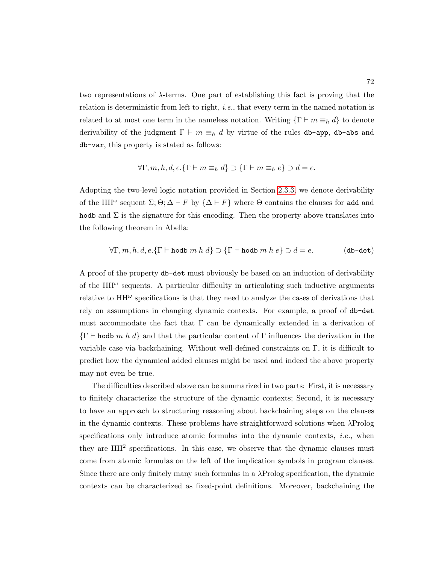two representations of  $\lambda$ -terms. One part of establishing this fact is proving that the relation is deterministic from left to right, i.e., that every term in the named notation is related to at most one term in the nameless notation. Writing  $\{\Gamma \vdash m \equiv_h d\}$  to denote derivability of the judgment  $\Gamma \vdash m \equiv_h d$  by virtue of the rules db-app, db-abs and db-var, this property is stated as follows:

$$
\forall \Gamma, m, h, d, e. \{ \Gamma \vdash m \equiv_h d \} \supset \{ \Gamma \vdash m \equiv_h e \} \supset d = e.
$$

Adopting the two-level logic notation provided in Section [2.3.3,](#page-70-0) we denote derivability of the HH<sup> $\omega$ </sup> sequent  $\Sigma; \Theta; \Delta \vdash F$  by  $\{\Delta \vdash F\}$  where  $\Theta$  contains the clauses for add and hodb and  $\Sigma$  is the signature for this encoding. Then the property above translates into the following theorem in Abella:

$$
\forall \Gamma, m, h, d, e. \{\Gamma \vdash \text{hold } m \ h \ d\} \supset \{\Gamma \vdash \text{hold } m \ h \ e\} \supset d = e. \tag{db-det}
$$

A proof of the property db-det must obviously be based on an induction of derivability of the  $HH^{\omega}$  sequents. A particular difficulty in articulating such inductive arguments relative to  $HH^{\omega}$  specifications is that they need to analyze the cases of derivations that rely on assumptions in changing dynamic contexts. For example, a proof of db-det must accommodate the fact that  $\Gamma$  can be dynamically extended in a derivation of  ${\{\Gamma \vdash \text{hold } m \; h \; d\}}$  and that the particular content of  $\Gamma$  influences the derivation in the variable case via backchaining. Without well-defined constraints on Γ, it is difficult to predict how the dynamical added clauses might be used and indeed the above property may not even be true.

The difficulties described above can be summarized in two parts: First, it is necessary to finitely characterize the structure of the dynamic contexts; Second, it is necessary to have an approach to structuring reasoning about backchaining steps on the clauses in the dynamic contexts. These problems have straightforward solutions when  $\lambda$ Prolog specifications only introduce atomic formulas into the dynamic contexts,  $i.e.,$  when they are HH<sup>2</sup> specifications. In this case, we observe that the dynamic clauses must come from atomic formulas on the left of the implication symbols in program clauses. Since there are only finitely many such formulas in a λProlog specification, the dynamic contexts can be characterized as fixed-point definitions. Moreover, backchaining the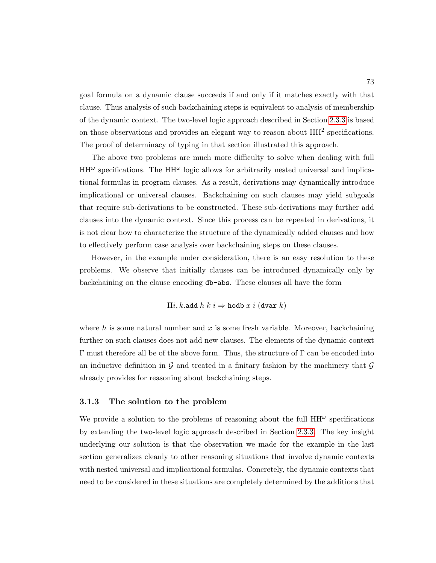goal formula on a dynamic clause succeeds if and only if it matches exactly with that clause. Thus analysis of such backchaining steps is equivalent to analysis of membership of the dynamic context. The two-level logic approach described in Section [2.3.3](#page-70-0) is based on those observations and provides an elegant way to reason about  $HH<sup>2</sup>$  specifications. The proof of determinacy of typing in that section illustrated this approach.

The above two problems are much more difficulty to solve when dealing with full  $HH^{\omega}$  specifications. The  $HH^{\omega}$  logic allows for arbitrarily nested universal and implicational formulas in program clauses. As a result, derivations may dynamically introduce implicational or universal clauses. Backchaining on such clauses may yield subgoals that require sub-derivations to be constructed. These sub-derivations may further add clauses into the dynamic context. Since this process can be repeated in derivations, it is not clear how to characterize the structure of the dynamically added clauses and how to effectively perform case analysis over backchaining steps on these clauses.

However, in the example under consideration, there is an easy resolution to these problems. We observe that initially clauses can be introduced dynamically only by backchaining on the clause encoding db-abs. These clauses all have the form

 $\Pi i, k$ .add  $h k i \Rightarrow$  hodb  $x i$  (dvar  $k$ )

where h is some natural number and  $x$  is some fresh variable. Moreover, backchaining further on such clauses does not add new clauses. The elements of the dynamic context Γ must therefore all be of the above form. Thus, the structure of Γ can be encoded into an inductive definition in G and treated in a finitary fashion by the machinery that  $\mathcal G$ already provides for reasoning about backchaining steps.

#### <span id="page-87-0"></span>3.1.3 The solution to the problem

We provide a solution to the problems of reasoning about the full  $HH^{\omega}$  specifications by extending the two-level logic approach described in Section [2.3.3.](#page-70-0) The key insight underlying our solution is that the observation we made for the example in the last section generalizes cleanly to other reasoning situations that involve dynamic contexts with nested universal and implicational formulas. Concretely, the dynamic contexts that need to be considered in these situations are completely determined by the additions that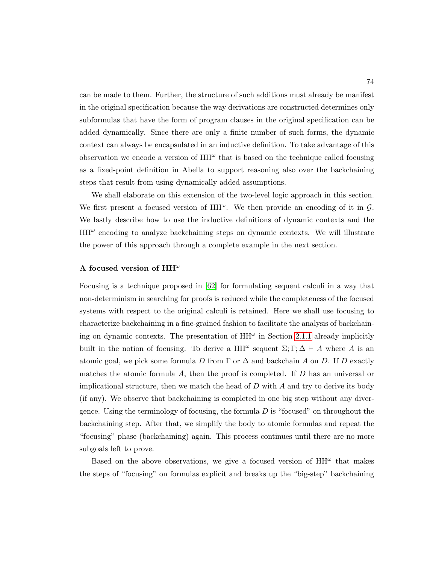can be made to them. Further, the structure of such additions must already be manifest in the original specification because the way derivations are constructed determines only subformulas that have the form of program clauses in the original specification can be added dynamically. Since there are only a finite number of such forms, the dynamic context can always be encapsulated in an inductive definition. To take advantage of this observation we encode a version of  $HH^{\omega}$  that is based on the technique called focusing as a fixed-point definition in Abella to support reasoning also over the backchaining steps that result from using dynamically added assumptions.

We shall elaborate on this extension of the two-level logic approach in this section. We first present a focused version of  $HH^{\omega}$ . We then provide an encoding of it in  $\mathcal{G}$ . We lastly describe how to use the inductive definitions of dynamic contexts and the  $HH^{\omega}$  encoding to analyze backchaining steps on dynamic contexts. We will illustrate the power of this approach through a complete example in the next section.

#### A focused version of  $\mathrm{HH}^{\omega}$

Focusing is a technique proposed in [\[62\]](#page-254-1) for formulating sequent calculi in a way that non-determinism in searching for proofs is reduced while the completeness of the focused systems with respect to the original calculi is retained. Here we shall use focusing to characterize backchaining in a fine-grained fashion to facilitate the analysis of backchaining on dynamic contexts. The presentation of  $HH^{\omega}$  in Section [2.1.1](#page-33-0) already implicitly built in the notion of focusing. To derive a HH<sup> $\omega$ </sup> sequent  $\Sigma$ ;  $\Gamma$ ;  $\Delta \vdash A$  where A is an atomic goal, we pick some formula D from  $\Gamma$  or  $\Delta$  and backchain A on D. If D exactly matches the atomic formula  $A$ , then the proof is completed. If  $D$  has an universal or implicational structure, then we match the head of  $D$  with  $A$  and try to derive its body (if any). We observe that backchaining is completed in one big step without any divergence. Using the terminology of focusing, the formula  $D$  is "focused" on throughout the backchaining step. After that, we simplify the body to atomic formulas and repeat the "focusing" phase (backchaining) again. This process continues until there are no more subgoals left to prove.

Based on the above observations, we give a focused version of  $HH^{\omega}$  that makes the steps of "focusing" on formulas explicit and breaks up the "big-step" backchaining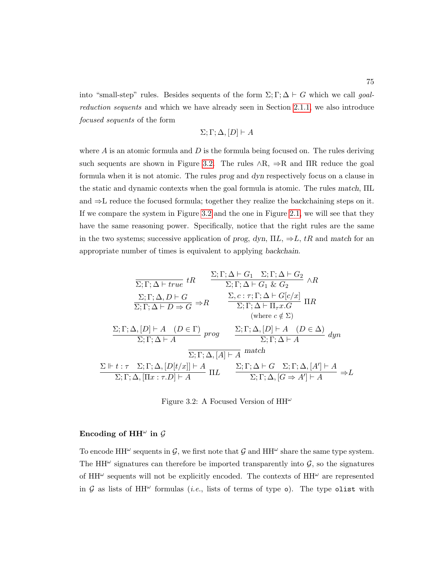into "small-step" rules. Besides sequents of the form  $\Sigma$ ;  $\Gamma$ ;  $\Delta \vdash G$  which we call goalreduction sequents and which we have already seen in Section [2.1.1,](#page-33-0) we also introduce focused sequents of the form

$$
\Sigma; \Gamma; \Delta, [D] \vdash A
$$

where  $A$  is an atomic formula and  $D$  is the formula being focused on. The rules deriving such sequents are shown in Figure [3.2.](#page-89-0) The rules  $\land R$ ,  $\Rightarrow R$  and IIR reduce the goal formula when it is not atomic. The rules prog and dyn respectively focus on a clause in the static and dynamic contexts when the goal formula is atomic. The rules match, ΠL and ⇒L reduce the focused formula; together they realize the backchaining steps on it. If we compare the system in Figure [3.2](#page-89-0) and the one in Figure [2.1,](#page-39-0) we will see that they have the same reasoning power. Specifically, notice that the right rules are the same in the two systems; successive application of prog, dyn,  $\Pi L$ ,  $\Rightarrow L$ , tR and match for an appropriate number of times is equivalent to applying backchain.

<span id="page-89-0"></span>
$$
\frac{\Sigma; \Gamma; \Delta \vdash G_1 \quad \Sigma; \Gamma; \Delta \vdash G_2}{\Sigma; \Gamma; \Delta \vdash true} tR \qquad \frac{\Sigma; \Gamma; \Delta \vdash G_1 \quad \Sigma; \Gamma; \Delta \vdash G_2}{\Sigma; \Gamma; \Delta \vdash G_1 \& G_2} \land R
$$
\n
$$
\frac{\Sigma; \Gamma; \Delta, D \vdash G}{\Sigma; \Gamma; \Delta \vdash D \Rightarrow G} \Rightarrow R \qquad \frac{\Sigma, c : \tau; \Gamma; \Delta \vdash G[c/x]}{\Sigma; \Gamma; \Delta \vdash \Pi_{\tau} x.G} \Pi R
$$
\n(where  $c \notin \Sigma$ )\n
$$
\frac{\Sigma; \Gamma; \Delta, [D] \vdash A \quad (D \in \Gamma)}{\Sigma; \Gamma; \Delta \vdash A} \text{prog} \qquad \frac{\Sigma; \Gamma; \Delta, [D] \vdash A \quad (D \in \Delta)}{\Sigma; \Gamma; \Delta \vdash A} \text{dyn}
$$
\n
$$
\frac{\Sigma \vdash t : \tau \quad \Sigma; \Gamma; \Delta, [D[t/x]] \vdash A}{\Sigma; \Gamma; \Delta, [A] \vdash A} \text{match}
$$
\n
$$
\frac{\Sigma \vdash t : \tau \quad \Sigma; \Gamma; \Delta, [D[t/x]] \vdash A}{\Sigma; \Gamma; \Delta, [\Pi x : \tau D] \vdash A} \Pi L \qquad \frac{\Sigma; \Gamma; \Delta \vdash G \quad \Sigma; \Gamma; \Delta, [A'] \vdash A}{\Sigma; \Gamma; \Delta, [G \Rightarrow A'] \vdash A} \Rightarrow L
$$

Figure 3.2: A Focused Version of  $\mathrm{HH}^\omega$ 

## Encoding of  $\mathrm{HH}^\omega$  in  $\mathcal G$

To encode HH<sup> $\omega$ </sup> sequents in  $\mathcal{G}$ , we first note that  $\mathcal{G}$  and HH $\omega$  share the same type system. The HH<sup> $\omega$ </sup> signatures can therefore be imported transparently into  $\mathcal{G}$ , so the signatures of  $HH^{\omega}$  sequents will not be explicitly encoded. The contexts of  $HH^{\omega}$  are represented in  $G$  as lists of HH<sup> $\omega$ </sup> formulas (*i.e.*, lists of terms of type  $o$ ). The type olist with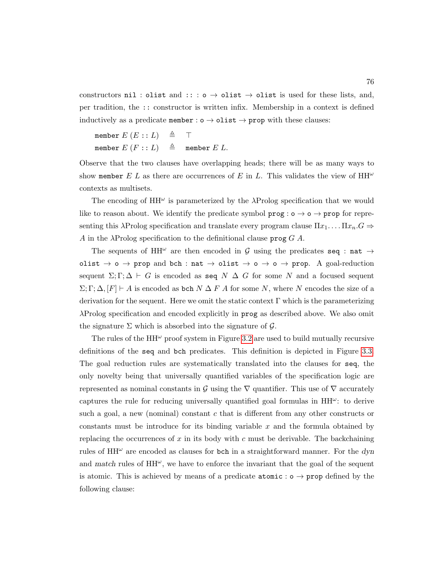constructors nil : olist and :: : o  $\rightarrow$  olist  $\rightarrow$  olist is used for these lists, and, per tradition, the :: constructor is written infix. Membership in a context is defined inductively as a predicate member :  $\circ \rightarrow$  olist  $\rightarrow$  prop with these clauses:

$$
\begin{array}{lcl} \text{member } E \ (E::L) & \triangleq & \top \\ \text{member } E \ (F::L) & \triangleq & \text{ member } E \ L. \end{array}
$$

Observe that the two clauses have overlapping heads; there will be as many ways to show member E L as there are occurrences of E in L. This validates the view of  $HH^{\omega}$ contexts as multisets.

The encoding of  $HH^{\omega}$  is parameterized by the  $\lambda$ Prolog specification that we would like to reason about. We identify the predicate symbol  $\text{prog} : \text{o} \to \text{o} \to \text{prop}$  for representing this  $\lambda$ Prolog specification and translate every program clause  $\Pi x_1 \dots \Pi x_n G \Rightarrow$ A in the  $\lambda$ Prolog specification to the definitional clause prog G A.

The sequents of HH<sup> $\omega$ </sup> are then encoded in G using the predicates seq : nat  $\rightarrow$ olist  $\rightarrow$  o  $\rightarrow$  prop and bch : nat  $\rightarrow$  olist  $\rightarrow$  o  $\rightarrow$  o  $\rightarrow$  prop. A goal-reduction sequent  $\Sigma; \Gamma; \Delta \vdash G$  is encoded as seq  $N \Delta G$  for some N and a focused sequent  $\Sigma; \Gamma; \Delta, [F] \vdash A$  is encoded as bch  $N \Delta F A$  for some N, where N encodes the size of a derivation for the sequent. Here we omit the static context  $\Gamma$  which is the parameterizing λProlog specification and encoded explicitly in prog as described above. We also omit the signature  $\Sigma$  which is absorbed into the signature of  $\mathcal{G}$ .

The rules of the  $HH^{\omega}$  proof system in Figure [3.2](#page-89-0) are used to build mutually recursive definitions of the seq and bch predicates. This definition is depicted in Figure [3.3.](#page-91-0) The goal reduction rules are systematically translated into the clauses for seq, the only novelty being that universally quantified variables of the specification logic are represented as nominal constants in G using the  $\nabla$  quantifier. This use of  $\nabla$  accurately captures the rule for reducing universally quantified goal formulas in  $HH^{\omega}$ : to derive such a goal, a new (nominal) constant  $c$  that is different from any other constructs or constants must be introduce for its binding variable  $x$  and the formula obtained by replacing the occurrences of x in its body with c must be derivable. The backchaining rules of  $HH^{\omega}$  are encoded as clauses for bch in a straightforward manner. For the dyn and match rules of  $HH^{\omega}$ , we have to enforce the invariant that the goal of the sequent is atomic. This is achieved by means of a predicate  $atomic: o \rightarrow prop$  defined by the following clause: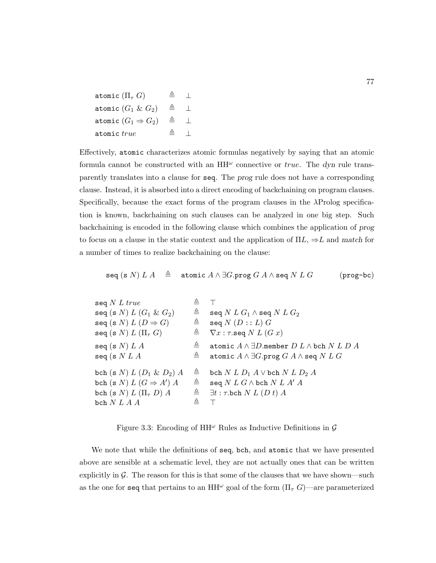atomic  $(\Pi_{\tau} G)$  ,  $\triangleq \perp$ atomic  $(G_1 \& G_2) \equiv \perp$ atomic  $(G_1 \Rightarrow G_2)$   $\triangleq$   $\perp$ atomic  $true$   $\triangleq$   $\perp$ 

Effectively, atomic characterizes atomic formulas negatively by saying that an atomic formula cannot be constructed with an  $HH^{\omega}$  connective or *true*. The dyn rule transparently translates into a clause for seq. The prog rule does not have a corresponding clause. Instead, it is absorbed into a direct encoding of backchaining on program clauses. Specifically, because the exact forms of the program clauses in the λProlog specification is known, backchaining on such clauses can be analyzed in one big step. Such backchaining is encoded in the following clause which combines the application of prog to focus on a clause in the static context and the application of  $\Pi L$ ,  $\Rightarrow L$  and match for a number of times to realize backchaining on the clause:

seq (s N)  $LA \triangleq$  atomic  $A \wedge \exists G.\text{prog } G \land \wedge \text{seq } N \ L \ G$  (prog-bc)

<span id="page-91-0"></span>

| seq $N$ $L$ $true$<br>seq (s $N$ ) $L(G_1 \& G_2)$<br>seq (s N) $L(D \Rightarrow G)$<br>seq (s $N$ ) $L$ ( $\Pi$ <sub><math>\tau</math></sub> $G$ )      | ᅀ<br>$\triangleq$<br>$\triangleq$ | seq $N$ $L$ $G_1$ $\wedge$ seq $N$ $L$ $G_2$<br>seq $N(D::L)$ $G$<br>$\triangleq$ $\nabla x : \tau \text{.seq } N L (G x)$                         |
|----------------------------------------------------------------------------------------------------------------------------------------------------------|-----------------------------------|----------------------------------------------------------------------------------------------------------------------------------------------------|
| seq (s $N) L A$<br>seq (s $NLA$                                                                                                                          | ≜<br>$\triangleq$                 | atomic $A \wedge \exists D$ .member $D L \wedge$ bch $N L D A$<br>atomic $A \wedge \exists G$ .prog $G A \wedge$ seq $N L G$                       |
| bch (s $N) L (D_1 \& D_2) A$<br>bch (s N) $L(G \Rightarrow A') A$<br>bch (s $N$ ) $L$ ( $\Pi$ <sub><math>\tau</math></sub> $D$ ) $A$<br>bch $N\;L\;A\;A$ | $\triangleq$<br>$\triangleq$<br>스 | bch $N L D_1 A \vee$ bch $N L D_2 A$<br>seq $N$ $L$ $G \wedge$ bch $N$ $L$ $A'$ $A$<br>$\triangleq \exists t : \tau \text{.} \text{bch} N L(Dt) A$ |

Figure 3.3: Encoding of  $HH^{\omega}$  Rules as Inductive Definitions in G

We note that while the definitions of seq, bch, and atomic that we have presented above are sensible at a schematic level, they are not actually ones that can be written explicitly in  $\mathcal G$ . The reason for this is that some of the clauses that we have shown—such as the one for seq that pertains to an HH<sup> $\omega$ </sup> goal of the form  $(\Pi_{\tau}, G)$ —are parameterized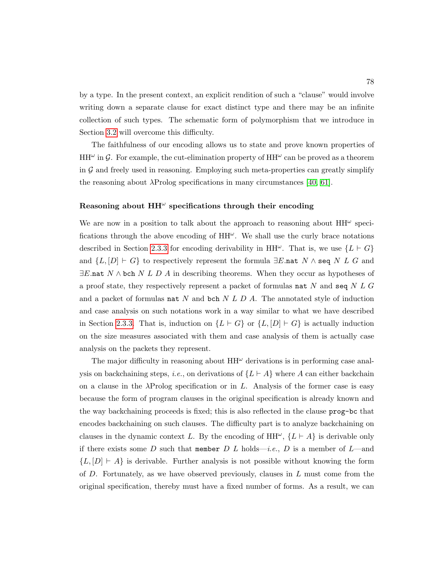by a type. In the present context, an explicit rendition of such a "clause" would involve writing down a separate clause for exact distinct type and there may be an infinite collection of such types. The schematic form of polymorphism that we introduce in Section [3.2](#page-100-0) will overcome this difficulty.

The faithfulness of our encoding allows us to state and prove known properties of  $HH^{\omega}$  in G. For example, the cut-elimination property of  $HH^{\omega}$  can be proved as a theorem in  $G$  and freely used in reasoning. Employing such meta-properties can greatly simplify the reasoning about  $\lambda$ Prolog specifications in many circumstances [\[40,](#page-252-0) [61\]](#page-254-0).

## Reasoning about  $\mathrm{HH}^\omega$  specifications through their encoding

We are now in a position to talk about the approach to reasoning about  $HH^{\omega}$  specifications through the above encoding of  $HH^{\omega}$ . We shall use the curly brace notations described in Section [2.3.3](#page-70-0) for encoding derivability in HH $\omega$ . That is, we use  $\{L \vdash G\}$ and  $\{L, [D] \vdash G\}$  to respectively represent the formula  $\exists E.\mathtt{nat}\; N \wedge \mathtt{seq}\; N \; L \; G$  and  $\exists E$ .nat  $N \wedge$  bch  $N L D A$  in describing theorems. When they occur as hypotheses of a proof state, they respectively represent a packet of formulas nat N and seq  $N L G$ and a packet of formulas nat N and bch  $N L D A$ . The annotated style of induction and case analysis on such notations work in a way similar to what we have described in Section [2.3.3.](#page-70-0) That is, induction on  $\{L \vdash G\}$  or  $\{L, [D] \vdash G\}$  is actually induction on the size measures associated with them and case analysis of them is actually case analysis on the packets they represent.

The major difficulty in reasoning about  $HH^{\omega}$  derivations is in performing case analysis on backchaining steps, *i.e.*, on derivations of  ${L \vdash A}$  where A can either backchain on a clause in the  $\lambda$ Prolog specification or in L. Analysis of the former case is easy because the form of program clauses in the original specification is already known and the way backchaining proceeds is fixed; this is also reflected in the clause prog-bc that encodes backchaining on such clauses. The difficulty part is to analyze backchaining on clauses in the dynamic context L. By the encoding of  $HH^{\omega}$ ,  $\{L \vdash A\}$  is derivable only if there exists some D such that member D L holds—i.e., D is a member of L—and  ${L, [D] \vdash A}$  is derivable. Further analysis is not possible without knowing the form of  $D$ . Fortunately, as we have observed previously, clauses in  $L$  must come from the original specification, thereby must have a fixed number of forms. As a result, we can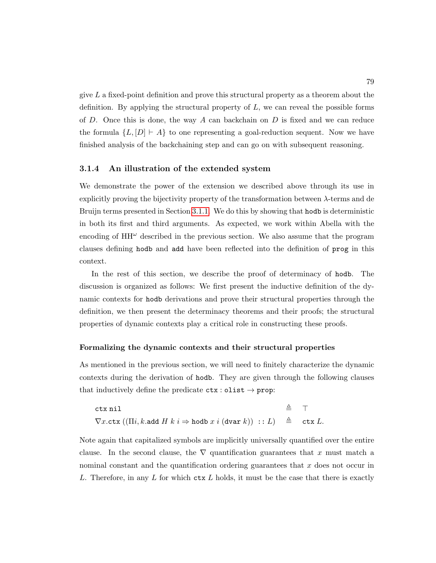give  $L$  a fixed-point definition and prove this structural property as a theorem about the definition. By applying the structural property of  $L$ , we can reveal the possible forms of D. Once this is done, the way A can backchain on D is fixed and we can reduce the formula  $\{L, [D] \vdash A\}$  to one representing a goal-reduction sequent. Now we have finished analysis of the backchaining step and can go on with subsequent reasoning.

#### <span id="page-93-0"></span>3.1.4 An illustration of the extended system

We demonstrate the power of the extension we described above through its use in explicitly proving the bijectivity property of the transformation between  $\lambda$ -terms and de Bruijn terms presented in Section [3.1.1.](#page-82-0) We do this by showing that hodb is deterministic in both its first and third arguments. As expected, we work within Abella with the encoding of  $HH^{\omega}$  described in the previous section. We also assume that the program clauses defining hodb and add have been reflected into the definition of prog in this context.

In the rest of this section, we describe the proof of determinacy of hodb. The discussion is organized as follows: We first present the inductive definition of the dynamic contexts for hodb derivations and prove their structural properties through the definition, we then present the determinacy theorems and their proofs; the structural properties of dynamic contexts play a critical role in constructing these proofs.

#### Formalizing the dynamic contexts and their structural properties

As mentioned in the previous section, we will need to finitely characterize the dynamic contexts during the derivation of hodb. They are given through the following clauses that inductively define the predicate  $\texttt{ctx}: \texttt{olist} \rightarrow \texttt{prop}:$ 

$$
\begin{array}{lll}\n\texttt{ctx nil} & \triangleq & \top \\
\nabla x.\texttt{ctx}((\Pi i, k.\texttt{add } H \ k \ i \Rightarrow \texttt{hold } x \ i \ (\texttt{dvar } k)) \ :: L) & \triangleq & \texttt{ctx } L.\n\end{array}
$$

Note again that capitalized symbols are implicitly universally quantified over the entire clause. In the second clause, the  $\nabla$  quantification guarantees that x must match a nominal constant and the quantification ordering guarantees that  $x$  does not occur in L. Therefore, in any L for which  $\text{ctx } L$  holds, it must be the case that there is exactly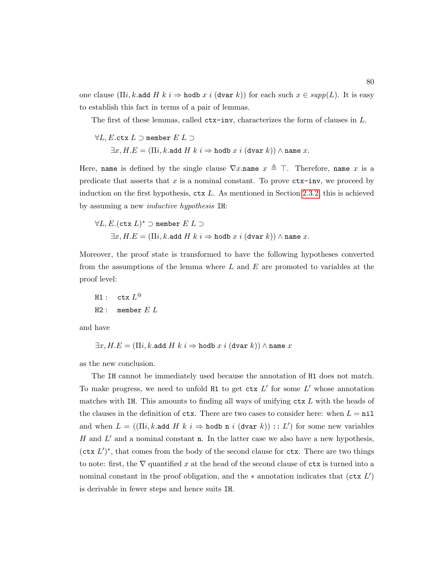one clause ( $\Pi i, k.$ add  $H k i \Rightarrow$  hodb  $x i$  (dvar k)) for each such  $x \in supp(L)$ . It is easy to establish this fact in terms of a pair of lemmas.

The first of these lemmas, called ctx-inv, characterizes the form of clauses in L.

 $\forall L, E.$ ctx  $L \supset$  member  $E L \supset$  $\exists x, H.E = (\Pi i, k.\texttt{add } H \ k \ i \Rightarrow \texttt{hold } x \ i \ (\texttt{dvar } k)) \land \texttt{name} \ x.$ 

Here, name is defined by the single clause  $\nabla x$ .name  $x \triangleq \top$ . Therefore, name x is a. predicate that asserts that  $x$  is a nominal constant. To prove  $\mathtt{ctx-inv}$ , we proceed by induction on the first hypothesis,  $\texttt{ctx } L$ . As mentioned in Section [2.3.2,](#page-67-0) this is achieved by assuming a new inductive hypothesis IH:

$$
\forall L, E. (\texttt{ctx } L)^* \supset \texttt{member } E \ L \supset \\ \exists x, H.E = (\Pi i, k.\texttt{add } H \ k \ i \Rightarrow \texttt{hold } x \ i \ (\texttt{dvar } k)) \land \texttt{name } x.
$$

Moreover, the proof state is transformed to have the following hypotheses converted from the assumptions of the lemma where  $L$  and  $E$  are promoted to variables at the proof level:

H1: 
$$
\text{ctx } L^@
$$
  
H2: member  $E L$ 

and have

$$
\exists x, H.E = (\Pi i, k.\texttt{add}\; H\; k\; i \Rightarrow \texttt{hold}\; x\; i\; (\texttt{dvar}\; k)) \land \texttt{name}\; x
$$

as the new conclusion.

The IH cannot be immediately used because the annotation of H1 does not match. To make progress, we need to unfold  $H1$  to get  $\texttt{ctx } L'$  for some  $L'$  whose annotation matches with IH. This amounts to finding all ways of unifying  $\texttt{ctx } L$  with the heads of the clauses in the definition of  $\mathtt{ctx}$ . There are two cases to consider here: when  $L = \mathtt{nil}$ and when  $L = ((\Pi i, k \cdot \text{add } H \mid k \mid i \Rightarrow \text{hold } n \mid i \mid (\text{dvar } k)) :: L')$  for some new variables  $H$  and  $L'$  and a nominal constant n. In the latter case we also have a new hypothesis,  $(\texttt{ctx } L')^*$ , that comes from the body of the second clause for ctx. There are two things to note: first, the  $\nabla$  quantified x at the head of the second clause of  $\mathtt{ctx}$  is turned into a nominal constant in the proof obligation, and the  $*$  annotation indicates that (ctx  $L'$ ) is derivable in fewer steps and hence suits IH.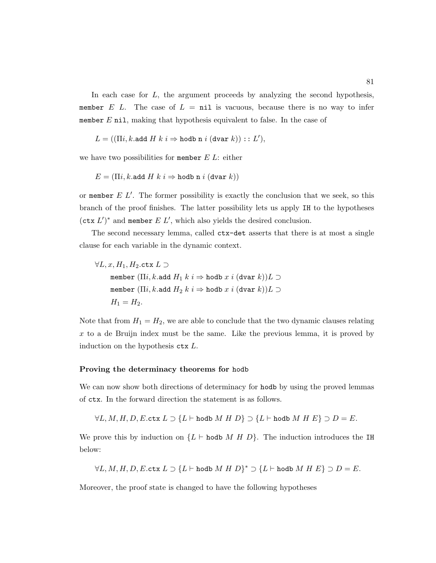In each case for  $L$ , the argument proceeds by analyzing the second hypothesis, member E L. The case of  $L = \text{nil}$  is vacuous, because there is no way to infer member  $E$  nil, making that hypothesis equivalent to false. In the case of

$$
L = ((\Pi i, k.\text{add } H \ k \ i \Rightarrow \text{hold } \text{in } i \ (\text{dvar } k)) :: L'),
$$

we have two possibilities for member  $E$   $L$ : either

$$
E = (\Pi i, k.\texttt{add} \ H \ k \ i \Rightarrow \texttt{hold} \ \texttt{n} \ i \ (\texttt{dvar} \ k))
$$

or member  $E L'$ . The former possibility is exactly the conclusion that we seek, so this branch of the proof finishes. The latter possibility lets us apply IH to the hypotheses  $(\texttt{ctx } L')^*$  and member  $E L'$ , which also yields the desired conclusion.

The second necessary lemma, called ctx-det asserts that there is at most a single clause for each variable in the dynamic context.

$$
\begin{aligned} \forall L,x,H_1,H_2.\texttt{ctx } L \supset \\ \texttt{member } (\Pi i, k.\texttt{add } H_1 \ k \ i \Rightarrow \texttt{hold } x \ i \ (\texttt{dvar } k))L \supset \\ \texttt{member } (\Pi i, k.\texttt{add } H_2 \ k \ i \Rightarrow \texttt{hold } x \ i \ (\texttt{dvar } k))L \supset \\ H_1=H_2. \end{aligned}
$$

Note that from  $H_1 = H_2$ , we are able to conclude that the two dynamic clauses relating  $x$  to a de Bruijn index must be the same. Like the previous lemma, it is proved by induction on the hypothesis  $\texttt{ctx } L$ .

#### Proving the determinacy theorems for hodb

We can now show both directions of determinacy for hodb by using the proved lemmas of ctx. In the forward direction the statement is as follows.

$$
\forall L, M, H, D, E.\text{ctx } L \supset \{L \vdash \text{hodb } M \; H \; D\} \supset \{L \vdash \text{hodb } M \; H \; E\} \supset D = E.
$$

We prove this by induction on  $\{L \vdash \text{hold } M \ H \ D\}$ . The induction introduces the IH below:

$$
\forall L, M, H, D, E.\text{ctx } L \supset \{L \vdash \text{hodd } M \; H \; D\}^* \supset \{L \vdash \text{hodd } M \; H \; E\} \supset D = E.
$$

Moreover, the proof state is changed to have the following hypotheses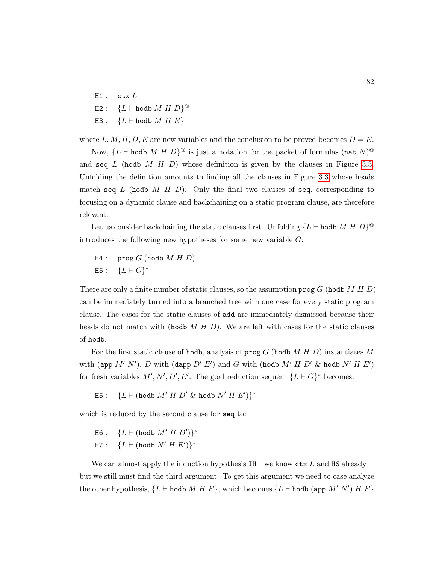$H1:$  ctx  $L$  $\texttt{H2}:\quad \{L \vdash \texttt{hodb} \text{ } M \text{ } H \text{ } D\}^\text{\textcircled{a}}$ H3 :  ${L \vdash \text{hodd } M \mathrel{H} E}$ 

where L, M, H, D, E are new variables and the conclusion to be proved becomes  $D = E$ .

Now,  ${L \vdash \text{hodd } M \; H \; D}^{\textcircled a}$  is just a notation for the packet of formulas  ${(\texttt{nat } N)}^{\textcircled a}$ and seq  $L$  (hodb  $M$  H  $D$ ) whose definition is given by the clauses in Figure [3.3.](#page-91-0) Unfolding the definition amounts to finding all the clauses in Figure [3.3](#page-91-0) whose heads match seq L (hodb M H D). Only the final two clauses of seq, corresponding to focusing on a dynamic clause and backchaining on a static program clause, are therefore relevant.

Let us consider backchaining the static clauses first. Unfolding  ${L \vdash \text{hodd } M \; H \; D}^@$ introduces the following new hypotheses for some new variable G:

 $H4:$  prog G (hodb M H D)  $H5: \{L \vdash G\}^*$ 

There are only a finite number of static clauses, so the assumption  $\mathbf{prog} G$  (hodb  $M H D$ ) can be immediately turned into a branched tree with one case for every static program clause. The cases for the static clauses of add are immediately dismissed because their heads do not match with (hodb  $M H D$ ). We are left with cases for the static clauses of hodb.

For the first static clause of hodb, analysis of  $\mathbf{prog} G$  (hodb M H D) instantiates M with (app  $M'$  N'), D with (dapp  $D'$  E') and G with (hodb  $M'$  H  $D'$  & hodb  $N'$  H  $E'$ ) for fresh variables  $M', N', D', E'$ . The goal reduction sequent  ${L \vdash G}^*$  becomes:

 $\texttt{H5}: \quad \{L \vdash (\texttt{hodb} \; M' \; H \; D' \; \& \; \texttt{hodb} \; N' \; H \; E')\}^*$ 

which is reduced by the second clause for seq to:

 $H6: \quad \{L \vdash (\text{hodb } M' \; H \; D')\}^*$  $\texttt{H7}: \quad \{L \vdash (\texttt{hodb}~N'~H~E')\}^*$ 

We can almost apply the induction hypothesis  $I$ H—we know  $\texttt{ctx} L$  and H6 already but we still must find the third argument. To get this argument we need to case analyze the other hypothesis,  $\{L \vdash \text{hodb } M \ H \ E\}$ , which becomes  $\{L \vdash \text{hodb (app } M' \ N') \ H \ E\}$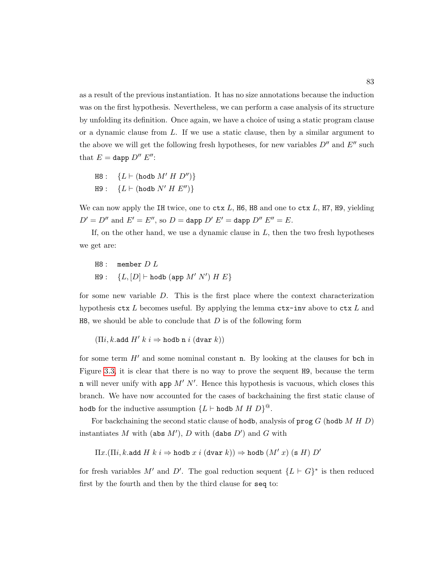as a result of the previous instantiation. It has no size annotations because the induction was on the first hypothesis. Nevertheless, we can perform a case analysis of its structure by unfolding its definition. Once again, we have a choice of using a static program clause or a dynamic clause from L. If we use a static clause, then by a similar argument to the above we will get the following fresh hypotheses, for new variables  $D''$  and  $E''$  such that  $E =$  dapp  $D'' E''$ :

 $H8: \{L \vdash (h \text{odd } M' \ H \ D'')\}$  $H9: \{L \vdash (h \text{odd } N' H E'')\}$ 

We can now apply the IH twice, one to  $ctx L$ , H6, H8 and one to  $ctx L$ , H7, H9, yielding  $D' = D''$  and  $E' = E''$ , so  $D =$  dapp  $D' E' =$  dapp  $D'' E'' = E$ .

If, on the other hand, we use a dynamic clause in  $L$ , then the two fresh hypotheses we get are:

 $H8:$  member  $D L$  $H9: \quad \{L,[D]\vdash \texttt{hodb}\ (\texttt{app}\ M'\ N')\ H\ E\}$ 

for some new variable D. This is the first place where the context characterization hypothesis  $\texttt{ctx } L$  becomes useful. By applying the lemma  $\texttt{ctx-inv}$  above to  $\texttt{ctx } L$  and  $H8$ , we should be able to conclude that D is of the following form

```
(\Pi i, k.add H' k i \Rightarrow hodb n i (\text{dvar } k))
```
for some term  $H'$  and some nominal constant **n**. By looking at the clauses for bch in Figure [3.3,](#page-91-0) it is clear that there is no way to prove the sequent H9, because the term n will never unify with app  $M'$  N'. Hence this hypothesis is vacuous, which closes this branch. We have now accounted for the cases of backchaining the first static clause of hodb for the inductive assumption  ${L \vdash \texttt{hodb}} M H D$ <sup>@</sup>.

For backchaining the second static clause of hodb, analysis of  $\mathbf{prog} G$  (hodb M H D) instantiates M with (abs  $M'$ ), D with (dabs  $D'$ ) and G with

 $\Pi x.(\Pi i, k.\text{add } H k i \Rightarrow \text{hold } x i (\text{dvar } k)) \Rightarrow \text{hold } (M' x) (\text{s } H) D'$ 

for fresh variables M' and D'. The goal reduction sequent  ${L \vdash G}^*$  is then reduced first by the fourth and then by the third clause for seq to: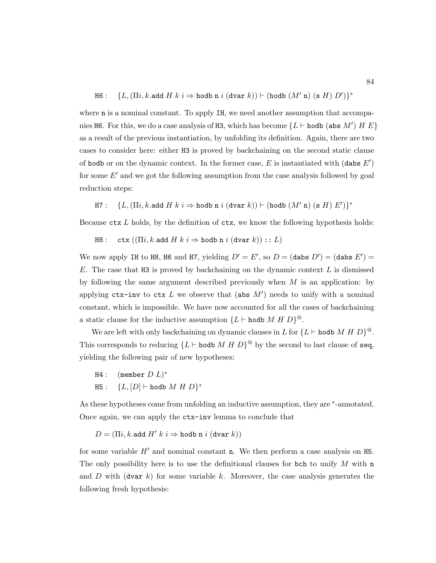$\texttt{H6}: \quad \{ L, (\Pi i, k \texttt{.add } H \ k \ i \Rightarrow \texttt{hold n} \ i \ (\texttt{dvar } k)) \vdash (\texttt{hold} \ (M' \ \texttt{n}) \ (\texttt{s } H) \ D') \}^*$ 

where **n** is a nominal constant. To apply IH, we need another assumption that accompanies H6. For this, we do a case analysis of H3, which has become  $\{L \vdash \text{hodb} (\text{abs } M') \; H \; E\}$ as a result of the previous instantiation, by unfolding its definition. Again, there are two cases to consider here: either H3 is proved by backchaining on the second static clause of hodb or on the dynamic context. In the former case,  $E$  is instantiated with (dabs  $E'$ ) for some  $E'$  and we got the following assumption from the case analysis followed by goal reduction steps:

H7 :  $\{L, (\Pi i, k \text{.} \text{add } H \; k \; i \Rightarrow \text{hold n} \; i \; (\text{dvar } k)) \vdash (\text{hold } (M' \; \text{n}) \; (\text{s } H) \; E') \}^*$ 

Because  $\texttt{ctx} L$  holds, by the definition of  $\texttt{ctx}$ , we know the following hypothesis holds:

H8 : ctx  $((\Pi i, k \text{.} \text{add } H \text{ } k \text{ } i \Rightarrow \text{hold } \text{in } i \text{ } (\text{dvar } k)) :: L)$ 

We now apply IH to H8, H6 and H7, yielding  $D' = E'$ , so  $D = (dabs D') = (dabs E') =$ E. The case that H3 is proved by backchaining on the dynamic context  $L$  is dismissed by following the same argument described previously when  $M$  is an application: by applying  $\texttt{ctx-inv}$  to  $\texttt{ctx } L$  we observe that (abs  $M'$ ) needs to unify with a nominal constant, which is impossible. We have now accounted for all the cases of backchaining a static clause for the inductive assumption  ${L \vdash \text{hodd } M \; H \; D}^{\textcircled{\tiny{0}}}.$ 

We are left with only backchaining on dynamic clauses in L for  ${L \vdash \text{hodo } M \; H \; D}^@$ . This corresponds to reducing  ${L \vdash \text{hodd } M \oplus D}^{\textcircled{a}}$  by the second to last clause of seq, yielding the following pair of new hypotheses:

 $H4:$  (member  $D L$ )\* H5 :  ${L, [D] \vdash \text{hodd } M \; H \; D}^*$ 

As these hypotheses come from unfolding an inductive assumption, they are  $*$ -annotated. Once again, we can apply the ctx-inv lemma to conclude that

$$
D = (\Pi i, k.\text{add } H' \ k \ i \Rightarrow \text{hold } \texttt{n} \ i \ (\texttt{dvar } k))
$$

for some variable  $H'$  and nominal constant n. We then perform a case analysis on H5. The only possibility here is to use the definitional clauses for bch to unify  $M$  with n and D with (dvar k) for some variable k. Moreover, the case analysis generates the following fresh hypothesis: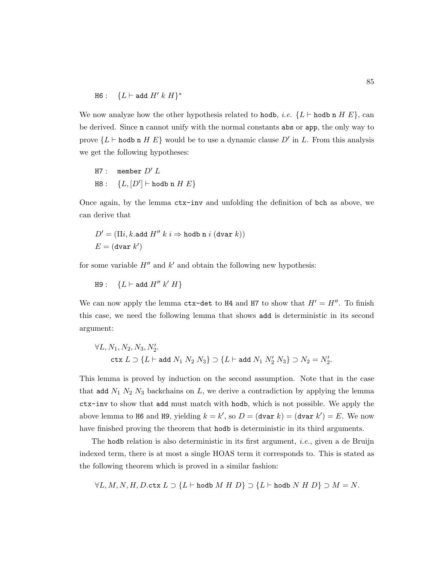$$
\texttt{H6}: \quad \{L \vdash \texttt{add} \ H' \ k \ H\}^*
$$

We now analyze how the other hypothesis related to hodb, *i.e.*  ${L \vdash \text{hold } n H E}$ , can be derived. Since n cannot unify with the normal constants abs or app, the only way to prove  ${L \vdash \text{hodb n} H E}$  would be to use a dynamic clause D' in L. From this analysis we get the following hypotheses:

H7: member 
$$
D' L
$$

\nH8:  $\{L, [D'] \vdash \text{hodd } n H E\}$ 

Once again, by the lemma ctx-inv and unfolding the definition of bch as above, we can derive that

$$
D' = (\Pi i, k.\text{add } H'' \ k \ i \Rightarrow \text{hold } \text{in } i \ (\text{dvar } k))
$$

$$
E = (\text{dvar } k')
$$

for some variable  $H''$  and  $k'$  and obtain the following new hypothesis:

$$
\mathtt{H9}:\quad \{L\vdash \mathtt{add}\; H''\; k'\; H\}
$$

We can now apply the lemma ctx-det to H4 and H7 to show that  $H' = H''$ . To finish this case, we need the following lemma that shows add is deterministic in its second argument:

$$
\forall L, N_1, N_2, N_3, N'_2.
$$
  

$$
\mathtt{ctx}\ L \supset \{L \vdash \mathtt{add}\ N_1\ N_2\ N_3\} \supset \{L \vdash \mathtt{add}\ N_1\ N'_2\ N_3\} \supset N_2 = N'_2.
$$

This lemma is proved by induction on the second assumption. Note that in the case that add  $N_1$   $N_2$   $N_3$  backchains on  $L$ , we derive a contradiction by applying the lemma ctx-inv to show that add must match with hodb, which is not possible. We apply the above lemma to H6 and H9, yielding  $k = k'$ , so  $D = (\text{dvar } k) = (\text{dvar } k') = E$ . We now have finished proving the theorem that hodb is deterministic in its third arguments.

The hodb relation is also deterministic in its first argument, *i.e.*, given a de Bruijn indexed term, there is at most a single HOAS term it corresponds to. This is stated as the following theorem which is proved in a similar fashion:

 $\forall L, M, N, H, D.$ ctx  $L \supset \{L \vdash \text{hodd } M \; H \; D\} \supset \{L \vdash \text{hodd } N \; H \; D\} \supset M = N.$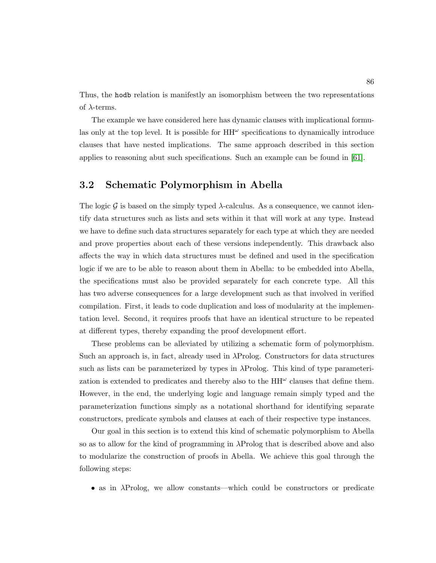Thus, the hodb relation is manifestly an isomorphism between the two representations of  $\lambda$ -terms.

The example we have considered here has dynamic clauses with implicational formulas only at the top level. It is possible for  $HH^{\omega}$  specifications to dynamically introduce clauses that have nested implications. The same approach described in this section applies to reasoning abut such specifications. Such an example can be found in [\[61\]](#page-254-0).

## <span id="page-100-0"></span>3.2 Schematic Polymorphism in Abella

The logic G is based on the simply typed  $\lambda$ -calculus. As a consequence, we cannot identify data structures such as lists and sets within it that will work at any type. Instead we have to define such data structures separately for each type at which they are needed and prove properties about each of these versions independently. This drawback also affects the way in which data structures must be defined and used in the specification logic if we are to be able to reason about them in Abella: to be embedded into Abella, the specifications must also be provided separately for each concrete type. All this has two adverse consequences for a large development such as that involved in verified compilation. First, it leads to code duplication and loss of modularity at the implementation level. Second, it requires proofs that have an identical structure to be repeated at different types, thereby expanding the proof development effort.

These problems can be alleviated by utilizing a schematic form of polymorphism. Such an approach is, in fact, already used in  $\lambda$ Prolog. Constructors for data structures such as lists can be parameterized by types in λProlog. This kind of type parameterization is extended to predicates and thereby also to the  $HH^{\omega}$  clauses that define them. However, in the end, the underlying logic and language remain simply typed and the parameterization functions simply as a notational shorthand for identifying separate constructors, predicate symbols and clauses at each of their respective type instances.

Our goal in this section is to extend this kind of schematic polymorphism to Abella so as to allow for the kind of programming in  $\lambda$ Prolog that is described above and also to modularize the construction of proofs in Abella. We achieve this goal through the following steps:

• as in λProlog, we allow constants—which could be constructors or predicate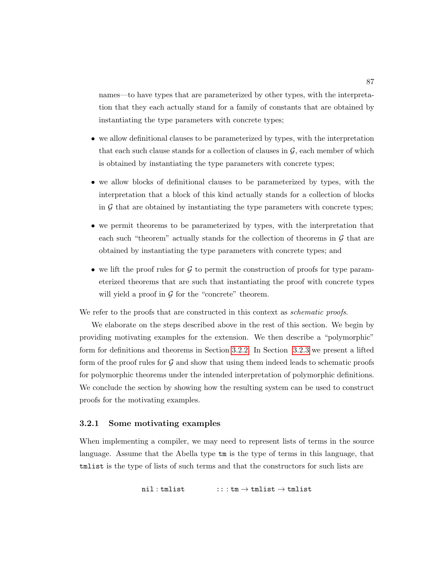names—to have types that are parameterized by other types, with the interpretation that they each actually stand for a family of constants that are obtained by instantiating the type parameters with concrete types;

- we allow definitional clauses to be parameterized by types, with the interpretation that each such clause stands for a collection of clauses in  $\mathcal{G}$ , each member of which is obtained by instantiating the type parameters with concrete types;
- we allow blocks of definitional clauses to be parameterized by types, with the interpretation that a block of this kind actually stands for a collection of blocks in  $G$  that are obtained by instantiating the type parameters with concrete types;
- we permit theorems to be parameterized by types, with the interpretation that each such "theorem" actually stands for the collection of theorems in  $\mathcal G$  that are obtained by instantiating the type parameters with concrete types; and
- we lift the proof rules for  $G$  to permit the construction of proofs for type parameterized theorems that are such that instantiating the proof with concrete types will yield a proof in  $\mathcal G$  for the "concrete" theorem.

We refer to the proofs that are constructed in this context as *schematic proofs*.

We elaborate on the steps described above in the rest of this section. We begin by providing motivating examples for the extension. We then describe a "polymorphic" form for definitions and theorems in Section [3.2.2.](#page-105-0) In Section [3.2.3](#page-112-0) we present a lifted form of the proof rules for  $G$  and show that using them indeed leads to schematic proofs for polymorphic theorems under the intended interpretation of polymorphic definitions. We conclude the section by showing how the resulting system can be used to construct proofs for the motivating examples.

#### 3.2.1 Some motivating examples

When implementing a compiler, we may need to represent lists of terms in the source language. Assume that the Abella type tm is the type of terms in this language, that tmlist is the type of lists of such terms and that the constructors for such lists are

 $\texttt{nil} : \texttt{tmlist}$  :: :  $\texttt{tm} \rightarrow \texttt{tmlist} \rightarrow \texttt{tmlist}$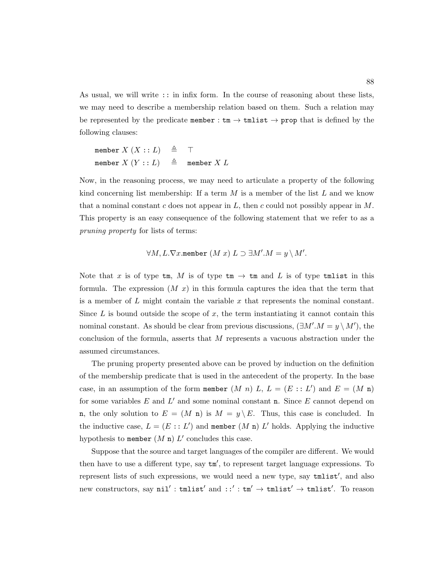As usual, we will write :: in infix form. In the course of reasoning about these lists, we may need to describe a membership relation based on them. Such a relation may be represented by the predicate member :  $\tan \rightarrow \text{tmlist} \rightarrow \text{prop}$  that is defined by the following clauses:

$$
\begin{array}{lcl}\text{member } X \ (X::L) & \triangleq & \top \\ \text{member } X \ (Y::L) & \triangleq & \text{ member } X \ L \end{array}
$$

Now, in the reasoning process, we may need to articulate a property of the following kind concerning list membership: If a term  $M$  is a member of the list  $L$  and we know that a nominal constant c does not appear in L, then c could not possibly appear in M. This property is an easy consequence of the following statement that we refer to as a pruning property for lists of terms:

$$
\forall M, L. \nabla x.\mathtt{member}\ (M\ x)\ L \supset \exists M'.M = y\setminus M'.
$$

Note that x is of type tm, M is of type tm  $\rightarrow$  tm and L is of type tmlist in this formula. The expression  $(M x)$  in this formula captures the idea that the term that is a member of  $L$  might contain the variable  $x$  that represents the nominal constant. Since  $L$  is bound outside the scope of  $x$ , the term instantiating it cannot contain this nominal constant. As should be clear from previous discussions,  $(\exists M'.M = y \setminus M')$ , the conclusion of the formula, asserts that M represents a vacuous abstraction under the assumed circumstances.

The pruning property presented above can be proved by induction on the definition of the membership predicate that is used in the antecedent of the property. In the base case, in an assumption of the form member  $(M n) L$ ,  $L = (E : : L')$  and  $E = (M n)$ for some variables  $E$  and  $L'$  and some nominal constant n. Since  $E$  cannot depend on n, the only solution to  $E = (M n)$  is  $M = y \setminus E$ . Thus, this case is concluded. In the inductive case,  $L = (E : : L')$  and member  $(M n) L'$  holds. Applying the inductive hypothesis to member  $(M n) L'$  concludes this case.

Suppose that the source and target languages of the compiler are different. We would then have to use a different type, say  $\tan',$  to represent target language expressions. To represent lists of such expressions, we would need a new type, say  $t$ mlist', and also new constructors, say  $\texttt{nil}' : \texttt{tmlist}'$  and  $::' : \texttt{tm}' \rightarrow \texttt{tmlist}' \rightarrow \texttt{tmlist}'.$  To reason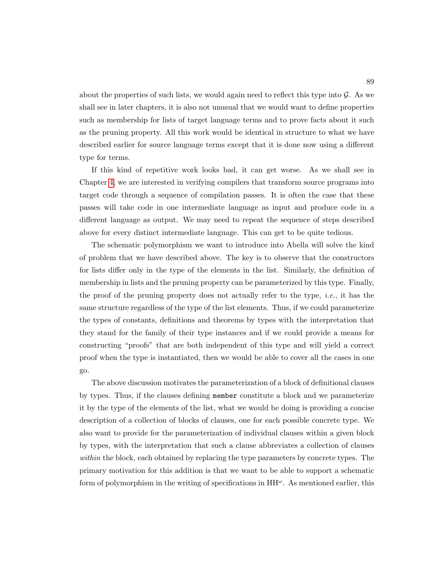about the properties of such lists, we would again need to reflect this type into  $\mathcal{G}$ . As we shall see in later chapters, it is also not unusual that we would want to define properties such as membership for lists of target language terms and to prove facts about it such as the pruning property. All this work would be identical in structure to what we have described earlier for source language terms except that it is done now using a different type for terms.

If this kind of repetitive work looks bad, it can get worse. As we shall see in Chapter [4,](#page-123-0) we are interested in verifying compilers that transform source programs into target code through a sequence of compilation passes. It is often the case that these passes will take code in one intermediate language as input and produce code in a different language as output. We may need to repeat the sequence of steps described above for every distinct intermediate language. This can get to be quite tedious.

The schematic polymorphism we want to introduce into Abella will solve the kind of problem that we have described above. The key is to observe that the constructors for lists differ only in the type of the elements in the list. Similarly, the definition of membership in lists and the pruning property can be parameterized by this type. Finally, the proof of the pruning property does not actually refer to the type, *i.e.*, it has the same structure regardless of the type of the list elements. Thus, if we could parameterize the types of constants, definitions and theorems by types with the interpretation that they stand for the family of their type instances and if we could provide a means for constructing "proofs" that are both independent of this type and will yield a correct proof when the type is instantiated, then we would be able to cover all the cases in one go.

The above discussion motivates the parameterization of a block of definitional clauses by types. Thus, if the clauses defining member constitute a block and we parameterize it by the type of the elements of the list, what we would be doing is providing a concise description of a collection of blocks of clauses, one for each possible concrete type. We also want to provide for the parameterization of individual clauses within a given block by types, with the interpretation that such a clause abbreviates a collection of clauses within the block, each obtained by replacing the type parameters by concrete types. The primary motivation for this addition is that we want to be able to support a schematic form of polymorphism in the writing of specifications in  $HH^{\omega}$ . As mentioned earlier, this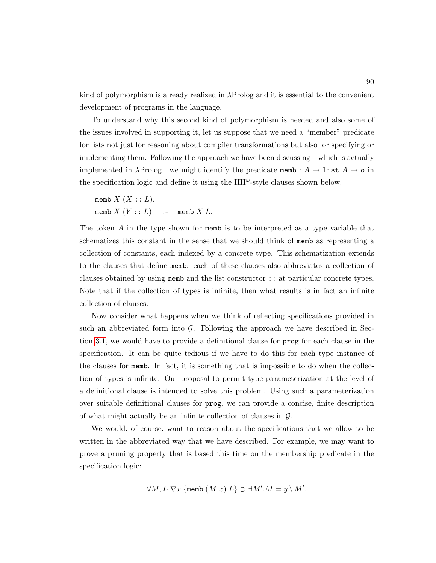kind of polymorphism is already realized in λProlog and it is essential to the convenient development of programs in the language.

To understand why this second kind of polymorphism is needed and also some of the issues involved in supporting it, let us suppose that we need a "member" predicate for lists not just for reasoning about compiler transformations but also for specifying or implementing them. Following the approach we have been discussing—which is actually implemented in  $\lambda$ Prolog—we might identify the predicate memb :  $A \to \text{list } A \to \text{o}$  in the specification logic and define it using the  $HH^{\omega}$ -style clauses shown below.

memb  $X(X:: L)$ . memb  $X(Y:: L)$  :- memb X L.

The token A in the type shown for memb is to be interpreted as a type variable that schematizes this constant in the sense that we should think of memb as representing a collection of constants, each indexed by a concrete type. This schematization extends to the clauses that define memb: each of these clauses also abbreviates a collection of clauses obtained by using memb and the list constructor :: at particular concrete types. Note that if the collection of types is infinite, then what results is in fact an infinite collection of clauses.

Now consider what happens when we think of reflecting specifications provided in such an abbreviated form into  $\mathcal G$ . Following the approach we have described in Section [3.1,](#page-80-1) we would have to provide a definitional clause for prog for each clause in the specification. It can be quite tedious if we have to do this for each type instance of the clauses for memb. In fact, it is something that is impossible to do when the collection of types is infinite. Our proposal to permit type parameterization at the level of a definitional clause is intended to solve this problem. Using such a parameterization over suitable definitional clauses for prog, we can provide a concise, finite description of what might actually be an infinite collection of clauses in  $\mathcal{G}$ .

We would, of course, want to reason about the specifications that we allow to be written in the abbreviated way that we have described. For example, we may want to prove a pruning property that is based this time on the membership predicate in the specification logic:

$$
\forall M, L.\nabla x. \{\text{memb } (M x) L\} \supset \exists M'.M = y \setminus M'.
$$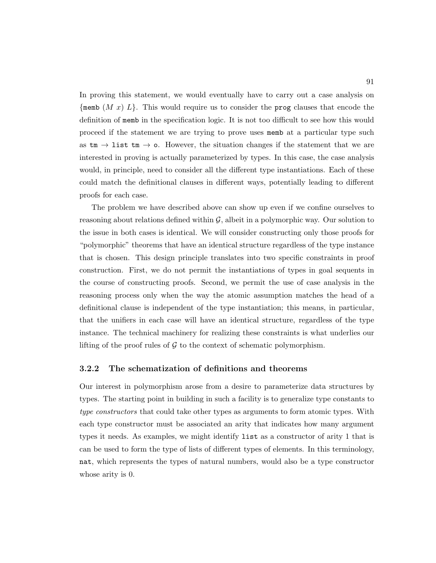In proving this statement, we would eventually have to carry out a case analysis on  $\{\text{memb} (M x) L\}$ . This would require us to consider the prog clauses that encode the definition of memb in the specification logic. It is not too difficult to see how this would proceed if the statement we are trying to prove uses memb at a particular type such as  $\tan \rightarrow \text{list } \text{tm} \rightarrow \text{o}$ . However, the situation changes if the statement that we are interested in proving is actually parameterized by types. In this case, the case analysis would, in principle, need to consider all the different type instantiations. Each of these could match the definitional clauses in different ways, potentially leading to different proofs for each case.

The problem we have described above can show up even if we confine ourselves to reasoning about relations defined within  $\mathcal{G}$ , albeit in a polymorphic way. Our solution to the issue in both cases is identical. We will consider constructing only those proofs for "polymorphic" theorems that have an identical structure regardless of the type instance that is chosen. This design principle translates into two specific constraints in proof construction. First, we do not permit the instantiations of types in goal sequents in the course of constructing proofs. Second, we permit the use of case analysis in the reasoning process only when the way the atomic assumption matches the head of a definitional clause is independent of the type instantiation; this means, in particular, that the unifiers in each case will have an identical structure, regardless of the type instance. The technical machinery for realizing these constraints is what underlies our lifting of the proof rules of  $\mathcal G$  to the context of schematic polymorphism.

### <span id="page-105-0"></span>3.2.2 The schematization of definitions and theorems

Our interest in polymorphism arose from a desire to parameterize data structures by types. The starting point in building in such a facility is to generalize type constants to type constructors that could take other types as arguments to form atomic types. With each type constructor must be associated an arity that indicates how many argument types it needs. As examples, we might identify list as a constructor of arity 1 that is can be used to form the type of lists of different types of elements. In this terminology, nat, which represents the types of natural numbers, would also be a type constructor whose arity is 0.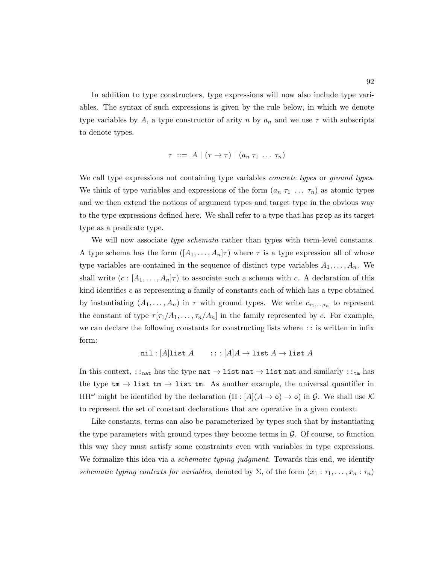In addition to type constructors, type expressions will now also include type variables. The syntax of such expressions is given by the rule below, in which we denote type variables by A, a type constructor of arity n by  $a_n$  and we use  $\tau$  with subscripts to denote types.

$$
\tau \ ::= \ A \mid (\tau \to \tau) \mid (a_n \ \tau_1 \ \ldots \ \tau_n)
$$

We call type expressions not containing type variables *concrete types* or *ground types*. We think of type variables and expressions of the form  $(a_n \tau_1 \ldots \tau_n)$  as atomic types and we then extend the notions of argument types and target type in the obvious way to the type expressions defined here. We shall refer to a type that has prop as its target type as a predicate type.

We will now associate *type schemata* rather than types with term-level constants. A type schema has the form  $([A_1, \ldots, A_n]\tau)$  where  $\tau$  is a type expression all of whose type variables are contained in the sequence of distinct type variables  $A_1, \ldots, A_n$ . We shall write  $(c : [A_1, \ldots, A_n]\tau)$  to associate such a schema with c. A declaration of this kind identifies  $c$  as representing a family of constants each of which has a type obtained by instantiating  $(A_1, \ldots, A_n)$  in  $\tau$  with ground types. We write  $c_{\tau_1,\ldots,\tau_n}$  to represent the constant of type  $\tau[\tau_1/A_1,\ldots,\tau_n/A_n]$  in the family represented by c. For example, we can declare the following constants for constructing lists where :: is written in infix form:

$$
\mathtt{nil} : [A]\mathtt{list}\ A \qquad \, :: \, : [A]A \to \mathtt{list}\ A \to \mathtt{list}\ A
$$

In this context,  $: :_{nat}$  has the type  $nat \rightarrow list$   $nat \rightarrow list$   $nat$  and similarly  $: :_{tm}$  has the type  $tm \rightarrow \text{list }tm \rightarrow \text{list }tm$ . As another example, the universal quantifier in HH<sup>ω</sup> might be identified by the declaration  $(\Pi : [A](A \rightarrow o) \rightarrow o)$  in G. We shall use K to represent the set of constant declarations that are operative in a given context.

Like constants, terms can also be parameterized by types such that by instantiating the type parameters with ground types they become terms in  $\mathcal G$ . Of course, to function this way they must satisfy some constraints even with variables in type expressions. We formalize this idea via a *schematic typing judgment*. Towards this end, we identify schematic typing contexts for variables, denoted by  $\Sigma$ , of the form  $(x_1 : \tau_1, \ldots, x_n : \tau_n)$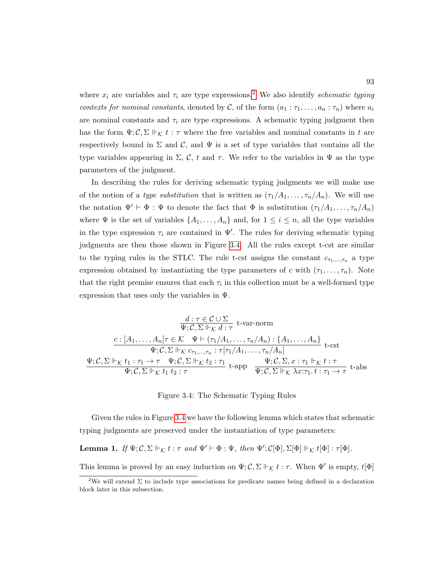where  $x_i$  are variables and  $\tau_i$  are type expressions.<sup>[2](#page-107-0)</sup> We also identify schematic typing contexts for nominal constants, denoted by C, of the form  $(a_1 : \tau_1, \ldots, a_n : \tau_n)$  where  $a_i$ are nominal constants and  $\tau_i$  are type expressions. A schematic typing judgment then has the form  $\Psi; \mathcal{C}, \Sigma \Vdash_{\mathcal{K}} t : \tau$  where the free variables and nominal constants in t are respectively bound in  $\Sigma$  and  $\mathcal{C}$ , and  $\Psi$  is a set of type variables that contains all the type variables appearing in  $\Sigma$ , C, t and  $\tau$ . We refer to the variables in  $\Psi$  as the type parameters of the judgment.

In describing the rules for deriving schematic typing judgments we will make use of the notion of a type substitution that is written as  $(\tau_1/A_1, \ldots, \tau_n/A_n)$ . We will use the notation  $\Psi' \vdash \Phi : \Psi$  to denote the fact that  $\Phi$  is substitution  $(\tau_1/A_1, \ldots, \tau_n/A_n)$ where  $\Psi$  is the set of variables  $\{A_1, \ldots, A_n\}$  and, for  $1 \leq i \leq n$ , all the type variables in the type expression  $\tau_i$  are contained in  $\Psi'$ . The rules for deriving schematic typing judgments are then those shown in Figure [3.4.](#page-107-1) All the rules except t-cst are similar to the typing rules in the STLC. The rule t-cst assigns the constant  $c_{\tau_1,\dots,\tau_n}$  a type expression obtained by instantiating the type parameters of c with  $(\tau_1, \ldots, \tau_n)$ . Note that the right premise ensures that each  $\tau_i$  in this collection must be a well-formed type expression that uses only the variables in  $\Psi$ .

<span id="page-107-1"></span>
$$
\frac{d:\tau \in \mathcal{C} \cup \Sigma}{\Psi; \mathcal{C}, \Sigma \Vdash_{\mathcal{K}} d:\tau} \text{ t-var-norm}
$$
\n
$$
\frac{c:[A_1, \ldots, A_n]\tau \in \mathcal{K} \quad \Psi \vdash (\tau_1/A_1, \ldots, \tau_n/A_n) : \{A_1, \ldots, A_n\}}{\Psi; \mathcal{C}, \Sigma \Vdash_{\mathcal{K}} \mathcal{C}_{\tau_1, \ldots, \tau_n} : \tau[\tau_1/A_1, \ldots, \tau_n/A_n]} \text{ t-cst}
$$
\n
$$
\frac{\Psi; \mathcal{C}, \Sigma \Vdash_{\mathcal{K}} t_1 : \tau_1 \to \tau \quad \Psi; \mathcal{C}, \Sigma \Vdash_{\mathcal{K}} t_2 : \tau_1}{\Psi; \mathcal{C}, \Sigma \Vdash_{\mathcal{K}} t_1 t_2 : \tau} \text{ t-app} \quad \frac{\Psi; \mathcal{C}, \Sigma, x : \tau_1 \Vdash_{\mathcal{K}} t : \tau}{\Psi; \mathcal{C}, \Sigma \Vdash_{\mathcal{K}} \lambda x : \tau_1. t : \tau_1 \to \tau} \text{ t-abs}
$$

Figure 3.4: The Schematic Typing Rules

Given the rules in Figure [3.4](#page-107-1) we have the following lemma which states that schematic typing judgments are preserved under the instantiation of type parameters:

**Lemma 1.** If  $\Psi; \mathcal{C}, \Sigma \Vdash_{\mathcal{K}} t : \tau$  and  $\Psi' \vdash \Phi : \Psi$ , then  $\Psi'; \mathcal{C}[\Phi], \Sigma[\Phi] \Vdash_{\mathcal{K}} t[\Phi] : \tau[\Phi]$ .

This lemma is proved by an easy induction on  $\Psi$ ;  $\mathcal{C}$ ,  $\Sigma \Vdash_{\mathcal{K}} t : \tau$ . When  $\Psi'$  is empty,  $t[\Phi]$ 

<span id="page-107-0"></span><sup>&</sup>lt;sup>2</sup>We will extend  $\Sigma$  to include type associations for predicate names being defined in a declaration block later in this subsection.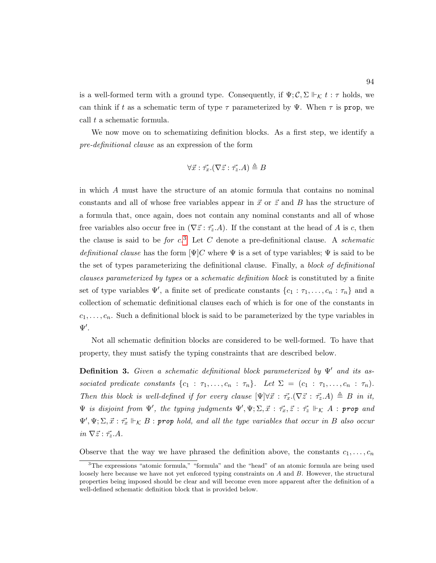is a well-formed term with a ground type. Consequently, if  $\Psi$ ;  $\mathcal{C}$ ,  $\Sigma \Vdash_{\mathcal{K}} t : \tau$  holds, we can think if t as a schematic term of type  $\tau$  parameterized by  $\Psi$ . When  $\tau$  is prop, we call t a schematic formula.

We now move on to schematizing definition blocks. As a first step, we identify a pre-definitional clause as an expression of the form

$$
\forall \vec{x} : \vec{\tau_x}. (\nabla \vec{z} : \vec{\tau_z}. A) \triangleq B
$$

in which A must have the structure of an atomic formula that contains no nominal constants and all of whose free variables appear in  $\vec{x}$  or  $\vec{z}$  and B has the structure of a formula that, once again, does not contain any nominal constants and all of whose free variables also occur free in  $(\nabla \vec{z} : \vec{\tau}_z.A)$ . If the constant at the head of A is c, then the clause is said to be *for*  $c^3$  $c^3$ . Let C denote a pre-definitional clause. A *schematic* definitional clause has the form  $[\Psi]C$  where  $\Psi$  is a set of type variables;  $\Psi$  is said to be the set of types parameterizing the definitional clause. Finally, a block of definitional clauses parameterized by types or a schematic definition block is constituted by a finite set of type variables  $\Psi'$ , a finite set of predicate constants  $\{c_1 : \tau_1, \ldots, c_n : \tau_n\}$  and a collection of schematic definitional clauses each of which is for one of the constants in  $c_1, \ldots, c_n$ . Such a definitional block is said to be parameterized by the type variables in  $\Psi'.$ 

Not all schematic definition blocks are considered to be well-formed. To have that property, they must satisfy the typing constraints that are described below.

**Definition 3.** Given a schematic definitional block parameterized by  $\Psi'$  and its associated predicate constants  $\{c_1 : \tau_1, \ldots, c_n : \tau_n\}$ . Let  $\Sigma = (c_1 : \tau_1, \ldots, c_n : \tau_n)$ . Then this block is well-defined if for every clause  $[\Psi]\forall \vec{x} : \vec{\tau_x}.(\nabla \vec{z} : \vec{\tau_z}.A) \triangleq B$  in it,  $\Psi$  is disjoint from  $\Psi'$ , the typing judgments  $\Psi', \Psi; \Sigma, \vec{x} : \vec{\tau_x}, \vec{z} : \vec{\tau_z} \Vdash_{\mathcal{K}} A$ : prop and  $\Psi', \Psi; \Sigma, \vec{x} : \vec{\tau_x} \Vdash_{\mathcal{K}} B$  : prop hold, and all the type variables that occur in B also occur  $in \nabla \vec{z} : \vec{\tau_z}.A.$ 

Observe that the way we have phrased the definition above, the constants  $c_1, \ldots, c_n$ 

<span id="page-108-0"></span><sup>&</sup>lt;sup>3</sup>The expressions "atomic formula," "formula" and the "head" of an atomic formula are being used loosely here because we have not yet enforced typing constraints on A and B. However, the structural properties being imposed should be clear and will become even more apparent after the definition of a well-defined schematic definition block that is provided below.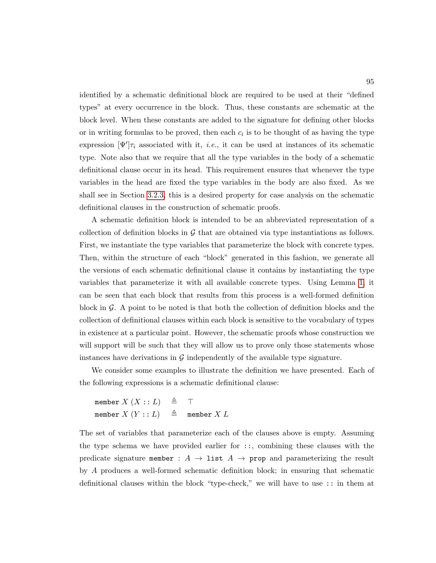identified by a schematic definitional block are required to be used at their "defined types" at every occurrence in the block. Thus, these constants are schematic at the block level. When these constants are added to the signature for defining other blocks or in writing formulas to be proved, then each  $c_i$  is to be thought of as having the type expression  $[\Psi']\tau_i$  associated with it, *i.e.*, it can be used at instances of its schematic type. Note also that we require that all the type variables in the body of a schematic definitional clause occur in its head. This requirement ensures that whenever the type variables in the head are fixed the type variables in the body are also fixed. As we shall see in Section [3.2.3,](#page-112-0) this is a desired property for case analysis on the schematic definitional clauses in the construction of schematic proofs.

A schematic definition block is intended to be an abbreviated representation of a collection of definition blocks in  $\mathcal G$  that are obtained via type instantiations as follows. First, we instantiate the type variables that parameterize the block with concrete types. Then, within the structure of each "block" generated in this fashion, we generate all the versions of each schematic definitional clause it contains by instantiating the type variables that parameterize it with all available concrete types. Using Lemma [1,](#page-107-0) it can be seen that each block that results from this process is a well-formed definition block in G. A point to be noted is that both the collection of definition blocks and the collection of definitional clauses within each block is sensitive to the vocabulary of types in existence at a particular point. However, the schematic proofs whose construction we will support will be such that they will allow us to prove only those statements whose instances have derivations in  $\mathcal G$  independently of the available type signature.

We consider some examples to illustrate the definition we have presented. Each of the following expressions is a schematic definitional clause:

member  $X(X:: L) \triangleq \top$ member  $X(Y:: L)$   $\triangleq$  member  $X$  L

The set of variables that parameterize each of the clauses above is empty. Assuming the type schema we have provided earlier for ::, combining these clauses with the predicate signature member :  $A \rightarrow$  list  $A \rightarrow$  prop and parameterizing the result by A produces a well-formed schematic definition block; in ensuring that schematic definitional clauses within the block "type-check," we will have to use :: in them at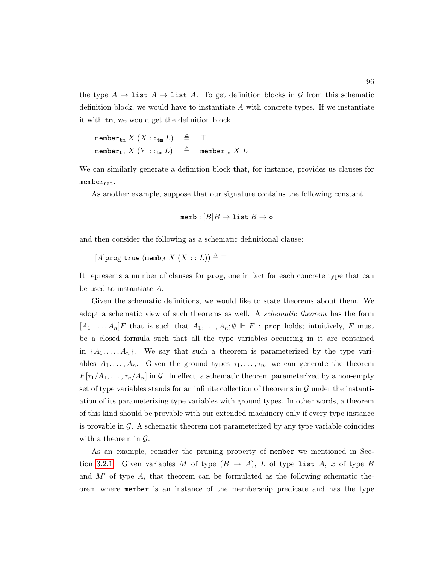the type  $A \to \text{list } A \to \text{list } A$ . To get definition blocks in G from this schematic definition block, we would have to instantiate  $A$  with concrete types. If we instantiate it with tm, we would get the definition block

```
member<sub>tm</sub> X (X ::<sub>tm</sub> L) \triangleq T
member<sub>tm</sub> X(Y : :_{t_m} L) \triangleq member<sub>tm</sub> X L
```
We can similarly generate a definition block that, for instance, provides us clauses for  $member_{nat}.$ 

As another example, suppose that our signature contains the following constant

```
memb : [B]B \rightarrow list B \rightarrow o
```
and then consider the following as a schematic definitional clause:

 $[A]$ prog true (memb<sub>A</sub>  $X$   $(X:: L)$ )  $\triangleq$  T

It represents a number of clauses for prog, one in fact for each concrete type that can be used to instantiate A.

Given the schematic definitions, we would like to state theorems about them. We adopt a schematic view of such theorems as well. A schematic theorem has the form  $[A_1, \ldots, A_n]F$  that is such that  $A_1, \ldots, A_n$ ;  $\emptyset \Vdash F$ : prop holds; intuitively, F must be a closed formula such that all the type variables occurring in it are contained in  $\{A_1, \ldots, A_n\}$ . We say that such a theorem is parameterized by the type variables  $A_1, \ldots, A_n$ . Given the ground types  $\tau_1, \ldots, \tau_n$ , we can generate the theorem  $F[\tau_1/A_1,\ldots,\tau_n/A_n]$  in G. In effect, a schematic theorem parameterized by a non-empty set of type variables stands for an infinite collection of theorems in  $\mathcal G$  under the instantiation of its parameterizing type variables with ground types. In other words, a theorem of this kind should be provable with our extended machinery only if every type instance is provable in  $\mathcal G$ . A schematic theorem not parameterized by any type variable coincides with a theorem in  $\mathcal{G}$ .

As an example, consider the pruning property of member we mentioned in Sec-tion [3.2.1.](#page-101-0) Given variables M of type  $(B \to A)$ , L of type list A, x of type B and  $M'$  of type A, that theorem can be formulated as the following schematic theorem where member is an instance of the membership predicate and has the type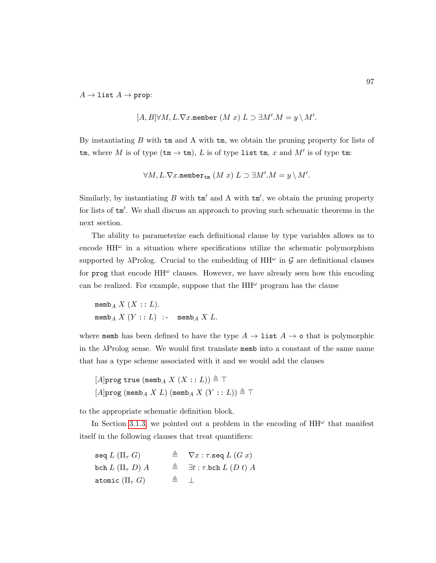$A \to \text{list } A \to \text{prop}:$ 

$$
[A, B]\forall M, L.\nabla x.\mathtt{member}\ (M\ x)\ L \supset \exists M'.M = y\setminus M'.
$$

By instantiating  $B$  with  $\tan \Delta$  with  $\tan \Delta$ , we obtain the pruning property for lists of tm, where M is of type  $(\text{tm} \to \text{tm})$ , L is of type list tm, x and M' is of type tm:

$$
\forall M,L.\nabla x.\mathtt{member}_\mathtt{tm}\ (M\ x)\ L \supset \exists M'.M = y \,\backslash\, M'.
$$

Similarly, by instantiating  $B$  with  $\tan'$  and A with  $\tan'$ , we obtain the pruning property for lists of  $tm'$ . We shall discuss an approach to proving such schematic theorems in the next section.

The ability to parameterize each definitional clause by type variables allows us to encode  $HH^{\omega}$  in a situation where specifications utilize the schematic polymorphism supported by  $\lambda$ Prolog. Crucial to the embedding of  $HH^{\omega}$  in  $\mathcal G$  are definitional clauses for prog that encode  $HH^{\omega}$  clauses. However, we have already seen how this encoding can be realized. For example, suppose that the  $HH^{\omega}$  program has the clause

memb<sub>A</sub>  $X$   $(X:: L)$ . memb<sub>A</sub>  $X(Y:: L)$  :- memb<sub>A</sub>  $X L$ .

where memb has been defined to have the type  $A \to \text{list } A \to \text{o}$  that is polymorphic in the  $\lambda$ Prolog sense. We would first translate memb into a constant of the same name that has a type scheme associated with it and we would add the clauses

 $[A]$ prog true (memb<sub>A</sub> X  $(X:: L)) \triangleq \top$  $[A]$ prog (memb<sub>A</sub> X L) (memb<sub>A</sub> X (Y :: L))  $\triangleq \top$ 

to the appropriate schematic definition block.

In Section [3.1.3,](#page-87-0) we pointed out a problem in the encoding of  $HH^{\omega}$  that manifest itself in the following clauses that treat quantifiers:

 $\operatorname{seq} L(\Pi_{\tau} G)$  ,  $\cong$   $\nabla x : \tau \operatorname{seq} L(G x)$ bch  $L(\Pi_\tau D) A \cong \exists t : \tau \text{.} b \text{.} L(Dt) A$ atomic  $(\Pi_{\tau} G)$  ,  $\triangleq \perp$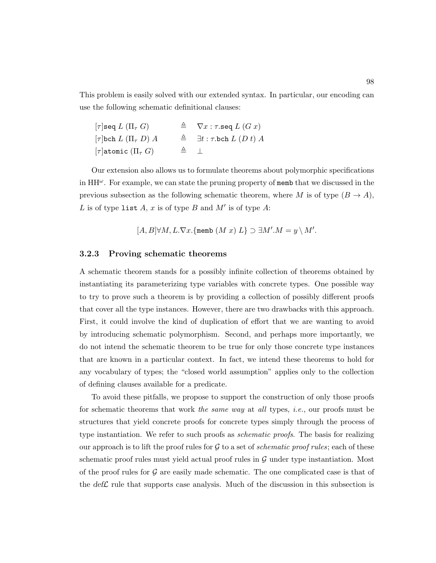This problem is easily solved with our extended syntax. In particular, our encoding can use the following schematic definitional clauses:

| $\lceil \tau \rceil$ seq $L$ $(\Pi_\tau \; G)$ |              | $\triangleq$ $\nabla x : \tau \text{.seq } L(Gx)$      |
|------------------------------------------------|--------------|--------------------------------------------------------|
| $[\tau]$ bch $L(\Pi_\tau D) A$                 |              | $\triangleq$ $\exists t : \tau \text{.}$ bch $L(Dt)$ A |
| $[\tau]$ atomic $(\Pi_{\tau} G)$               | $\triangleq$ |                                                        |

Our extension also allows us to formulate theorems about polymorphic specifications in  $HH^{\omega}$ . For example, we can state the pruning property of memb that we discussed in the previous subsection as the following schematic theorem, where M is of type  $(B \to A)$ , L is of type list A, x is of type B and  $M'$  is of type A:

 $[A, B] \forall M, L.\nabla x.$  {memb  $(M x) L$ }  $\supset \exists M'. M = y \setminus M'.$ 

#### <span id="page-112-0"></span>3.2.3 Proving schematic theorems

A schematic theorem stands for a possibly infinite collection of theorems obtained by instantiating its parameterizing type variables with concrete types. One possible way to try to prove such a theorem is by providing a collection of possibly different proofs that cover all the type instances. However, there are two drawbacks with this approach. First, it could involve the kind of duplication of effort that we are wanting to avoid by introducing schematic polymorphism. Second, and perhaps more importantly, we do not intend the schematic theorem to be true for only those concrete type instances that are known in a particular context. In fact, we intend these theorems to hold for any vocabulary of types; the "closed world assumption" applies only to the collection of defining clauses available for a predicate.

To avoid these pitfalls, we propose to support the construction of only those proofs for schematic theorems that work the same way at all types, *i.e.*, our proofs must be structures that yield concrete proofs for concrete types simply through the process of type instantiation. We refer to such proofs as *schematic proofs*. The basis for realizing our approach is to lift the proof rules for  $G$  to a set of *schematic proof rules*; each of these schematic proof rules must yield actual proof rules in  $\mathcal G$  under type instantiation. Most of the proof rules for  $\mathcal G$  are easily made schematic. The one complicated case is that of the  $\text{def}\mathcal{L}$  rule that supports case analysis. Much of the discussion in this subsection is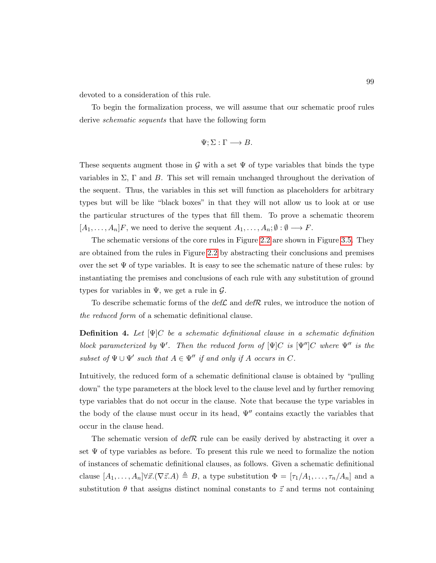devoted to a consideration of this rule.

To begin the formalization process, we will assume that our schematic proof rules derive *schematic sequents* that have the following form

$$
\Psi; \Sigma : \Gamma \longrightarrow B.
$$

These sequents augment those in G with a set  $\Psi$  of type variables that binds the type variables in  $\Sigma$ ,  $\Gamma$  and  $B$ . This set will remain unchanged throughout the derivation of the sequent. Thus, the variables in this set will function as placeholders for arbitrary types but will be like "black boxes" in that they will not allow us to look at or use the particular structures of the types that fill them. To prove a schematic theorem  $[A_1, \ldots, A_n]F$ , we need to derive the sequent  $A_1, \ldots, A_n; \emptyset : \emptyset \longrightarrow F$ .

The schematic versions of the core rules in Figure [2.2](#page-53-0) are shown in Figure [3.5.](#page-114-0) They are obtained from the rules in Figure [2.2](#page-53-0) by abstracting their conclusions and premises over the set  $\Psi$  of type variables. It is easy to see the schematic nature of these rules: by instantiating the premises and conclusions of each rule with any substitution of ground types for variables in  $\Psi$ , we get a rule in  $\mathcal{G}$ .

To describe schematic forms of the  $\text{def}\mathcal{L}$  and  $\text{def}\mathcal{R}$  rules, we introduce the notion of the reduced form of a schematic definitional clause.

**Definition 4.** Let  $[\Psi]C$  be a schematic definitional clause in a schematic definition block parameterized by  $\Psi'$ . Then the reduced form of  $[\Psi]C$  is  $[\Psi'']C$  where  $\Psi''$  is the subset of  $\Psi \cup \Psi'$  such that  $A \in \Psi''$  if and only if A occurs in C.

Intuitively, the reduced form of a schematic definitional clause is obtained by "pulling down" the type parameters at the block level to the clause level and by further removing type variables that do not occur in the clause. Note that because the type variables in the body of the clause must occur in its head,  $\Psi''$  contains exactly the variables that occur in the clause head.

The schematic version of defR rule can be easily derived by abstracting it over a set  $\Psi$  of type variables as before. To present this rule we need to formalize the notion of instances of schematic definitional clauses, as follows. Given a schematic definitional clause  $[A_1, \ldots, A_n] \forall \vec{x}.(\nabla \vec{z}.A) \triangleq B$ , a type substitution  $\Phi = [\tau_1/A_1, \ldots, \tau_n/A_n]$  and a substitution  $\theta$  that assigns distinct nominal constants to  $\vec{z}$  and terms not containing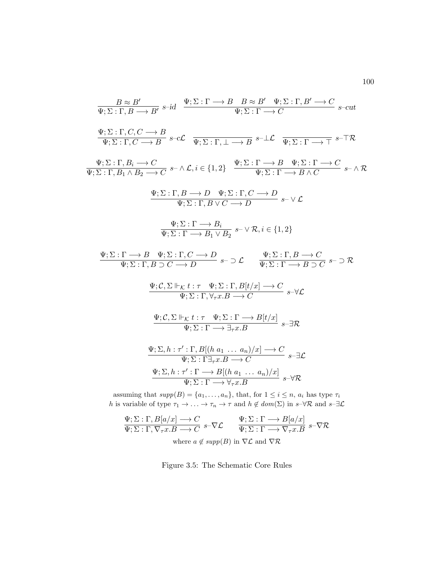<span id="page-114-0"></span>
$$
\frac{B \approx B'}{\Psi; \Sigma : \Gamma, B \longrightarrow B'} \text{ s-id } \frac{\Psi; \Sigma : \Gamma \longrightarrow B \quad B \approx B' \quad \Psi; \Sigma : \Gamma, B' \longrightarrow C}{\Psi; \Sigma : \Gamma \longrightarrow C} \text{ s-cut}
$$
\n
$$
\frac{\Psi; \Sigma : \Gamma, C, C \longrightarrow B}{\Psi; \Sigma : \Gamma, C \longrightarrow B} \text{ s-cC } \frac{\Psi; \Sigma : \Gamma, \bot \longrightarrow B \quad s-\bot \mathcal{L}}{\Psi; \Sigma : \Gamma \longrightarrow \Gamma} \text{ s-TR}
$$
\n
$$
\frac{\Psi; \Sigma : \Gamma, B_i \longrightarrow C}{\Psi; \Sigma : \Gamma, B_1 \land B_2 \longrightarrow C} \text{ s-} \land \mathcal{L}, i \in \{1, 2\} \quad \frac{\Psi; \Sigma : \Gamma \longrightarrow B \quad \Psi; \Sigma : \Gamma \longrightarrow C}{\Psi; \Sigma : \Gamma \longrightarrow B \land C} \text{ s-} \land \mathcal{R}
$$
\n
$$
\frac{\Psi; \Sigma : \Gamma, B \longrightarrow D \quad \Psi; \Sigma : \Gamma, C \longrightarrow D}{\Psi; \Sigma : \Gamma, B \lor C \longrightarrow D} \text{ s-} \lor \mathcal{L}
$$
\n
$$
\frac{\Psi; \Sigma : \Gamma \longrightarrow B_i \quad \Psi; \Sigma : \Gamma, C \longrightarrow D}{\Psi; \Sigma : \Gamma \longrightarrow B_1 \lor B_2} \text{ s-} \lor \mathcal{R}, i \in \{1, 2\}
$$
\n
$$
\frac{\Psi; \Sigma : \Gamma \longrightarrow B \quad \Psi; \Sigma : \Gamma, C \longrightarrow D}{\Psi; \Sigma : \Gamma, B \longrightarrow C} \text{ s-} \Sigma \text{ s-} \Sigma \text{ s-} \Sigma \text{ s-} \Sigma \text{ s-} \Sigma \text{ s-} \Sigma \text{ s-} \Sigma \text{ s-} \Sigma \text{ s-} \Sigma \text{ s-} \Sigma \text{ s-} \Sigma \text{ s-} \Sigma \text{ s-} \Sigma \text{ s-} \Sigma \text{ s-} \Sigma \text{ s-} \Sigma \text{ s-} \Sigma \text{ s-} \Sigma \text{ s-} \Sigma \text{ s-} \Sigma \text{ s-} \Sigma \text{ s-} \Sigma \text{ s-} \Sigma \text{ s-} \Sigma \text{ s-} \Sigma \text{ s-} \Sigma \text{ s-} \Sigma \text{ s-} \Sigma \text{ s-} \Sigma \text{ s-} \Sigma \text{ s-} \Sigma \text{
$$

assuming that  $supp(B) = \{a_1, \ldots, a_n\}$ , that, for  $1 \leq i \leq n$ ,  $a_i$  has type  $\tau_i$ h is variable of type  $\tau_1 \to \ldots \to \tau_n \to \tau$  and  $h \notin dom(\Sigma)$  in  $s \to \forall \mathcal{R}$  and  $s \to \bot$ 

$$
\Psi; \Sigma : \Gamma, B[a/x] \longrightarrow C \qquad \Psi; \Sigma : \Gamma \longrightarrow B[a/x] \qquad s-\nabla \mathcal{R}
$$
\n
$$
\Psi; \Sigma : \Gamma \longrightarrow \nabla_{\tau} x \to C \qquad \Psi; \Sigma : \Gamma \longrightarrow \nabla_{\tau} x \to S
$$
\n
$$
\Psi; \Sigma : \Gamma \longrightarrow \nabla_{\tau} x \to S
$$
\n
$$
\Psi; \Sigma : \Gamma \longrightarrow \nabla_{\tau} x \to S
$$
\n
$$
\Psi; \Sigma : \Gamma \longrightarrow \nabla_{\tau} x \to S
$$
\n
$$
\Psi; \Sigma : \Gamma \longrightarrow \nabla_{\tau} x \to S
$$

Figure 3.5: The Schematic Core Rules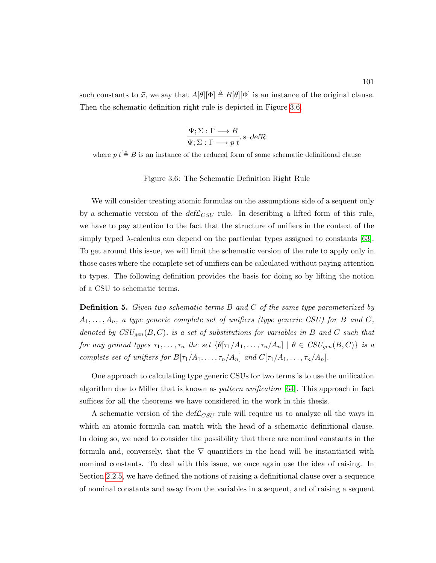<span id="page-115-0"></span>such constants to  $\vec{x}$ , we say that  $A[\theta][\Phi] \triangleq B[\theta][\Phi]$  is an instance of the original clause. Then the schematic definition right rule is depicted in Figure [3.6.](#page-115-0)

$$
\frac{\Psi; \Sigma : \Gamma \longrightarrow B}{\Psi; \Sigma : \Gamma \longrightarrow p \overrightarrow{t}^{\sim}} s \text{-def} \mathcal{R}
$$

where  $p \vec{t} \triangleq B$  is an instance of the reduced form of some schematic definitional clause

Figure 3.6: The Schematic Definition Right Rule

We will consider treating atomic formulas on the assumptions side of a sequent only by a schematic version of the  $def{\mathcal{L}}_{CSU}$  rule. In describing a lifted form of this rule, we have to pay attention to the fact that the structure of unifiers in the context of the simply typed  $\lambda$ -calculus can depend on the particular types assigned to constants [\[63\]](#page-254-0). To get around this issue, we will limit the schematic version of the rule to apply only in those cases where the complete set of unifiers can be calculated without paying attention to types. The following definition provides the basis for doing so by lifting the notion of a CSU to schematic terms.

**Definition 5.** Given two schematic terms B and C of the same type parameterized by  $A_1, \ldots, A_n$ , a type generic complete set of unifiers (type generic CSU) for B and C, denoted by  $CSU_{gen}(B, C)$ , is a set of substitutions for variables in B and C such that for any ground types  $\tau_1, \ldots, \tau_n$  the set  $\{\theta[\tau_1/A_1, \ldots, \tau_n/A_n] \mid \theta \in \text{CSU}_{gen}(B, C)\}\)$  is a complete set of unifiers for  $B[\tau_1/A_1, \ldots, \tau_n/A_n]$  and  $C[\tau_1/A_1, \ldots, \tau_n/A_n]$ .

One approach to calculating type generic CSUs for two terms is to use the unification algorithm due to Miller that is known as *pattern unification* [\[64\]](#page-254-1). This approach in fact suffices for all the theorems we have considered in the work in this thesis.

A schematic version of the  $def{\mathcal{L}}_{CSU}$  rule will require us to analyze all the ways in which an atomic formula can match with the head of a schematic definitional clause. In doing so, we need to consider the possibility that there are nominal constants in the formula and, conversely, that the  $\nabla$  quantifiers in the head will be instantiated with nominal constants. To deal with this issue, we once again use the idea of raising. In Section [2.2.5,](#page-60-0) we have defined the notions of raising a definitional clause over a sequence of nominal constants and away from the variables in a sequent, and of raising a sequent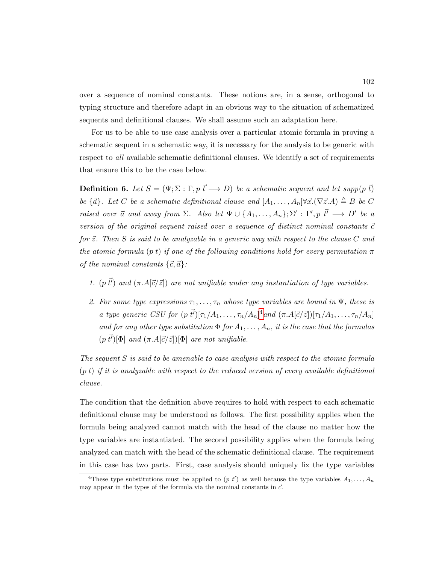over a sequence of nominal constants. These notions are, in a sense, orthogonal to typing structure and therefore adapt in an obvious way to the situation of schematized sequents and definitional clauses. We shall assume such an adaptation here.

For us to be able to use case analysis over a particular atomic formula in proving a schematic sequent in a schematic way, it is necessary for the analysis to be generic with respect to all available schematic definitional clauses. We identify a set of requirements that ensure this to be the case below.

<span id="page-116-1"></span>**Definition 6.** Let  $S = (\Psi; \Sigma : \Gamma, p \overrightarrow{t} \rightarrow D)$  be a schematic sequent and let supp(p  $\overrightarrow{t}$ ) be  $\{\vec{a}\}\text{.}$  Let C be a schematic definitional clause and  $[A_1, \ldots, A_n] \forall \vec{x}. (\nabla \vec{z}.A) \triangleq B$  be C raised over  $\vec{a}$  and away from  $\Sigma$ . Also let  $\Psi \cup \{A_1,\ldots,A_n\};\Sigma' : \Gamma', p \, \vec{t'} \longrightarrow D'$  be a version of the original sequent raised over a sequence of distinct nominal constants  $\vec{c}$ for  $\vec{z}$ . Then S is said to be analyzable in a generic way with respect to the clause C and the atomic formula (p t) if one of the following conditions hold for every permutation  $\pi$ of the nominal constants  $\{\vec{c}, \vec{a}\}$ :

- 1. (p  $\vec{t'}$ ) and  $(\pi.A[\vec{c}/\vec{z}])$  are not unifiable under any instantiation of type variables.
- 2. For some type expressions  $\tau_1, \ldots, \tau_n$  whose type variables are bound in  $\Psi$ , these is a type generic CSU for  $(p \vec{t})[\tau_1/A_1,\ldots,\tau_n/A_n]^4$  $(p \vec{t})[\tau_1/A_1,\ldots,\tau_n/A_n]^4$  and  $(\pi.A[\vec{c}/\vec{z}])[\tau_1/A_1,\ldots,\tau_n/A_n]$ and for any other type substitution  $\Phi$  for  $A_1, \ldots, A_n$ , it is the case that the formulas  $(p \, \vec{t'})[\Phi]$  and  $(\pi.A[\vec{c}/\vec{z}])[\Phi]$  are not unifiable.

The sequent  $S$  is said to be amenable to case analysis with respect to the atomic formula  $(p t)$  if it is analyzable with respect to the reduced version of every available definitional clause.

The condition that the definition above requires to hold with respect to each schematic definitional clause may be understood as follows. The first possibility applies when the formula being analyzed cannot match with the head of the clause no matter how the type variables are instantiated. The second possibility applies when the formula being analyzed can match with the head of the schematic definitional clause. The requirement in this case has two parts. First, case analysis should uniquely fix the type variables

<span id="page-116-0"></span><sup>&</sup>lt;sup>4</sup>These type substitutions must be applied to  $(p t')$  as well because the type variables  $A_1, \ldots, A_n$ may appear in the types of the formula via the nominal constants in  $\vec{c}$ .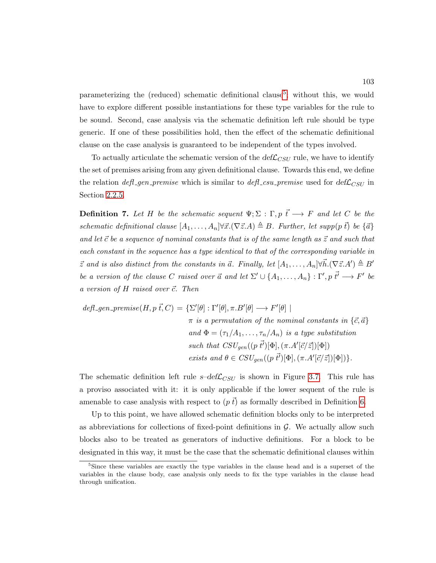parameterizing the (reduced) schematic definitional clause<sup>[5](#page-117-0)</sup>; without this, we would have to explore different possible instantiations for these type variables for the rule to be sound. Second, case analysis via the schematic definition left rule should be type generic. If one of these possibilities hold, then the effect of the schematic definitional clause on the case analysis is guaranteed to be independent of the types involved.

To actually articulate the schematic version of the  $def_{CSU}$  rule, we have to identify the set of premises arising from any given definitional clause. Towards this end, we define the relation  $\text{defL}$  gen premise which is similar to  $\text{defL}$  csu premise used for  $\text{defL}_{CSU}$  in Section [2.2.5.](#page-60-0)

**Definition 7.** Let H be the schematic sequent  $\Psi$ ;  $\Sigma$  :  $\Gamma$ ,  $p \overrightarrow{t} \longrightarrow F$  and let C be the schematic definitional clause  $[A_1, \ldots, A_n] \forall \vec{x}. (\nabla \vec{z}.A) \triangleq B$ . Further, let supp(p  $\vec{t}$ ) be  $\{\vec{a}\}$ and let  $\vec{c}$  be a sequence of nominal constants that is of the same length as  $\vec{z}$  and such that each constant in the sequence has a type identical to that of the corresponding variable in  $\vec{z}$  and is also distinct from the constants in  $\vec{a}$ . Finally, let  $[A_1, \ldots, A_n] \forall \vec{h} . (\nabla \vec{z} . A') \triangleq B'$ be a version of the clause C raised over  $\vec{a}$  and let  $\Sigma' \cup \{A_1, \ldots, A_n\} : \Gamma', p \, \vec{t'} \longrightarrow F'$  be a version of  $H$  raised over  $\vec{c}$ . Then

$$
defl\_\text{gen\_premise}(H, p\ \vec{t}, C) = \{\Sigma'[\theta] : \Gamma'[\theta], \pi.B'[\theta] \longrightarrow F'[\theta] \mid
$$
\n
$$
\pi \text{ is a permutation of the nominal constants in } \{\vec{c}, \vec{a}\}
$$
\n
$$
and \ \Phi = (\tau_1/A_1, \dots, \tau_n/A_n) \text{ is a type substitution}
$$
\n
$$
such that \ CSU_{gen}((p\ \vec{t'})[\Phi], (\pi.A'[\vec{c}/\vec{z}])[\Phi])
$$
\n
$$
exists \ and \ \theta \in CSU_{gen}((p\ \vec{t'})[\Phi], (\pi.A'[\vec{c}/\vec{z}])[\Phi])\}.
$$

The schematic definition left rule  $s$ -def $\mathcal{L}_{CSU}$  is shown in Figure [3.7.](#page-118-0) This rule has a proviso associated with it: it is only applicable if the lower sequent of the rule is amenable to case analysis with respect to  $(p \bar{t})$  as formally described in Definition [6.](#page-116-1)

Up to this point, we have allowed schematic definition blocks only to be interpreted as abbreviations for collections of fixed-point definitions in  $\mathcal{G}$ . We actually allow such blocks also to be treated as generators of inductive definitions. For a block to be designated in this way, it must be the case that the schematic definitional clauses within

<span id="page-117-0"></span><sup>&</sup>lt;sup>5</sup>Since these variables are exactly the type variables in the clause head and is a superset of the variables in the clause body, case analysis only needs to fix the type variables in the clause head through unification.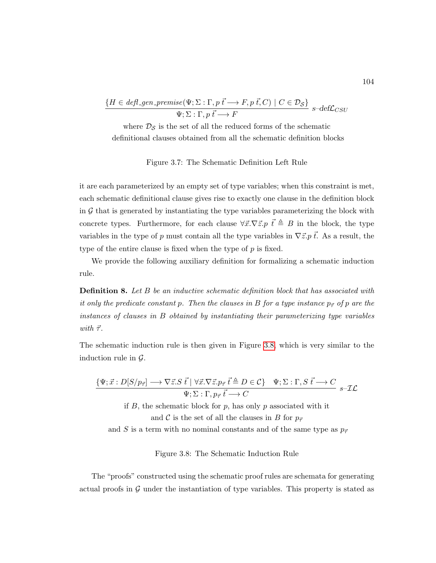<span id="page-118-0"></span>
$$
\frac{\{H \in \text{defl\_gen\_premise}(\Psi; \Sigma : \Gamma, p \overrightarrow{t} \longrightarrow F, p \overrightarrow{t}, C) \mid C \in \mathcal{D}_{\mathcal{S}}\}}{\Psi; \Sigma : \Gamma, p \overrightarrow{t} \longrightarrow F} \text{ s-def}\mathcal{L}_{CSU}
$$

where  $\mathcal{D}_{\mathcal{S}}$  is the set of all the reduced forms of the schematic definitional clauses obtained from all the schematic definition blocks

Figure 3.7: The Schematic Definition Left Rule

it are each parameterized by an empty set of type variables; when this constraint is met, each schematic definitional clause gives rise to exactly one clause in the definition block in  $\mathcal G$  that is generated by instantiating the type variables parameterizing the block with concrete types. Furthermore, for each clause  $\forall \vec{x}.\nabla \vec{z}.p \vec{t} \triangleq B$  in the block, the type variables in the type of p must contain all the type variables in  $\nabla \vec{z} \cdot p \vec{t}$ . As a result, the type of the entire clause is fixed when the type of  $p$  is fixed.

We provide the following auxiliary definition for formalizing a schematic induction rule.

**Definition 8.** Let B be an inductive schematic definition block that has associated with it only the predicate constant p. Then the clauses in B for a type instance  $p_{\tau}$  of p are the instances of clauses in B obtained by instantiating their parameterizing type variables with  $\vec{\tau}$ .

<span id="page-118-1"></span>The schematic induction rule is then given in Figure [3.8,](#page-118-1) which is very similar to the induction rule in  $\mathcal{G}$ .

$$
\frac{\{\Psi; \vec{x} : D[S/p_{\vec{\tau}}] \longrightarrow \nabla \vec{z}. S \ \vec{t} \mid \forall \vec{x}. \nabla \vec{z}. p_{\vec{\tau}} \ \vec{t} \triangleq D \in \mathcal{C}\}}{\Psi; \Sigma : \Gamma, p_{\vec{\tau}} \ \vec{t} \longrightarrow C} \quad \Psi \in \mathcal{L}.
$$

if  $B$ , the schematic block for  $p$ , has only  $p$  associated with it

and C is the set of all the clauses in B for  $p_{\vec{\tau}}$ 

and S is a term with no nominal constants and of the same type as  $p_{\vec{\tau}}$ 

Figure 3.8: The Schematic Induction Rule

The "proofs" constructed using the schematic proof rules are schemata for generating actual proofs in  $G$  under the instantiation of type variables. This property is stated as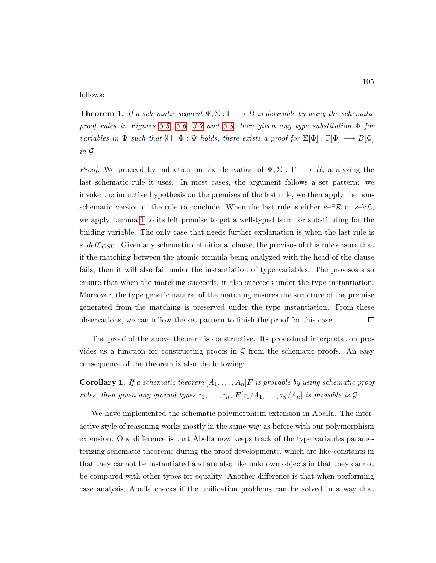follows:

**Theorem 1.** If a schematic sequent  $\Psi$ ;  $\Sigma$  :  $\Gamma \longrightarrow B$  is derivable by using the schematic proof rules in Figures [3.5,](#page-114-0) [3.6,](#page-115-0) [3.7](#page-118-0) and [3.8,](#page-118-1) then given any type substitution  $\Phi$  for variables in  $\Psi$  such that  $\emptyset \vdash \Phi : \Psi$  holds, there exists a proof for  $\Sigma[\Phi] : \Gamma[\Phi] \longrightarrow B[\Phi]$ in G.

*Proof.* We proceed by induction on the derivation of  $\Psi$ ;  $\Sigma : \Gamma \longrightarrow B$ , analyzing the last schematic rule it uses. In most cases, the argument follows a set pattern: we invoke the inductive hypothesis on the premises of the last rule, we then apply the nonschematic version of the rule to conclude. When the last rule is either  $s-\exists \mathcal{R}$  or  $s-\forall \mathcal{L}$ , we apply Lemma [1](#page-107-0) to its left premise to get a well-typed term for substituting for the binding variable. The only case that needs further explanation is when the last rule is  $s$ -def $\mathcal{L}_{CSU}$ . Given any schematic definitional clause, the provisos of this rule ensure that if the matching between the atomic formula being analyzed with the head of the clause fails, then it will also fail under the instantiation of type variables. The provisos also ensure that when the matching succeeds, it also succeeds under the type instantiation. Moreover, the type generic natural of the matching ensures the structure of the premise generated from the matching is preserved under the type instantiation. From these observations, we can follow the set pattern to finish the proof for this case.  $\Box$ 

The proof of the above theorem is constructive. Its procedural interpretation provides us a function for constructing proofs in  $\mathcal G$  from the schematic proofs. An easy consequence of the theorem is also the following:

**Corollary 1.** If a schematic theorem  $[A_1, \ldots, A_n]F$  is provable by using schematic proof rules, then given any ground types  $\tau_1, \ldots, \tau_n$ ,  $F[\tau_1/A_1, \ldots, \tau_n/A_n]$  is provable is  $\mathcal G$ .

We have implemented the schematic polymorphism extension in Abella. The interactive style of reasoning works mostly in the same way as before with our polymorphism extension. One difference is that Abella now keeps track of the type variables parameterizing schematic theorems during the proof developments, which are like constants in that they cannot be instantiated and are also like unknown objects in that they cannot be compared with other types for equality. Another difference is that when performing case analysis, Abella checks if the unification problems can be solved in a way that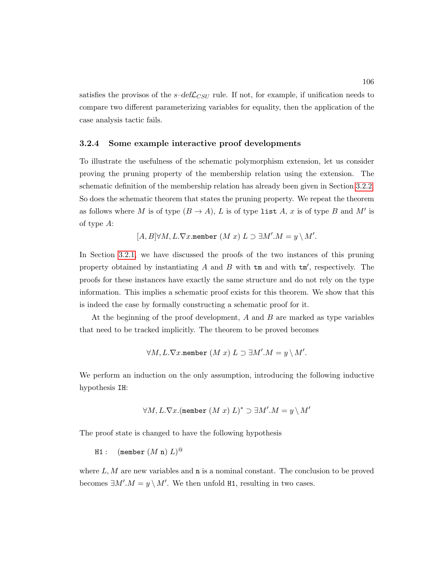satisfies the provisos of the  $s$ -def $\mathcal{L}_{CSU}$  rule. If not, for example, if unification needs to compare two different parameterizing variables for equality, then the application of the case analysis tactic fails.

#### <span id="page-120-0"></span>3.2.4 Some example interactive proof developments

To illustrate the usefulness of the schematic polymorphism extension, let us consider proving the pruning property of the membership relation using the extension. The schematic definition of the membership relation has already been given in Section [3.2.2.](#page-105-0) So does the schematic theorem that states the pruning property. We repeat the theorem as follows where M is of type  $(B \to A)$ , L is of type list A, x is of type B and M' is of type A:

 $[A, B] \forall M, L.\nabla x$ .member  $(M x) L \supset \exists M'.M = y \setminus M'.$ 

In Section [3.2.1,](#page-101-0) we have discussed the proofs of the two instances of this pruning property obtained by instantiating  $A$  and  $B$  with  $\tan \theta$  with  $\tan'$ , respectively. The proofs for these instances have exactly the same structure and do not rely on the type information. This implies a schematic proof exists for this theorem. We show that this is indeed the case by formally constructing a schematic proof for it.

At the beginning of the proof development, A and B are marked as type variables that need to be tracked implicitly. The theorem to be proved becomes

$$
\forall M, L. \nabla x.\mathtt{member}\ (M\ x)\ L \supset \exists M'.M = y \setminus M'.
$$

We perform an induction on the only assumption, introducing the following inductive hypothesis IH:

$$
\forall M,L.\nabla x. (\texttt{member } (M\ x)\ L)^* \supset \exists M'.M = y\setminus M'
$$

The proof state is changed to have the following hypothesis

 $\mathtt{H1}:\quad (\mathtt{member}\ (M\ \mathtt{n})\ L)^\text{\textcircled{a}}$ 

where  $L, M$  are new variables and  $\bf{n}$  is a nominal constant. The conclusion to be proved becomes  $\exists M'.M = y \setminus M'.$  We then unfold H1, resulting in two cases.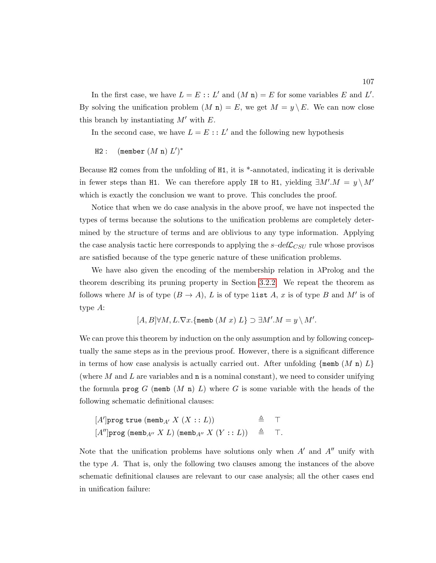In the first case, we have  $L = E :: L'$  and  $(M n) = E$  for some variables E and L'. By solving the unification problem  $(M n) = E$ , we get  $M = y \setminus E$ . We can now close this branch by instantiating  $M'$  with  $E$ .

In the second case, we have  $L = E : L'$  and the following new hypothesis

 $H2:$  (member  $(M n) L'$ )\*

Because H2 comes from the unfolding of H1, it is \*-annotated, indicating it is derivable in fewer steps than H1. We can therefore apply IH to H1, yielding  $\exists M'.M = y \setminus M'$ which is exactly the conclusion we want to prove. This concludes the proof.

Notice that when we do case analysis in the above proof, we have not inspected the types of terms because the solutions to the unification problems are completely determined by the structure of terms and are oblivious to any type information. Applying the case analysis tactic here corresponds to applying the  $s$ -def $\mathcal{L}_{CSU}$  rule whose provisos are satisfied because of the type generic nature of these unification problems.

We have also given the encoding of the membership relation in  $\lambda$ Prolog and the theorem describing its pruning property in Section [3.2.2.](#page-105-0) We repeat the theorem as follows where M is of type  $(B \to A)$ , L is of type list A, x is of type B and M' is of type A:

$$
[A, B] \forall M, L.\nabla x. \{\text{memb } (M x) L\} \supset \exists M'.M = y \setminus M'.
$$

We can prove this theorem by induction on the only assumption and by following conceptually the same steps as in the previous proof. However, there is a significant difference in terms of how case analysis is actually carried out. After unfolding  $\{\text{memb} (M n) L\}$ (where  $M$  and  $L$  are variables and  $\bf{n}$  is a nominal constant), we need to consider unifying the formula prog  $G$  (memb  $(M n) L$ ) where  $G$  is some variable with the heads of the following schematic definitional clauses:

$$
[A']\text{prog true } (\text{memb}_{A'} X (X :: L)) \triangleq \top
$$
  

$$
[A'']\text{prog } (\text{memb}_{A''} X L) (\text{memb}_{A''} X (Y :: L)) \triangleq \top.
$$

Note that the unification problems have solutions only when  $A'$  and  $A''$  unify with the type A. That is, only the following two clauses among the instances of the above schematic definitional clauses are relevant to our case analysis; all the other cases end in unification failure: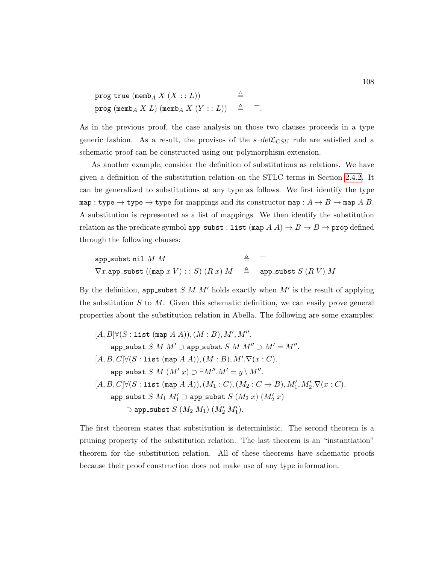| prog true (memb <sub>A</sub> $X$ $(X::L)$ )                                   |  | $\triangleq$ T |
|-------------------------------------------------------------------------------|--|----------------|
| prog (memb <sub>A</sub> X L) (memb <sub>A</sub> X $(Y:: L)$ ) $\triangleq$ T. |  |                |

As in the previous proof, the case analysis on those two clauses proceeds in a type generic fashion. As a result, the provisos of the  $s$ -def $\mathcal{L}_{CSU}$  rule are satisfied and a schematic proof can be constructed using our polymorphism extension.

As another example, consider the definition of substitutions as relations. We have given a definition of the substitution relation on the STLC terms in Section [2.4.2.](#page-75-0) It can be generalized to substitutions at any type as follows. We first identify the type map : type  $\rightarrow$  type  $\rightarrow$  type for mappings and its constructor map :  $A \rightarrow B \rightarrow$  map A B. A substitution is represented as a list of mappings. We then identify the substitution relation as the predicate symbol  ${\tt app\_subst} : {\tt list}\;({\tt map}\;A\;A) \to B \to B \to {\tt prop}\;{\tt defined}$ through the following clauses:

$$
\begin{array}{lll} \texttt{app\_subst} \; \texttt{nil} \; M \; M & \hat{\triangleq} \; \; \; \top \\ \texttt{V} \texttt{x}.\texttt{app\_subst} \; ((\texttt{map} \; x \; V) \, : \colon S) \; (R \; x) \; M & \hat{\triangleq} \; \; \texttt{app\_subst} \; S \; (R \; V) \; M \end{array}
$$

By the definition, app\_subst  $S$  M  $M'$  holds exactly when  $M'$  is the result of applying the substitution  $S$  to  $M$ . Given this schematic definition, we can easily prove general properties about the substitution relation in Abella. The following are some examples:

$$
[A, B] \forall (S: \text{list (map } A A)), (M: B), M', M''.
$$
\n
$$
\text{app\_subst } S \text{ } M \text{ } M' \supset \text{app\_subst } S \text{ } M \text{ } M'' \supset M' = M''.
$$
\n
$$
[A, B, C] \forall (S: \text{list (map } A A)), (M: B), M'. \nabla(x: C).
$$
\n
$$
\text{app\_subst } S \text{ } M \text{ } (M' \text{ } x) \supset \exists M''. M' = y \setminus M''.
$$
\n
$$
[A, B, C] \forall (S: \text{list (map } A A)), (M_1: C), (M_2: C \rightarrow B), M'_1, M'_2. \nabla(x: C).
$$
\n
$$
\text{app\_subst } S \text{ } M_1 \text{ } M'_1 \supset \text{app\_subst } S \text{ } (M_2 \text{ } x) \text{ } (M'_2 \text{ } x)
$$
\n
$$
\sup \text{sup\_subst } S \text{ } (M_2 \text{ } M_1) \text{ } (M'_2 \text{ } M'_1).
$$

The first theorem states that substitution is deterministic. The second theorem is a pruning property of the substitution relation. The last theorem is an "instantiation" theorem for the substitution relation. All of these theorems have schematic proofs because their proof construction does not make use of any type information.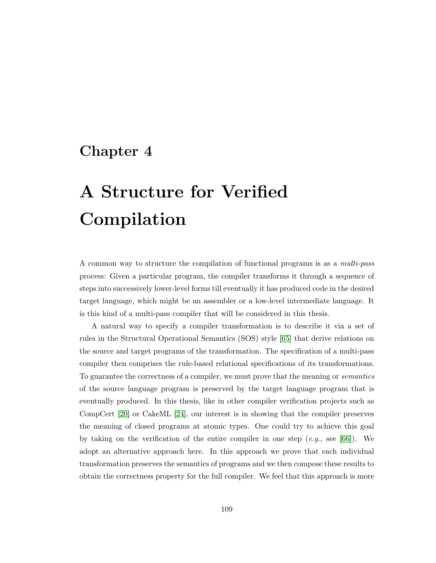# Chapter 4

# A Structure for Verified Compilation

A common way to structure the compilation of functional programs is as a multi-pass process: Given a particular program, the compiler transforms it through a sequence of steps into successively lower-level forms till eventually it has produced code in the desired target language, which might be an assembler or a low-level intermediate language. It is this kind of a multi-pass compiler that will be considered in this thesis.

A natural way to specify a compiler transformation is to describe it via a set of rules in the Structural Operational Semantics (SOS) style [\[65\]](#page-254-2) that derive relations on the source and target programs of the transformation. The specification of a multi-pass compiler then comprises the rule-based relational specifications of its transformations. To guarantee the correctness of a compiler, we must prove that the meaning or semantics of the source language program is preserved by the target language program that is eventually produced. In this thesis, like in other compiler verification projects such as CompCert [\[20\]](#page-250-0) or CakeML [\[24\]](#page-250-1), our interest is in showing that the compiler preserves the meaning of closed programs at atomic types. One could try to achieve this goal by taking on the verification of the entire compiler in one step  $(e,q, \text{see } [66])$  $(e,q, \text{see } [66])$  $(e,q, \text{see } [66])$ . We adopt an alternative approach here. In this approach we prove that each individual transformation preserves the semantics of programs and we then compose these results to obtain the correctness property for the full compiler. We feel that this approach is more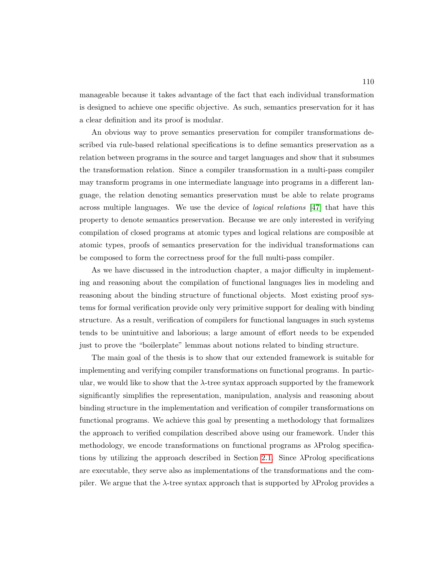manageable because it takes advantage of the fact that each individual transformation is designed to achieve one specific objective. As such, semantics preservation for it has a clear definition and its proof is modular.

An obvious way to prove semantics preservation for compiler transformations described via rule-based relational specifications is to define semantics preservation as a relation between programs in the source and target languages and show that it subsumes the transformation relation. Since a compiler transformation in a multi-pass compiler may transform programs in one intermediate language into programs in a different language, the relation denoting semantics preservation must be able to relate programs across multiple languages. We use the device of *logical relations* [\[47\]](#page-253-0) that have this property to denote semantics preservation. Because we are only interested in verifying compilation of closed programs at atomic types and logical relations are composible at atomic types, proofs of semantics preservation for the individual transformations can be composed to form the correctness proof for the full multi-pass compiler.

As we have discussed in the introduction chapter, a major difficulty in implementing and reasoning about the compilation of functional languages lies in modeling and reasoning about the binding structure of functional objects. Most existing proof systems for formal verification provide only very primitive support for dealing with binding structure. As a result, verification of compilers for functional languages in such systems tends to be unintuitive and laborious; a large amount of effort needs to be expended just to prove the "boilerplate" lemmas about notions related to binding structure.

The main goal of the thesis is to show that our extended framework is suitable for implementing and verifying compiler transformations on functional programs. In particular, we would like to show that the  $\lambda$ -tree syntax approach supported by the framework significantly simplifies the representation, manipulation, analysis and reasoning about binding structure in the implementation and verification of compiler transformations on functional programs. We achieve this goal by presenting a methodology that formalizes the approach to verified compilation described above using our framework. Under this methodology, we encode transformations on functional programs as λProlog specifications by utilizing the approach described in Section [2.1.](#page-33-0) Since λProlog specifications are executable, they serve also as implementations of the transformations and the compiler. We argue that the  $\lambda$ -tree syntax approach that is supported by  $\lambda$ Prolog provides a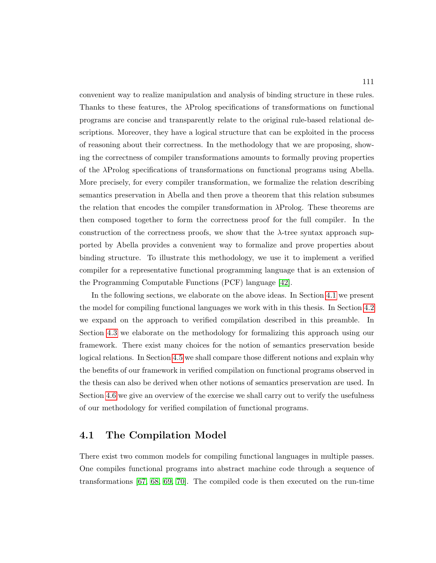convenient way to realize manipulation and analysis of binding structure in these rules. Thanks to these features, the  $\lambda$ Prolog specifications of transformations on functional programs are concise and transparently relate to the original rule-based relational descriptions. Moreover, they have a logical structure that can be exploited in the process of reasoning about their correctness. In the methodology that we are proposing, showing the correctness of compiler transformations amounts to formally proving properties of the λProlog specifications of transformations on functional programs using Abella. More precisely, for every compiler transformation, we formalize the relation describing semantics preservation in Abella and then prove a theorem that this relation subsumes the relation that encodes the compiler transformation in  $\lambda$ Prolog. These theorems are then composed together to form the correctness proof for the full compiler. In the construction of the correctness proofs, we show that the  $\lambda$ -tree syntax approach supported by Abella provides a convenient way to formalize and prove properties about binding structure. To illustrate this methodology, we use it to implement a verified compiler for a representative functional programming language that is an extension of the Programming Computable Functions (PCF) language [\[42\]](#page-252-0).

In the following sections, we elaborate on the above ideas. In Section [4.1](#page-125-0) we present the model for compiling functional languages we work with in this thesis. In Section [4.2](#page-126-0) we expand on the approach to verified compilation described in this preamble. In Section [4.3](#page-133-0) we elaborate on the methodology for formalizing this approach using our framework. There exist many choices for the notion of semantics preservation beside logical relations. In Section [4.5](#page-139-0) we shall compare those different notions and explain why the benefits of our framework in verified compilation on functional programs observed in the thesis can also be derived when other notions of semantics preservation are used. In Section [4.6](#page-143-0) we give an overview of the exercise we shall carry out to verify the usefulness of our methodology for verified compilation of functional programs.

#### <span id="page-125-0"></span>4.1 The Compilation Model

There exist two common models for compiling functional languages in multiple passes. One compiles functional programs into abstract machine code through a sequence of transformations [\[67,](#page-255-1) [68,](#page-255-2) [69,](#page-255-3) [70\]](#page-255-4). The compiled code is then executed on the run-time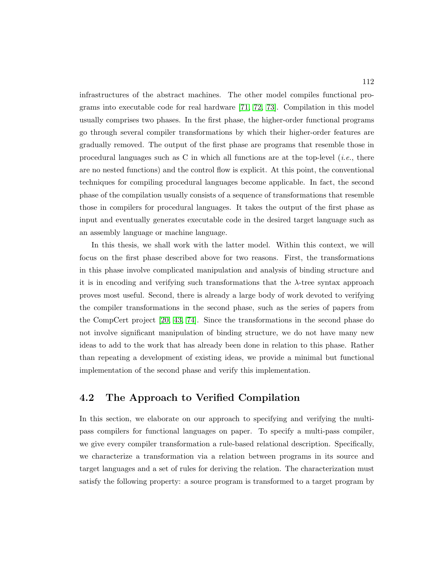infrastructures of the abstract machines. The other model compiles functional programs into executable code for real hardware [\[71,](#page-255-5) [72,](#page-255-6) [73\]](#page-255-7). Compilation in this model usually comprises two phases. In the first phase, the higher-order functional programs go through several compiler transformations by which their higher-order features are gradually removed. The output of the first phase are programs that resemble those in procedural languages such as C in which all functions are at the top-level (*i.e.*, there are no nested functions) and the control flow is explicit. At this point, the conventional techniques for compiling procedural languages become applicable. In fact, the second phase of the compilation usually consists of a sequence of transformations that resemble those in compilers for procedural languages. It takes the output of the first phase as input and eventually generates executable code in the desired target language such as an assembly language or machine language.

In this thesis, we shall work with the latter model. Within this context, we will focus on the first phase described above for two reasons. First, the transformations in this phase involve complicated manipulation and analysis of binding structure and it is in encoding and verifying such transformations that the  $\lambda$ -tree syntax approach proves most useful. Second, there is already a large body of work devoted to verifying the compiler transformations in the second phase, such as the series of papers from the CompCert project [\[20,](#page-250-0) [43,](#page-252-1) [74\]](#page-255-8). Since the transformations in the second phase do not involve significant manipulation of binding structure, we do not have many new ideas to add to the work that has already been done in relation to this phase. Rather than repeating a development of existing ideas, we provide a minimal but functional implementation of the second phase and verify this implementation.

## <span id="page-126-0"></span>4.2 The Approach to Verified Compilation

In this section, we elaborate on our approach to specifying and verifying the multipass compilers for functional languages on paper. To specify a multi-pass compiler, we give every compiler transformation a rule-based relational description. Specifically, we characterize a transformation via a relation between programs in its source and target languages and a set of rules for deriving the relation. The characterization must satisfy the following property: a source program is transformed to a target program by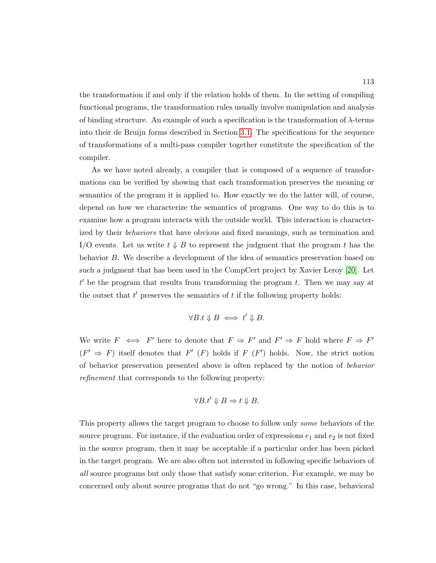the transformation if and only if the relation holds of them. In the setting of compiling functional programs, the transformation rules usually involve manipulation and analysis of binding structure. An example of such a specification is the transformation of  $\lambda$ -terms into their de Bruijn forms described in Section [3.1.](#page-80-0) The specifications for the sequence of transformations of a multi-pass compiler together constitute the specification of the compiler.

As we have noted already, a compiler that is composed of a sequence of transformations can be verified by showing that each transformation preserves the meaning or semantics of the program it is applied to. How exactly we do the latter will, of course, depend on how we characterize the semantics of programs. One way to do this is to examine how a program interacts with the outside world. This interaction is characterized by their *behaviors* that have obvious and fixed meanings, such as termination and I/O events. Let us write  $t \downarrow B$  to represent the judgment that the program t has the behavior B. We describe a development of the idea of semantics preservation based on such a judgment that has been used in the CompCert project by Xavier Leroy [\[20\]](#page-250-0). Let  $t'$  be the program that results from transforming the program  $t$ . Then we may say at the outset that  $t'$  preserves the semantics of  $t$  if the following property holds:

$$
\forall B.t \Downarrow B \iff t' \Downarrow B.
$$

We write  $F \iff F'$  here to denote that  $F \Rightarrow F'$  and  $F' \Rightarrow F$  hold where  $F \Rightarrow F'$  $(F' \Rightarrow F)$  itself denotes that  $F'(F)$  holds if  $F(F')$  holds. Now, the strict notion of behavior preservation presented above is often replaced by the notion of behavior refinement that corresponds to the following property:

$$
\forall B.t' \Downarrow B \Rightarrow t \Downarrow B.
$$

This property allows the target program to choose to follow only some behaviors of the source program. For instance, if the evaluation order of expressions  $e_1$  and  $e_2$  is not fixed in the source program, then it may be acceptable if a particular order has been picked in the target program. We are also often not interested in following specific behaviors of all source programs but only those that satisfy some criterion. For example, we may be concerned only about source programs that do not "go wrong." In this case, behavioral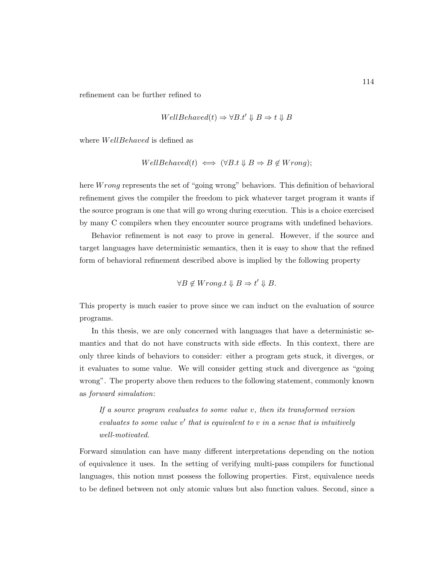refinement can be further refined to

$$
WellBehaved(t) \Rightarrow \forall B.t' \Downarrow B \Rightarrow t \Downarrow B
$$

where *WellBehaved* is defined as

$$
WellBehaved(t) \iff (\forall B.t \Downarrow B \Rightarrow B \notin Wrong);
$$

here *Wrong* represents the set of "going wrong" behaviors. This definition of behavioral refinement gives the compiler the freedom to pick whatever target program it wants if the source program is one that will go wrong during execution. This is a choice exercised by many C compilers when they encounter source programs with undefined behaviors.

Behavior refinement is not easy to prove in general. However, if the source and target languages have deterministic semantics, then it is easy to show that the refined form of behavioral refinement described above is implied by the following property

$$
\forall B \notin Wrong.t \Downarrow B \Rightarrow t' \Downarrow B.
$$

This property is much easier to prove since we can induct on the evaluation of source programs.

In this thesis, we are only concerned with languages that have a deterministic semantics and that do not have constructs with side effects. In this context, there are only three kinds of behaviors to consider: either a program gets stuck, it diverges, or it evaluates to some value. We will consider getting stuck and divergence as "going wrong". The property above then reduces to the following statement, commonly known as forward simulation:

If a source program evaluates to some value  $v$ , then its transformed version  $evaluates to some value v' that is equivalent to v in a sense that is intuitively$ well-motivated.

Forward simulation can have many different interpretations depending on the notion of equivalence it uses. In the setting of verifying multi-pass compilers for functional languages, this notion must possess the following properties. First, equivalence needs to be defined between not only atomic values but also function values. Second, since a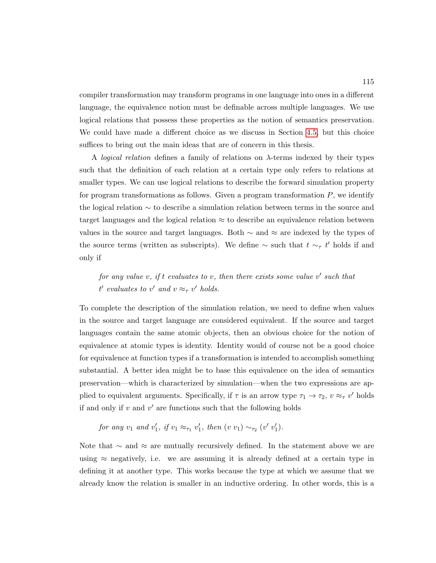compiler transformation may transform programs in one language into ones in a different language, the equivalence notion must be definable across multiple languages. We use logical relations that possess these properties as the notion of semantics preservation. We could have made a different choice as we discuss in Section [4.5,](#page-139-0) but this choice suffices to bring out the main ideas that are of concern in this thesis.

A logical relation defines a family of relations on λ-terms indexed by their types such that the definition of each relation at a certain type only refers to relations at smaller types. We can use logical relations to describe the forward simulation property for program transformations as follows. Given a program transformation  $P$ , we identify the logical relation ∼ to describe a simulation relation between terms in the source and target languages and the logical relation  $\approx$  to describe an equivalence relation between values in the source and target languages. Both  $\sim$  and  $\approx$  are indexed by the types of the source terms (written as subscripts). We define  $\sim$  such that  $t \sim_\tau t'$  holds if and only if

for any value v, if t evaluates to v, then there exists some value  $v'$  such that  $t'$  evaluates to v' and  $v \approx_{\tau} v'$  holds.

To complete the description of the simulation relation, we need to define when values in the source and target language are considered equivalent. If the source and target languages contain the same atomic objects, then an obvious choice for the notion of equivalence at atomic types is identity. Identity would of course not be a good choice for equivalence at function types if a transformation is intended to accomplish something substantial. A better idea might be to base this equivalence on the idea of semantics preservation—which is characterized by simulation—when the two expressions are applied to equivalent arguments. Specifically, if  $\tau$  is an arrow type  $\tau_1 \to \tau_2$ ,  $v \approx_{\tau} v'$  holds if and only if  $v$  and  $v'$  are functions such that the following holds

for any 
$$
v_1
$$
 and  $v'_1$ , if  $v_1 \approx_{\tau_1} v'_1$ , then  $(v \ v_1) \sim_{\tau_2} (v' \ v'_1)$ .

Note that  $\sim$  and  $\approx$  are mutually recursively defined. In the statement above we are using  $\approx$  negatively, i.e. we are assuming it is already defined at a certain type in defining it at another type. This works because the type at which we assume that we already know the relation is smaller in an inductive ordering. In other words, this is a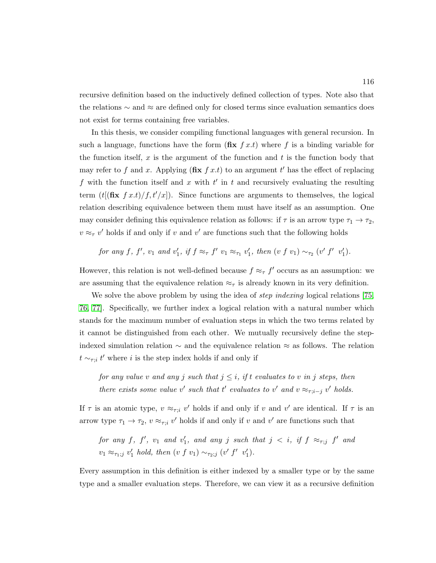recursive definition based on the inductively defined collection of types. Note also that the relations ∼ and ≈ are defined only for closed terms since evaluation semantics does not exist for terms containing free variables.

In this thesis, we consider compiling functional languages with general recursion. In such a language, functions have the form  $(f\mathbf{x} f x,t)$  where f is a binding variable for the function itself, x is the argument of the function and t is the function body that may refer to f and x. Applying  $(f\mathbf{f} \times f x.t)$  to an argument t' has the effect of replacing f with the function itself and x with  $t'$  in t and recursively evaluating the resulting term  $(t[(\textbf{fix } f x.t)/f, t'/x])$ . Since functions are arguments to themselves, the logical relation describing equivalence between them must have itself as an assumption. One may consider defining this equivalence relation as follows: if  $\tau$  is an arrow type  $\tau_1 \to \tau_2$ ,  $v \approx_\tau v'$  holds if and only if v and v' are functions such that the following holds

for any f, f', 
$$
v_1
$$
 and  $v'_1$ , if  $f \approx_{\tau} f' v_1 \approx_{\tau_1} v'_1$ , then  $(v f v_1) \sim_{\tau_2} (v' f' v'_1)$ .

However, this relation is not well-defined because  $f \approx_{\tau} f'$  occurs as an assumption: we are assuming that the equivalence relation  $\approx_{\tau}$  is already known in its very definition.

We solve the above problem by using the idea of *step indexing* logical relations [\[75,](#page-255-9) [76,](#page-256-0) [77\]](#page-256-1). Specifically, we further index a logical relation with a natural number which stands for the maximum number of evaluation steps in which the two terms related by it cannot be distinguished from each other. We mutually recursively define the stepindexed simulation relation ∼ and the equivalence relation ≈ as follows. The relation  $t \sim_{\tau; i} t'$  where i is the step index holds if and only if

for any value v and any j such that  $j \leq i$ , if t evaluates to v in j steps, then there exists some value v' such that t' evaluates to v' and  $v \approx_{\tau; i-j} v'$  holds.

If  $\tau$  is an atomic type,  $v \approx_{\tau; i} v'$  holds if and only if v and v' are identical. If  $\tau$  is an arrow type  $\tau_1 \to \tau_2$ ,  $v \approx_{\tau; i} v'$  holds if and only if v and v' are functions such that

for any f, f',  $v_1$  and  $v'_1$ , and any j such that  $j \, < i$ , if  $f \, \approx_{\tau;j} f'$  and  $v_1 \approx_{\tau_1; j} v'_1$  hold, then  $(v f v_1) \sim_{\tau_2; j} (v' f' v'_1)$ .

Every assumption in this definition is either indexed by a smaller type or by the same type and a smaller evaluation steps. Therefore, we can view it as a recursive definition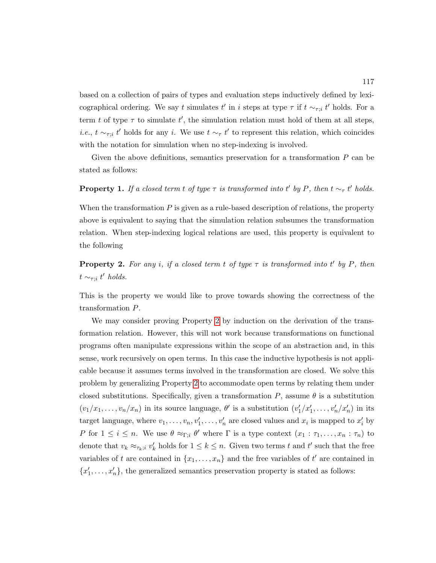based on a collection of pairs of types and evaluation steps inductively defined by lexicographical ordering. We say t simulates t' in i steps at type  $\tau$  if  $t \sim_{\tau; i} t'$  holds. For a term t of type  $\tau$  to simulate t', the simulation relation must hold of them at all steps, *i.e.*,  $t \sim_{\tau,i} t'$  holds for any *i*. We use  $t \sim_{\tau} t'$  to represent this relation, which coincides with the notation for simulation when no step-indexing is involved.

Given the above definitions, semantics preservation for a transformation  $P$  can be stated as follows:

#### <span id="page-131-1"></span>**Property 1.** If a closed term t of type  $\tau$  is transformed into t' by P, then  $t \sim_{\tau} t'$  holds.

When the transformation  $P$  is given as a rule-based description of relations, the property above is equivalent to saying that the simulation relation subsumes the transformation relation. When step-indexing logical relations are used, this property is equivalent to the following

<span id="page-131-0"></span>**Property 2.** For any i, if a closed term t of type  $\tau$  is transformed into t' by P, then  $t \sim_{\tau;i} t'$  holds.

This is the property we would like to prove towards showing the correctness of the transformation P.

We may consider proving Property [2](#page-131-0) by induction on the derivation of the transformation relation. However, this will not work because transformations on functional programs often manipulate expressions within the scope of an abstraction and, in this sense, work recursively on open terms. In this case the inductive hypothesis is not applicable because it assumes terms involved in the transformation are closed. We solve this problem by generalizing Property [2](#page-131-0) to accommodate open terms by relating them under closed substitutions. Specifically, given a transformation  $P$ , assume  $\theta$  is a substitution  $(v_1/x_1,\ldots,v_n/x_n)$  in its source language,  $\theta'$  is a substitution  $(v'_1/x'_1,\ldots,v'_n/x'_n)$  in its target language, where  $v_1, \ldots, v_n, v'_1, \ldots, v'_n$  are closed values and  $x_i$  is mapped to  $x'_i$  by P for  $1 \leq i \leq n$ . We use  $\theta \approx_{\Gamma; i} \theta'$  where  $\Gamma$  is a type context  $(x_1 : \tau_1, \ldots, x_n : \tau_n)$  to denote that  $v_k \approx_{\tau_k; i} v'_k$  holds for  $1 \leq k \leq n$ . Given two terms t and t' such that the free variables of t are contained in  $\{x_1, \ldots, x_n\}$  and the free variables of t' are contained in  ${x'_1, \ldots, x'_n}$ , the generalized semantics preservation property is stated as follows: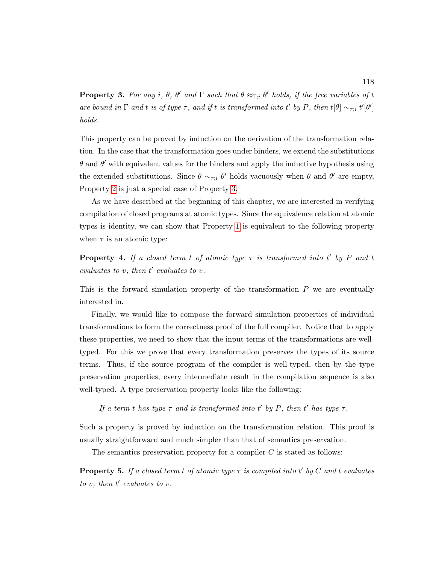<span id="page-132-0"></span>**Property 3.** For any i,  $\theta$ ,  $\theta'$  and  $\Gamma$  such that  $\theta \approx_{\Gamma; i} \theta'$  holds, if the free variables of t are bound in  $\Gamma$  and t is of type  $\tau$ , and if t is transformed into t' by P, then  $t[\theta] \sim_{\tau; i} t'[\theta']$ holds.

This property can be proved by induction on the derivation of the transformation relation. In the case that the transformation goes under binders, we extend the substitutions  $\theta$  and  $\theta'$  with equivalent values for the binders and apply the inductive hypothesis using the extended substitutions. Since  $\theta \sim_{\tau; i} \theta'$  holds vacuously when  $\theta$  and  $\theta'$  are empty, Property [2](#page-131-0) is just a special case of Property [3.](#page-132-0)

As we have described at the beginning of this chapter, we are interested in verifying compilation of closed programs at atomic types. Since the equivalence relation at atomic types is identity, we can show that Property [1](#page-131-1) is equivalent to the following property when  $\tau$  is an atomic type:

<span id="page-132-1"></span>**Property 4.** If a closed term t of atomic type  $\tau$  is transformed into t' by P and t evaluates to  $v$ , then  $t'$  evaluates to  $v$ .

This is the forward simulation property of the transformation  $P$  we are eventually interested in.

Finally, we would like to compose the forward simulation properties of individual transformations to form the correctness proof of the full compiler. Notice that to apply these properties, we need to show that the input terms of the transformations are welltyped. For this we prove that every transformation preserves the types of its source terms. Thus, if the source program of the compiler is well-typed, then by the type preservation properties, every intermediate result in the compilation sequence is also well-typed. A type preservation property looks like the following:

If a term t has type  $\tau$  and is transformed into t' by P, then t' has type  $\tau$ .

Such a property is proved by induction on the transformation relation. This proof is usually straightforward and much simpler than that of semantics preservation.

The semantics preservation property for a compiler  $C$  is stated as follows:

<span id="page-132-2"></span>**Property 5.** If a closed term t of atomic type  $\tau$  is compiled into t' by C and t evaluates to  $v$ , then  $t'$  evaluates to  $v$ .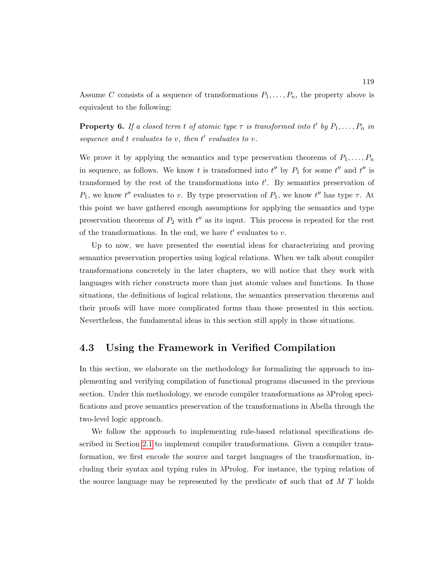Assume C consists of a sequence of transformations  $P_1, \ldots, P_n$ , the property above is equivalent to the following:

**Property 6.** If a closed term t of atomic type  $\tau$  is transformed into t' by  $P_1, \ldots, P_n$  in sequence and  $t$  evaluates to  $v$ , then  $t'$  evaluates to  $v$ .

We prove it by applying the semantics and type preservation theorems of  $P_1, \ldots, P_n$ in sequence, as follows. We know t is transformed into  $t''$  by  $P_1$  for some  $t''$  and  $t''$  is transformed by the rest of the transformations into  $t'$ . By semantics preservation of  $P_1$ , we know t'' evaluates to v. By type preservation of  $P_1$ , we know t'' has type  $\tau$ . At this point we have gathered enough assumptions for applying the semantics and type preservation theorems of  $P_2$  with  $t''$  as its input. This process is repeated for the rest of the transformations. In the end, we have  $t'$  evaluates to  $v$ .

Up to now, we have presented the essential ideas for characterizing and proving semantics preservation properties using logical relations. When we talk about compiler transformations concretely in the later chapters, we will notice that they work with languages with richer constructs more than just atomic values and functions. In those situations, the definitions of logical relations, the semantics preservation theorems and their proofs will have more complicated forms than those presented in this section. Nevertheless, the fundamental ideas in this section still apply in those situations.

#### <span id="page-133-0"></span>4.3 Using the Framework in Verified Compilation

In this section, we elaborate on the methodology for formalizing the approach to implementing and verifying compilation of functional programs discussed in the previous section. Under this methodology, we encode compiler transformations as  $\lambda$ Prolog specifications and prove semantics preservation of the transformations in Abella through the two-level logic approach.

We follow the approach to implementing rule-based relational specifications described in Section [2.1](#page-33-0) to implement compiler transformations. Given a compiler transformation, we first encode the source and target languages of the transformation, including their syntax and typing rules in λProlog. For instance, the typing relation of the source language may be represented by the predicate of such that of  $M T$  holds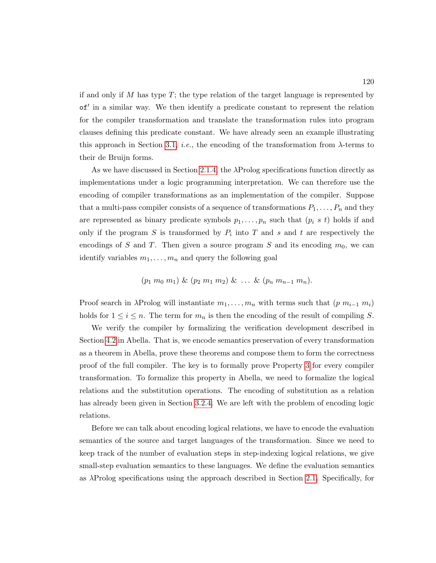if and only if M has type  $T$ ; the type relation of the target language is represented by of' in a similar way. We then identify a predicate constant to represent the relation for the compiler transformation and translate the transformation rules into program clauses defining this predicate constant. We have already seen an example illustrating this approach in Section [3.1,](#page-80-0) *i.e.*, the encoding of the transformation from  $\lambda$ -terms to their de Bruijn forms.

As we have discussed in Section [2.1.4,](#page-47-0) the  $\lambda$ Prolog specifications function directly as implementations under a logic programming interpretation. We can therefore use the encoding of compiler transformations as an implementation of the compiler. Suppose that a multi-pass compiler consists of a sequence of transformations  $P_1, \ldots, P_n$  and they are represented as binary predicate symbols  $p_1, \ldots, p_n$  such that  $(p_i \ s \ t)$  holds if and only if the program  $S$  is transformed by  $P_i$  into  $T$  and  $s$  and  $t$  are respectively the encodings of S and T. Then given a source program S and its encoding  $m_0$ , we can identify variables  $m_1, \ldots, m_n$  and query the following goal

$$
(p_1 \, m_0 \, m_1) \& (p_2 \, m_1 \, m_2) \& \ldots \& (p_n \, m_{n-1} \, m_n).
$$

Proof search in  $\lambda$ Prolog will instantiate  $m_1, \ldots, m_n$  with terms such that  $(p m_{i-1} m_i)$ holds for  $1 \leq i \leq n$ . The term for  $m_n$  is then the encoding of the result of compiling S.

We verify the compiler by formalizing the verification development described in Section [4.2](#page-126-0) in Abella. That is, we encode semantics preservation of every transformation as a theorem in Abella, prove these theorems and compose them to form the correctness proof of the full compiler. The key is to formally prove Property [3](#page-132-0) for every compiler transformation. To formalize this property in Abella, we need to formalize the logical relations and the substitution operations. The encoding of substitution as a relation has already been given in Section [3.2.4.](#page-120-0) We are left with the problem of encoding logic relations.

Before we can talk about encoding logical relations, we have to encode the evaluation semantics of the source and target languages of the transformation. Since we need to keep track of the number of evaluation steps in step-indexing logical relations, we give small-step evaluation semantics to these languages. We define the evaluation semantics as λProlog specifications using the approach described in Section [2.1.](#page-33-0) Specifically, for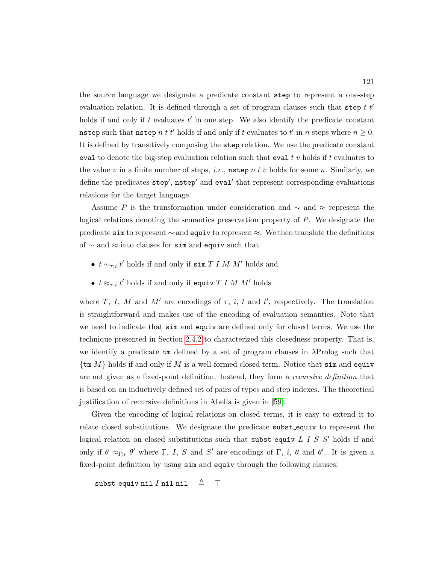the source language we designate a predicate constant step to represent a one-step evaluation relation. It is defined through a set of program clauses such that step  $t t'$ holds if and only if  $t$  evaluates  $t'$  in one step. We also identify the predicate constant nstep such that nstep  $n \, t \, t'$  holds if and only if  $t$  evaluates to  $t'$  in  $n$  steps where  $n \geq 0$ . It is defined by transitively composing the step relation. We use the predicate constant eval to denote the big-step evaluation relation such that eval t v holds if t evaluates to the value v in a finite number of steps, *i.e.*, **nstep** n t v holds for some n. Similarly, we define the predicates  $\mathsf{step}', \mathsf{nstep}'$  and  $\mathsf{eval}'$  that represent corresponding evaluations relations for the target language.

Assume P is the transformation under consideration and  $\sim$  and  $\approx$  represent the logical relations denoting the semantics preservation property of P. We designate the predicate sim to represent  $\sim$  and equive to represent  $\approx$ . We then translate the definitions of ∼ and ≈ into clauses for sim and equiv such that

- $t \sim_{\tau; i} t'$  holds if and only if sim  $T I M M'$  holds and
- $t \approx_{\tau;i} t'$  holds if and only if equiv  $T I M M'$  holds

where T, I, M and M' are encodings of  $\tau$ , i, t and t', respectively. The translation is straightforward and makes use of the encoding of evaluation semantics. Note that we need to indicate that sim and equiv are defined only for closed terms. We use the technique presented in Section [2.4.2](#page-75-0) to characterized this closedness property. That is, we identify a predicate  $\tan$  defined by a set of program clauses in  $\lambda$ Prolog such that  $\{\text{tm }M\}$  holds if and only if M is a well-formed closed term. Notice that sim and equiv are not given as a fixed-point definition. Instead, they form a recursive definition that is based on an inductively defined set of pairs of types and step indexes. The theoretical justification of recursive definitions in Abella is given in [\[59\]](#page-254-3).

Given the encoding of logical relations on closed terms, it is easy to extend it to relate closed substitutions. We designate the predicate subst equiv to represent the logical relation on closed substitutions such that subst-equiv  $L I S S'$  holds if and only if  $\theta \approx_{\Gamma,i} \theta'$  where  $\Gamma$ , I, S and S' are encodings of  $\Gamma$ , i,  $\theta$  and  $\theta'$ . It is given a fixed-point definition by using  $\sin$  and equiv through the following clauses:

```
subst_equiv nil I nil nil \triangleq \top
```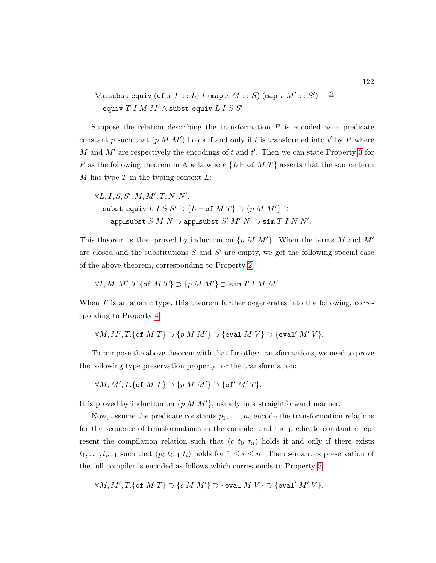$\nabla x$ .subst\_equiv (of  $x T : L$ ) I (map  $x M : : S$ ) (map  $x M' : : S'$  $\triangleq$ equiv  $T I M M' \wedge$  subst\_equiv  $L I S S'$ 

Suppose the relation describing the transformation  $P$  is encoded as a predicate constant p such that  $(p \mid M \mid M')$  holds if and only if t is transformed into t' by P where M and  $M'$  are respectively the encodings of t and  $t'$ . Then we can state Property [3](#page-132-0) for P as the following theorem in Abella where  ${L \vdash of M T}$  asserts that the source term M has type  $T$  in the typing context  $L$ :

 $\forall L, I, S, S', M, M', T, N, N'.$ subst\_equiv  $L \, I \, S \, S' \supset \{L \vdash \text{of} \, M \, T\} \supset \{p \, M \, M'\} \supset$  $\mathtt{app\_subst}\ S\ M\ N \supset \mathtt{app\_subst}\ S'\ M'\ N' \supset \mathtt{sim}\ T\ I\ N\ N'.$ 

This theorem is then proved by induction on  $\{p \ M \ M'\}$ . When the terms M and M' are closed and the substitutions  $S$  and  $S'$  are empty, we get the following special case of the above theorem, corresponding to Property [2:](#page-131-0)

$$
\forall I, M, M', T. \{\text{of } M T\} \supset \{p M M'\} \supset \text{sim } T I M M'.
$$

When  $T$  is an atomic type, this theorem further degenerates into the following, corresponding to Property [4:](#page-132-1)

$$
\forall M, M', T. \{\text{of } M T\} \supset \{p M M'\} \supset \{\text{eval } M V\} \supset \{\text{eval'} M' V\}.
$$

To compose the above theorem with that for other transformations, we need to prove the following type preservation property for the transformation:

$$
\forall M, M', T. \{\text{of } M T\} \supset \{p M M'\} \supset \{\text{of'} M' T\}.
$$

It is proved by induction on  $\{p \mid M \mid M'\}$ , usually in a straightforward manner.

Now, assume the predicate constants  $p_1, \ldots, p_n$  encode the transformation relations for the sequence of transformations in the compiler and the predicate constant  $c$  represent the compilation relation such that  $(c t_0 t_n)$  holds if and only if there exists  $t_1, \ldots, t_{n-1}$  such that  $(p_i t_{i-1} t_i)$  holds for  $1 \leq i \leq n$ . Then semantics preservation of the full compiler is encoded as follows which corresponds to Property [5:](#page-132-2)

$$
\forall M, M', T. \{\text{of } M T\} \supset \{c \ M \ M'\} \supset \{\text{eval } M V\} \supset \{\text{eval'} M' V\}.
$$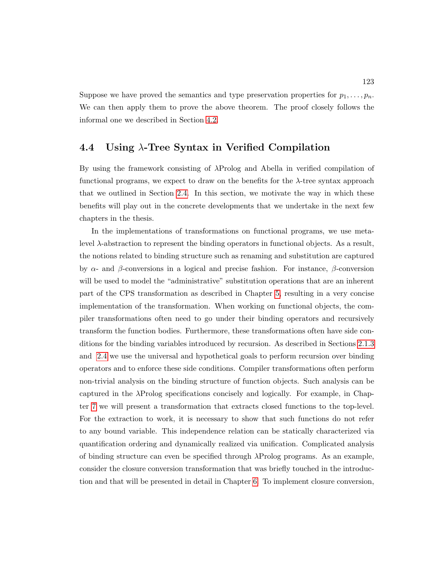Suppose we have proved the semantics and type preservation properties for  $p_1, \ldots, p_n$ . We can then apply them to prove the above theorem. The proof closely follows the informal one we described in Section [4.2.](#page-126-0)

#### 4.4 Using λ-Tree Syntax in Verified Compilation

By using the framework consisting of  $\lambda$ Prolog and Abella in verified compilation of functional programs, we expect to draw on the benefits for the  $\lambda$ -tree syntax approach that we outlined in Section [2.4.](#page-74-0) In this section, we motivate the way in which these benefits will play out in the concrete developments that we undertake in the next few chapters in the thesis.

In the implementations of transformations on functional programs, we use metalevel λ-abstraction to represent the binding operators in functional objects. As a result, the notions related to binding structure such as renaming and substitution are captured by  $\alpha$ - and  $\beta$ -conversions in a logical and precise fashion. For instance,  $\beta$ -conversion will be used to model the "administrative" substitution operations that are an inherent part of the CPS transformation as described in Chapter [5,](#page-145-0) resulting in a very concise implementation of the transformation. When working on functional objects, the compiler transformations often need to go under their binding operators and recursively transform the function bodies. Furthermore, these transformations often have side conditions for the binding variables introduced by recursion. As described in Sections [2.1.3](#page-42-0) and [2.4](#page-74-0) we use the universal and hypothetical goals to perform recursion over binding operators and to enforce these side conditions. Compiler transformations often perform non-trivial analysis on the binding structure of function objects. Such analysis can be captured in the λProlog specifications concisely and logically. For example, in Chapter [7](#page-207-0) we will present a transformation that extracts closed functions to the top-level. For the extraction to work, it is necessary to show that such functions do not refer to any bound variable. This independence relation can be statically characterized via quantification ordering and dynamically realized via unification. Complicated analysis of binding structure can even be specified through λProlog programs. As an example, consider the closure conversion transformation that was briefly touched in the introduction and that will be presented in detail in Chapter [6.](#page-181-0) To implement closure conversion,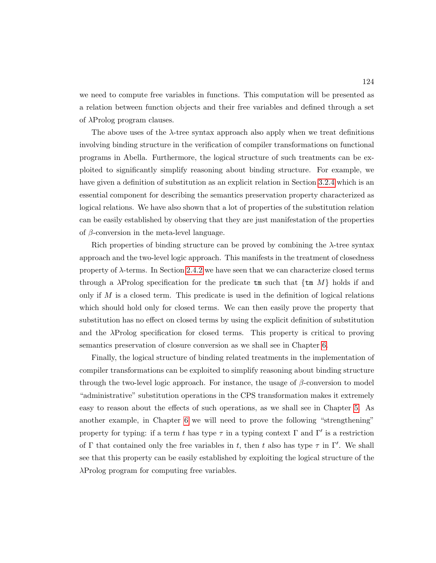we need to compute free variables in functions. This computation will be presented as a relation between function objects and their free variables and defined through a set of λProlog program clauses.

The above uses of the λ-tree syntax approach also apply when we treat definitions involving binding structure in the verification of compiler transformations on functional programs in Abella. Furthermore, the logical structure of such treatments can be exploited to significantly simplify reasoning about binding structure. For example, we have given a definition of substitution as an explicit relation in Section [3.2.4](#page-120-0) which is an essential component for describing the semantics preservation property characterized as logical relations. We have also shown that a lot of properties of the substitution relation can be easily established by observing that they are just manifestation of the properties of  $\beta$ -conversion in the meta-level language.

Rich properties of binding structure can be proved by combining the  $\lambda$ -tree syntax approach and the two-level logic approach. This manifests in the treatment of closedness property of  $\lambda$ -terms. In Section [2.4.2](#page-75-0) we have seen that we can characterize closed terms through a  $\lambda$ Prolog specification for the predicate tm such that  $\{\text{tm }M\}$  holds if and only if  $M$  is a closed term. This predicate is used in the definition of logical relations which should hold only for closed terms. We can then easily prove the property that substitution has no effect on closed terms by using the explicit definition of substitution and the λProlog specification for closed terms. This property is critical to proving semantics preservation of closure conversion as we shall see in Chapter [6.](#page-181-0)

Finally, the logical structure of binding related treatments in the implementation of compiler transformations can be exploited to simplify reasoning about binding structure through the two-level logic approach. For instance, the usage of  $\beta$ -conversion to model "administrative" substitution operations in the CPS transformation makes it extremely easy to reason about the effects of such operations, as we shall see in Chapter [5.](#page-145-0) As another example, in Chapter [6](#page-181-0) we will need to prove the following "strengthening" property for typing: if a term t has type  $\tau$  in a typing context  $\Gamma$  and  $\Gamma'$  is a restriction of  $\Gamma$  that contained only the free variables in t, then t also has type  $\tau$  in  $\Gamma'$ . We shall see that this property can be easily established by exploiting the logical structure of the λProlog program for computing free variables.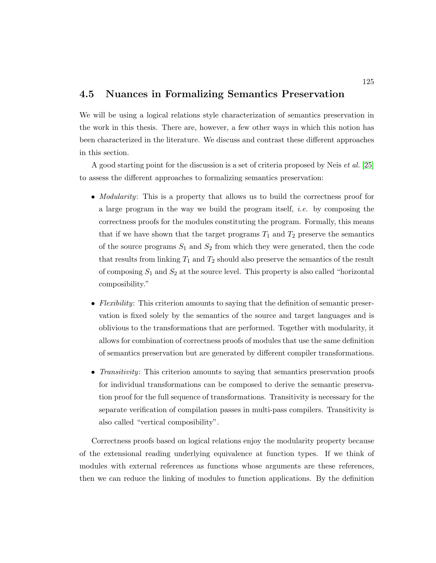#### <span id="page-139-0"></span>4.5 Nuances in Formalizing Semantics Preservation

We will be using a logical relations style characterization of semantics preservation in the work in this thesis. There are, however, a few other ways in which this notion has been characterized in the literature. We discuss and contrast these different approaches in this section.

A good starting point for the discussion is a set of criteria proposed by Neis et al. [\[25\]](#page-251-0) to assess the different approaches to formalizing semantics preservation:

- *Modularity*: This is a property that allows us to build the correctness proof for a large program in the way we build the program itself, i.e. by composing the correctness proofs for the modules constituting the program. Formally, this means that if we have shown that the target programs  $T_1$  and  $T_2$  preserve the semantics of the source programs  $S_1$  and  $S_2$  from which they were generated, then the code that results from linking  $T_1$  and  $T_2$  should also preserve the semantics of the result of composing  $S_1$  and  $S_2$  at the source level. This property is also called "horizontal" composibility."
- Flexibility: This criterion amounts to saying that the definition of semantic preservation is fixed solely by the semantics of the source and target languages and is oblivious to the transformations that are performed. Together with modularity, it allows for combination of correctness proofs of modules that use the same definition of semantics preservation but are generated by different compiler transformations.
- Transitivity: This criterion amounts to saying that semantics preservation proofs for individual transformations can be composed to derive the semantic preservation proof for the full sequence of transformations. Transitivity is necessary for the separate verification of compilation passes in multi-pass compilers. Transitivity is also called "vertical composibility".

Correctness proofs based on logical relations enjoy the modularity property because of the extensional reading underlying equivalence at function types. If we think of modules with external references as functions whose arguments are these references, then we can reduce the linking of modules to function applications. By the definition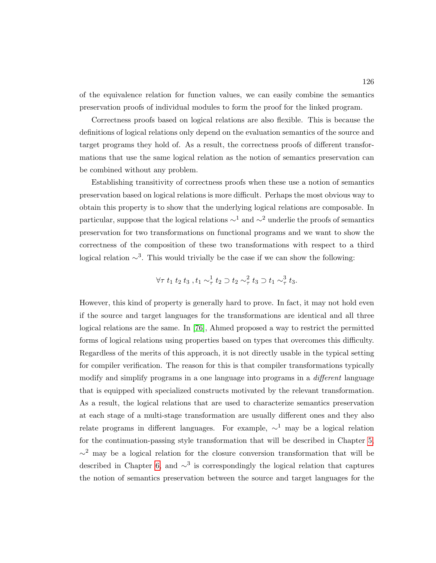of the equivalence relation for function values, we can easily combine the semantics preservation proofs of individual modules to form the proof for the linked program.

Correctness proofs based on logical relations are also flexible. This is because the definitions of logical relations only depend on the evaluation semantics of the source and target programs they hold of. As a result, the correctness proofs of different transformations that use the same logical relation as the notion of semantics preservation can be combined without any problem.

Establishing transitivity of correctness proofs when these use a notion of semantics preservation based on logical relations is more difficult. Perhaps the most obvious way to obtain this property is to show that the underlying logical relations are composable. In particular, suppose that the logical relations  $\sim$ <sup>1</sup> and  $\sim$ <sup>2</sup> underlie the proofs of semantics preservation for two transformations on functional programs and we want to show the correctness of the composition of these two transformations with respect to a third logical relation  $\sim^3$ . This would trivially be the case if we can show the following:

$$
\forall \tau \ t_1 \ t_2 \ t_3 \ , t_1 \sim_\tau^1 t_2 \supset t_2 \sim_\tau^2 t_3 \supset t_1 \sim_\tau^3 t_3.
$$

However, this kind of property is generally hard to prove. In fact, it may not hold even if the source and target languages for the transformations are identical and all three logical relations are the same. In [\[76\]](#page-256-0), Ahmed proposed a way to restrict the permitted forms of logical relations using properties based on types that overcomes this difficulty. Regardless of the merits of this approach, it is not directly usable in the typical setting for compiler verification. The reason for this is that compiler transformations typically modify and simplify programs in a one language into programs in a *different* language that is equipped with specialized constructs motivated by the relevant transformation. As a result, the logical relations that are used to characterize semantics preservation at each stage of a multi-stage transformation are usually different ones and they also relate programs in different languages. For example,  $\sim$ <sup>1</sup> may be a logical relation for the continuation-passing style transformation that will be described in Chapter [5,](#page-145-0)  $\sim$ <sup>2</sup> may be a logical relation for the closure conversion transformation that will be described in Chapter [6,](#page-181-0) and  $\sim^3$  is correspondingly the logical relation that captures the notion of semantics preservation between the source and target languages for the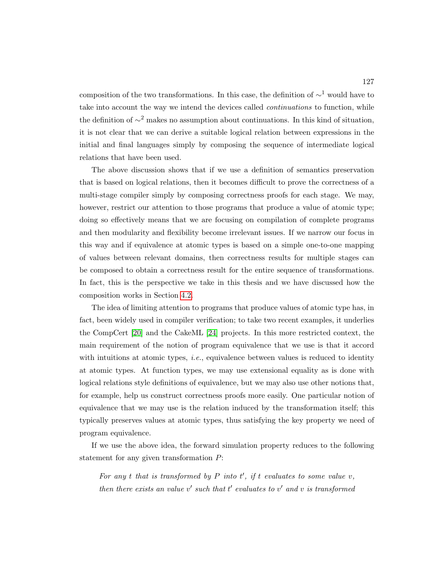composition of the two transformations. In this case, the definition of  $\sim$ <sup>1</sup> would have to take into account the way we intend the devices called *continuations* to function, while the definition of  $\sim$ <sup>2</sup> makes no assumption about continuations. In this kind of situation, it is not clear that we can derive a suitable logical relation between expressions in the initial and final languages simply by composing the sequence of intermediate logical relations that have been used.

The above discussion shows that if we use a definition of semantics preservation that is based on logical relations, then it becomes difficult to prove the correctness of a multi-stage compiler simply by composing correctness proofs for each stage. We may, however, restrict our attention to those programs that produce a value of atomic type; doing so effectively means that we are focusing on compilation of complete programs and then modularity and flexibility become irrelevant issues. If we narrow our focus in this way and if equivalence at atomic types is based on a simple one-to-one mapping of values between relevant domains, then correctness results for multiple stages can be composed to obtain a correctness result for the entire sequence of transformations. In fact, this is the perspective we take in this thesis and we have discussed how the composition works in Section [4.2.](#page-126-0)

The idea of limiting attention to programs that produce values of atomic type has, in fact, been widely used in compiler verification; to take two recent examples, it underlies the CompCert [\[20\]](#page-250-0) and the CakeML [\[24\]](#page-250-1) projects. In this more restricted context, the main requirement of the notion of program equivalence that we use is that it accord with intuitions at atomic types, *i.e.*, equivalence between values is reduced to identity at atomic types. At function types, we may use extensional equality as is done with logical relations style definitions of equivalence, but we may also use other notions that, for example, help us construct correctness proofs more easily. One particular notion of equivalence that we may use is the relation induced by the transformation itself; this typically preserves values at atomic types, thus satisfying the key property we need of program equivalence.

If we use the above idea, the forward simulation property reduces to the following statement for any given transformation P:

For any t that is transformed by  $P$  into  $t'$ , if t evaluates to some value  $v$ , then there exists an value  $v'$  such that  $t'$  evaluates to  $v'$  and  $v$  is transformed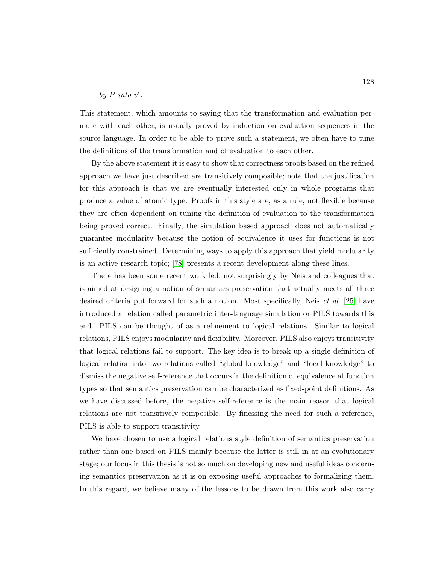#### by  $P$  into  $v'$ .

This statement, which amounts to saying that the transformation and evaluation permute with each other, is usually proved by induction on evaluation sequences in the source language. In order to be able to prove such a statement, we often have to tune the definitions of the transformation and of evaluation to each other.

By the above statement it is easy to show that correctness proofs based on the refined approach we have just described are transitively composible; note that the justification for this approach is that we are eventually interested only in whole programs that produce a value of atomic type. Proofs in this style are, as a rule, not flexible because they are often dependent on tuning the definition of evaluation to the transformation being proved correct. Finally, the simulation based approach does not automatically guarantee modularity because the notion of equivalence it uses for functions is not sufficiently constrained. Determining ways to apply this approach that yield modularity is an active research topic; [\[78\]](#page-256-2) presents a recent development along these lines.

There has been some recent work led, not surprisingly by Neis and colleagues that is aimed at designing a notion of semantics preservation that actually meets all three desired criteria put forward for such a notion. Most specifically, Neis et al. [\[25\]](#page-251-0) have introduced a relation called parametric inter-language simulation or PILS towards this end. PILS can be thought of as a refinement to logical relations. Similar to logical relations, PILS enjoys modularity and flexibility. Moreover, PILS also enjoys transitivity that logical relations fail to support. The key idea is to break up a single definition of logical relation into two relations called "global knowledge" and "local knowledge" to dismiss the negative self-reference that occurs in the definition of equivalence at function types so that semantics preservation can be characterized as fixed-point definitions. As we have discussed before, the negative self-reference is the main reason that logical relations are not transitively composible. By finessing the need for such a reference, PILS is able to support transitivity.

We have chosen to use a logical relations style definition of semantics preservation rather than one based on PILS mainly because the latter is still in at an evolutionary stage; our focus in this thesis is not so much on developing new and useful ideas concerning semantics preservation as it is on exposing useful approaches to formalizing them. In this regard, we believe many of the lessons to be drawn from this work also carry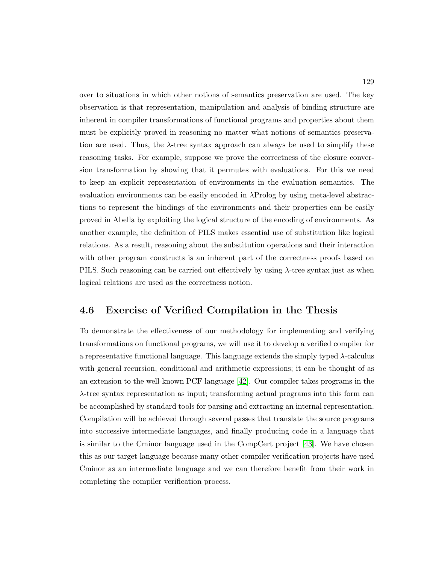over to situations in which other notions of semantics preservation are used. The key observation is that representation, manipulation and analysis of binding structure are inherent in compiler transformations of functional programs and properties about them must be explicitly proved in reasoning no matter what notions of semantics preservation are used. Thus, the  $\lambda$ -tree syntax approach can always be used to simplify these reasoning tasks. For example, suppose we prove the correctness of the closure conversion transformation by showing that it permutes with evaluations. For this we need to keep an explicit representation of environments in the evaluation semantics. The evaluation environments can be easily encoded in  $\lambda$ Prolog by using meta-level abstractions to represent the bindings of the environments and their properties can be easily proved in Abella by exploiting the logical structure of the encoding of environments. As another example, the definition of PILS makes essential use of substitution like logical relations. As a result, reasoning about the substitution operations and their interaction with other program constructs is an inherent part of the correctness proofs based on PILS. Such reasoning can be carried out effectively by using  $\lambda$ -tree syntax just as when logical relations are used as the correctness notion.

## <span id="page-143-0"></span>4.6 Exercise of Verified Compilation in the Thesis

To demonstrate the effectiveness of our methodology for implementing and verifying transformations on functional programs, we will use it to develop a verified compiler for a representative functional language. This language extends the simply typed  $\lambda$ -calculus with general recursion, conditional and arithmetic expressions; it can be thought of as an extension to the well-known PCF language [\[42\]](#page-252-0). Our compiler takes programs in the λ-tree syntax representation as input; transforming actual programs into this form can be accomplished by standard tools for parsing and extracting an internal representation. Compilation will be achieved through several passes that translate the source programs into successive intermediate languages, and finally producing code in a language that is similar to the Cminor language used in the CompCert project [\[43\]](#page-252-1). We have chosen this as our target language because many other compiler verification projects have used Cminor as an intermediate language and we can therefore benefit from their work in completing the compiler verification process.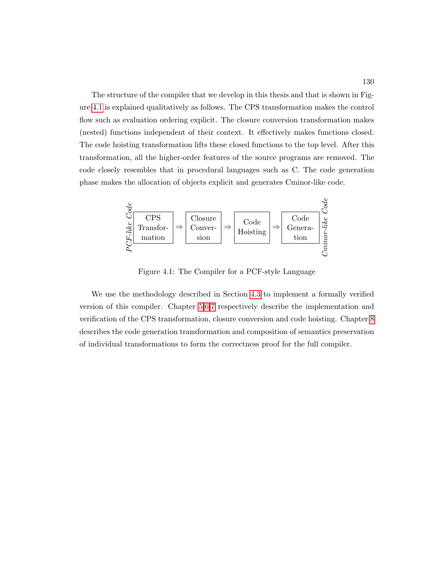The structure of the compiler that we develop in this thesis and that is shown in Figure [4.1](#page-144-0) is explained qualitatively as follows. The CPS transformation makes the control flow such as evaluation ordering explicit. The closure conversion transformation makes (nested) functions independent of their context. It effectively makes functions closed. The code hoisting transformation lifts these closed functions to the top level. After this transformation, all the higher-order features of the source programs are removed. The code closely resembles that in procedural languages such as C. The code generation phase makes the allocation of objects explicit and generates Cminor-like code.

<span id="page-144-0"></span>

Figure 4.1: The Compiler for a PCF-style Language

We use the methodology described in Section [4.3](#page-133-0) to implement a formally verified version of this compiler. Chapter [5,](#page-145-0)[6](#page-181-0)[,7](#page-207-0) respectively describe the implementation and verification of the CPS transformation, closure conversion and code hoisting. Chapter [8](#page-222-0) describes the code generation transformation and composition of semantics preservation of individual transformations to form the correctness proof for the full compiler.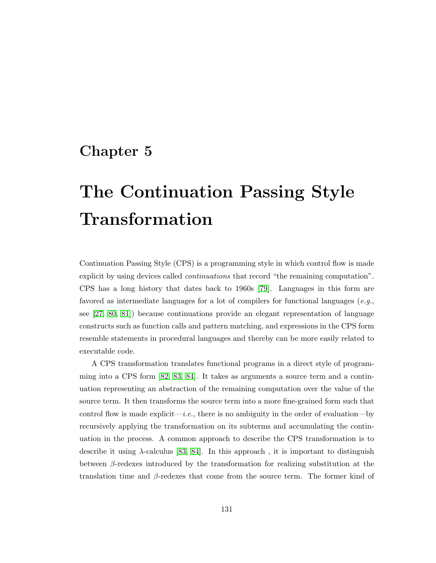## <span id="page-145-0"></span>Chapter 5

# The Continuation Passing Style Transformation

Continuation Passing Style (CPS) is a programming style in which control flow is made explicit by using devices called *continuations* that record "the remaining computation". CPS has a long history that dates back to 1960s [\[79\]](#page-256-0). Languages in this form are favored as intermediate languages for a lot of compilers for functional languages  $(e.g.,$ see [\[27,](#page-251-0) [80,](#page-256-1) [81\]](#page-256-2)) because continuations provide an elegant representation of language constructs such as function calls and pattern matching, and expressions in the CPS form resemble statements in procedural languages and thereby can be more easily related to executable code.

A CPS transformation translates functional programs in a direct style of programming into a CPS form [\[82,](#page-256-3) [83,](#page-256-4) [84\]](#page-256-5). It takes as arguments a source term and a continuation representing an abstraction of the remaining computation over the value of the source term. It then transforms the source term into a more fine-grained form such that control flow is made explicit—i.e., there is no ambiguity in the order of evaluation—by recursively applying the transformation on its subterms and accumulating the continuation in the process. A common approach to describe the CPS transformation is to describe it using  $\lambda$ -calculus [\[83,](#page-256-4) [84\]](#page-256-5). In this approach, it is important to distinguish between  $\beta$ -redexes introduced by the transformation for realizing substitution at the translation time and  $\beta$ -redexes that come from the source term. The former kind of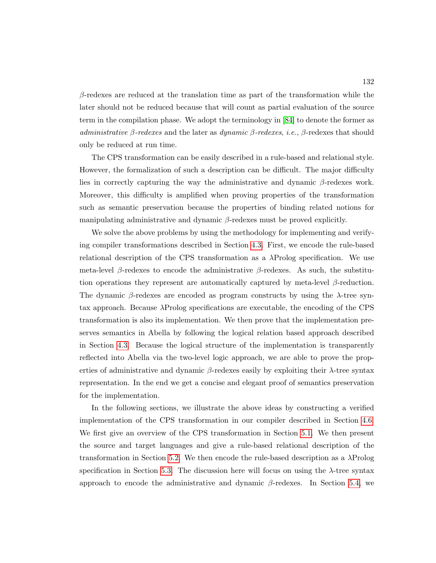$\beta$ -redexes are reduced at the translation time as part of the transformation while the later should not be reduced because that will count as partial evaluation of the source term in the compilation phase. We adopt the terminology in [\[84\]](#page-256-5) to denote the former as administrative β-redexes and the later as dynamic  $\beta$ -redexes, i.e., β-redexes that should only be reduced at run time.

The CPS transformation can be easily described in a rule-based and relational style. However, the formalization of such a description can be difficult. The major difficulty lies in correctly capturing the way the administrative and dynamic  $\beta$ -redexes work. Moreover, this difficulty is amplified when proving properties of the transformation such as semantic preservation because the properties of binding related notions for manipulating administrative and dynamic  $\beta$ -redexes must be proved explicitly.

We solve the above problems by using the methodology for implementing and verifying compiler transformations described in Section [4.3.](#page-133-0) First, we encode the rule-based relational description of the CPS transformation as a λProlog specification. We use meta-level β-redexes to encode the administrative β-redexes. As such, the substitution operations they represent are automatically captured by meta-level  $\beta$ -reduction. The dynamic  $\beta$ -redexes are encoded as program constructs by using the  $\lambda$ -tree syntax approach. Because λProlog specifications are executable, the encoding of the CPS transformation is also its implementation. We then prove that the implementation preserves semantics in Abella by following the logical relation based approach described in Section [4.3.](#page-133-0) Because the logical structure of the implementation is transparently reflected into Abella via the two-level logic approach, we are able to prove the properties of administrative and dynamic  $\beta$ -redexes easily by exploiting their  $\lambda$ -tree syntax representation. In the end we get a concise and elegant proof of semantics preservation for the implementation.

In the following sections, we illustrate the above ideas by constructing a verified implementation of the CPS transformation in our compiler described in Section [4.6.](#page-143-0) We first give an overview of the CPS transformation in Section [5.1.](#page-147-0) We then present the source and target languages and give a rule-based relational description of the transformation in Section [5.2.](#page-150-0) We then encode the rule-based description as a  $\lambda$ Prolog specification in Section [5.3.](#page-155-0) The discussion here will focus on using the  $\lambda$ -tree syntax approach to encode the administrative and dynamic  $\beta$ -redexes. In Section [5.4,](#page-159-0) we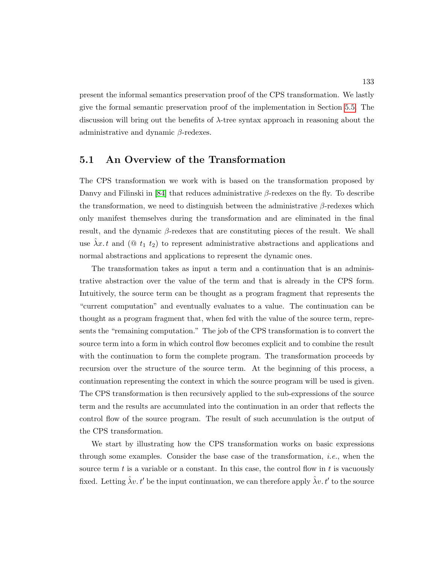present the informal semantics preservation proof of the CPS transformation. We lastly give the formal semantic preservation proof of the implementation in Section [5.5.](#page-167-0) The discussion will bring out the benefits of  $\lambda$ -tree syntax approach in reasoning about the administrative and dynamic  $\beta$ -redexes.

### <span id="page-147-0"></span>5.1 An Overview of the Transformation

The CPS transformation we work with is based on the transformation proposed by Danvy and Filinski in [\[84\]](#page-256-5) that reduces administrative  $\beta$ -redexes on the fly. To describe the transformation, we need to distinguish between the administrative  $\beta$ -redexes which only manifest themselves during the transformation and are eliminated in the final result, and the dynamic  $\beta$ -redexes that are constituting pieces of the result. We shall use  $\lambda x. t$  and  $(@ t_1 t_2)$  to represent administrative abstractions and applications and normal abstractions and applications to represent the dynamic ones.

The transformation takes as input a term and a continuation that is an administrative abstraction over the value of the term and that is already in the CPS form. Intuitively, the source term can be thought as a program fragment that represents the "current computation" and eventually evaluates to a value. The continuation can be thought as a program fragment that, when fed with the value of the source term, represents the "remaining computation." The job of the CPS transformation is to convert the source term into a form in which control flow becomes explicit and to combine the result with the continuation to form the complete program. The transformation proceeds by recursion over the structure of the source term. At the beginning of this process, a continuation representing the context in which the source program will be used is given. The CPS transformation is then recursively applied to the sub-expressions of the source term and the results are accumulated into the continuation in an order that reflects the control flow of the source program. The result of such accumulation is the output of the CPS transformation.

We start by illustrating how the CPS transformation works on basic expressions through some examples. Consider the base case of the transformation, i.e., when the source term  $t$  is a variable or a constant. In this case, the control flow in  $t$  is vacuously fixed. Letting  $\hat{\lambda}v$ . t' be the input continuation, we can therefore apply  $\hat{\lambda}v$ . t' to the source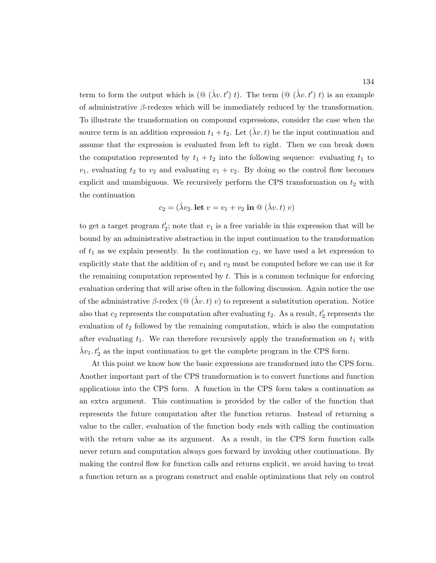term to form the output which is  $(\mathbb{Q}(\hat{\lambda}v, t') t)$ . The term  $(\mathbb{Q}(\hat{\lambda}v, t') t)$  is an example of administrative  $\beta$ -redexes which will be immediately reduced by the transformation. To illustrate the transformation on compound expressions, consider the case when the source term is an addition expression  $t_1 + t_2$ . Let  $(\lambda v, t)$  be the input continuation and assume that the expression is evaluated from left to right. Then we can break down the computation represented by  $t_1 + t_2$  into the following sequence: evaluating  $t_1$  to  $v_1$ , evaluating  $t_2$  to  $v_2$  and evaluating  $v_1 + v_2$ . By doing so the control flow becomes explicit and unambiguous. We recursively perform the CPS transformation on  $t_2$  with the continuation

$$
c_2 = (\hat{\lambda}v_2. \text{ let } v = v_1 + v_2 \text{ in } \textcircled{a} (\hat{\lambda}v. t) v)
$$

to get a target program  $t_2$ ; note that  $v_1$  is a free variable in this expression that will be bound by an administrative abstraction in the input continuation to the transformation of  $t_1$  as we explain presently. In the continuation  $c_2$ , we have used a let expression to explicitly state that the addition of  $v_1$  and  $v_2$  must be computed before we can use it for the remaining computation represented by t. This is a common technique for enforcing evaluation ordering that will arise often in the following discussion. Again notice the use of the administrative  $\beta$ -redex  $(\mathbb{Q}(\hat{\lambda}v,t)v)$  to represent a substitution operation. Notice also that  $c_2$  represents the computation after evaluating  $t_2$ . As a result,  $t'_2$  represents the evaluation of  $t_2$  followed by the remaining computation, which is also the computation after evaluating  $t_1$ . We can therefore recursively apply the transformation on  $t_1$  with  $\hat{\lambda}v_1$ ,  $t_2$  as the input continuation to get the complete program in the CPS form.

At this point we know how the basic expressions are transformed into the CPS form. Another important part of the CPS transformation is to convert functions and function applications into the CPS form. A function in the CPS form takes a continuation as an extra argument. This continuation is provided by the caller of the function that represents the future computation after the function returns. Instead of returning a value to the caller, evaluation of the function body ends with calling the continuation with the return value as its argument. As a result, in the CPS form function calls never return and computation always goes forward by invoking other continuations. By making the control flow for function calls and returns explicit, we avoid having to treat a function return as a program construct and enable optimizations that rely on control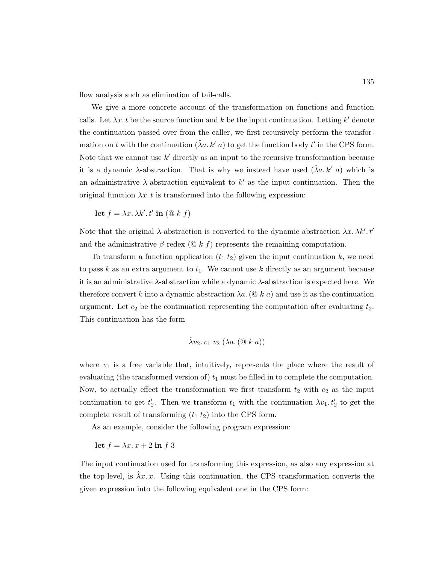flow analysis such as elimination of tail-calls.

We give a more concrete account of the transformation on functions and function calls. Let  $\lambda x. t$  be the source function and k be the input continuation. Letting k' denote the continuation passed over from the caller, we first recursively perform the transformation on t with the continuation  $(\hat{\lambda}a, k' a)$  to get the function body t' in the CPS form. Note that we cannot use  $k'$  directly as an input to the recursive transformation because it is a dynamic  $\lambda$ -abstraction. That is why we instead have used  $(\lambda a. k' a)$  which is an administrative  $\lambda$ -abstraction equivalent to  $k'$  as the input continuation. Then the original function  $\lambda x. t$  is transformed into the following expression:

$$
\text{let } f = \lambda x. \lambda k'. t' \text{ in } (\text{@ } k \text{ } f)
$$

Note that the original  $\lambda$ -abstraction is converted to the dynamic abstraction  $\lambda x. \lambda k'. t'$ and the administrative  $\beta$ -redex  $(\mathcal{Q} k f)$  represents the remaining computation.

To transform a function application  $(t_1 t_2)$  given the input continuation k, we need to pass k as an extra argument to  $t_1$ . We cannot use k directly as an argument because it is an administrative  $\lambda$ -abstraction while a dynamic  $\lambda$ -abstraction is expected here. We therefore convert k into a dynamic abstraction  $\lambda a$ . ( $\mathcal{Q} k a$ ) and use it as the continuation argument. Let  $c_2$  be the continuation representing the computation after evaluating  $t_2$ . This continuation has the form

$$
\hat{\lambda}v_2. v_1 v_2 (\lambda a. (\text{@ } k a))
$$

where  $v_1$  is a free variable that, intuitively, represents the place where the result of evaluating (the transformed version of)  $t_1$  must be filled in to complete the computation. Now, to actually effect the transformation we first transform  $t_2$  with  $c_2$  as the input continuation to get  $t_2'$ . Then we transform  $t_1$  with the continuation  $\lambda v_1$ .  $t_2'$  to get the complete result of transforming  $(t_1 t_2)$  into the CPS form.

As an example, consider the following program expression:

$$
let f = \lambda x. x + 2 in f 3
$$

The input continuation used for transforming this expression, as also any expression at the top-level, is  $\lambda x. x.$  Using this continuation, the CPS transformation converts the given expression into the following equivalent one in the CPS form: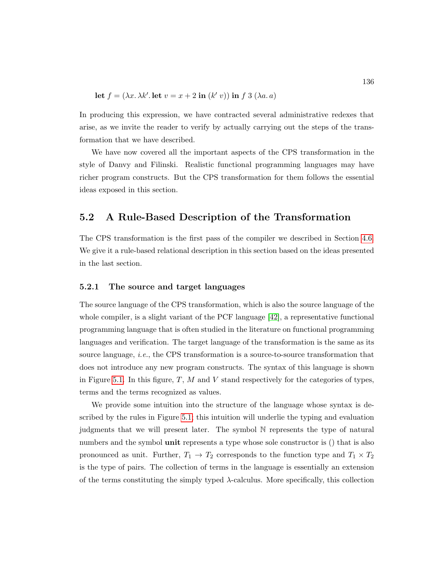let 
$$
f = (\lambda x. \lambda k'.
$$
 let  $v = x + 2$  in  $(k' v)$ ) in f 3  $(\lambda a. a)$ 

In producing this expression, we have contracted several administrative redexes that arise, as we invite the reader to verify by actually carrying out the steps of the transformation that we have described.

We have now covered all the important aspects of the CPS transformation in the style of Danvy and Filinski. Realistic functional programming languages may have richer program constructs. But the CPS transformation for them follows the essential ideas exposed in this section.

### <span id="page-150-0"></span>5.2 A Rule-Based Description of the Transformation

The CPS transformation is the first pass of the compiler we described in Section [4.6.](#page-143-0) We give it a rule-based relational description in this section based on the ideas presented in the last section.

### 5.2.1 The source and target languages

The source language of the CPS transformation, which is also the source language of the whole compiler, is a slight variant of the PCF language [\[42\]](#page-252-0), a representative functional programming language that is often studied in the literature on functional programming languages and verification. The target language of the transformation is the same as its source language, i.e., the CPS transformation is a source-to-source transformation that does not introduce any new program constructs. The syntax of this language is shown in Figure [5.1.](#page-151-0) In this figure,  $T$ ,  $M$  and  $V$  stand respectively for the categories of types, terms and the terms recognized as values.

We provide some intuition into the structure of the language whose syntax is described by the rules in Figure [5.1;](#page-151-0) this intuition will underlie the typing and evaluation judgments that we will present later. The symbol N represents the type of natural numbers and the symbol **unit** represents a type whose sole constructor is () that is also pronounced as unit. Further,  $T_1 \rightarrow T_2$  corresponds to the function type and  $T_1 \times T_2$ is the type of pairs. The collection of terms in the language is essentially an extension of the terms constituting the simply typed  $\lambda$ -calculus. More specifically, this collection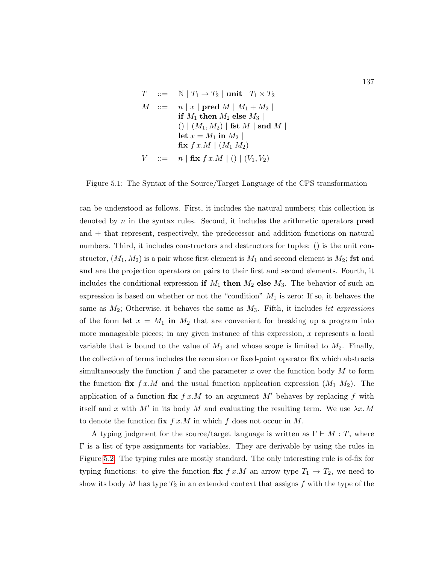<span id="page-151-0"></span>
$$
T \quad ::= \quad \mathbb{N} \mid T_1 \rightarrow T_2 \mid \text{unit} \mid T_1 \times T_2
$$
\n
$$
M \quad ::= \quad n \mid x \mid \text{pred } M \mid M_1 + M_2 \mid
$$
\n
$$
\text{if } M_1 \text{ then } M_2 \text{ else } M_3 \mid
$$
\n
$$
\left( \mid (M_1, M_2) \mid \text{fst } M \mid \text{snd } M \mid
$$
\n
$$
\text{let } x = M_1 \text{ in } M_2 \mid
$$
\n
$$
\text{fix } f \, x.M \mid (M_1 \, M_2)
$$
\n
$$
V \quad ::= \quad n \mid \text{fix } f \, x.M \mid () \mid (V_1, V_2)
$$

Figure 5.1: The Syntax of the Source/Target Language of the CPS transformation

can be understood as follows. First, it includes the natural numbers; this collection is denoted by  $n$  in the syntax rules. Second, it includes the arithmetic operators **pred** and + that represent, respectively, the predecessor and addition functions on natural numbers. Third, it includes constructors and destructors for tuples: () is the unit constructor,  $(M_1, M_2)$  is a pair whose first element is  $M_1$  and second element is  $M_2$ ; fst and snd are the projection operators on pairs to their first and second elements. Fourth, it includes the conditional expression if  $M_1$  then  $M_2$  else  $M_3$ . The behavior of such an expression is based on whether or not the "condition"  $M_1$  is zero: If so, it behaves the same as  $M_2$ ; Otherwise, it behaves the same as  $M_3$ . Fifth, it includes let expressions of the form let  $x = M_1$  in  $M_2$  that are convenient for breaking up a program into more manageable pieces; in any given instance of this expression,  $x$  represents a local variable that is bound to the value of  $M_1$  and whose scope is limited to  $M_2$ . Finally, the collection of terms includes the recursion or fixed-point operator  $fix$  which abstracts simultaneously the function f and the parameter x over the function body  $M$  to form the function fix  $f x.M$  and the usual function application expression  $(M_1 M_2)$ . The application of a function fix  $f x.M$  to an argument M' behaves by replacing f with itself and x with M' in its body M and evaluating the resulting term. We use  $\lambda x. M$ to denote the function  $\mathbf{fix}\; f\;x.M$  in which f does not occur in M.

A typing judgment for the source/target language is written as  $\Gamma \vdash M : T$ , where Γ is a list of type assignments for variables. They are derivable by using the rules in Figure [5.2.](#page-152-0) The typing rules are mostly standard. The only interesting rule is of-fix for typing functions: to give the function  $\mathbf{fix}\; f\;x.M$  an arrow type  $T_1 \to T_2$ , we need to show its body M has type  $T_2$  in an extended context that assigns f with the type of the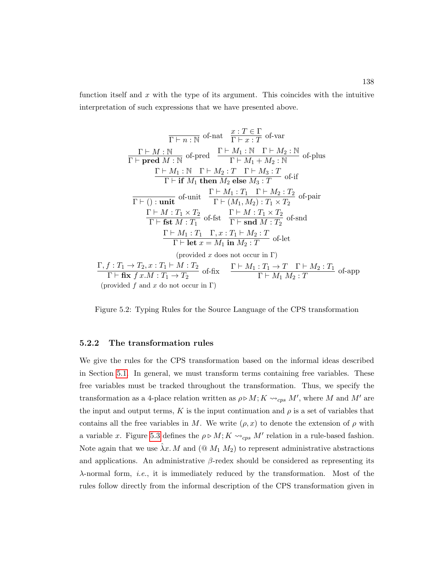function itself and x with the type of its argument. This coincides with the intuitive interpretation of such expressions that we have presented above.

<span id="page-152-0"></span>
$$
\frac{\Gamma \vdash n : \mathbb{N} \quad \text{of-nat} \quad \frac{x : T \in \Gamma}{\Gamma \vdash x : T} \quad \text{of-var} }{\Gamma \vdash \textbf{pred } M : \mathbb{N} \quad \text{of-pred}} \quad \frac{\Gamma \vdash M_1 : \mathbb{N} \quad \Gamma \vdash M_2 : \mathbb{N} }{\Gamma \vdash M_1 + M_2 : \mathbb{N}} \quad \text{of-plus} \\ \frac{\Gamma \vdash M_1 : \mathbb{N} \quad \Gamma \vdash M_2 : T \quad \Gamma \vdash M_3 : T}{\Gamma \vdash \textbf{if } M_1 \textbf{ then } M_2 \textbf{ else } M_3 : T} \quad \text{of-if} \\ \frac{\Gamma \vdash M_1 : T_1 \quad \Gamma \vdash M_2 : T_2}{\Gamma \vdash (\cdot) : \textbf{unit}} \quad \frac{\Gamma \vdash M_1 : T_1 \quad \Gamma \vdash M_2 : T_2}{\Gamma \vdash (M_1, M_2) : T_1 \times T_2} \quad \text{of-pair} \\ \frac{\Gamma \vdash M : T_1 \times T_2}{\Gamma \vdash \textbf{fst } M : T_1} \quad \text{of-fit} \quad \frac{\Gamma \vdash M : T_1 \times T_2}{\Gamma \vdash \textbf{snd } M : T_2} \quad \text{of-snd} \\ \frac{\Gamma \vdash M_1 : T_1 \quad \Gamma, x : T_1 \vdash M_2 : T}{\Gamma \vdash \textbf{let } x = M_1 \textbf{ in } M_2 : T} \quad \text{of-left} \\ \text{(provided } x \textbf{ does not occur in } \Gamma)}
$$
\n
$$
\frac{\Gamma, f : T_1 \rightarrow T_2, x : T_1 \vdash M : T_2}{\Gamma \vdash \textbf{fix } f x.M : T_1 \rightarrow T_2} \quad \text{of-fit} \quad \frac{\Gamma \vdash M_1 : T_1 \rightarrow T \quad \Gamma \vdash M_2 : T}{\Gamma \vdash M_1 M_2 : T} \quad \text{of-app}
$$
\n(provided  $f$  and  $x$  do not occur in  $\Gamma$ )

Figure 5.2: Typing Rules for the Source Language of the CPS transformation

#### 5.2.2 The transformation rules

We give the rules for the CPS transformation based on the informal ideas described in Section [5.1.](#page-147-0) In general, we must transform terms containing free variables. These free variables must be tracked throughout the transformation. Thus, we specify the transformation as a 4-place relation written as  $\rho \triangleright M$ ;  $K \leadsto_{cps} M'$ , where M and M' are the input and output terms, K is the input continuation and  $\rho$  is a set of variables that contains all the free variables in M. We write  $(\rho, x)$  to denote the extension of  $\rho$  with a variable x. Figure [5.3](#page-154-0) defines the  $\rho \triangleright M$ ;  $K \leadsto_{cps} M'$  relation in a rule-based fashion. Note again that we use  $\lambda x. M$  and  $(@ M_1 M_2)$  to represent administrative abstractions and applications. An administrative  $\beta$ -redex should be considered as representing its  $\lambda$ -normal form, *i.e.*, it is immediately reduced by the transformation. Most of the rules follow directly from the informal description of the CPS transformation given in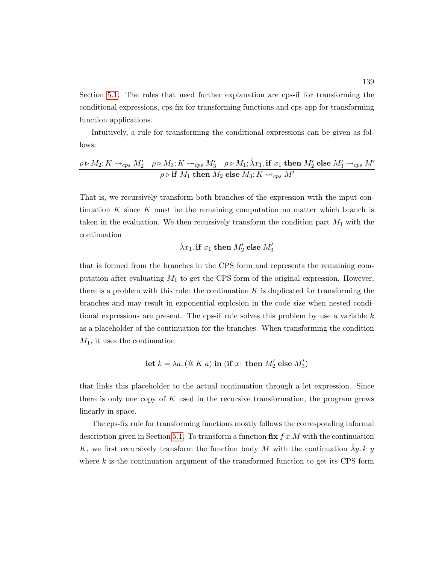Section [5.1.](#page-147-0) The rules that need further explanation are cps-if for transforming the conditional expressions, cps-fix for transforming functions and cps-app for transforming function applications.

Intuitively, a rule for transforming the conditional expressions can be given as follows:

$$
\frac{\rho \triangleright M_2; K \rightsquigarrow_{cps} M'_2 \quad \rho \triangleright M_3; K \rightsquigarrow_{cps} M'_3 \quad \rho \triangleright M_1; \hat{\lambda} x_1. \text{ if } x_1 \text{ then } M'_2 \text{ else } M'_3 \rightsquigarrow_{cps} M'}
$$
\n
$$
\rho \triangleright \text{if } M_1 \text{ then } M_2 \text{ else } M_3; K \rightsquigarrow_{cps} M'
$$

That is, we recursively transform both branches of the expression with the input continuation  $K$  since  $K$  must be the remaining computation no matter which branch is taken in the evaluation. We then recursively transform the condition part  $M_1$  with the continuation

$$
\hat{\lambda}x_1.\,{\bf if}\,\,x_1\,{\bf then}\,\,M'_2\ {\bf else}\,\,M'_3
$$

that is formed from the branches in the CPS form and represents the remaining computation after evaluating  $M_1$  to get the CPS form of the original expression. However, there is a problem with this rule: the continuation  $K$  is duplicated for transforming the branches and may result in exponential explosion in the code size when nested conditional expressions are present. The cps-if rule solves this problem by use a variable  $k$ as a placeholder of the continuation for the branches. When transforming the condition  $M_1$ , it uses the continuation

let 
$$
k = \lambda a
$$
. ( $\textcircled{a} K a$ ) in (if  $x_1$  then  $M'_2$  else  $M'_3$ )

that links this placeholder to the actual continuation through a let expression. Since there is only one copy of  $K$  used in the recursive transformation, the program grows linearly in space.

The cps-fix rule for transforming functions mostly follows the corresponding informal description given in Section [5.1.](#page-147-0) To transform a function  $\mathbf{fix} f x.M$  with the continuation K, we first recursively transform the function body M with the continuation  $\lambda y. k y$ where  $k$  is the continuation argument of the transformed function to get its CPS form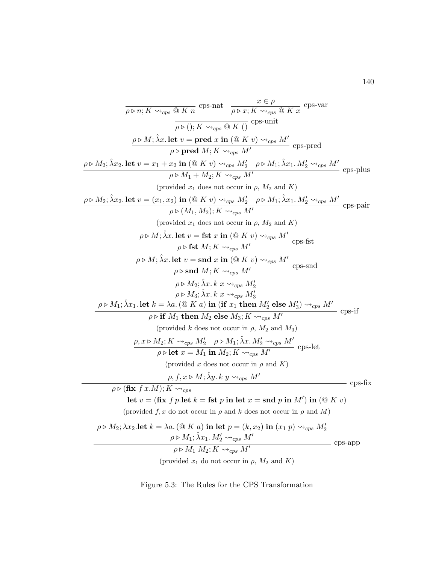<span id="page-154-0"></span>
$$
\frac{\partial \triangleright n; K \rightsquigarrow_{\mathcal{PS}} @ K n\n\frac{x \in \rho}{\rho \triangleright 0; K \rightsquigarrow_{\mathcal{PS}} @ K \circ} \frac{x \in \rho}{\rho \triangleright 0; K \rightsquigarrow_{\mathcal{PS}} @ K \circ} \frac{x \in \rho}{\rho \triangleright 0; K \rightsquigarrow_{\mathcal{PS}} @ K \circ} \frac{x \in \rho}{\rho \triangleright 0; K \rightsquigarrow_{\mathcal{PS}} @ K \circ} \frac{x \in \rho}{\rho \triangleright M_1; \lambda x \cdot \lambda \cdot \text{det } v = \text{pred } x \text{ in } @ K v) \rightsquigarrow_{\mathcal{PS}} M'
$$
 cps-pred  
\n
$$
\frac{\rho \triangleright M_2; \lambda x_2. \text{ let } v = x_1 + x_2 \text{ in } @ K v) \rightsquigarrow_{\mathcal{PS}} M'_2 \quad \rho \triangleright M_1; \lambda x_1. M'_2 \rightsquigarrow_{\mathcal{PS}} M'
$$
 (provided  $x_1$  does not occur in  $\rho$ ,  $M_2$  and  $K$ )  
\n
$$
\frac{\rho \triangleright M_2; \lambda x_2. \text{ let } v = (x_1, x_2) \text{ in } @ K v) \rightsquigarrow_{\mathcal{PS}} M'_2 \quad \rho \triangleright M_1; \lambda x_1. M'_2 \rightsquigarrow_{\mathcal{PS}} M'
$$
 (provided  $x_1$  does not occur in  $\rho$ ,  $M_2$  and  $K$ )  
\n
$$
\frac{\rho \triangleright M; \lambda x. \text{ let } v = \text{fst } x \text{ in } @ K v) \rightsquigarrow_{\mathcal{PS}} M'
$$
 (pres-fat  
\n
$$
\frac{\rho \triangleright M; \lambda x. \text{let } v = \text{fst } x \text{ in } @ K v) \rightsquigarrow_{\mathcal{PS}} M'}{\rho \triangleright M; \lambda x. k x \rightsquigarrow_{\mathcal{PS}} M'}
$$
 cps-snd  
\n
$$
\frac{\rho \triangleright M; \lambda x. \text{let } v = \text{fst } x \text{ in } @ K v) \rightsquigarrow_{\mathcal{PS}} M'}{\rho \triangleright M; \lambda x. k x \rightsquigarrow_{\mathcal{
$$

(provided  $x_1$  do not occur in  $\rho$ ,  $M_2$  and  $K$ )

Figure 5.3: The Rules for the CPS Transformation

140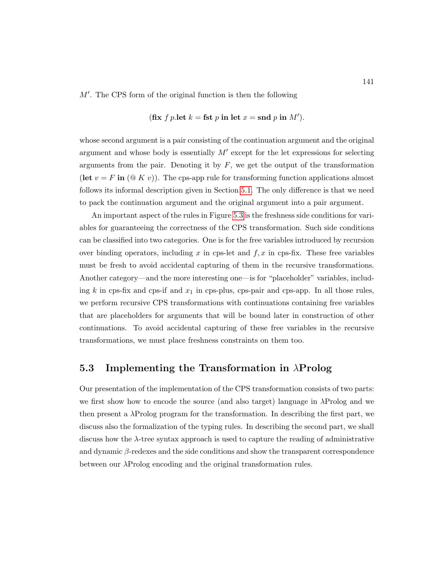$M'$ . The CPS form of the original function is then the following

$$
(\textbf{fix } f \ p.\textbf{let } k = \textbf{fst } p \textbf{ in let } x = \textbf{snd } p \textbf{ in } M').
$$

whose second argument is a pair consisting of the continuation argument and the original argument and whose body is essentially  $M'$  except for the let expressions for selecting arguments from the pair. Denoting it by  $F$ , we get the output of the transformation (let  $v = F$  in  $(\mathbb{Q} K v)$ ). The cps-app rule for transforming function applications almost follows its informal description given in Section [5.1.](#page-147-0) The only difference is that we need to pack the continuation argument and the original argument into a pair argument.

An important aspect of the rules in Figure [5.3](#page-154-0) is the freshness side conditions for variables for guaranteeing the correctness of the CPS transformation. Such side conditions can be classified into two categories. One is for the free variables introduced by recursion over binding operators, including x in cps-let and  $f, x$  in cps-fix. These free variables must be fresh to avoid accidental capturing of them in the recursive transformations. Another category—and the more interesting one—is for "placeholder" variables, including k in cps-fix and cps-if and  $x_1$  in cps-plus, cps-pair and cps-app. In all those rules, we perform recursive CPS transformations with continuations containing free variables that are placeholders for arguments that will be bound later in construction of other continuations. To avoid accidental capturing of these free variables in the recursive transformations, we must place freshness constraints on them too.

### <span id="page-155-0"></span>5.3 Implementing the Transformation in  $\lambda$ Prolog

Our presentation of the implementation of the CPS transformation consists of two parts: we first show how to encode the source (and also target) language in λProlog and we then present a  $\lambda$ Prolog program for the transformation. In describing the first part, we discuss also the formalization of the typing rules. In describing the second part, we shall discuss how the λ-tree syntax approach is used to capture the reading of administrative and dynamic  $\beta$ -redexes and the side conditions and show the transparent correspondence between our λProlog encoding and the original transformation rules.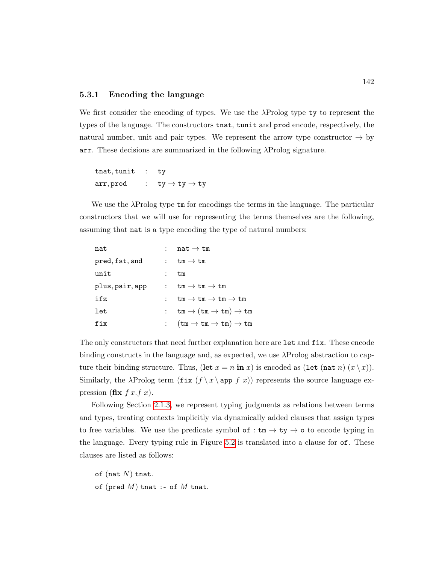### 5.3.1 Encoding the language

We first consider the encoding of types. We use the λProlog type ty to represent the types of the language. The constructors tnat, tunit and prod encode, respectively, the natural number, unit and pair types. We represent the arrow type constructor  $\rightarrow$  by arr. These decisions are summarized in the following  $\lambda$ Prolog signature.

tnat, tunit : ty  $arr, prod$  :  $ty \rightarrow ty \rightarrow ty$ 

We use the  $\lambda$ Prolog type  $\tan$  for encodings the terms in the language. The particular constructors that we will use for representing the terms themselves are the following, assuming that nat is a type encoding the type of natural numbers:

| nat             | : nat $\rightarrow$ tm                                                               |
|-----------------|--------------------------------------------------------------------------------------|
| pred, fst, snd  | : $tm \rightarrow tm$                                                                |
| unit            | tm                                                                                   |
| plus, pair, app | : $tm \rightarrow tm \rightarrow tm$                                                 |
| ifz             | $tm \to tm \to tm \to tm$                                                            |
| let             | $tm \to (tm \to tm) \to tm$                                                          |
| fix             | $(\mathtt{tm}\rightarrow \mathtt{tm}\rightarrow \mathtt{tm})\rightarrow \mathtt{tm}$ |

The only constructors that need further explanation here are let and fix. These encode binding constructs in the language and, as expected, we use  $\lambda$ Prolog abstraction to capture their binding structure. Thus,  $(\text{let } x = n \text{ in } x)$  is encoded as  $(\text{let } (n \text{at } n) (x \setminus x))$ . Similarly, the  $\lambda$ Prolog term  $(f \ x \ \ \text{app } f x)$  represents the source language expression (fix  $f(x, f(x))$ ).

Following Section [2.1.3,](#page-42-0) we represent typing judgments as relations between terms and types, treating contexts implicitly via dynamically added clauses that assign types to free variables. We use the predicate symbol of :  $\tan \rightarrow \text{ty} \rightarrow \text{o}$  to encode typing in the language. Every typing rule in Figure [5.2](#page-152-0) is translated into a clause for of. These clauses are listed as follows:

- of (nat  $N$ ) tnat.
- of (pred  $M$ ) tnat :- of  $M$  tnat.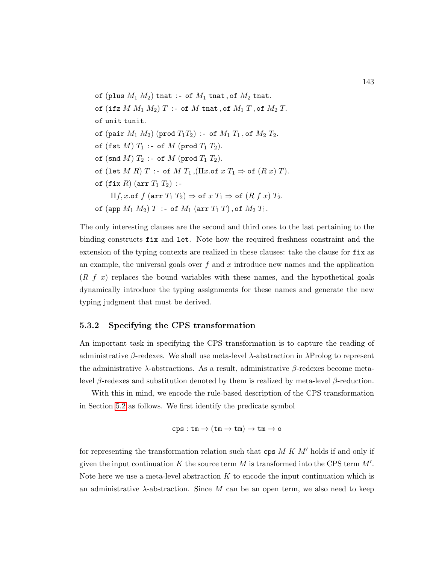of (plus  $M_1$   $M_2$ ) tnat :- of  $M_1$  tnat, of  $M_2$  tnat. of (ifz  $M M_1 M_2$ )  $T$  :- of  $M$  tnat, of  $M_1 T$ , of  $M_2 T$ . of unit tunit. of (pair  $M_1 M_2$ ) (prod  $T_1 T_2$ ) :- of  $M_1 T_1$ , of  $M_2 T_2$ . of (fst  $M$ )  $T_1$  :- of  $M$  (prod  $T_1$   $T_2$ ). of (snd  $M)$   $T_2$  :- of  $M$  (prod  $T_1$   $T_2$ ). of (let  $M R$ )  $T$  :- of  $M T_1$ ,  $(\Pi x.$ of  $x T_1 \Rightarrow$  of  $(R x) T$ ). of  $(fix R)$  (arr  $T_1 T_2$ ) :- $\Pi f$ , x.of  $f$  (arr  $T_1$   $T_2$ )  $\Rightarrow$  of  $x$   $T_1 \Rightarrow$  of  $(R f x)$   $T_2$ . of (app  $M_1 M_2$ )  $T$  :- of  $M_1$  (arr  $T_1 T$ ), of  $M_2 T_1$ .

The only interesting clauses are the second and third ones to the last pertaining to the binding constructs fix and let. Note how the required freshness constraint and the extension of the typing contexts are realized in these clauses: take the clause for fix as an example, the universal goals over  $f$  and  $x$  introduce new names and the application  $(R f x)$  replaces the bound variables with these names, and the hypothetical goals dynamically introduce the typing assignments for these names and generate the new typing judgment that must be derived.

### <span id="page-157-0"></span>5.3.2 Specifying the CPS transformation

An important task in specifying the CPS transformation is to capture the reading of administrative  $\beta$ -redexes. We shall use meta-level  $\lambda$ -abstraction in  $\lambda$ Prolog to represent the administrative  $\lambda$ -abstractions. As a result, administrative  $\beta$ -redexes become metalevel β-redexes and substitution denoted by them is realized by meta-level β-reduction.

With this in mind, we encode the rule-based description of the CPS transformation in Section [5.2](#page-150-0) as follows. We first identify the predicate symbol

$$
\mathtt{cps} : \mathtt{tm} \rightarrow (\mathtt{tm} \rightarrow \mathtt{tm}) \rightarrow \mathtt{tm} \rightarrow \mathtt{o}
$$

for representing the transformation relation such that  $cps M K M'$  holds if and only if given the input continuation K the source term M is transformed into the CPS term  $M'$ . Note here we use a meta-level abstraction  $K$  to encode the input continuation which is an administrative  $\lambda$ -abstraction. Since M can be an open term, we also need to keep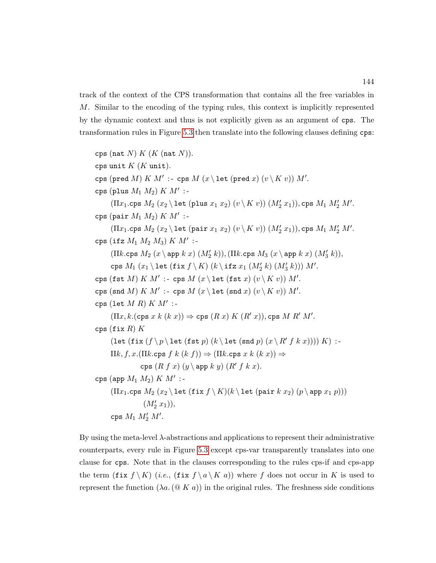track of the context of the CPS transformation that contains all the free variables in M. Similar to the encoding of the typing rules, this context is implicitly represented by the dynamic context and thus is not explicitly given as an argument of cps. The transformation rules in Figure [5.3](#page-154-0) then translate into the following clauses defining cps:

cps (nat  $N$ )  $K$  ( $K$  (nat  $N$ )). cps unit  $K$  ( $K$  unit). cps (pred M)  $K M'$ : - cps  $M (x \le \text{let (pred } x) (v \le K v)) M'.$ cps (plus  $M_1$   $M_2$ )  $K$   $M'$  :- $(\Pi x_1.\mathtt{cps}\ M_2\ (x_2 \setminus \mathtt{let}\ (\mathtt{plus}\ x_1\ x_2)\ (v \setminus K\ v))\ (M'_2\ x_1)), \mathtt{cps}\ M_1\ M'_2\ M'.$ cps (pair  $M_1 M_2$ )  $K M'$  :- $(\Pi x_1.\mathtt{cps}\ M_2\ (x_2 \setminus \mathtt{let}\ (\mathtt{pair}\ x_1\ x_2)\ (v \setminus K\ v))\ (M'_2\ x_1)), \mathtt{cps}\ M_1\ M'_2\ M'.$ cps (ifz  $M_1$   $M_2$   $M_3$ )  $K$   $M'$  :- $(\Pi k.\texttt{cps }M_2\;(x\setminus \texttt{app }k\;x)\;(M'_2\;k)), (\Pi k.\texttt{cps }M_3\;(x\setminus \texttt{app }k\;x)\;(M'_3\;k)),$  $\texttt{cps } M_1 \left( x_1 \backslash \texttt{let (fix } f \backslash K) \left( k \backslash \texttt{ifz } x_1 \left( M'_2 \ k \right) \left( M'_3 \ k \right) \right) \right) M'.$ cps (fst M)  $K M'$  :- cps  $M(x \leq 1)$  (fst x)  $(v \leq K v)$ )  $M'.$ cps (snd M)  $K M'$ : - cps  $M(x \leq 1)$  (x)  $(v \leq K v)$ )  $M'.$ cps (let  $M R$ )  $K M'$  :- $(\Pi x, k.(\text{cps } x \ k \ (k \ x)) \Rightarrow \text{cps } (R \ x) \ K \ (R' \ x)), \text{cps } M \ R' \ M'.$ cps (fix  $R$ )  $K$ (let  $(f \mid x \mid f \mid p \mid \text{fst}(f \mid x) \mid (k \mid \text{end } p) (x \mid R' f k x)))) K$  :- $\Pi k, f, x.(\Pi k.\text{cps } f k (k f)) \Rightarrow (\Pi k.\text{cps } x k (k x)) \Rightarrow$ cps  $(R f x)$   $(y \ \ \ \text{app } k y)$   $(R' f k x)$ . cps (app  $M_1$   $M_2$ )  $K$   $M'$  :- $(\Pi x_1.\text{cps }M_2(x_2 \text{ let } (\text{fix }f \setminus K)(k \text{ let } (\text{pair } k x_2) (p \text{ app } x_1 p)))$  $(M'_2 x_1)$ , cps  $M_1 M_2' M'$ .

By using the meta-level  $\lambda$ -abstractions and applications to represent their administrative counterparts, every rule in Figure [5.3](#page-154-0) except cps-var transparently translates into one clause for cps. Note that in the clauses corresponding to the rules cps-if and cps-app the term (fix  $f \ K)$  (*i.e.*, (fix  $f \ a \ K a)$ ) where f does not occur in K is used to represent the function  $(\lambda a. (\mathcal{Q} K a))$  in the original rules. The freshness side conditions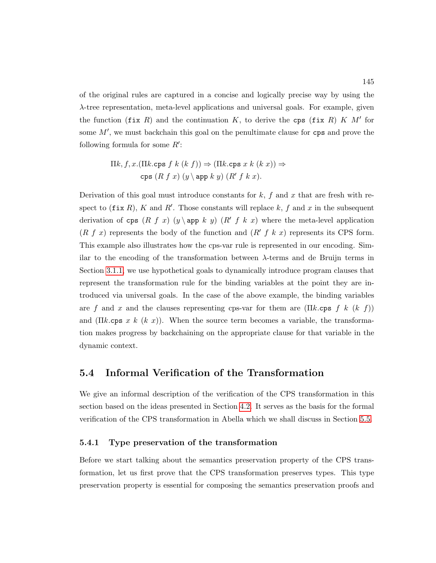of the original rules are captured in a concise and logically precise way by using the λ-tree representation, meta-level applications and universal goals. For example, given the function (fix R) and the continuation K, to derive the cps (fix R) K  $M'$  for some  $M'$ , we must backchain this goal on the penultimate clause for  $cps$  and prove the following formula for some  $R'$ :

$$
\Pi k, f, x. (\Pi k.\text{cps } f k (k f)) \Rightarrow (\Pi k.\text{cps } x k (k x)) \Rightarrow
$$
  
cps  $(R f x) (y \text{app } k y) (R' f k x).$ 

Derivation of this goal must introduce constants for  $k$ ,  $f$  and  $x$  that are fresh with respect to  $(fix R)$ , K and R'. Those constants will replace k, f and x in the subsequent derivation of cps  $(R f x)$   $(y \ge p k y)$   $(R f k x)$  where the meta-level application  $(R f x)$  represents the body of the function and  $(R f k x)$  represents its CPS form. This example also illustrates how the cps-var rule is represented in our encoding. Similar to the encoding of the transformation between λ-terms and de Bruijn terms in Section [3.1.1,](#page-82-0) we use hypothetical goals to dynamically introduce program clauses that represent the transformation rule for the binding variables at the point they are introduced via universal goals. In the case of the above example, the binding variables are f and x and the clauses representing cps-var for them are  $(\Pi k.\text{cps } f k (k f))$ and (Πk.cps x k (k x)). When the source term becomes a variable, the transformation makes progress by backchaining on the appropriate clause for that variable in the dynamic context.

### <span id="page-159-0"></span>5.4 Informal Verification of the Transformation

We give an informal description of the verification of the CPS transformation in this section based on the ideas presented in Section [4.2.](#page-126-0) It serves as the basis for the formal verification of the CPS transformation in Abella which we shall discuss in Section [5.5.](#page-167-0)

### <span id="page-159-1"></span>5.4.1 Type preservation of the transformation

Before we start talking about the semantics preservation property of the CPS transformation, let us first prove that the CPS transformation preserves types. This type preservation property is essential for composing the semantics preservation proofs and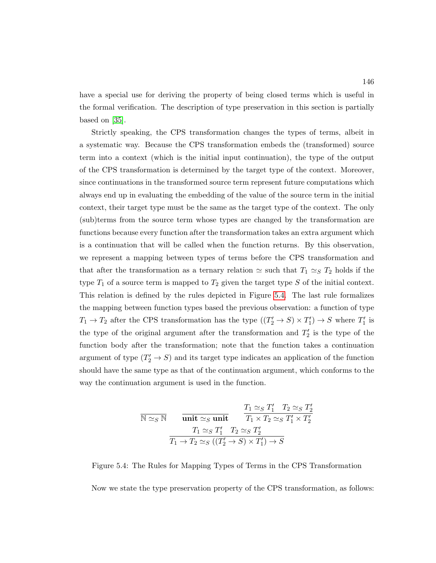have a special use for deriving the property of being closed terms which is useful in the formal verification. The description of type preservation in this section is partially based on [\[35\]](#page-252-1).

Strictly speaking, the CPS transformation changes the types of terms, albeit in a systematic way. Because the CPS transformation embeds the (transformed) source term into a context (which is the initial input continuation), the type of the output of the CPS transformation is determined by the target type of the context. Moreover, since continuations in the transformed source term represent future computations which always end up in evaluating the embedding of the value of the source term in the initial context, their target type must be the same as the target type of the context. The only (sub)terms from the source term whose types are changed by the transformation are functions because every function after the transformation takes an extra argument which is a continuation that will be called when the function returns. By this observation, we represent a mapping between types of terms before the CPS transformation and that after the transformation as a ternary relation  $\simeq$  such that  $T_1 \simeq_S T_2$  holds if the type  $T_1$  of a source term is mapped to  $T_2$  given the target type S of the initial context. This relation is defined by the rules depicted in Figure [5.4.](#page-160-0) The last rule formalizes the mapping between function types based the previous observation: a function of type  $T_1 \to T_2$  after the CPS transformation has the type  $((T_2' \to S) \times T_1') \to S$  where  $T_1'$  is the type of the original argument after the transformation and  $T_2'$  is the type of the function body after the transformation; note that the function takes a continuation argument of type  $(T_2' \rightarrow S)$  and its target type indicates an application of the function should have the same type as that of the continuation argument, which conforms to the way the continuation argument is used in the function.

<span id="page-160-0"></span>
$$
\overline{\mathbb{N} \simeq_{S} \mathbb{N}} \quad \overline{\text{unit} \simeq_{S} \text{unit}} \quad \frac{T_{1} \simeq_{S} T_{1}' \quad T_{2} \simeq_{S} T_{2}'}{T_{1} \times T_{2} \simeq_{S} T_{1}' \times T_{2}'} \\ \frac{T_{1} \simeq_{S} T_{1}' \quad T_{2} \simeq_{S} T_{2}'}{T_{1} \to T_{2} \simeq_{S} ((T_{2}' \to S) \times T_{1}') \to S}
$$

Figure 5.4: The Rules for Mapping Types of Terms in the CPS Transformation Now we state the type preservation property of the CPS transformation, as follows: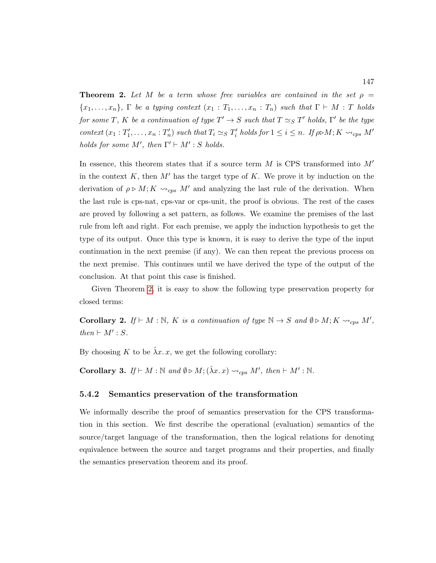<span id="page-161-0"></span>**Theorem 2.** Let M be a term whose free variables are contained in the set  $\rho =$  ${x_1, \ldots, x_n}$ , Γ be a typing context  $(x_1 : T_1, \ldots, x_n : T_n)$  such that  $\Gamma \vdash M : T$  holds for some T, K be a continuation of type  $T' \to S$  such that  $T \simeq_S T'$  holds,  $\Gamma'$  be the type context  $(x_1 : T'_1, \ldots, x_n : T'_n)$  such that  $T_i \simeq_S T'_i$  holds for  $1 \leq i \leq n$ . If  $\rho \triangleright M; K \leadsto_{cps} M'$ holds for some M', then  $\Gamma' \vdash M' : S$  holds.

In essence, this theorem states that if a source term  $M$  is CPS transformed into  $M'$ in the context K, then M' has the target type of K. We prove it by induction on the derivation of  $\rho \triangleright M$ ;  $K \rightsquigarrow_{cps} M'$  and analyzing the last rule of the derivation. When the last rule is cps-nat, cps-var or cps-unit, the proof is obvious. The rest of the cases are proved by following a set pattern, as follows. We examine the premises of the last rule from left and right. For each premise, we apply the induction hypothesis to get the type of its output. Once this type is known, it is easy to derive the type of the input continuation in the next premise (if any). We can then repeat the previous process on the next premise. This continues until we have derived the type of the output of the conclusion. At that point this case is finished.

Given Theorem [2,](#page-161-0) it is easy to show the following type preservation property for closed terms:

<span id="page-161-1"></span>**Corollary 2.** If  $\vdash M : \mathbb{N}, K$  is a continuation of type  $\mathbb{N} \to S$  and  $\emptyset \triangleright M; K \leadsto_{cps} M'$ ,  $then \vdash M' : S.$ 

By choosing K to be  $\hat{\lambda}x$ . x, we get the following corollary:

<span id="page-161-2"></span>Corollary 3. If  $\vdash M : \mathbb{N}$  and  $\emptyset \triangleright M; (\hat{\lambda} x. x) \leadsto_{cps} M'$ , then  $\vdash M' : \mathbb{N}$ .

### 5.4.2 Semantics preservation of the transformation

We informally describe the proof of semantics preservation for the CPS transformation in this section. We first describe the operational (evaluation) semantics of the source/target language of the transformation, then the logical relations for denoting equivalence between the source and target programs and their properties, and finally the semantics preservation theorem and its proof.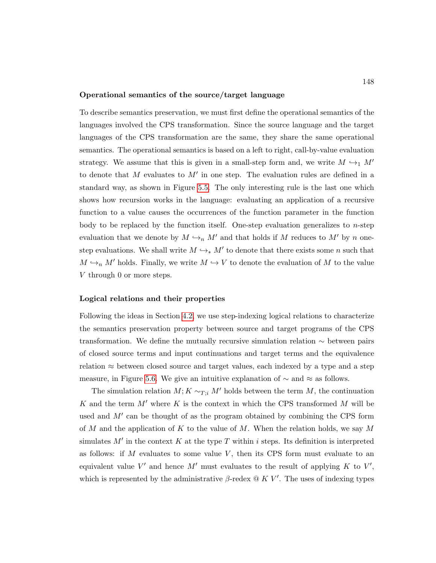#### Operational semantics of the source/target language

To describe semantics preservation, we must first define the operational semantics of the languages involved the CPS transformation. Since the source language and the target languages of the CPS transformation are the same, they share the same operational semantics. The operational semantics is based on a left to right, call-by-value evaluation strategy. We assume that this is given in a small-step form and, we write  $M \hookrightarrow M'$ to denote that M evaluates to  $M'$  in one step. The evaluation rules are defined in a standard way, as shown in Figure [5.5.](#page-163-0) The only interesting rule is the last one which shows how recursion works in the language: evaluating an application of a recursive function to a value causes the occurrences of the function parameter in the function body to be replaced by the function itself. One-step evaluation generalizes to  $n$ -step evaluation that we denote by  $M \hookrightarrow_n M'$  and that holds if M reduces to M' by n onestep evaluations. We shall write  $M \hookrightarrow_{*} M'$  to denote that there exists some n such that  $M \hookrightarrow_n M'$  holds. Finally, we write  $M \hookrightarrow V$  to denote the evaluation of M to the value V through 0 or more steps.

#### Logical relations and their properties

Following the ideas in Section [4.2,](#page-126-0) we use step-indexing logical relations to characterize the semantics preservation property between source and target programs of the CPS transformation. We define the mutually recursive simulation relation ∼ between pairs of closed source terms and input continuations and target terms and the equivalence relation  $\approx$  between closed source and target values, each indexed by a type and a step measure, in Figure [5.6.](#page-164-0) We give an intuitive explanation of  $\sim$  and  $\approx$  as follows.

The simulation relation  $M; K \sim_{T,i} M'$  holds between the term M, the continuation K and the term  $M'$  where K is the context in which the CPS transformed M will be used and  $M'$  can be thought of as the program obtained by combining the CPS form of M and the application of K to the value of M. When the relation holds, we say M simulates  $M'$  in the context K at the type T within i steps. Its definition is interpreted as follows: if  $M$  evaluates to some value  $V$ , then its CPS form must evaluate to an equivalent value V' and hence M' must evaluates to the result of applying K to V', which is represented by the administrative  $\beta$ -redex  $\mathcal{Q} K V'$ . The uses of indexing types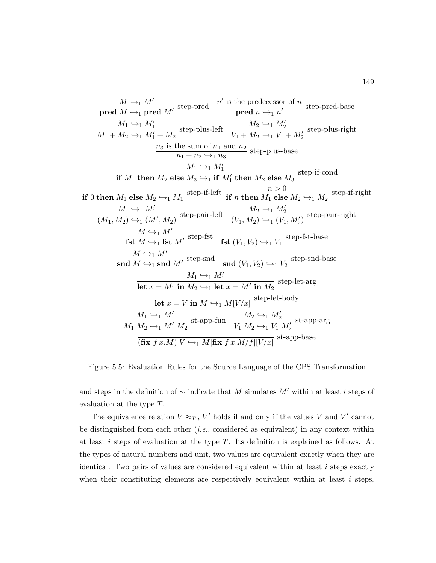<span id="page-163-0"></span>

| $M \rightarrow_1 M'$ | $M'$ | $n'$ | $n'$ | $n'$ | $n'$ | $n'$ | $n'$ | $n'$ | $n'$ | $n'$ | $n'$ | $n'$ | $n$ | $n$ | $n$ | $n$ | $n$ | $n$ | $n$ | $n$ | $n$ | $n$ | $n$ | $n$ | $n$ | $n$ | $n$ | $n$ | $n$ | $n$ | $n$ | $n$ | $n$ | $n$ | $n$ | $n$ | $n$ | $n$ | $n$ | $n$ | $n$ | $n$ | $n$ | $n$ | $n$ | $n$ | $n$ | $n$ | $n$ | $n$ | $n$ | $n$ | $n$ | $n$ | $n$ | $n$ | $n$ | $n$ | $n$ | $n$ | $n$ | $n$ | $n$ | $n$ | $n$ | $n$ | $n$ | $n$ | $n$ | $n$ | $n$ | $n$ | $n$ | $n$ |
|----------------------|------|------|------|------|------|------|------|------|------|------|------|------|-----|-----|-----|-----|-----|-----|-----|-----|-----|-----|-----|-----|-----|-----|-----|-----|-----|-----|-----|-----|-----|-----|-----|-----|-----|-----|-----|-----|-----|-----|-----|-----|-----|-----|-----|-----|-----|-----|-----|-----|-----|-----|-----|-----|-----|-----|-----|-----|-----|-----|-----|-----|-----|-----|-----|-----|-----|-----|-----|-----|-----|-----|
|----------------------|------|------|------|------|------|------|------|------|------|------|------|------|-----|-----|-----|-----|-----|-----|-----|-----|-----|-----|-----|-----|-----|-----|-----|-----|-----|-----|-----|-----|-----|-----|-----|-----|-----|-----|-----|-----|-----|-----|-----|-----|-----|-----|-----|-----|-----|-----|-----|-----|-----|-----|-----|-----|-----|-----|-----|-----|-----|-----|-----|-----|-----|-----|-----|-----|-----|-----|-----|-----|-----|-----|

Figure 5.5: Evaluation Rules for the Source Language of the CPS Transformation

and steps in the definition of  $\sim$  indicate that M simulates M' within at least i steps of evaluation at the type T.

The equivalence relation  $V \approx_{T,i} V'$  holds if and only if the values V and V' cannot be distinguished from each other  $(i.e.,$  considered as equivalent) in any context within at least i steps of evaluation at the type T. Its definition is explained as follows. At the types of natural numbers and unit, two values are equivalent exactly when they are identical. Two pairs of values are considered equivalent within at least  $i$  steps exactly when their constituting elements are respectively equivalent within at least  $i$  steps.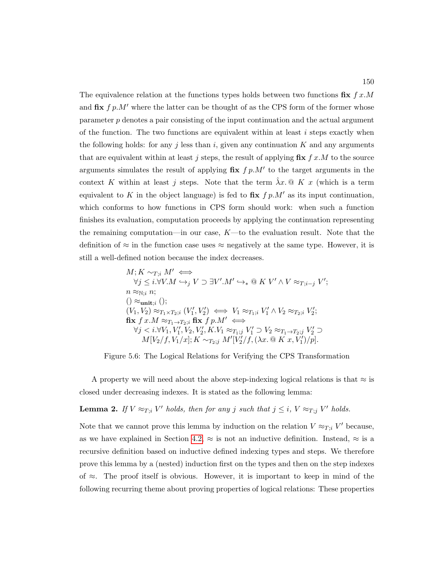The equivalence relation at the functions types holds between two functions  $\mathbf{fix}$  f x.M and  $\mathbf{fix}$   $f$   $p.M'$  where the latter can be thought of as the CPS form of the former whose parameter  $p$  denotes a pair consisting of the input continuation and the actual argument of the function. The two functions are equivalent within at least  $i$  steps exactly when the following holds: for any j less than i, given any continuation K and any arguments that are equivalent within at least j steps, the result of applying  $\mathbf{fix}\; f x.M$  to the source arguments simulates the result of applying  $\mathbf{fix}$   $f p.M'$  to the target arguments in the context K within at least j steps. Note that the term  $\hat{\lambda}x$ . © K x (which is a term equivalent to K in the object language) is fed to  $\mathbf{fix}\; f \; p.M'$  as its input continuation, which conforms to how functions in CPS form should work: when such a function finishes its evaluation, computation proceeds by applying the continuation representing the remaining computation—in our case,  $K$ —to the evaluation result. Note that the definition of  $\approx$  in the function case uses  $\approx$  negatively at the same type. However, it is still a well-defined notion because the index decreases.

<span id="page-164-0"></span>M; K ∼T;<sup>i</sup> M<sup>0</sup> ⇐⇒ ∀j ≤ i.∀V.M ,→<sup>j</sup> V ⊃ ∃V 0 .M<sup>0</sup> ,→<sup>∗</sup> @ K V <sup>0</sup> ∧ V ≈T;i−<sup>j</sup> V 0 ; n ≈N;<sup>i</sup> n; () ≈unit;<sup>i</sup> (); (V1, V2) ≈T1×T2;<sup>i</sup> (V 0 1 , V <sup>0</sup> 2 ) ⇐⇒ V<sup>1</sup> ≈T1;<sup>i</sup> V 0 <sup>1</sup> ∧ V<sup>2</sup> ≈T2;<sup>i</sup> V 0 2 ; fix f x.M ≈T1→T2;<sup>i</sup> fix f p.M<sup>0</sup> ⇐⇒ ∀j < i.∀V1, V <sup>0</sup> 1 , V2, V <sup>0</sup> 2 , K.V<sup>1</sup> ≈T1;<sup>j</sup> V 0 <sup>1</sup> ⊃ V<sup>2</sup> ≈T1→T2;<sup>j</sup> V 0 <sup>2</sup> ⊃ M[V2/f, V1/x]; K ∼T2;<sup>j</sup> M<sup>0</sup> [V 0 2 /f,(λx. @ K x, V <sup>0</sup> 1 )/p].

Figure 5.6: The Logical Relations for Verifying the CPS Transformation

A property we will need about the above step-indexing logical relations is that  $\approx$  is closed under decreasing indexes. It is stated as the following lemma:

<span id="page-164-1"></span>**Lemma 2.** If  $V \approx_{T,i} V'$  holds, then for any j such that  $j \leq i$ ,  $V \approx_{T,j} V'$  holds.

Note that we cannot prove this lemma by induction on the relation  $V \approx_{T,i} V'$  because, as we have explained in Section [4.2,](#page-126-0)  $\approx$  is not an inductive definition. Instead,  $\approx$  is a recursive definition based on inductive defined indexing types and steps. We therefore prove this lemma by a (nested) induction first on the types and then on the step indexes of  $≈$ . The proof itself is obvious. However, it is important to keep in mind of the following recurring theme about proving properties of logical relations: These properties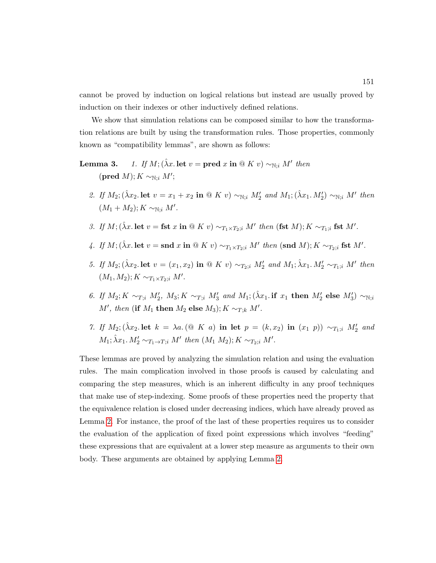cannot be proved by induction on logical relations but instead are usually proved by induction on their indexes or other inductively defined relations.

We show that simulation relations can be composed similar to how the transformation relations are built by using the transformation rules. Those properties, commonly known as "compatibility lemmas", are shown as follows:

### **Lemma 3.** 1. If  $M$ ; ( $\hat{\lambda}x$ . let  $v = \textbf{pred } x$  in  $@K v) \sim_{\mathbb{N};i} M'$  then  $(\text{pred } M); K \sim_{\mathbb{N}; i} M';$

- 2. If  $M_2$ ;  $(\hat{\lambda}x_2)$  let  $v = x_1 + x_2$  in  $\circledcirc K v$   $\sim_{\mathbb{N};i} M'_2$  and  $M_1$ ;  $(\hat{\lambda}x_1, M'_2) \sim_{\mathbb{N};i} M'$  then  $(M_1 + M_2); K \sim_{\mathbb{N};i} M'.$
- 3. If  $M$ ;  $(\hat{\lambda}x.$  let  $v = \textbf{fst } x \textbf{ in } \textcircled{a} K v) \sim_{T_1 \times T_2; i} M'$  then  $(\textbf{fst } M)$ ;  $K \sim_{T_1; i} \textbf{fst } M'$ .
- 4. If  $M$ ;  $(\hat{\lambda}x.$  let  $v = \text{snd } x$  in  $\stackrel{\frown}{\otimes} K v) \sim_{T_1 \times T_2; i} M'$  then  $(\text{snd } M)$ ;  $K \sim_{T_2; i} \text{fst } M'$ .
- 5. If  $M_2$ ;  $(\hat{\lambda}x_2)$  let  $v = (x_1, x_2)$  in  $\textcircled{a} K v$   $\sim_{T_2; i} M'_2$  and  $M_1; \hat{\lambda}x_1, M'_2 \sim_{T_1; i} M'$  then  $(M_1, M_2); K \sim_{T_1 \times T_2; i} M'.$
- 6. If  $M_2$ ;  $K \sim_{T,i} M'_2$ ,  $M_3$ ;  $K \sim_{T,i} M'_3$  and  $M_1$ ;  $(\hat{\lambda} x_1$ . if  $x_1$  then  $M'_2$  else  $M'_3$ )  $\sim_{\mathbb{N},i}$ M', then (if  $M_1$  then  $M_2$  else  $M_3$ );  $K \sim_{T;k} M'.$
- 7. If  $M_2$ ;  $(\hat{\lambda}x_2)$  let  $k = \lambda a$ . (@ K a) in let  $p = (k, x_2)$  in  $(x_1, p)$   $\sim_{T_1; i} M'_2$  and  $M_1$ ;  $\hat{\lambda}x_1$ .  $M'_2 \sim_{T_1 \to T; i} M'$  then  $(M_1 M_2)$ ;  $K \sim_{T_2; i} M'$ .

These lemmas are proved by analyzing the simulation relation and using the evaluation rules. The main complication involved in those proofs is caused by calculating and comparing the step measures, which is an inherent difficulty in any proof techniques that make use of step-indexing. Some proofs of these properties need the property that the equivalence relation is closed under decreasing indices, which have already proved as Lemma [2.](#page-164-1) For instance, the proof of the last of these properties requires us to consider the evaluation of the application of fixed point expressions which involves "feeding" these expressions that are equivalent at a lower step measure as arguments to their own body. These arguments are obtained by applying Lemma [2.](#page-164-1)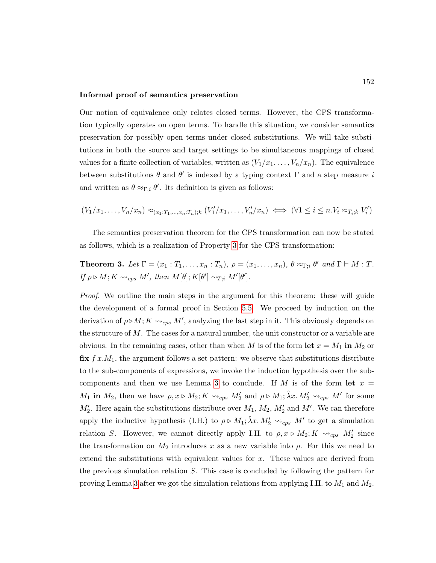#### Informal proof of semantics preservation

Our notion of equivalence only relates closed terms. However, the CPS transformation typically operates on open terms. To handle this situation, we consider semantics preservation for possibly open terms under closed substitutions. We will take substitutions in both the source and target settings to be simultaneous mappings of closed values for a finite collection of variables, written as  $(V_1/x_1, \ldots, V_n/x_n)$ . The equivalence between substitutions  $\theta$  and  $\theta'$  is indexed by a typing context  $\Gamma$  and a step measure i and written as  $\theta \approx_{\Gamma; i} \theta'$ . Its definition is given as follows:

$$
(V_1/x_1,\ldots,V_n/x_n) \approx_{(x_1:T_1,\ldots,x_n:T_n);k} (V'_1/x_1,\ldots,V'_n/x_n) \iff (\forall 1 \leq i \leq n.V_i \approx_{T_i;k} V'_i)
$$

The semantics preservation theorem for the CPS transformation can now be stated as follows, which is a realization of Property [3](#page-132-0) for the CPS transformation:

### <span id="page-166-0"></span>**Theorem 3.** Let  $\Gamma = (x_1 : T_1, \ldots, x_n : T_n)$ ,  $\rho = (x_1, \ldots, x_n)$ ,  $\theta \approx_{\Gamma; i} \theta'$  and  $\Gamma \vdash M : T$ . If  $\rho \triangleright M; K \leadsto_{cps} M'$ , then  $M[\theta]; K[\theta'] \sim_{T;i} M'[\theta']$ .

Proof. We outline the main steps in the argument for this theorem: these will guide the development of a formal proof in Section [5.5.](#page-167-0) We proceed by induction on the derivation of  $\rho \triangleright M$ ;  $K \leadsto_{cps} M'$ , analyzing the last step in it. This obviously depends on the structure of  $M$ . The cases for a natural number, the unit constructor or a variable are obvious. In the remaining cases, other than when M is of the form let  $x = M_1$  in  $M_2$  or  $\mathbf{fix}$   $f$   $x.M_1$ , the argument follows a set pattern: we observe that substitutions distribute to the sub-components of expressions, we invoke the induction hypothesis over the sub-components and then we use Lemma [3](#page-0-0) to conclude. If M is of the form let  $x =$  $M_1$  in  $M_2$ , then we have  $\rho, x \triangleright M_2$ ;  $K \leadsto_{cps} M_2'$  and  $\rho \triangleright M_1$ ;  $\hat{\lambda}x. M_2' \leadsto_{cps} M'$  for some  $M'_2$ . Here again the substitutions distribute over  $M_1$ ,  $M_2$ ,  $M'_2$  and  $M'$ . We can therefore apply the inductive hypothesis (I.H.) to  $\rho \triangleright M_1$ ;  $\hat{\lambda}x$ .  $M'_2 \leadsto_{cps} M'$  to get a simulation relation S. However, we cannot directly apply I.H. to  $\rho, x \triangleright M_2; K \leadsto_{cps} M_2'$  since the transformation on  $M_2$  introduces x as a new variable into  $\rho$ . For this we need to extend the substitutions with equivalent values for x. These values are derived from the previous simulation relation S. This case is concluded by following the pattern for proving Lemma [3](#page-0-0) after we got the simulation relations from applying I.H. to  $M_1$  and  $M_2$ .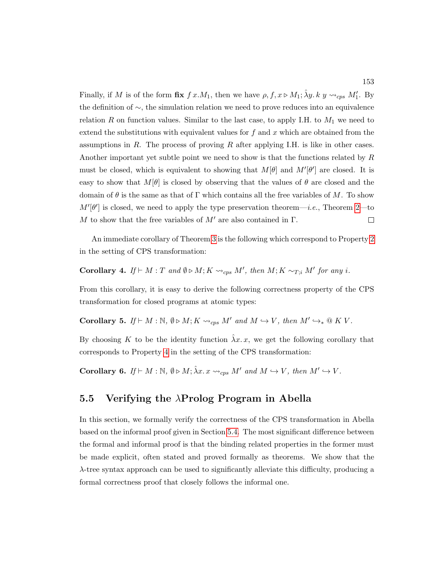Finally, if M is of the form  $\mathbf{fix}\; f\;x.M_1$ , then we have  $\rho, f, x \triangleright M_1$ ;  $\hat{\lambda}y. k\; y \leadsto_{cps} M_1'$ . By the definition of ∼, the simulation relation we need to prove reduces into an equivalence relation R on function values. Similar to the last case, to apply I.H. to  $M_1$  we need to extend the substitutions with equivalent values for  $f$  and  $x$  which are obtained from the assumptions in R. The process of proving R after applying I.H. is like in other cases. Another important yet subtle point we need to show is that the functions related by R must be closed, which is equivalent to showing that  $M[\theta]$  and  $M'[\theta']$  are closed. It is easy to show that  $M[\theta]$  is closed by observing that the values of  $\theta$  are closed and the domain of  $\theta$  is the same as that of Γ which contains all the free variables of M. To show  $M'[\theta']$  is closed, we need to apply the type preservation theorem—*i.e.*, Theorem [2—](#page-161-0)to M to show that the free variables of  $M'$  are also contained in Γ.  $\Box$ 

An immediate corollary of Theorem [3](#page-166-0) is the following which correspond to Property [2](#page-131-0) in the setting of CPS transformation:

**Corollary 4.** If  $\vdash M : T$  and  $\emptyset \triangleright M$ ; K  $\leadsto_{cps} M'$ , then  $M$ ; K  $\sim_{T,i} M'$  for any i.

From this corollary, it is easy to derive the following correctness property of the CPS transformation for closed programs at atomic types:

<span id="page-167-1"></span>Corollary 5. If  $\vdash M : \mathbb{N}, \emptyset \triangleright M; K \leadsto_{cps} M'$  and  $M \hookrightarrow V$ , then  $M' \hookrightarrow_{*} \mathbb{Q} K V$ .

By choosing K to be the identity function  $\hat{\lambda}x$ . x, we get the following corollary that corresponds to Property [4](#page-132-1) in the setting of the CPS transformation:

**Corollary 6.** If  $\vdash M : \mathbb{N}, \emptyset \triangleright M; \hat{\lambda}x. x \rightsquigarrow_{cps} M'$  and  $M \hookrightarrow V$ , then  $M' \hookrightarrow V$ .

### <span id="page-167-0"></span>5.5 Verifying the  $\lambda$ Prolog Program in Abella

In this section, we formally verify the correctness of the CPS transformation in Abella based on the informal proof given in Section [5.4.](#page-159-0) The most significant difference between the formal and informal proof is that the binding related properties in the former must be made explicit, often stated and proved formally as theorems. We show that the λ-tree syntax approach can be used to significantly alleviate this difficulty, producing a formal correctness proof that closely follows the informal one.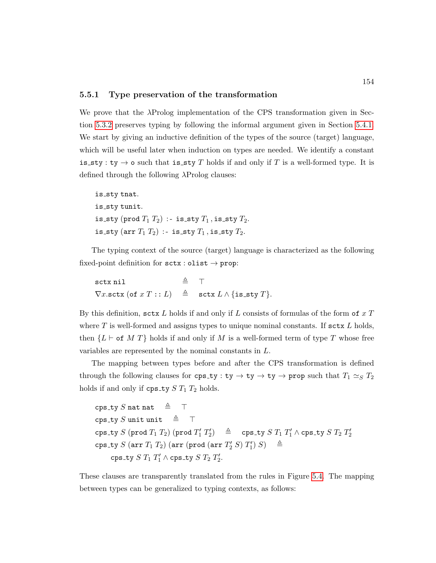### 5.5.1 Type preservation of the transformation

We prove that the λProlog implementation of the CPS transformation given in Section [5.3.2](#page-157-0) preserves typing by following the informal argument given in Section [5.4.1.](#page-159-1) We start by giving an inductive definition of the types of the source (target) language, which will be useful later when induction on types are needed. We identify a constant is sty : ty  $\rightarrow$  o such that is sty T holds if and only if T is a well-formed type. It is defined through the following λProlog clauses:

is\_sty tnat. is\_sty tunit. is sty (prod  $T_1$   $T_2$ ) :- is sty  $T_1$ , is sty  $T_2$ . is sty (arr  $T_1$   $T_2$ ) :- is sty  $T_1$ , is sty  $T_2$ .

The typing context of the source (target) language is characterized as the following fixed-point definition for  $sctx : dist \rightarrow prop$ :

sctx nil  $\triangle$   $\top$  $\nabla x.\texttt{sctx}$  (of  $x T :: L$ )  $\triangleq$  sctx  $L \wedge \{\texttt{is\_sty } T\}.$ 

By this definition, sctx L holds if and only if L consists of formulas of the form of  $x T$ where  $T$  is well-formed and assigns types to unique nominal constants. If sctx  $L$  holds, then  ${L \vdash \textsf{of } M T}$  holds if and only if M is a well-formed term of type T whose free variables are represented by the nominal constants in L.

The mapping between types before and after the CPS transformation is defined through the following clauses for  $\texttt{cps\_ty} : \texttt{ty} \to \texttt{ty} \to \texttt{ty} \to \texttt{prop}$  such that  $T_1 \simeq_S T_2$ holds if and only if  $\text{cps\_ty} S T_1 T_2$  holds.

```
cps_ty S nat nat \triangleq \topcps_ty S unit unit \triangleq T
\texttt{cps\_ty}\ S\ (\texttt{prod}\ T_1\ T_2)\ (\texttt{prod}\ T_1'\ T_2')\quad \triangleq \quad \texttt{cps\_ty}\ S\ T_1\ T_1'\ \wedge \texttt{cps\_ty}\ S\ T_2\ T_2'\texttt{cps\_ty}~S~(\texttt{arr}~T_1~T_2)~(\texttt{arr}~(\texttt{prod}~(\texttt{arr}~T_2'~S)~T_1')~S) \quad \triangleq\texttt{cps\_ty} \ S \ T_1 \ T_1' \wedge \texttt{cps\_ty} \ S \ T_2 \ T_2'.
```
These clauses are transparently translated from the rules in Figure [5.4.](#page-160-0) The mapping between types can be generalized to typing contexts, as follows: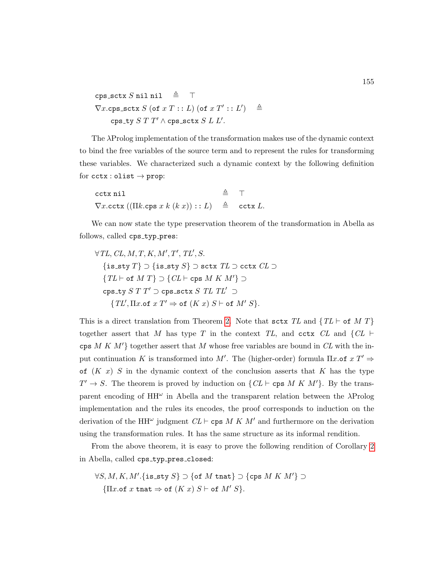cps\_sctx S nil nil  $\triangleq$   $\top$  $\nabla x.\mathtt{cps\_sctx} \ S \ (\mathtt{of} \ x \ T : : L) \ (\mathtt{of} \ x \ T' : : L') \quad \triangleq$  $\texttt{cps\_ty}~S~T~T' \wedge \texttt{cps\_sctx}~S~L~L'.$ 

The λProlog implementation of the transformation makes use of the dynamic context to bind the free variables of the source term and to represent the rules for transforming these variables. We characterized such a dynamic context by the following definition for  $\texttt{cctx} : \texttt{olist} \rightarrow \texttt{prop}:$ 

| cctx nil                                                                                            | $\triangleq$ T |  |
|-----------------------------------------------------------------------------------------------------|----------------|--|
| $\nabla x.\texttt{cctx}((\Pi k.\texttt{cps}\; x\; k\; (k\; x)) :: L) \triangleq \texttt{cctx}\; L.$ |                |  |

We can now state the type preservation theorem of the transformation in Abella as follows, called cps\_typ\_pres:

$$
\forall TL, CL, M, T, K, M', T', TL', S.
$$
\n
$$
\{is\_sty\ T\} \supset \{is\_sty\ S\} \supset sctx\ TL \supset cctx\ CL \supset
$$
\n
$$
\{TL \vdash \text{of } MT\} \supset \{CL \vdash \text{cps } M\ K\ M'\} \supset
$$
\n
$$
\text{cps\_ty}\ S\ T\ T' \supset \text{cps\_sctx}\ S\ TL\ TL' \supset
$$
\n
$$
\{TL', \Pi x.\text{of}\ x\ T' \Rightarrow \text{of}\ (K\ x)\ S \vdash \text{of}\ M'\ S\}.
$$

This is a direct translation from Theorem [2.](#page-161-0) Note that sctx TL and  $\{TL \vdash \text{of } M T\}$ together assert that M has type T in the context TL, and cctx CL and  $\{CL \vdash$ cps M K  $M'$  together assert that M whose free variables are bound in CL with the input continuation K is transformed into M'. The (higher-order) formula  $\Pi x.$ of  $x T' \Rightarrow$ of  $(K x)$  S in the dynamic context of the conclusion asserts that K has the type  $T' \to S$ . The theorem is proved by induction on  $\{CL \vdash \text{cps } M \tIm M'\}$ . By the transparent encoding of  $HH^{\omega}$  in Abella and the transparent relation between the  $\lambda$ Prolog implementation and the rules its encodes, the proof corresponds to induction on the derivation of the HH<sup> $\omega$ </sup> judgment  $CL \vdash \text{cps } M K M'$  and furthermore on the derivation using the transformation rules. It has the same structure as its informal rendition.

From the above theorem, it is easy to prove the following rendition of Corollary [2](#page-161-1) in Abella, called cps\_typ\_pres\_closed:

$$
\forall S, M, K, M'. \{ \text{is\_sty } S \} \supset \{ \text{of } M \text{ that} \} \supset \{ \text{cps } M \, K \, M' \} \supset
$$

$$
\{ \Pi x. \text{of } x \text{ that } \Rightarrow \text{of } (K \, x) \, S \vdash \text{of } M' \, S \}.
$$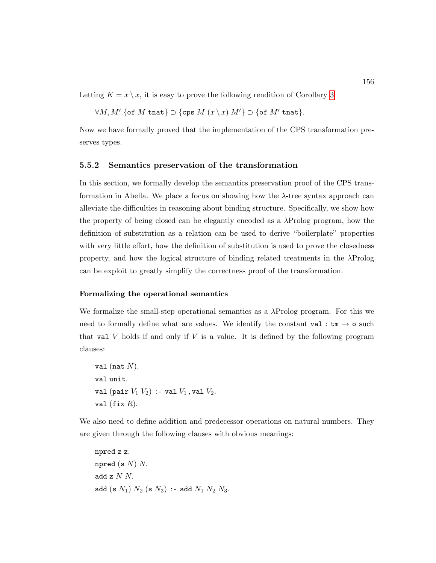Letting  $K = x \setminus x$ , it is easy to prove the following rendition of Corollary [3:](#page-161-2)

$$
\forall M,M'.\{\texttt{of }M \texttt{ that}\} \supset \{\texttt{cps }M\;(x\setminus x)\;M'\}\supset \{\texttt{of }M' \texttt{ that}\}
$$

Now we have formally proved that the implementation of the CPS transformation preserves types.

### 5.5.2 Semantics preservation of the transformation

In this section, we formally develop the semantics preservation proof of the CPS transformation in Abella. We place a focus on showing how the  $\lambda$ -tree syntax approach can alleviate the difficulties in reasoning about binding structure. Specifically, we show how the property of being closed can be elegantly encoded as a  $\lambda$ Prolog program, how the definition of substitution as a relation can be used to derive "boilerplate" properties with very little effort, how the definition of substitution is used to prove the closedness property, and how the logical structure of binding related treatments in the  $\lambda \text{Prolog}$ can be exploit to greatly simplify the correctness proof of the transformation.

### Formalizing the operational semantics

We formalize the small-step operational semantics as a  $\lambda$ Prolog program. For this we need to formally define what are values. We identify the constant val :  $tm \rightarrow o$  such that val  $V$  holds if and only if  $V$  is a value. It is defined by the following program clauses:

val (nat  $N$ ). val unit. val (pair  $V_1$   $V_2$ ) :- val  $V_1$ , val  $V_2$ . val (fix  $R$ ).

We also need to define addition and predecessor operations on natural numbers. They are given through the following clauses with obvious meanings:

npred z z. npred (s  $N$ )  $N$ . add  $z$   $N$   $N$ . add (s  $N_1$ )  $N_2$  (s  $N_3$ ) :- add  $N_1 N_2 N_3$ .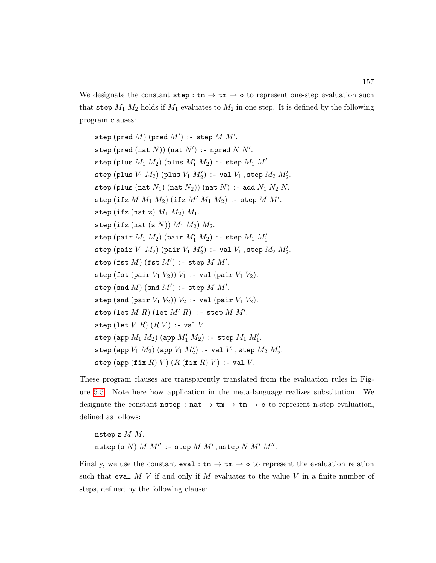We designate the constant  $step : tm \rightarrow tm \rightarrow o$  to represent one-step evaluation such that step  $M_1$   $M_2$  holds if  $M_1$  evaluates to  $M_2$  in one step. It is defined by the following program clauses:

step (pred  $M)$  (pred  $M'$ ) :- step  $M M'.$ step (pred (nat  $N$ )) (nat  $N'$ ) : - npred  $N N'.$  $\texttt{step (plus }M_1\ M_2) \ (\texttt{plus }M'_1\ M_2) \ :\ \texttt{step }M_1\ M'_1.$ step (plus  $V_1$   $M_2$ ) (plus  $V_1$   $M'_2$ ) :- val  $V_1$ , step  $M_2$   $M'_2$ . step (plus (nat  $N_1$ ) (nat  $N_2$ )) (nat  $N$ ) :- add  $N_1 N_2 N$ . step (ifz  $M M_1 M_2$ ) (ifz  $M' M_1 M_2$ ) :- step  $M M'.$ step (ifz (nat z)  $M_1 M_2$ )  $M_1$ . step (ifz (nat (s  $N$ ))  $M_1 M_2$ )  $M_2$ .  $\mathtt{step}\ (\mathtt{pair}\ M_1\ M_2)\ (\mathtt{pair}\ M'_1\ M_2)\ :\ \mathtt{step}\ M_1\ M'_1.$  $\texttt{step} \ (\texttt{pair} \ V_1 \ M_2) \ (\texttt{pair} \ V_1 \ M'_2) \ : \texttt{val} \ V_1 \ \texttt{step} \ M_2 \ M'_2.$ step  $(fst M)$   $(fst M')$  :- step  $M M'.$ step (fst (pair  $V_1$   $V_2$ ))  $V_1$  :- val (pair  $V_1$   $V_2$ ). step (snd  $M)$  (snd  $M'$ ) :- step  $M M'.$ step (snd (pair  $V_1$   $V_2$ ))  $V_2$  :- val (pair  $V_1$   $V_2$ ). step  $(\text{let } M R)$   $(\text{let } M'R)$  :- step  $M M'.$ step (let  $V R$ )  $(R V)$  :- val  $V$ .  $\mathtt{step}\;(\mathtt{app}\;M_1\;M_2)$   $(\mathtt{app}\;M_1'\;M_2)$  :-  $\mathtt{step}\;M_1\;M_1'.$  $\texttt{step}~(\texttt{app}~V_1~M_2)~(\texttt{app}~V_1~M_2')$  :- val  $V_1$ ,  $\texttt{step}~M_2~M_2'.$ step (app (fix R) V)  $(R$  (fix R) V) :- val V.

These program clauses are transparently translated from the evaluation rules in Figure [5.5.](#page-163-0) Note here how application in the meta-language realizes substitution. We designate the constant  $nstep : nat \rightarrow tm \rightarrow cm$  o to represent n-step evaluation, defined as follows:

nstep z  $M M$ .  $\mathtt{nstep}$  (s  $N)$   $M$   $M''$  :- step  $M$   $M'$  ,  $\mathtt{nstep}$   $N$   $M'$   $M''$ .

Finally, we use the constant  $eval : tm \rightarrow tm \rightarrow o$  to represent the evaluation relation such that eval  $M$  V if and only if M evaluates to the value V in a finite number of steps, defined by the following clause: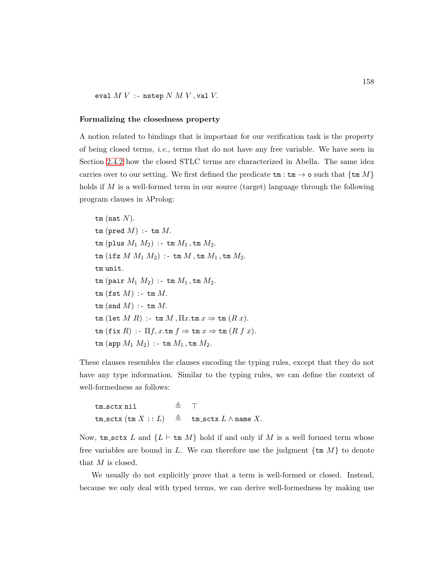eval  $M V$  :- nstep  $N M V$ , val  $V$ .

#### Formalizing the closedness property

A notion related to bindings that is important for our verification task is the property of being closed terms, *i.e.*, terms that do not have any free variable. We have seen in Section [2.4.2](#page-75-0) how the closed STLC terms are characterized in Abella. The same idea carries over to our setting. We first defined the predicate  $\tan : \tan \rightarrow o$  such that  $\{\tan M\}$ holds if  $M$  is a well-formed term in our source (target) language through the following program clauses in λProlog:

tm (nat  $N$ ).  $tm$  (pred  $M$ ) :-  $tm$   $M$ . tm (plus  $M_1$   $M_2$ ) :- tm  $M_1$ , tm  $M_2$ . tm  $(\texttt{ifz }M \ M_1 \ M_2)$  :- tm  $M$ , tm  $M_1$ , tm  $M_2$ . tm unit. tm (pair  $M_1$   $M_2$ ) :- tm  $M_1$ , tm  $M_2$ .  $tm$  (fst  $M$ ) :- tm  $M$ .  $tm$  (snd  $M$ ) :-  $tm$   $M$ . tm (let  $M R$ ) :- tm  $M$ ,  $\Pi x$ .tm  $x \Rightarrow$  tm  $(R x)$ .  $\tan (\texttt{fix } R) : \Pi f, x.\texttt{tm} f \Rightarrow \texttt{tm} x \Rightarrow \texttt{tm} (R f x).$  $\tan (\text{app } M_1 \ M_2)$  :-  $\tan M_1$ ,  $\tan M_2$ .

These clauses resembles the clauses encoding the typing rules, except that they do not have any type information. Similar to the typing rules, we can define the context of well-formedness as follows:

$$
\begin{array}{lcl} \texttt{tm\_sctx} \ \texttt{nil} & \triangleq & \top \\ \texttt{tm\_sctx} \ (\texttt{tm} \ X : : L) & \triangleq & \texttt{tm\_sctx} \ L \wedge \texttt{name} \ X. \end{array}
$$

Now, tm sctx L and  $\{L \vdash \text{tm }M\}$  hold if and only if M is a well formed term whose free variables are bound in L. We can therefore use the judgment  $\{\text{tm }M\}$  to denote that  $M$  is closed.

We usually do not explicitly prove that a term is well-formed or closed. Instead, because we only deal with typed terms, we can derive well-formedness by making use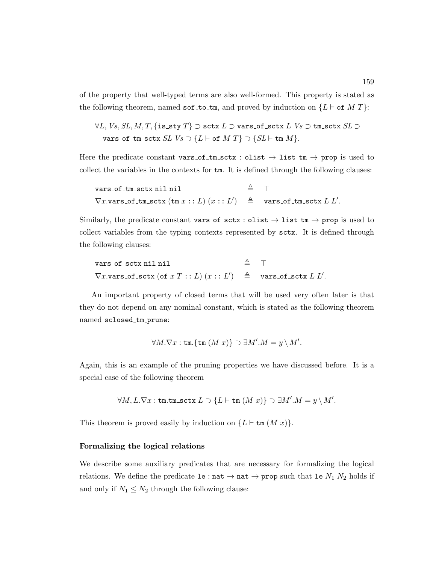of the property that well-typed terms are also well-formed. This property is stated as the following theorem, named sof\_to\_tm, and proved by induction on  ${L \vdash of M T}$ :

$$
\forall L, Vs, SL, M, T, \{ \texttt{is\_sty } T \} \supset \texttt{sctx } L \supset \texttt{vars\_of\_sctx } L \; Vs \supset \texttt{tm\_sctx } SL \supset \texttt{vars\_of\_tm\_sctx } SL \; Vs \supset \{ L \vdash \texttt{of } M \; T \} \supset \{ SL \vdash \texttt{tm } M \}.
$$

Here the predicate constant vars\_of\_tm\_sctx : olist  $\rightarrow$  list tm  $\rightarrow$  prop is used to collect the variables in the contexts for tm. It is defined through the following clauses:

\n
$$
\text{vars_of\_tm\_sctx nilnil} \triangleq \top
$$
\n

\n\n $\nabla x \cdot \text{vars_of\_tm\_sctx} \, (\text{tm } x :: L) \, (x :: L') \triangleq \text{vars_of\_tm\_sctx } L \, L'.$ \n

Similarly, the predicate constant vars of sctx : olist  $\rightarrow$  list tm  $\rightarrow$  prop is used to collect variables from the typing contexts represented by sctx. It is defined through the following clauses:

\n
$$
\text{vars\_of\_sctx\,nil\,nil}\quad \triangleq \top
$$
\n

\n\n $\nabla x.\text{vars\_of\_sctx\,}(\text{of}\,x\,T::L)\,(x::L')\quad \triangleq \text{vars\_of\_sctx\,}L\,L'.$ \n

An important property of closed terms that will be used very often later is that they do not depend on any nominal constant, which is stated as the following theorem named sclosed tm prune:

$$
\forall M.\nabla x : \text{tm}.\{\text{tm} (M x)\} \supset \exists M'.M = y \setminus M'.
$$

Again, this is an example of the pruning properties we have discussed before. It is a special case of the following theorem

$$
\forall M,L.\nabla x:\texttt{tm.tm\_sctx}\ L\supset\{L\vdash \texttt{tm}\ (M\ x)\}\supset\exists M'.M=y\setminus M'.
$$

This theorem is proved easily by induction on  $\{L \vdash \text{tm } (M x)\}.$ 

### Formalizing the logical relations

We describe some auxiliary predicates that are necessary for formalizing the logical relations. We define the predicate  $1e : nat \rightarrow nat \rightarrow prop$  such that  $1e N_1 N_2$  holds if and only if  $N_1 \leq N_2$  through the following clause: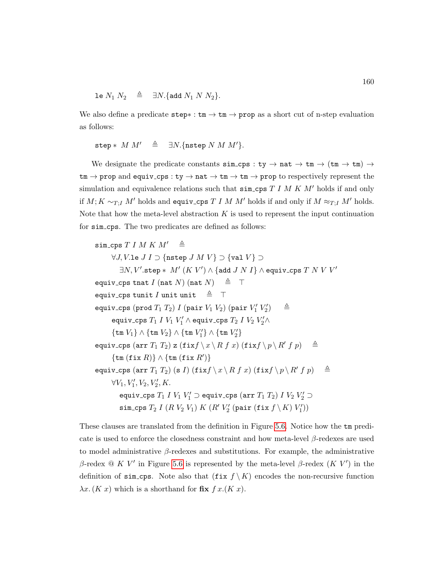$$
\text{le } N_1 \, N_2 \quad \triangleq \quad \exists N. \{\text{add } N_1 \, N \, N_2\}.
$$

We also define a predicate  $step* : tm \rightarrow tm \rightarrow prop$  as a short cut of n-step evaluation as follows:

$$
\mathtt{step} * M M' \triangleq \exists N. \{\mathtt{nstep}\ N\ M\ M'\}.
$$

We designate the predicate constants  $\sin \csc s : ty \to nat \to tm \to (tm \to tm) \to$  $\tan \rightarrow$  prop and equiv\_cps : ty  $\rightarrow$  nat  $\rightarrow$  tm  $\rightarrow$  tm  $\rightarrow$  prop to respectively represent the simulation and equivalence relations such that  $\sin \csc T I M K M'$  holds if and only if  $M$ ;  $K \sim_{T;I} M'$  holds and equiv\_cps  $T$  I M  $M'$  holds if and only if  $M \approx_{T;I} M'$  holds. Note that how the meta-level abstraction  $K$  is used to represent the input continuation for sim cps. The two predicates are defined as follows:

```
\sin\cos T I M K M' \triangleq\forall J, V.le J I \supset{nstep J M V} \supset {val V} \supset\exists N, V'.\mathtt{step} * \; M' \; (K \; V') \land \{\mathtt{add} \; J \; N \; I\} \land \mathtt{equiv} \; \mathtt{cps} \; T \; N \; V \; V'equiv_cps tnat I (nat N) (nat N) \triangleq T
equiv_cps tunit I unit unit \triangleq \topequiv_cps (prod T_1 T_2) I (pair V_1 V_2) (pair V_1' V_2'\triangleqequiv_cps T_1 I V_1 V_1' \wedge equiv_cps T_2 I V_2 V_2' \wedge\{\mathtt{tm}\ V_1\}\wedge \{\mathtt{tm}\ V_2\}\wedge \{\mathtt{tm}\ V'_1\}\wedge \{\mathtt{tm}\ V'_2\}equiv_cps (arr T_1 T_2) z (fixf \setminus x \setminus R f x) (fixf \setminus p \setminus R' f p) \Rightarrow\{\texttt{tm} (\texttt{fix } R)\}\wedge \{\texttt{tm} (\texttt{fix } R')\}equiv_cps (arr T_1 T_2) (s I) (fixf \setminus x \setminus R f x) (fixf \setminus p \setminus R' f p) \Rightarrow\forall V_1, V'_1, V_2, V'_2, K.equiv_cps T_1 I V_1 V_1' \supset equiv_cps (arr T_1 T_2) I V_2 V_2' \supset\verb|sim_cps| \ T_2 I (R \ V_2 \ V_1) K (R' \ V_2' (\texttt{pair} \ (\texttt{fix} \ f \setminus K) \ V_1'))
```
These clauses are translated from the definition in Figure [5.6.](#page-164-0) Notice how the tm predicate is used to enforce the closedness constraint and how meta-level  $\beta$ -redexes are used to model administrative  $\beta$ -redexes and substitutions. For example, the administrative β-redex  $\&$  K V' in Figure [5.6](#page-164-0) is represented by the meta-level β-redex (K V') in the definition of sim\_cps. Note also that  $(fix f \mid K)$  encodes the non-recursive function  $\lambda x. (K x)$  which is a shorthand for fix  $f x.(K x)$ .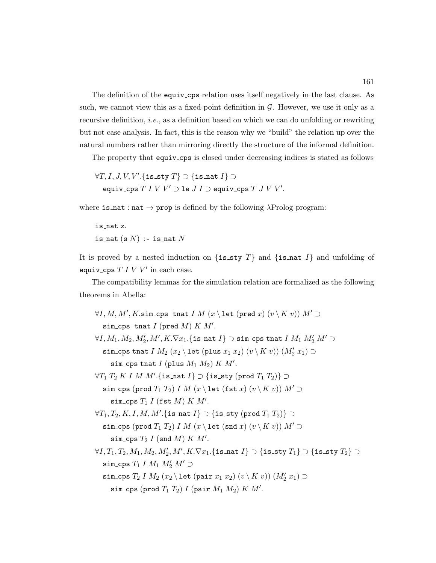The definition of the equiv cps relation uses itself negatively in the last clause. As such, we cannot view this as a fixed-point definition in  $\mathcal G$ . However, we use it only as a recursive definition, i.e., as a definition based on which we can do unfolding or rewriting but not case analysis. In fact, this is the reason why we "build" the relation up over the natural numbers rather than mirroring directly the structure of the informal definition.

The property that equiv\_cps is closed under decreasing indices is stated as follows

 $\forall T, I, J, V, V'.$ {is\_sty  $T$ }  $\supset$  {is\_nat  $I$ }  $\supset$ equiv\_cps  $T$   $I$   $V$   $V'$   $\supset$  le  $J$   $I$   $\supset$  equiv\_cps  $T$   $J$   $V$   $V'$ .

where is  $\texttt{nat} : \texttt{nat} \to \texttt{prop}$  is defined by the following  $\lambda \text{Prolog program}:$ 

is nat z. is nat  $(s N)$  :- is nat N

It is proved by a nested induction on  $\{ \text{is\_sty } T \}$  and  $\{ \text{is\_nat } I \}$  and unfolding of equiv\_cps  $T I V V'$  in each case.

The compatibility lemmas for the simulation relation are formalized as the following theorems in Abella:

```
\forall I, M, M', K.sim_cps tnat I M (x \setminus let (\text{pred } x) (v \setminus K v)) M' \supsetsim_cps tnat I (pred M) K M'.
\forall I, M_1, M_2, M_2', M', K. \nabla x_1.\{\texttt{is\_nat}\ I\} \supset \texttt{sim\_cps}\ \texttt{that}\ I\ M_1\ M_2'\ M' \supsetsim_cps tnat I M_2 (x_2 \setminus let (\text{plus } x_1 x_2) (v \setminus K v)) (M'_2 x_1) \supset\sin \cosh t (plus M_1 M_2) K M'.\forall T_1\ T_2\ K\ I\ M\ M'.\{\mathtt{is\_nat}\ I\}\supset \{\mathtt{is\_sty}\ (\mathtt{prod}\ T_1\ T_2)\}\supsetsim_cps (prod T_1 T_2) I M (x \ let (fst x) (v \ K v)) M' \supset\sin \cosh T_1 I (fst M) K M'.
\forall T_1, T_2, K, I, M, M'. \{\mathtt{is\_nat}\ I\} \supset \{\mathtt{is\_sty}\ (\mathtt{prod}\ T_1\ T_2)\} \supsetsim_cps (prod T_1 T_2) I M (x \ let (snd x) (v \ K v)) M' \supset\sin\cos T_2 I (snd M) K M'.\forall I, T_1, T_2, M_1, M_2, M_2', M', K. \nabla x_1.\{\texttt{is\_nat } I\} \supset \{\texttt{is\_sty } T_1\} \supset \{\texttt{is\_sty } T_2\} \supsetsim_cps T_1 I M_1 M_2' M' \supsetsim_cps T_2 I M_2 (x_2 \setminus let (pair x_1 x_2) (v \setminus K v)) (M'_2 x_1) \supset\sin \cosh (p \cot T_1 T_2) I (pair M_1 M_2) K M'.
```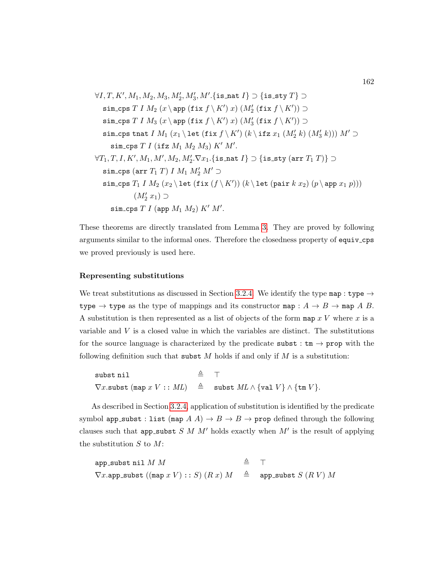$$
\forall I, T, K', M_1, M_2, M_3, M'_2, M'_3, M'.\{\text{is}.\text{nat } I\} \supset \{\text{is}.\text{sty } T\} \supset
$$
\n
$$
\sin_{\text{cps}} T I M_2 (x \operatorname{app} (\text{fix } f \setminus K') x) (M'_2 (\text{fix } f \setminus K')) \supset
$$
\n
$$
\sin_{\text{cps}} T I M_3 (x \operatorname{app} (\text{fix } f \setminus K') x) (M'_3 (\text{fix } f \setminus K')) \supset
$$
\n
$$
\sin_{\text{cps}} \tanh I M_1 (x_1 \operatorname{let} (\text{fix } f \setminus K') (k \operatorname{ifz } x_1 (M'_2 k) (M'_3 k))) M' \supset
$$
\n
$$
\sin_{\text{cps}} T I (\operatorname{ifz } M_1 M_2 M_3) K' M'.
$$
\n
$$
\forall T_1, T, I, K', M_1, M', M_2, M'_2. \nabla x_1. \{\text{is}.\text{nat } I\} \supset \{\text{is}.\text{sty} (\text{arr } T_1 T)\} \supset
$$
\n
$$
\sin_{\text{cps}} (\ar{r} T_1 T) I M_1 M'_2 M' \supset
$$
\n
$$
\sin_{\text{cps}} T_1 I M_2 (x_2 \operatorname{let} (\text{fix } (f \setminus K')) (k \operatorname{let} (\text{pair } k x_2) (p \operatorname{app} x_1 p)))
$$
\n
$$
(M'_2 x_1) \supset
$$
\n
$$
\sin_{\text{cps}} T I (\text{app } M_1 M_2) K' M'.
$$

These theorems are directly translated from Lemma [3.](#page-0-0) They are proved by following arguments similar to the informal ones. Therefore the closedness property of equiv cps we proved previously is used here.

#### Representing substitutions

We treat substitutions as discussed in Section [3.2.4.](#page-120-0) We identify the type map : type  $\rightarrow$ type  $\rightarrow$  type as the type of mappings and its constructor map :  $A \rightarrow B \rightarrow$  map A B. A substitution is then represented as a list of objects of the form map  $x V$  where x is a variable and  $V$  is a closed value in which the variables are distinct. The substitutions for the source language is characterized by the predicate subst :  $tm \rightarrow prop$  with the following definition such that subst  $M$  holds if and only if  $M$  is a substitution:

subst nil  $\triangleq$   $\top$  $\nabla x.\mathtt{subst}\;(\mathtt{map}\;x\;V::\;ML)$   $\triangleq$  subst  $ML \wedge \{\mathtt{val}\;V\} \wedge \{\mathtt{tm}\;V\}.$ 

As described in Section [3.2.4,](#page-120-0) application of substitution is identified by the predicate symbol app\_subst : list (map  $A(A) \rightarrow B \rightarrow B \rightarrow$  prop defined through the following clauses such that app\_subst  $S$  M  $M'$  holds exactly when  $M'$  is the result of applying the substitution  $S$  to  $M$ :

app\_subst nil  $M$   $M$   $\triangleq$   $\top$  $\nabla x.\texttt{app\_subst}((\texttt{map } x V) :: S) (R x) M, \triangleq \texttt{app\_subst} S (R V) M$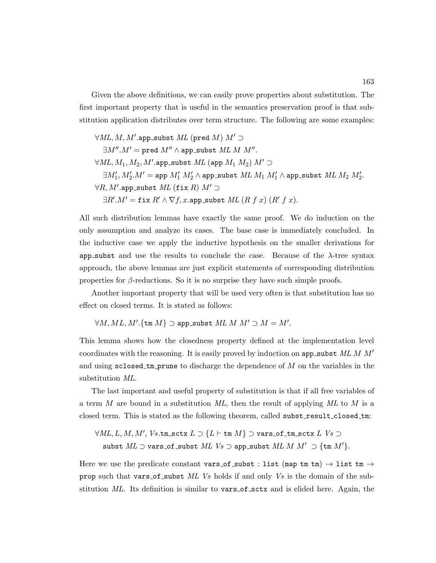Given the above definitions, we can easily prove properties about substitution. The first important property that is useful in the semantics preservation proof is that substitution application distributes over term structure. The following are some examples:

 $\forall ML, M, M'.\texttt{app\_subst} \; ML \; (\texttt{pred} \; M) \; M' \supset$  $\exists M''.M' = \mathtt{pred}\;M'' \wedge \mathtt{app\_subst}\;ML\;M\;M''.$  $\forall \textit{ML}, M_1, M_2, M'.\texttt{app\_subst} \textit{ML} \texttt{(app } M_1 \textit{ M}_2) \textit{M'} \supset$  $\exists M_1', M_2'. M' = \texttt{app } M_1' \: M_2' \wedge \texttt{app\_subst} \: ML \: M_1 \: M_1' \wedge \texttt{app\_subst} \: ML \: M_2 \: M_2'.$  $\forall R, M'.\texttt{app\_subst} \ \mathit{ML} \ (\texttt{fix} \ R) \ \mathit{M'} \supset$  $\exists R'.M' = \texttt{fix } R' \wedge \nabla f, x.\texttt{app\_subst } ML \ (R \ f \ x) \ (R' \ f \ x).$ 

All such distribution lemmas have exactly the same proof. We do induction on the only assumption and analyze its cases. The base case is immediately concluded. In the inductive case we apply the inductive hypothesis on the smaller derivations for app subst and use the results to conclude the case. Because of the  $\lambda$ -tree syntax approach, the above lemmas are just explicit statements of corresponding distribution properties for  $\beta$ -reductions. So it is no surprise they have such simple proofs.

Another important property that will be used very often is that substitution has no effect on closed terms. It is stated as follows:

 $\forall M, ML, M'.$ {tm  $M$ }  $\supset$  app\_subst  $ML M M' \supset M = M'.$ 

This lemma shows how the closedness property defined at the implementation level coordinates with the reasoning. It is easily proved by induction on app subst  $ML$  M $M'$ and using  $s$ closed\_tm\_prune to discharge the dependence of M on the variables in the substitution ML.

The last important and useful property of substitution is that if all free variables of a term M are bound in a substitution  $ML$ , then the result of applying  $ML$  to M is a closed term. This is stated as the following theorem, called subst\_result\_closed\_tm:

 $\forall \textit{ML}, L, M, M', \textit{Vs.tm\_sctx } L \supset \{L \vdash \texttt{tm } M\} \supset \textit{vars\_of\_tm\_sctx } L \textit{Vs } \supset$ subst  $ML \supset \text{vars_of\_subst} \ ML \ Vs \supset \text{app\_subst} \ ML \ ML \ M' \supset \{\text{tm } M'\}.$ 

Here we use the predicate constant vars\_of\_subst : list (map tm tm)  $\rightarrow$  list tm  $\rightarrow$ prop such that vars of subst ML Vs holds if and only Vs is the domain of the substitution ML. Its definition is similar to vars of set and is elided here. Again, the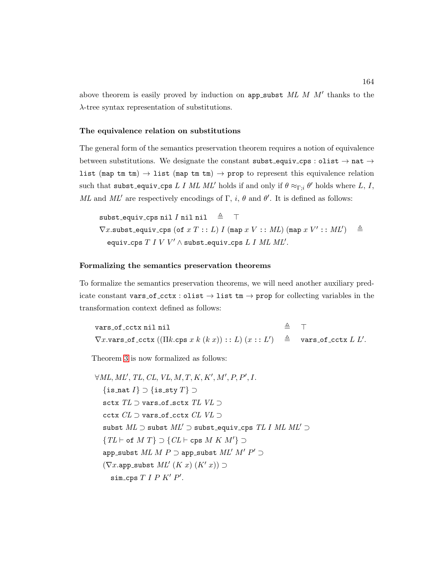above theorem is easily proved by induction on app\_subst  $ML$   $M$   $M'$  thanks to the λ-tree syntax representation of substitutions.

### The equivalence relation on substitutions

The general form of the semantics preservation theorem requires a notion of equivalence between substitutions. We designate the constant subst-equiv-cps : olist  $\rightarrow$  nat  $\rightarrow$ list (map tm tm)  $\rightarrow$  list (map tm tm)  $\rightarrow$  prop to represent this equivalence relation such that subst\_equiv\_cps L I ML ML' holds if and only if  $\theta \approx_{\Gamma; i} \theta'$  holds where L, I, ML and ML' are respectively encodings of  $\Gamma$ , i,  $\theta$  and  $\theta'$ . It is defined as follows:

subst\_equiv\_cps nil *I* nil nil  $\triangleq$   $\top$  $\nabla x$ .subst\_equiv\_cps (of  $x T : L$ ) I (map  $x V : M L$ ) (map  $x V' : M L'$ )  $\triangleq$ equiv\_cps  $T$   $I$   $V$   $V'$   $\wedge$  subst\_equiv\_cps  $L$   $I$   $ML$   $ML'$ .

### Formalizing the semantics preservation theorems

To formalize the semantics preservation theorems, we will need another auxiliary predicate constant vars of cctx : olist  $\rightarrow$  list tm  $\rightarrow$  prop for collecting variables in the transformation context defined as follows:

vars of cctx nil nil  $\triangleq$   $\top$  $\nabla x.\mathtt{vars\_of\_cctx}((\Pi k.\mathtt{cps}\; x\; k\; (k\; x))::L)$   $(x::L'$  $)$   $\triangleq$  vars\_of\_cctx  $L L'.$ 

Theorem [3](#page-166-0) is now formalized as follows:

```
\forall ML, ML', TL, CL, VL, M, T, K, K', M', P, P', I.\{is_nat I\} \supset \{ is_sty T\} \supsetsctx TL \supset \texttt{vars\_of\_sctx} TL VL \supsetcctx CL ⊃ vars_of_cctx CL VL ⊃
  subst ML \supset subst ML' \supset subst equiv cps TLI ML ML' \supset\{TL \vdash \textsf{of} \; M \; T\} \supset \{CL \vdash \textsf{cps} \; M \; K \; M'\} \supsetapp_subst ML M P \supset app_subst ML' M' P' \supset(\nabla x.\texttt{app\_subst} ML'\ (K\ x)\ (K'\ x)) \supset\sin \csc T I P K' P'.
```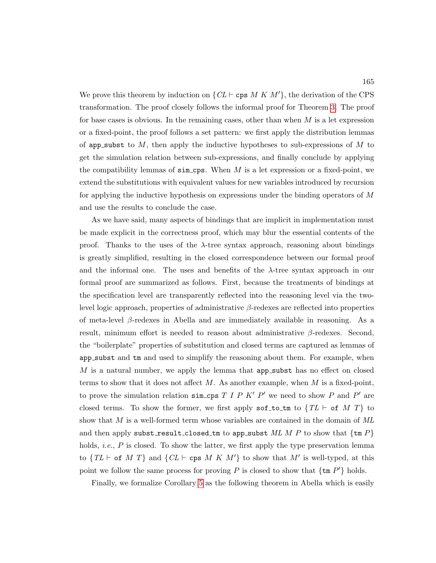We prove this theorem by induction on  $\{CL \vdash \text{cps } M \nmid K \lvert M' \rvert\}$ , the derivation of the CPS transformation. The proof closely follows the informal proof for Theorem [3.](#page-166-0) The proof for base cases is obvious. In the remaining cases, other than when  $M$  is a let expression or a fixed-point, the proof follows a set pattern: we first apply the distribution lemmas of app subst to  $M$ , then apply the inductive hypotheses to sub-expressions of  $M$  to get the simulation relation between sub-expressions, and finally conclude by applying the compatibility lemmas of  $\sin \csc 1$ . When M is a let expression or a fixed-point, we extend the substitutions with equivalent values for new variables introduced by recursion for applying the inductive hypothesis on expressions under the binding operators of M and use the results to conclude the case.

As we have said, many aspects of bindings that are implicit in implementation must be made explicit in the correctness proof, which may blur the essential contents of the proof. Thanks to the uses of the  $\lambda$ -tree syntax approach, reasoning about bindings is greatly simplified, resulting in the closed correspondence between our formal proof and the informal one. The uses and benefits of the  $\lambda$ -tree syntax approach in our formal proof are summarized as follows. First, because the treatments of bindings at the specification level are transparently reflected into the reasoning level via the twolevel logic approach, properties of administrative β-redexes are reflected into properties of meta-level β-redexes in Abella and are immediately available in reasoning. As a result, minimum effort is needed to reason about administrative  $\beta$ -redexes. Second, the "boilerplate" properties of substitution and closed terms are captured as lemmas of app subst and tm and used to simplify the reasoning about them. For example, when  $M$  is a natural number, we apply the lemma that app-subst has no effect on closed terms to show that it does not affect  $M$ . As another example, when  $M$  is a fixed-point, to prove the simulation relation  $\sin \csc r$  *I P K' P'* we need to show *P* and *P'* are closed terms. To show the former, we first apply sof to tm to  $\{TL \vdash \text{of } M \ T\}$  to show that  $M$  is a well-formed term whose variables are contained in the domain of  $ML$ and then apply subst\_result\_closed\_tm to app\_subst  $ML M P$  to show that  $\{\text{tm }P\}$ holds, *i.e.*,  $P$  is closed. To show the latter, we first apply the type preservation lemma to  $\{TL \vdash \textsf{of} \ M \ T\}$  and  $\{CL \vdash \textsf{cps} \ M \ K \ M'\}$  to show that M' is well-typed, at this point we follow the same process for proving P is closed to show that  $\{\text{tm } P'\}$  holds.

Finally, we formalize Corollary [5](#page-167-1) as the following theorem in Abella which is easily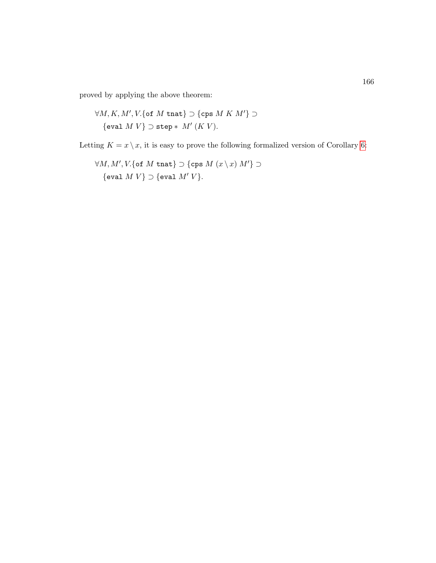proved by applying the above theorem:

$$
\forall M, K, M', V. \{\text{of } M \text{ that}\} \supset \{\text{cps } M \; K \; M'\} \supset
$$
  

$$
\{\text{eval } M \; V\} \supset \text{step} * M' \; (K \; V).
$$

Letting  $K = x \setminus x$ , it is easy to prove the following formalized version of Corollary [6:](#page-167-0)

 $\forall M, M', V.$ {of  $M$  tnat}  $\supset$  {cps  $M(x \setminus x) M'$ }  $\supset$ {eval  $M V$ }  $\supset$  {eval  $M' V$ }.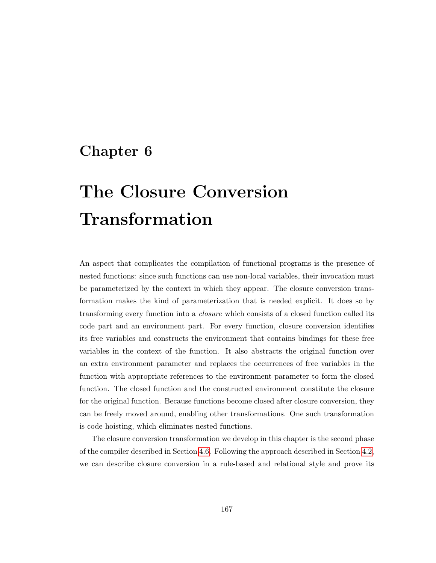# Chapter 6

# The Closure Conversion Transformation

An aspect that complicates the compilation of functional programs is the presence of nested functions: since such functions can use non-local variables, their invocation must be parameterized by the context in which they appear. The closure conversion transformation makes the kind of parameterization that is needed explicit. It does so by transforming every function into a closure which consists of a closed function called its code part and an environment part. For every function, closure conversion identifies its free variables and constructs the environment that contains bindings for these free variables in the context of the function. It also abstracts the original function over an extra environment parameter and replaces the occurrences of free variables in the function with appropriate references to the environment parameter to form the closed function. The closed function and the constructed environment constitute the closure for the original function. Because functions become closed after closure conversion, they can be freely moved around, enabling other transformations. One such transformation is code hoisting, which eliminates nested functions.

The closure conversion transformation we develop in this chapter is the second phase of the compiler described in Section [4.6.](#page-143-0) Following the approach described in Section [4.2,](#page-126-0) we can describe closure conversion in a rule-based and relational style and prove its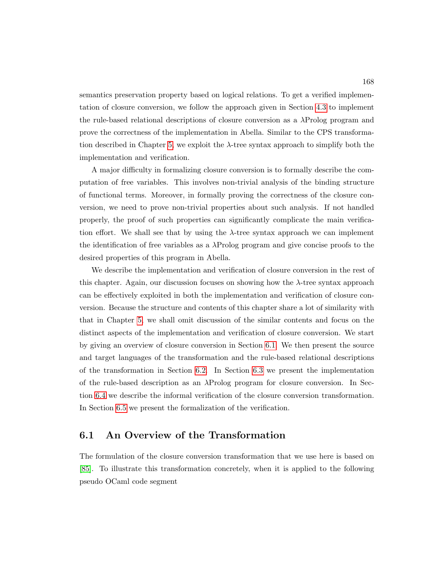semantics preservation property based on logical relations. To get a verified implementation of closure conversion, we follow the approach given in Section [4.3](#page-133-0) to implement the rule-based relational descriptions of closure conversion as a λProlog program and prove the correctness of the implementation in Abella. Similar to the CPS transforma-tion described in Chapter [5,](#page-145-0) we exploit the  $\lambda$ -tree syntax approach to simplify both the implementation and verification.

A major difficulty in formalizing closure conversion is to formally describe the computation of free variables. This involves non-trivial analysis of the binding structure of functional terms. Moreover, in formally proving the correctness of the closure conversion, we need to prove non-trivial properties about such analysis. If not handled properly, the proof of such properties can significantly complicate the main verification effort. We shall see that by using the  $\lambda$ -tree syntax approach we can implement the identification of free variables as a  $\lambda$ Prolog program and give concise proofs to the desired properties of this program in Abella.

We describe the implementation and verification of closure conversion in the rest of this chapter. Again, our discussion focuses on showing how the  $\lambda$ -tree syntax approach can be effectively exploited in both the implementation and verification of closure conversion. Because the structure and contents of this chapter share a lot of similarity with that in Chapter [5,](#page-145-0) we shall omit discussion of the similar contents and focus on the distinct aspects of the implementation and verification of closure conversion. We start by giving an overview of closure conversion in Section [6.1.](#page-182-0) We then present the source and target languages of the transformation and the rule-based relational descriptions of the transformation in Section [6.2.](#page-184-0) In Section [6.3](#page-188-0) we present the implementation of the rule-based description as an λProlog program for closure conversion. In Section [6.4](#page-192-0) we describe the informal verification of the closure conversion transformation. In Section [6.5](#page-198-0) we present the formalization of the verification.

# <span id="page-182-0"></span>6.1 An Overview of the Transformation

The formulation of the closure conversion transformation that we use here is based on [\[85\]](#page-256-0). To illustrate this transformation concretely, when it is applied to the following pseudo OCaml code segment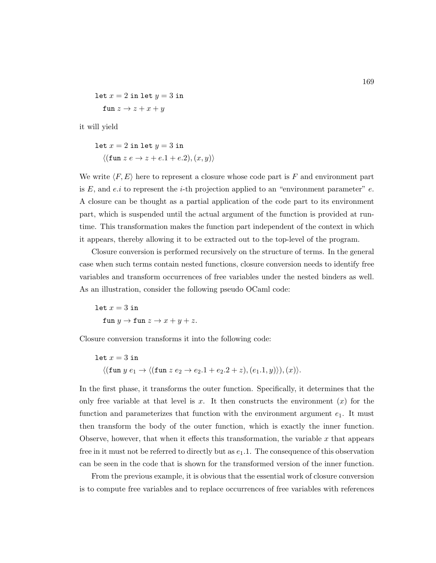let 
$$
x = 2
$$
 in let  $y = 3$  in  
fun  $z \rightarrow z + x + y$ 

it will yield

$$
let x = 2 in let y = 3 in
$$

$$
\langle (\text{fun } z e \to z + e.1 + e.2), (x, y) \rangle
$$

We write  $\langle F, E \rangle$  here to represent a closure whose code part is F and environment part is E, and e.i to represent the *i*-th projection applied to an "environment parameter"  $e$ . A closure can be thought as a partial application of the code part to its environment part, which is suspended until the actual argument of the function is provided at runtime. This transformation makes the function part independent of the context in which it appears, thereby allowing it to be extracted out to the top-level of the program.

Closure conversion is performed recursively on the structure of terms. In the general case when such terms contain nested functions, closure conversion needs to identify free variables and transform occurrences of free variables under the nested binders as well. As an illustration, consider the following pseudo OCaml code:

let  $x = 3$  in fun  $y \to$  fun  $z \to x + y + z$ .

Closure conversion transforms it into the following code:

let 
$$
x = 3
$$
 in  
\n
$$
\langle (\text{fun } y e_1 \to \langle (\text{fun } z e_2 \to e_2.1 + e_2.2 + z), (e_1.1, y) \rangle), (x) \rangle.
$$

In the first phase, it transforms the outer function. Specifically, it determines that the only free variable at that level is x. It then constructs the environment  $(x)$  for the function and parameterizes that function with the environment argument  $e_1$ . It must then transform the body of the outer function, which is exactly the inner function. Observe, however, that when it effects this transformation, the variable  $x$  that appears free in it must not be referred to directly but as  $e_1$ . The consequence of this observation can be seen in the code that is shown for the transformed version of the inner function.

From the previous example, it is obvious that the essential work of closure conversion is to compute free variables and to replace occurrences of free variables with references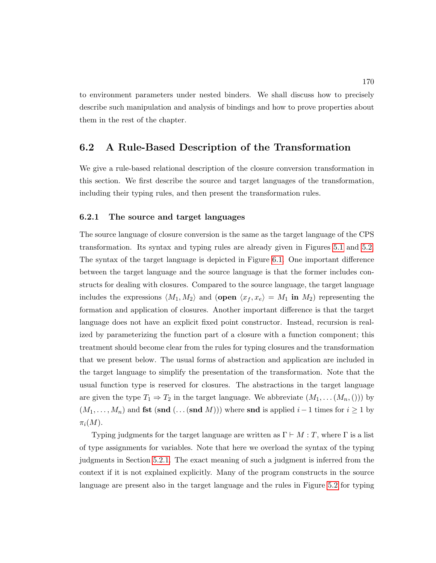to environment parameters under nested binders. We shall discuss how to precisely describe such manipulation and analysis of bindings and how to prove properties about them in the rest of the chapter.

# <span id="page-184-0"></span>6.2 A Rule-Based Description of the Transformation

We give a rule-based relational description of the closure conversion transformation in this section. We first describe the source and target languages of the transformation, including their typing rules, and then present the transformation rules.

#### <span id="page-184-1"></span>6.2.1 The source and target languages

The source language of closure conversion is the same as the target language of the CPS transformation. Its syntax and typing rules are already given in Figures [5.1](#page-151-0) and [5.2.](#page-152-0) The syntax of the target language is depicted in Figure [6.1.](#page-185-0) One important difference between the target language and the source language is that the former includes constructs for dealing with closures. Compared to the source language, the target language includes the expressions  $\langle M_1, M_2 \rangle$  and (open  $\langle x_f, x_e \rangle = M_1$  in  $M_2$ ) representing the formation and application of closures. Another important difference is that the target language does not have an explicit fixed point constructor. Instead, recursion is realized by parameterizing the function part of a closure with a function component; this treatment should become clear from the rules for typing closures and the transformation that we present below. The usual forms of abstraction and application are included in the target language to simplify the presentation of the transformation. Note that the usual function type is reserved for closures. The abstractions in the target language are given the type  $T_1 \Rightarrow T_2$  in the target language. We abbreviate  $(M_1, \ldots (M_n,)))$  by  $(M_1, \ldots, M_n)$  and **fst** (snd  $(\ldots$  (snd M))) where snd is applied  $i-1$  times for  $i \geq 1$  by  $\pi_i(M)$ .

Typing judgments for the target language are written as  $\Gamma \vdash M : T$ , where  $\Gamma$  is a list of type assignments for variables. Note that here we overload the syntax of the typing judgments in Section [5.2.1.](#page-150-0) The exact meaning of such a judgment is inferred from the context if it is not explained explicitly. Many of the program constructs in the source language are present also in the target language and the rules in Figure [5.2](#page-152-0) for typing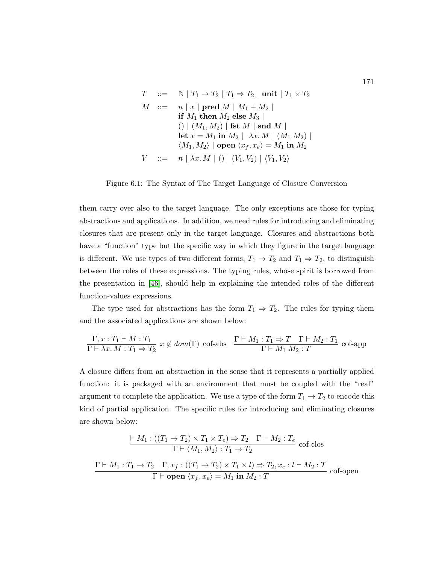<span id="page-185-0"></span>
$$
T \quad ::= \quad \mathbb{N} \mid T_1 \rightarrow T_2 \mid T_1 \Rightarrow T_2 \mid \text{unit} \mid T_1 \times T_2
$$
\n
$$
M \quad ::= \quad n \mid x \mid \text{pred } M \mid M_1 + M_2 \mid
$$
\n
$$
\text{if } M_1 \text{ then } M_2 \text{ else } M_3 \mid
$$
\n
$$
() \mid (M_1, M_2) \mid \text{fst } M \mid \text{snd } M \mid
$$
\n
$$
\text{let } x = M_1 \text{ in } M_2 \mid \lambda x. M \mid (M_1 M_2) \mid
$$
\n
$$
\langle M_1, M_2 \rangle \mid \text{open } \langle x_f, x_e \rangle = M_1 \text{ in } M_2
$$
\n
$$
V \quad ::= \quad n \mid \lambda x. M \mid () \mid (V_1, V_2) \mid \langle V_1, V_2 \rangle
$$

Figure 6.1: The Syntax of The Target Language of Closure Conversion

them carry over also to the target language. The only exceptions are those for typing abstractions and applications. In addition, we need rules for introducing and eliminating closures that are present only in the target language. Closures and abstractions both have a "function" type but the specific way in which they figure in the target language is different. We use types of two different forms,  $T_1 \rightarrow T_2$  and  $T_1 \Rightarrow T_2$ , to distinguish between the roles of these expressions. The typing rules, whose spirit is borrowed from the presentation in [\[46\]](#page-253-0), should help in explaining the intended roles of the different function-values expressions.

The type used for abstractions has the form  $T_1 \Rightarrow T_2$ . The rules for typing them and the associated applications are shown below:

$$
\frac{\Gamma, x: T_1 \vdash M : T_1}{\Gamma \vdash \lambda x. M : T_1 \Rightarrow T_2} x \notin dom(\Gamma) \text{ cof-abs} \quad \frac{\Gamma \vdash M_1 : T_1 \Rightarrow T \quad \Gamma \vdash M_2 : T_1}{\Gamma \vdash M_1 M_2 : T} \text{ cof-app}
$$

A closure differs from an abstraction in the sense that it represents a partially applied function: it is packaged with an environment that must be coupled with the "real" argument to complete the application. We use a type of the form  $T_1 \rightarrow T_2$  to encode this kind of partial application. The specific rules for introducing and eliminating closures are shown below:

$$
\frac{\vdash M_1: ((T_1 \rightarrow T_2) \times T_1 \times T_e) \Rightarrow T_2 \quad \Gamma \vdash M_2: T_e}{\Gamma \vdash \langle M_1, M_2 \rangle: T_1 \rightarrow T_2} \text{ cof-clos}
$$
\n
$$
\frac{\Gamma \vdash M_1: T_1 \rightarrow T_2 \quad \Gamma, x_f: ((T_1 \rightarrow T_2) \times T_1 \times l) \Rightarrow T_2, x_e: l \vdash M_2: T}{\Gamma \vdash \textbf{open} \langle x_f, x_e \rangle = M_1 \textbf{ in } M_2: T} \text{ cof-open}
$$

171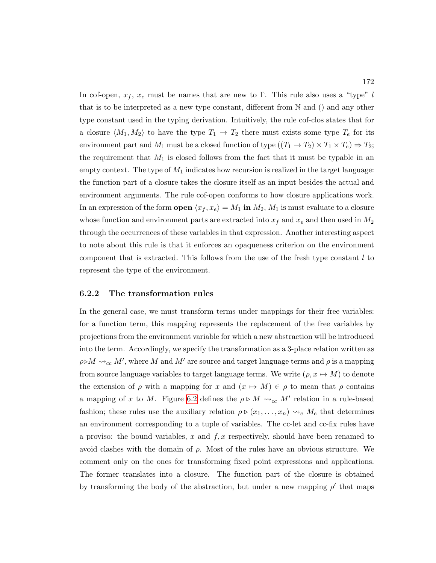In cof-open,  $x_f$ ,  $x_e$  must be names that are new to Γ. This rule also uses a "type" l that is to be interpreted as a new type constant, different from N and () and any other type constant used in the typing derivation. Intuitively, the rule cof-clos states that for a closure  $\langle M_1, M_2 \rangle$  to have the type  $T_1 \rightarrow T_2$  there must exists some type  $T_e$  for its environment part and  $M_1$  must be a closed function of type  $((T_1 \rightarrow T_2) \times T_1 \times T_e) \Rightarrow T_2$ ; the requirement that  $M_1$  is closed follows from the fact that it must be typable in an empty context. The type of  $M_1$  indicates how recursion is realized in the target language: the function part of a closure takes the closure itself as an input besides the actual and environment arguments. The rule cof-open conforms to how closure applications work. In an expression of the form **open**  $\langle x_f, x_e \rangle = M_1$  in  $M_2, M_1$  is must evaluate to a closure whose function and environment parts are extracted into  $x_f$  and  $x_e$  and then used in  $M_2$ through the occurrences of these variables in that expression. Another interesting aspect to note about this rule is that it enforces an opaqueness criterion on the environment component that is extracted. This follows from the use of the fresh type constant  $l$  to represent the type of the environment.

#### 6.2.2 The transformation rules

In the general case, we must transform terms under mappings for their free variables: for a function term, this mapping represents the replacement of the free variables by projections from the environment variable for which a new abstraction will be introduced into the term. Accordingly, we specify the transformation as a 3-place relation written as  $\rho \triangleright M \leadsto_{cc} M'$ , where M and M' are source and target language terms and  $\rho$  is a mapping from source language variables to target language terms. We write  $(\rho, x \mapsto M)$  to denote the extension of  $\rho$  with a mapping for x and  $(x \mapsto M) \in \rho$  to mean that  $\rho$  contains a mapping of x to M. Figure [6.2](#page-187-0) defines the  $\rho \triangleright M \leadsto_{cc} M'$  relation in a rule-based fashion; these rules use the auxiliary relation  $\rho \triangleright (x_1, \ldots, x_n) \rightsquigarrow_e M_e$  that determines an environment corresponding to a tuple of variables. The cc-let and cc-fix rules have a proviso: the bound variables, x and  $f, x$  respectively, should have been renamed to avoid clashes with the domain of  $\rho$ . Most of the rules have an obvious structure. We comment only on the ones for transforming fixed point expressions and applications. The former translates into a closure. The function part of the closure is obtained by transforming the body of the abstraction, but under a new mapping  $\rho'$  that maps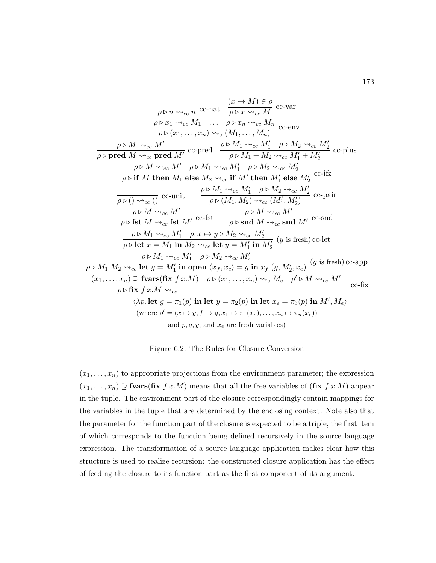<span id="page-187-0"></span>
$$
\frac{\partial \rho \triangleright n \rightsquigarrow_{cc} n}{\rho \triangleright n \rightsquigarrow_{cc} n} \text{ cc-nat } \frac{(x \mapsto M) \in \rho}{\rho \triangleright x \rightsquigarrow_{cc} M} \text{ cc-var}
$$
\n
$$
\frac{\rho \triangleright x_1 \rightsquigarrow_{cc} M_1 \dots \rho \triangleright x_n \rightsquigarrow_{cc} M_n}{\rho \triangleright (x_1, \dots, x_n) \rightsquigarrow_e (M_1, \dots, M_n)} \text{ cc-env}
$$
\n
$$
\frac{\rho \triangleright M \rightsquigarrow_{cc} M'}{\rho \triangleright \text{pred } M \rightsquigarrow_{cc} \text{pred } M'} \text{ cc-pred } \frac{\rho \triangleright M_1 \rightsquigarrow_{cc} M'_1 \rho \triangleright M_2 \rightsquigarrow_{cc} M'_2}{\rho \triangleright M_1 + M_2 \rightsquigarrow_{cc} M'_1} \text{ cc-plus}
$$
\n
$$
\frac{\rho \triangleright M \rightsquigarrow_{cc} M' \rho \triangleright M_1 \rightsquigarrow_{cc} M'_1 \rho \triangleright M_2 \rightsquigarrow_{cc} M'_2}{\rho \triangleright \text{if } M \text{ then } M_1 \text{ else } M_2 \rightsquigarrow_{cc} \text{if } M' \text{ then } M'_1 \text{ else } M'_2} \text{ cc-liz}
$$
\n
$$
\frac{\rho \triangleright M \rightsquigarrow_{cc} 0 \text{ cc-nit } \frac{\rho \triangleright M_1 \rightsquigarrow_{cc} M'_1 \rho \triangleright M_2 \rightsquigarrow_{cc} M'_2}{\rho \triangleright \text{fst } M \rightsquigarrow_{cc} \text{fst } M'} \text{ cc-fst } \frac{\rho \triangleright M \rightsquigarrow_{cc} M'_1}{\rho \triangleright \text{Snd } M \rightsquigarrow_{cc} \text{snd } M'} \text{ cc-snd}
$$
\n
$$
\frac{\rho \triangleright M_1 \rightsquigarrow_{cc} M'_1 \rho, x \mapsto y \triangleright M_2 \rightsquigarrow_{cc} M'_2}{\rho \triangleright \text{fst } M \rightsquigarrow_{cc} \text{fst } M'} \text{ cc-fst } \frac{\rho \triangleright M \rightsquigarrow_{cc} M'_2}{\rho \triangleright M_1 \rightsquigarrow_{cc} M'_1 \
$$

Figure 6.2: The Rules for Closure Conversion

 $(x_1, \ldots, x_n)$  to appropriate projections from the environment parameter; the expression  $(x_1, \ldots, x_n) \supseteq \textbf{fvars}(\textbf{fix } f x.M)$  means that all the free variables of  $(\textbf{fix } f x.M)$  appear in the tuple. The environment part of the closure correspondingly contain mappings for the variables in the tuple that are determined by the enclosing context. Note also that the parameter for the function part of the closure is expected to be a triple, the first item of which corresponds to the function being defined recursively in the source language expression. The transformation of a source language application makes clear how this structure is used to realize recursion: the constructed closure application has the effect of feeding the closure to its function part as the first component of its argument.

173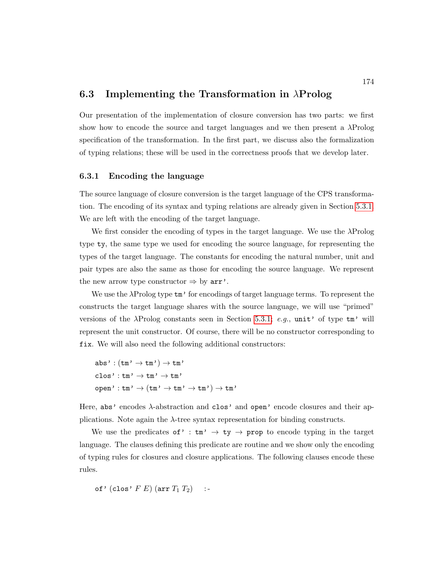## <span id="page-188-0"></span>6.3 Implementing the Transformation in  $\lambda$ Prolog

Our presentation of the implementation of closure conversion has two parts: we first show how to encode the source and target languages and we then present a  $\lambda \text{Prolog}$ specification of the transformation. In the first part, we discuss also the formalization of typing relations; these will be used in the correctness proofs that we develop later.

#### 6.3.1 Encoding the language

The source language of closure conversion is the target language of the CPS transformation. The encoding of its syntax and typing relations are already given in Section [5.3.1.](#page-156-0) We are left with the encoding of the target language.

We first consider the encoding of types in the target language. We use the  $\lambda$ Prolog type ty, the same type we used for encoding the source language, for representing the types of the target language. The constants for encoding the natural number, unit and pair types are also the same as those for encoding the source language. We represent the new arrow type constructor  $\Rightarrow$  by  $arr'$ .

We use the λProlog type tm' for encodings of target language terms. To represent the constructs the target language shares with the source language, we will use "primed" versions of the  $\lambda$ Prolog constants seen in Section [5.3.1;](#page-156-0) e.g., unit' of type  $\tan$ ' will represent the unit constructor. Of course, there will be no constructor corresponding to fix. We will also need the following additional constructors:

```
abs': (tm' \rightarrow tm') \rightarrow tm'\texttt{clos'}: \texttt{tm'} \rightarrow \texttt{tm'} \rightarrow \texttt{tm'}\mathtt{open'}: \mathtt{tm'} \rightarrow (\mathtt{tm'} \rightarrow \mathtt{tm'} \rightarrow \mathtt{tm'}) \rightarrow \mathtt{tm'}
```
Here, abs' encodes  $\lambda$ -abstraction and clos' and open' encode closures and their applications. Note again the  $\lambda$ -tree syntax representation for binding constructs.

We use the predicates of' :  $\tan' \rightarrow \text{ty} \rightarrow \text{prop}$  to encode typing in the target language. The clauses defining this predicate are routine and we show only the encoding of typing rules for closures and closure applications. The following clauses encode these rules.

of' (clos'  $F E$ ) (arr  $T_1 T_2$ ) :-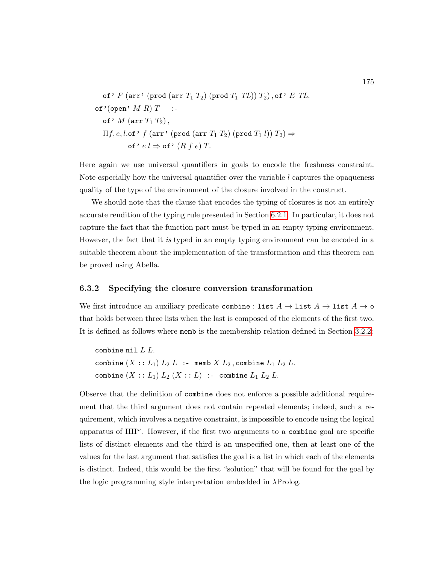of' 
$$
F
$$
 (arr' (prod (arr  $T_1 T_2$ ) (prod  $T_1 T_L$ ))  $T_2$ ), of'  $E$   $TL$ .  
\nof' (open'  $M$   $R$ )  $T$  :-  
\nof'  $M$  (arr  $T_1 T_2$ ),  
\n $\Pi f, e, l$ .of'  $f$  (arr' (prod (arr  $T_1 T_2$ ) (prod  $T_1 l$ ))  $T_2$ )  $\Rightarrow$   
\nof'  $e l \Rightarrow$  of'  $(R f e) T$ .

Here again we use universal quantifiers in goals to encode the freshness constraint. Note especially how the universal quantifier over the variable  $l$  captures the opaqueness quality of the type of the environment of the closure involved in the construct.

We should note that the clause that encodes the typing of closures is not an entirely accurate rendition of the typing rule presented in Section [6.2.1.](#page-184-1) In particular, it does not capture the fact that the function part must be typed in an empty typing environment. However, the fact that it is typed in an empty typing environment can be encoded in a suitable theorem about the implementation of the transformation and this theorem can be proved using Abella.

#### 6.3.2 Specifying the closure conversion transformation

We first introduce an auxiliary predicate combine : list  $A \to \text{list } A \to \text{list } A \to \text{o}$ that holds between three lists when the last is composed of the elements of the first two. It is defined as follows where memb is the membership relation defined in Section [3.2.2:](#page-105-0)

combine nil  $L L$ . combine  $(X :: L_1) L_2 L$  :- memb  $X L_2$ , combine  $L_1 L_2 L$ . combine  $(X :: L_1) L_2 (X :: L)$  :- combine  $L_1 L_2 L$ .

Observe that the definition of combine does not enforce a possible additional requirement that the third argument does not contain repeated elements; indeed, such a requirement, which involves a negative constraint, is impossible to encode using the logical apparatus of  $HH^{\omega}$ . However, if the first two arguments to a combine goal are specific lists of distinct elements and the third is an unspecified one, then at least one of the values for the last argument that satisfies the goal is a list in which each of the elements is distinct. Indeed, this would be the first "solution" that will be found for the goal by the logic programming style interpretation embedded in λProlog.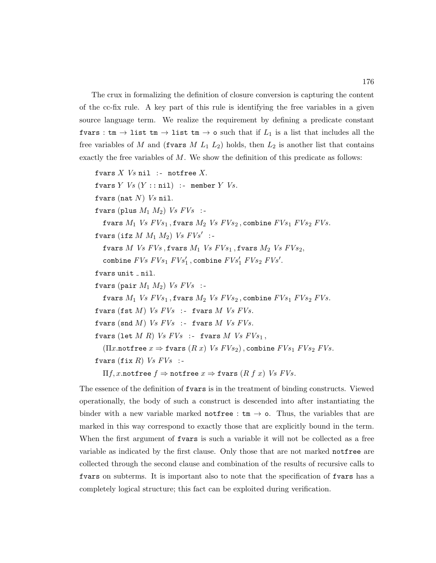The crux in formalizing the definition of closure conversion is capturing the content of the cc-fix rule. A key part of this rule is identifying the free variables in a given source language term. We realize the requirement by defining a predicate constant fvars : tm  $\rightarrow$  list tm  $\rightarrow$  list tm  $\rightarrow$  o such that if  $L_1$  is a list that includes all the free variables of M and (fvars M  $L_1$   $L_2$ ) holds, then  $L_2$  is another list that contains exactly the free variables of  $M$ . We show the definition of this predicate as follows:

```
fvars X Vs nil :- notfree X.
fvars Y Vs (Y : : nil) :- member Y Vs.
fvars (nat N) Vs nil.
fvars (plus M_1 M_2) Vs FVs :-
  fvars M_1 Vs FVs_1, fvars M_2 Vs FVs_2, combine FVs_1 FVs_2 FVs.
fvars (ifz M M_1 M_2) Vs FVs' :-
  fvars M Vs FVs, fvars M_1 Vs FVs_1, fvars M_2 Vs FVs_2,
  combine FVs FVs_1 FVs'_1, combine FVs'_1 FVs_2 FVs'.
fvars unit _nnil.
fvars (pair M_1 M_2) Vs FVs :-
  fvars M_1 Vs FVs_1, fvars M_2 Vs FVs_2, combine FVs_1 FVs_2 FVs.
fvars (fst M) Vs FVs :- fvars M Vs FVs.
fvars (snd M) Vs FVs :- fvars M Vs FVs.
fvars (let M R) Vs FVs :- fvars M Vs FVs_1,
  (\Pi x.notfree x \Rightarrow fvars (R x) Vs FVs_2), combine FVs_1 FVs_2 FVs.
fvars (fix R) Vs FVs :-
  \Pi f, x.notfree f \Rightarrow notfree x \Rightarrow fvars (R f x) Vs FVs.
```
The essence of the definition of fvars is in the treatment of binding constructs. Viewed operationally, the body of such a construct is descended into after instantiating the binder with a new variable marked not free :  $tm \rightarrow o$ . Thus, the variables that are marked in this way correspond to exactly those that are explicitly bound in the term. When the first argument of **fvars** is such a variable it will not be collected as a free variable as indicated by the first clause. Only those that are not marked notfree are collected through the second clause and combination of the results of recursive calls to fvars on subterms. It is important also to note that the specification of fvars has a completely logical structure; this fact can be exploited during verification.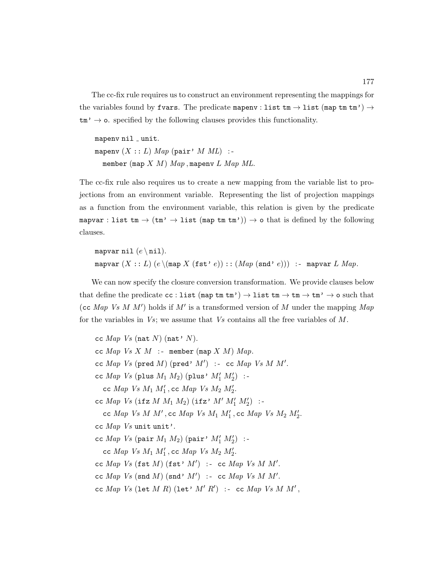The cc-fix rule requires us to construct an environment representing the mappings for the variables found by fvars. The predicate mapenv : list tm  $\rightarrow$  list (map tm tm')  $\rightarrow$  $\tan' \rightarrow \infty$ . specified by the following clauses provides this functionality.

 $mapenv$  nil  $_{-}$  unit. mapenv  $(X :: L)$  Map (pair' M ML) :member (map  $X$   $M$ )  $Map$ , mapenv  $L$   $Map$   $ML$ .

The cc-fix rule also requires us to create a new mapping from the variable list to projections from an environment variable. Representing the list of projection mappings as a function from the environment variable, this relation is given by the predicate mapvar : list  $tm \to (tm' \to list (map tm'm')) \to o$  that is defined by the following clauses.

```
mapvar nil (e \nmidnil).
mapvar (X:: L) (e \setminus (map X (fst * e)) :: (Map (snd * e))) :- mapvar L Map.
```
We can now specify the closure conversion transformation. We provide clauses below that define the predicate  $cc :$  list  $(\text{map tm }\uparrow \text{m'}) \rightarrow$  list  $\text{tm} \rightarrow \text{tm} \rightarrow \text{tm'} \rightarrow o$  such that (cc Map Vs M  $M'$ ) holds if  $M'$  is a transformed version of M under the mapping Map for the variables in  $Vs$ ; we assume that  $Vs$  contains all the free variables of M.

cc  $Map\;Vs$  (nat N) (nat' N). cc  $Map \; Vs \; X \; M \; :$ - member (map  $X \; M$ )  $Map.$ cc  $Map\;Vs\; (pred\;M)\; (pred'\;M')$  :- cc  $Map\;Vs\;M\;M'.$ cc  $Map$   $Vs$  (plus  $M_1$   $M_2$ ) (plus'  $M'_1$   $M'_2$ ) :cc  $Map$  Vs  $M_1$   $M'_1$ , cc  $Map$  Vs  $M_2$   $M'_2$ . cc  $Map$  Vs (ifz  $M M_1 M_2$ ) (ifz'  $M' M_1' M_2'$ ) :cc Map Vs M  $M'$ , cc Map Vs  $M_1$   $M'_1$ , cc Map Vs  $M_2$   $M'_2$ . cc  $Map$  Vs unit unit'. cc  $Map$  Vs (pair  $M_1$   $M_2$ ) (pair'  $M'_1$   $M'_2$ ) :cc  $Map$  Vs  $M_1$   $M'_1$ , cc  $Map$  Vs  $M_2$   $M'_2$ . cc Map Vs (fst  $M$ ) (fst'  $M'$ ) :- cc Map Vs M M'. cc Map Vs (snd M) (snd' M') :- cc Map Vs M M'. cc Map Vs (let M R) (let'  $M'R'$ ) :- cc Map Vs M M',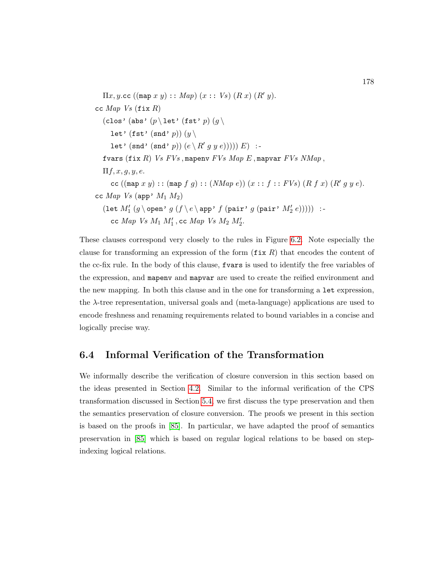```
\Pi x, y.cc ((\text{map } x y) : : Map)(x : : Vs) (R x) (R' y).
cc Map Vs (fix R)(clos' (abs' (p \setminus \text{let'} (\text{fst'} p) (g \setminuslet' (fst' (snd' p)) (y \setminuslet' (snd' (snd' p)) (e \setminus R' g y e))))) E) :-
   fvars (fix R) Vs FVs, mapenv FVs Map E, mapvar FVs NMap,
   \Pi f, x, g, y, e.cc ((\text{map } x y) : : (\text{map } f g) : : (NMap e)) (x :: f :: FVs) (R f x) (R' g y e).cc Map Vs (app' M_1 M_2)
   \left(\texttt{let } M'_1\ (g \mathop{\mathstrut\rm\,} \nolimits) \ g\ (f \mathop{\mathstrut\rm\,} \nolimits) \ g\ (pair' \ g\ (pair' \ M'_2\ e)))\right) \ : \texttt{--}cc Map Vs M_1 M'_1, cc Map Vs M_2 M'_2.
```
These clauses correspond very closely to the rules in Figure [6.2.](#page-187-0) Note especially the clause for transforming an expression of the form  $(fix R)$  that encodes the content of the cc-fix rule. In the body of this clause, fvars is used to identify the free variables of the expression, and mapenv and mapvar are used to create the reified environment and the new mapping. In both this clause and in the one for transforming a let expression, the λ-tree representation, universal goals and (meta-language) applications are used to encode freshness and renaming requirements related to bound variables in a concise and logically precise way.

# <span id="page-192-0"></span>6.4 Informal Verification of the Transformation

We informally describe the verification of closure conversion in this section based on the ideas presented in Section [4.2.](#page-126-0) Similar to the informal verification of the CPS transformation discussed in Section [5.4,](#page-159-0) we first discuss the type preservation and then the semantics preservation of closure conversion. The proofs we present in this section is based on the proofs in [\[85\]](#page-256-0). In particular, we have adapted the proof of semantics preservation in [\[85\]](#page-256-0) which is based on regular logical relations to be based on stepindexing logical relations.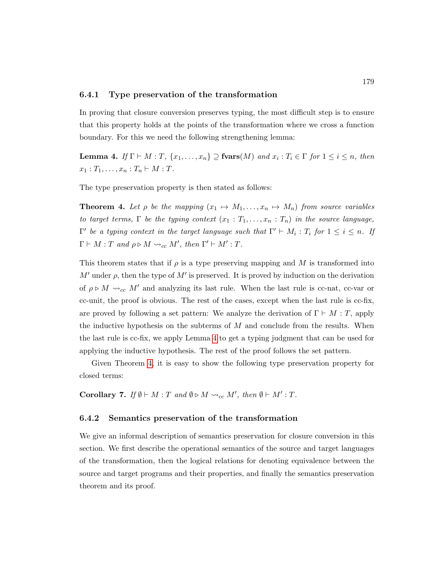#### <span id="page-193-2"></span>6.4.1 Type preservation of the transformation

In proving that closure conversion preserves typing, the most difficult step is to ensure that this property holds at the points of the transformation where we cross a function boundary. For this we need the following strengthening lemma:

<span id="page-193-0"></span>**Lemma 4.** If  $\Gamma \vdash M : T$ ,  $\{x_1, \ldots, x_n\} \supseteq \textbf{fvars}(M)$  and  $x_i : T_i \in \Gamma$  for  $1 \leq i \leq n$ , then  $x_1 : T_1, \ldots, x_n : T_n \vdash M : T$ .

The type preservation property is then stated as follows:

<span id="page-193-1"></span>**Theorem 4.** Let  $\rho$  be the mapping  $(x_1 \rightarrow M_1, \ldots, x_n \rightarrow M_n)$  from source variables to target terms,  $\Gamma$  be the typing context  $(x_1 : T_1, \ldots, x_n : T_n)$  in the source language,  $\Gamma'$  be a typing context in the target language such that  $\Gamma' \vdash M_i : T_i$  for  $1 \leq i \leq n$ . If  $\Gamma \vdash M : T \text{ and } \rho \triangleright M \leadsto_{cc} M', \text{ then } \Gamma' \vdash M' : T.$ 

This theorem states that if  $\rho$  is a type preserving mapping and M is transformed into M' under  $\rho$ , then the type of M' is preserved. It is proved by induction on the derivation of  $\rho \triangleright M \leadsto_{cc} M'$  and analyzing its last rule. When the last rule is cc-nat, cc-var or cc-unit, the proof is obvious. The rest of the cases, except when the last rule is cc-fix, are proved by following a set pattern: We analyze the derivation of  $\Gamma \vdash M : T$ , apply the inductive hypothesis on the subterms of  $M$  and conclude from the results. When the last rule is cc-fix, we apply Lemma [4](#page-193-0) to get a typing judgment that can be used for applying the inductive hypothesis. The rest of the proof follows the set pattern.

Given Theorem [4,](#page-193-1) it is easy to show the following type preservation property for closed terms:

<span id="page-193-3"></span>Corollary 7. If  $\emptyset \vdash M : T$  and  $\emptyset \triangleright M \leadsto_{cc} M'$ , then  $\emptyset \vdash M' : T$ .

#### <span id="page-193-4"></span>6.4.2 Semantics preservation of the transformation

We give an informal description of semantics preservation for closure conversion in this section. We first describe the operational semantics of the source and target languages of the transformation, then the logical relations for denoting equivalence between the source and target programs and their properties, and finally the semantics preservation theorem and its proof.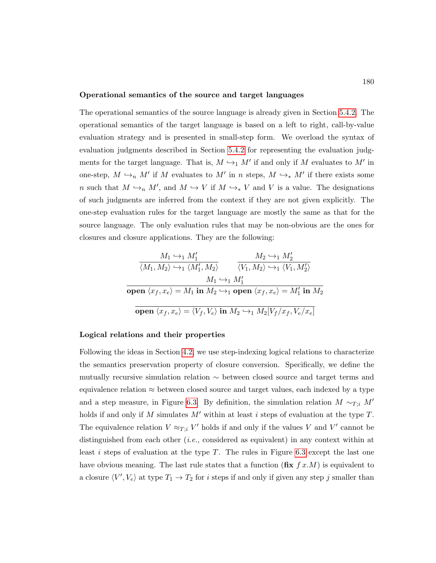#### Operational semantics of the source and target languages

The operational semantics of the source language is already given in Section [5.4.2.](#page-161-0) The operational semantics of the target language is based on a left to right, call-by-value evaluation strategy and is presented in small-step form. We overload the syntax of evaluation judgments described in Section [5.4.2](#page-161-0) for representing the evaluation judgments for the target language. That is,  $M \hookrightarrow_1 M'$  if and only if M evaluates to M' in one-step,  $M \hookrightarrow_n M'$  if M evaluates to M' in n steps,  $M \hookrightarrow_* M'$  if there exists some n such that  $M \hookrightarrow_n M'$ , and  $M \hookrightarrow V$  if  $M \hookrightarrow_* V$  and V is a value. The designations of such judgments are inferred from the context if they are not given explicitly. The one-step evaluation rules for the target language are mostly the same as that for the source language. The only evaluation rules that may be non-obvious are the ones for closures and closure applications. They are the following:

$$
\frac{M_1 \leftrightarrow_1 M_1'}{\langle M_1, M_2 \rangle \leftrightarrow_1 \langle M_1', M_2 \rangle} \qquad \frac{M_2 \leftrightarrow_1 M_2'}{\langle V_1, M_2 \rangle \leftrightarrow_1 \langle V_1, M_2' \rangle}
$$
\n
$$
\frac{M_1 \leftrightarrow_1 M_1'}{\text{open } \langle x_f, x_e \rangle = M_1 \text{ in } M_2 \leftrightarrow_1 \text{ open } \langle x_f, x_e \rangle = M_1' \text{ in } M_2}
$$
\n
$$
\frac{\text{open } \langle x_f, x_e \rangle = \langle V_f, V_e \rangle \text{ in } M_2 \leftrightarrow_1 M_2[V_f / x_f, V_e / x_e]}
$$

#### Logical relations and their properties

Following the ideas in Section [4.2,](#page-126-0) we use step-indexing logical relations to characterize the semantics preservation property of closure conversion. Specifically, we define the mutually recursive simulation relation  $\sim$  between closed source and target terms and equivalence relation  $\approx$  between closed source and target values, each indexed by a type and a step measure, in Figure [6.3.](#page-195-0) By definition, the simulation relation  $M \sim_{T,i} M'$ holds if and only if  $M$  simulates  $M'$  within at least i steps of evaluation at the type  $T$ . The equivalence relation  $V \approx_{T,i} V'$  holds if and only if the values V and V' cannot be distinguished from each other (i.e., considered as equivalent) in any context within at least i steps of evaluation at the type T. The rules in Figure [6.3](#page-195-0) except the last one have obvious meaning. The last rule states that a function  $(\textbf{fix } f x.M)$  is equivalent to a closure  $\langle V', V_e \rangle$  at type  $T_1 \to T_2$  for i steps if and only if given any step j smaller than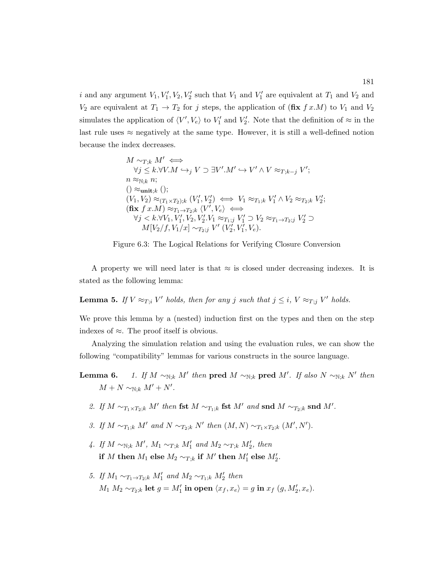i and any argument  $V_1, V_1', V_2, V_2'$  such that  $V_1$  and  $V_1'$  are equivalent at  $T_1$  and  $V_2$  and  $V_2$  are equivalent at  $T_1 \rightarrow T_2$  for j steps, the application of  $(\text{fix } f x.M)$  to  $V_1$  and  $V_2$ simulates the application of  $\langle V', V_e \rangle$  to  $V'_1$  and  $V'_2$ . Note that the definition of  $\approx$  in the last rule uses  $\approx$  negatively at the same type. However, it is still a well-defined notion because the index decreases.

<span id="page-195-0"></span>
$$
\begin{array}{l} M\sim_{T;k}M'\Longleftrightarrow\\ \forall j\leq k.\forall V.M\hookrightarrow_j V\supset \exists V'.M'\hookrightarrow V'\wedge V\approx_{T;k-j}V';\\ n\approx_{\mathbb{N};k} n;\\ (\mathcal{C}_{\mathbf{u}}\approx_{\mathbb{N};k} n;\\ (V_1,V_2)\approx_{(T_1\times T_2);k} (V_1',V_2')\Longleftrightarrow V_1\approx_{T_1;k} V_1'\wedge V_2\approx_{T_2;k} V_2';\\ (\text{fix }f\ x.M)\approx_{T_1\to T_2;k}\langle V',V_e\rangle\Longleftrightarrow\\ \forall j< k.\forall V_1,V_1',V_2,V_2' .V_1\approx_{T_1;j} V_1'\supset V_2\approx_{T_1\to T_2;j} V_2'\supset\\ M[V_2/f,V_1/x]\sim_{T_2;j} V'\ (V_2',V_1',V_e). \end{array}
$$



A property we will need later is that  $\approx$  is closed under decreasing indexes. It is stated as the following lemma:

**Lemma 5.** If  $V \approx_{T,i} V'$  holds, then for any j such that  $j \leq i$ ,  $V \approx_{T,j} V'$  holds.

We prove this lemma by a (nested) induction first on the types and then on the step indexes of ≈. The proof itself is obvious.

Analyzing the simulation relation and using the evaluation rules, we can show the following "compatibility" lemmas for various constructs in the source language.

- **Lemma 6.** 1. If  $M \sim_{\mathbb{N};k} M'$  then pred  $M \sim_{\mathbb{N};k}$  pred  $M'$ . If also  $N \sim_{\mathbb{N};k} N'$  then  $M + N \sim_{\mathbb{N};k} M' + N'.$ 
	- 2. If  $M \sim_{T_1 \times T_2; k} M'$  then fst  $M \sim_{T_1; k}$  fst  $M'$  and snd  $M \sim_{T_2; k}$  snd  $M'$ .
	- 3. If  $M \sim_{T_1;k} M'$  and  $N \sim_{T_2;k} N'$  then  $(M, N) \sim_{T_1 \times T_2;k} (M', N')$ .
	- 4. If  $M \sim_{\mathbb{N};k} M'$ ,  $M_1 \sim_{T;k} M'_1$  and  $M_2 \sim_{T;k} M'_2$ , then if M then  $M_1$  else  $M_2 \sim_{T;k}$  if  $M'$  then  $M'_1$  else  $M'_2$ .
	- 5. If  $M_1 \sim_{T_1 \to T_2;k} M'_1$  and  $M_2 \sim_{T_1;k} M'_2$  then  $M_1 M_2 \sim_{T_2;k} \textbf{let } g = M'_1 \textbf{ in open } \langle x_f, x_e \rangle = g \textbf{ in } x_f \ (g, M'_2, x_e).$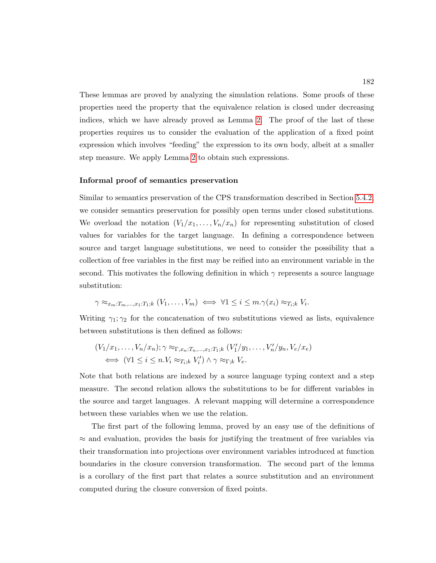These lemmas are proved by analyzing the simulation relations. Some proofs of these properties need the property that the equivalence relation is closed under decreasing indices, which we have already proved as Lemma [2.](#page-164-0) The proof of the last of these properties requires us to consider the evaluation of the application of a fixed point expression which involves "feeding" the expression to its own body, albeit at a smaller step measure. We apply Lemma [2](#page-164-0) to obtain such expressions.

#### Informal proof of semantics preservation

Similar to semantics preservation of the CPS transformation described in Section [5.4.2,](#page-161-0) we consider semantics preservation for possibly open terms under closed substitutions. We overload the notation  $(V_1/x_1, \ldots, V_n/x_n)$  for representing substitution of closed values for variables for the target language. In defining a correspondence between source and target language substitutions, we need to consider the possibility that a collection of free variables in the first may be reified into an environment variable in the second. This motivates the following definition in which  $\gamma$  represents a source language substitution:

$$
\gamma \approx_{x_m: T_m, ..., x_1: T_1; k} (V_1, ..., V_m) \iff \forall 1 \leq i \leq m. \gamma(x_i) \approx_{T_i; k} V_i.
$$

Writing  $\gamma_1, \gamma_2$  for the concatenation of two substitutions viewed as lists, equivalence between substitutions is then defined as follows:

$$
(V_1/x_1, \ldots, V_n/x_n); \gamma \approx_{\Gamma, x_n: T_n, \ldots, x_1: T_1; k} (V'_1/y_1, \ldots, V'_n/y_n, V_e/x_e)
$$
  

$$
\iff (\forall 1 \leq i \leq n. V_i \approx_{T_i; k} V'_i) \land \gamma \approx_{\Gamma; k} V_e.
$$

Note that both relations are indexed by a source language typing context and a step measure. The second relation allows the substitutions to be for different variables in the source and target languages. A relevant mapping will determine a correspondence between these variables when we use the relation.

The first part of the following lemma, proved by an easy use of the definitions of  $\approx$  and evaluation, provides the basis for justifying the treatment of free variables via their transformation into projections over environment variables introduced at function boundaries in the closure conversion transformation. The second part of the lemma is a corollary of the first part that relates a source substitution and an environment computed during the closure conversion of fixed points.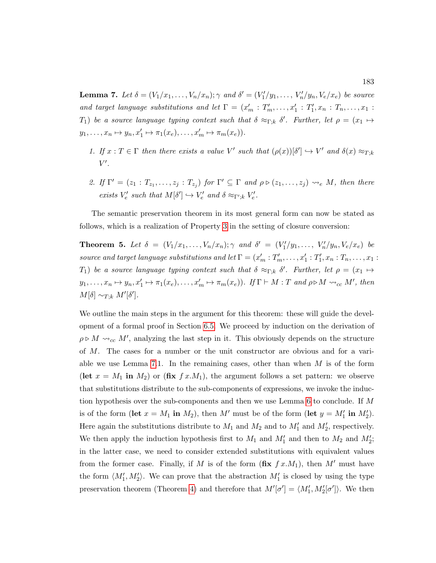<span id="page-197-0"></span>**Lemma 7.** Let  $\delta = (V_1/x_1, \ldots, V_n/x_n); \gamma$  and  $\delta' = (V'_1/y_1, \ldots, V'_n/y_n, V_e/x_e)$  be source and target language substitutions and let  $\Gamma = (x'_m : T'_m, \ldots, x'_1 : T'_1, x_n : T_n, \ldots, x_1 :$ T<sub>1</sub>) be a source language typing context such that  $\delta \approx_{\Gamma;k} \delta'$ . Further, let  $\rho = (x_1 \mapsto$  $y_1, \ldots, x_n \mapsto y_n, x'_1 \mapsto \pi_1(x_e), \ldots, x'_m \mapsto \pi_m(x_e)).$ 

- 1. If  $x: T \in \Gamma$  then there exists a value V' such that  $(\rho(x))[\delta'] \hookrightarrow V'$  and  $\delta(x) \approx_{T,k}$  $V'.$
- 2. If  $\Gamma' = (z_1 : T_{z_1}, \ldots, z_j : T_{z_j})$  for  $\Gamma' \subseteq \Gamma$  and  $\rho \triangleright (z_1, \ldots, z_j) \rightsquigarrow_e M$ , then there exists  $V'_e$  such that  $M[\delta'] \hookrightarrow V'_e$  and  $\delta \approx_{\Gamma';k} V'_e$ .

The semantic preservation theorem in its most general form can now be stated as follows, which is a realization of Property [3](#page-132-0) in the setting of closure conversion:

<span id="page-197-1"></span>**Theorem 5.** Let  $\delta = (V_1/x_1, \ldots, V_n/x_n); \gamma$  and  $\delta' = (V'_1/y_1, \ldots, V'_n/y_n, V_e/x_e)$  be source and target language substitutions and let  $\Gamma = (x'_m : T'_m, \ldots, x'_1 : T'_1, x_n : T_n, \ldots, x_1 : T'_n)$ T<sub>1</sub>) be a source language typing context such that  $\delta \approx_{\Gamma;k} \delta'$ . Further, let  $\rho = (x_1 \mapsto$  $y_1, \ldots, x_n \mapsto y_n, x_1' \mapsto \pi_1(x_e), \ldots, x_m' \mapsto \pi_m(x_e)$ . If  $\Gamma \vdash M : T$  and  $\rho \triangleright M \leadsto_{cc} M'$ , then  $M[\delta] \sim_{T;k} M'[\delta']$ .

We outline the main steps in the argument for this theorem: these will guide the development of a formal proof in Section [6.5.](#page-198-0) We proceed by induction on the derivation of  $\rho \triangleright M \leadsto_{cc} M'$ , analyzing the last step in it. This obviously depends on the structure of M. The cases for a number or the unit constructor are obvious and for a vari-able we use Lemma [7.](#page-197-0)1. In the remaining cases, other than when  $M$  is of the form (let  $x = M_1$  in  $M_2$ ) or (fix  $f(x, M_1)$ , the argument follows a set pattern: we observe that substitutions distribute to the sub-components of expressions, we invoke the induction hypothesis over the sub-components and then we use Lemma [6](#page-0-0) to conclude. If M is of the form (let  $x = M_1$  in  $M_2$ ), then M' must be of the form (let  $y = M'_1$  in  $M'_2$ ). Here again the substitutions distribute to  $M_1$  and  $M_2$  and to  $M'_1$  and  $M'_2$ , respectively. We then apply the induction hypothesis first to  $M_1$  and  $M'_1$  and then to  $M_2$  and  $M'_2$ ; in the latter case, we need to consider extended substitutions with equivalent values from the former case. Finally, if M is of the form  $(f\mathbf{x} \, f x.M_1)$ , then M' must have the form  $\langle M_1', M_2' \rangle$ . We can prove that the abstraction  $M_1'$  is closed by using the type preservation theorem (Theorem [4\)](#page-193-1) and therefore that  $M'[\sigma'] = \langle M'_1, M'_2[\sigma'] \rangle$ . We then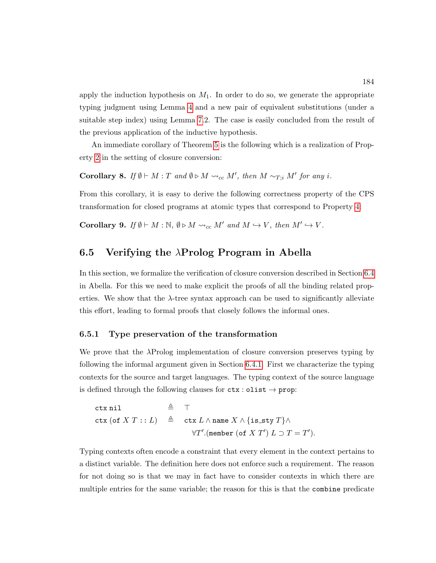apply the induction hypothesis on  $M_1$ . In order to do so, we generate the appropriate typing judgment using Lemma [4](#page-193-0) and a new pair of equivalent substitutions (under a suitable step index) using Lemma [7.](#page-197-0)2. The case is easily concluded from the result of the previous application of the inductive hypothesis.

An immediate corollary of Theorem [5](#page-197-1) is the following which is a realization of Property [2](#page-131-0) in the setting of closure conversion:

<span id="page-198-1"></span>**Corollary 8.** If  $\emptyset \vdash M : T$  and  $\emptyset \triangleright M \leadsto_{cc} M'$ , then  $M \sim_{T,i} M'$  for any i.

From this corollary, it is easy to derive the following correctness property of the CPS transformation for closed programs at atomic types that correspond to Property [4:](#page-132-1)

<span id="page-198-2"></span>**Corollary 9.** If  $\emptyset \vdash M : \mathbb{N}, \emptyset \triangleright M \leadsto_{cc} M'$  and  $M \hookrightarrow V$ , then  $M' \hookrightarrow V$ .

# <span id="page-198-0"></span>6.5 Verifying the  $\lambda$ Prolog Program in Abella

In this section, we formalize the verification of closure conversion described in Section [6.4](#page-192-0) in Abella. For this we need to make explicit the proofs of all the binding related properties. We show that the  $\lambda$ -tree syntax approach can be used to significantly alleviate this effort, leading to formal proofs that closely follows the informal ones.

### 6.5.1 Type preservation of the transformation

We prove that the λProlog implementation of closure conversion preserves typing by following the informal argument given in Section [6.4.1.](#page-193-2) First we characterize the typing contexts for the source and target languages. The typing context of the source language is defined through the following clauses for  $\texttt{ctx} : \texttt{olist} \rightarrow \texttt{prop}:$ 

ctx nil

\n
$$
\triangleq \top
$$
\nctx (of  $X T : : L$ )

\n
$$
\triangleq \text{ctx } L \land \text{name } X \land \{\text{is\_sty } T\} \land
$$
\n
$$
\forall T'.(\text{member (of } X T') \ L \supset T = T').
$$

Typing contexts often encode a constraint that every element in the context pertains to a distinct variable. The definition here does not enforce such a requirement. The reason for not doing so is that we may in fact have to consider contexts in which there are multiple entries for the same variable; the reason for this is that the combine predicate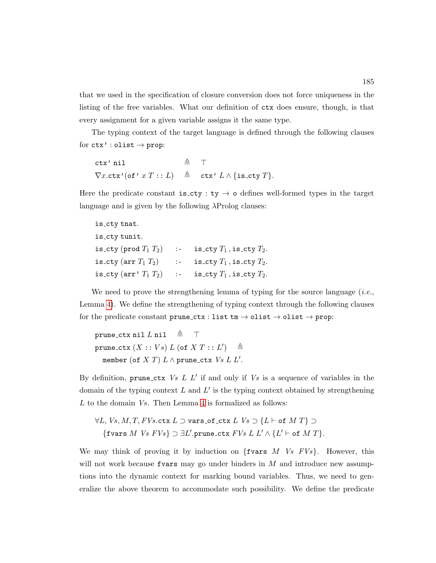that we used in the specification of closure conversion does not force uniqueness in the listing of the free variables. What our definition of ctx does ensure, though, is that every assignment for a given variable assigns it the same type.

The typing context of the target language is defined through the following clauses for  $\texttt{ctx'} : \texttt{olist} \rightarrow \texttt{prop}:$ 

ctx' nil  $\triangleq$   $\top$  $\nabla x. \text{ctx'}(\text{of'} x T :: L) \triangleq \text{ctx'} L \land \{\text{is\_cty } T\}.$ 

Here the predicate constant is cty : ty  $\rightarrow$  o defines well-formed types in the target language and is given by the following  $\lambda$ Prolog clauses:

| is_cty tnat.  |                                                             |
|---------------|-------------------------------------------------------------|
| is_cty tunit. |                                                             |
|               | is_cty (prod $T_1$ $T_2$ ) :- is_cty $T_1$ , is_cty $T_2$ . |
|               | is_cty (arr $T_1$ $T_2$ ) :- is_cty $T_1$ , is_cty $T_2$ .  |
|               | is_cty (arr' $T_1$ $T_2$ ) :- is_cty $T_1$ , is_cty $T_2$ . |

We need to prove the strengthening lemma of typing for the source language  $(i.e.,$ Lemma [4\)](#page-193-0). We define the strengthening of typing context through the following clauses for the predicate constant prune\_ctx : list tm  $\rightarrow$  olist  $\rightarrow$  olist  $\rightarrow$  prop:

prune\_ctx nil  $L$  nil  $\triangleq$   $\top$  $\mathtt{prune\_ctx}\left(X::Vs\right)L\ (\mathtt{of}\ X\ T::L')\quad\triangleq$ member (of  $X T$ )  $L \wedge$  prune\_ctx  $Vs L L'.$ 

By definition, prune\_ctx  $Vs$   $L$   $L'$  if and only if  $Vs$  is a sequence of variables in the domain of the typing context  $L$  and  $L'$  is the typing context obtained by strengthening L to the domain Vs. Then Lemma [4](#page-193-0) is formalized as follows:

 $\forall L, Vs, M, T, FVs.$ ctx  $L \supset$  vars\_of\_ctx  $L$   $Vs \supset$  { $L \vdash$  of  $M$   $T$ }  $\supset$ {fvars M Vs  $FVs$ }  $\supset \exists L'.prune\_ctx\ FVs\ L\ L' \wedge \{L' \vdash \textsf{of}\ M\ T\}.$ 

We may think of proving it by induction on  $\{fvars\ M\ Vs\ FVs\}$ . However, this will not work because frame may go under binders in  $M$  and introduce new assumptions into the dynamic context for marking bound variables. Thus, we need to generalize the above theorem to accommodate such possibility. We define the predicate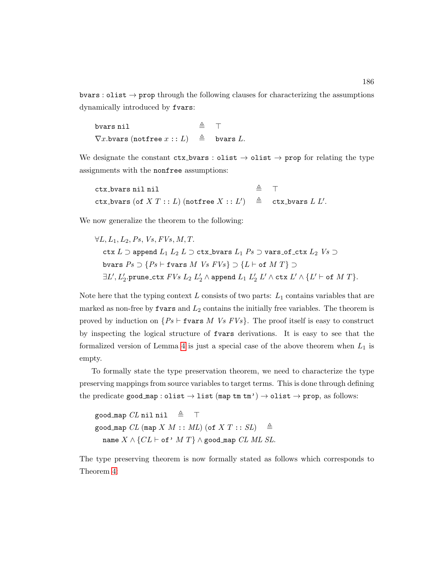bvars : olist  $\rightarrow$  prop through the following clauses for characterizing the assumptions dynamically introduced by fvars:

| bvars nil                                                                        | $\triangleq$ T |  |
|----------------------------------------------------------------------------------|----------------|--|
| $\nabla x.\mathtt{bvars}~(\mathtt{notfree}~x::L)~~\triangleq~~\mathtt{bvars}~L.$ |                |  |

We designate the constant  $\text{ctx_bvars}: \text{olist} \rightarrow \text{olist} \rightarrow \text{prop}$  for relating the type assignments with the nonfree assumptions:

| ctx_bvars nil nil                                                             | $\triangleq$ T |  |
|-------------------------------------------------------------------------------|----------------|--|
| ctx_bvars (of $X T : L$ ) (notfree $X : L'$ ) $\triangleq$ ctx_bvars $L L'$ . |                |  |

We now generalize the theorem to the following:

$$
\forall L, L_1, L_2, Ps, Vs, FVs, M, T.
$$
  
\n
$$
\texttt{ctx } L \supset \texttt{append } L_1 L_2 L \supset \texttt{ctx}.\texttt{bvars } L_1 Ps \supset \texttt{vars}.\texttt{of}\_ \texttt{ctx } L_2 V s \supset
$$
  
\n
$$
\texttt{bvars } Ps \supset \{Ps \vdash \texttt{fvars } M V s FVs\} \supset \{L \vdash \texttt{of } M T\} \supset
$$
  
\n
$$
\exists L', L'_2.\texttt{prune}\_ \texttt{ctx } FVs \_2 L'_2 \land \texttt{append } L_1 L'_2 L' \land \texttt{ctx } L' \land \{L' \vdash \texttt{of } M T\}.
$$

Note here that the typing context  $L$  consists of two parts:  $L_1$  contains variables that are marked as non-free by fvars and  $L_2$  contains the initially free variables. The theorem is proved by induction on  $\{Ps \vdash \texttt{fvars } M \text{ } Vs \text{ } FVs\}$ . The proof itself is easy to construct by inspecting the logical structure of fvars derivations. It is easy to see that the formalized version of Lemma [4](#page-193-0) is just a special case of the above theorem when  $L_1$  is empty.

To formally state the type preservation theorem, we need to characterize the type preserving mappings from source variables to target terms. This is done through defining the predicate good map : olist  $\rightarrow$  list (map tm tm')  $\rightarrow$  olist  $\rightarrow$  prop, as follows:

good map  $CL$  nil nil  $\triangleq$   $\top$ good map CL (map X  $M :: ML$ ) (of X  $T :: SL$ )  $\triangleq$ name  $X \wedge \{CL \vdash \textsf{of'}\ M\ T\} \wedge \textsf{good\_map}\ CL\ ML\ SL.$ 

The type preserving theorem is now formally stated as follows which corresponds to Theorem [4:](#page-193-1)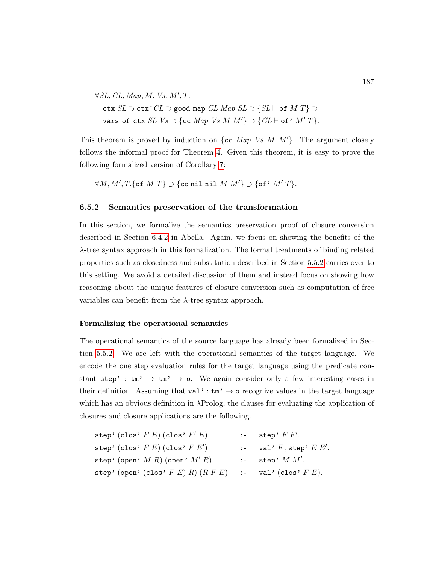$\forall SL, CL, Map, M, Vs, M', T.$ ctx  $SL \supset$  ctx' $CL \supset$  good map  $CL$  Map  $SL \supset$  { $SL \vdash$  of  $M$   $T$ }  $\supset$ vars\_of\_ctx SL  $Vs \supset$  {cc Map  $Vs$  M  $M'$ }  $\supset$  {CL  $\vdash$  of'  $M'$   $T$ }.

This theorem is proved by induction on {cc Map Vs M  $M'$ }. The argument closely follows the informal proof for Theorem [4.](#page-193-1) Given this theorem, it is easy to prove the following formalized version of Corollary [7:](#page-193-3)

 $\forall M, M', T.$  {of  $M T$ }  $\supset$  {cc nil nil  $M M'$ }  $\supset$  {of'  $M' T$ }.

#### 6.5.2 Semantics preservation of the transformation

In this section, we formalize the semantics preservation proof of closure conversion described in Section [6.4.2](#page-193-4) in Abella. Again, we focus on showing the benefits of the λ-tree syntax approach in this formalization. The formal treatments of binding related properties such as closedness and substitution described in Section [5.5.2](#page-170-0) carries over to this setting. We avoid a detailed discussion of them and instead focus on showing how reasoning about the unique features of closure conversion such as computation of free variables can benefit from the  $\lambda$ -tree syntax approach.

#### Formalizing the operational semantics

The operational semantics of the source language has already been formalized in Section [5.5.2.](#page-170-0) We are left with the operational semantics of the target language. We encode the one step evaluation rules for the target language using the predicate constant step' :  $\tan \rightarrow \tan' \rightarrow o$ . We again consider only a few interesting cases in their definition. Assuming that  $val' : tm' \rightarrow o$  recognize values in the target language which has an obvious definition in λProlog, the clauses for evaluating the application of closures and closure applications are the following.

| step' (clos' $F E$ ) (clos' $F' E$ )                                | $:$ step' $F F'.$                |
|---------------------------------------------------------------------|----------------------------------|
| step' (clos' $F E$ ) (clos' $F E'$ )                                | $\therefore$ val' F, step' E E'. |
| step' (open' $M R$ ) (open' $M' R$ )                                | $: -$ step' $M M'.$              |
| step' (open' (clos' $F E$ ) $R$ ) $(R F E)$ :- val' (clos' $F E$ ). |                                  |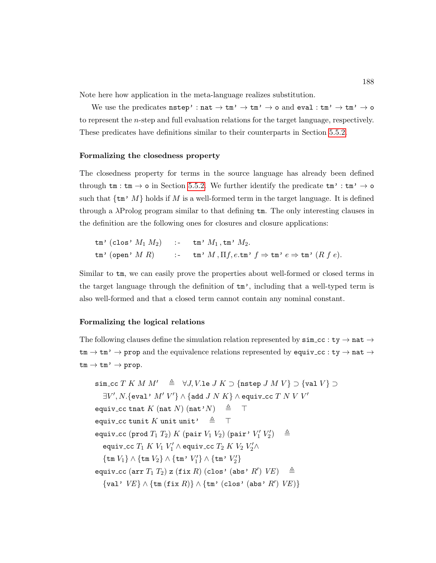Note here how application in the meta-language realizes substitution.

We use the predicates  $\texttt{nstep': nat} \to \texttt{tm'} \to \texttt{tm'} \to \texttt{o}$  and  $\texttt{eval:tm'} \to \texttt{tm'} \to \texttt{o}$ to represent the n-step and full evaluation relations for the target language, respectively. These predicates have definitions similar to their counterparts in Section [5.5.2.](#page-170-0)

#### Formalizing the closedness property

The closedness property for terms in the source language has already been defined through  $tm : tm \rightarrow o$  in Section [5.5.2.](#page-170-0) We further identify the predicate  $tm' : tm' \rightarrow o$ such that  $\{\text{tm}^{\prime}, M\}$  holds if M is a well-formed term in the target language. It is defined through a  $\lambda$ Prolog program similar to that defining  $\tan$ . The only interesting clauses in the definition are the following ones for closures and closure applications:

$$
\begin{array}{lll}\n\text{tm' (clos' } M_1 M_2) & \text{ : & \text{tm' } M_1, \text{tm' } M_2. \\
\text{tm' (open' } M R) & \text{ : & \text{tm' } M, \Pi f, e.\text{tm' } f \Rightarrow \text{tm' } e \Rightarrow \text{tm' } (R f e).\n\end{array}
$$

Similar to tm, we can easily prove the properties about well-formed or closed terms in the target language through the definition of  $\tan$ , including that a well-typed term is also well-formed and that a closed term cannot contain any nominal constant.

#### Formalizing the logical relations

The following clauses define the simulation relation represented by  $\sin c c : t y \rightarrow n a t \rightarrow$  $\tan \rightarrow \tan' \rightarrow$  prop and the equivalence relations represented by equiv\_cc : ty  $\rightarrow$  nat  $\rightarrow$  $tm \to tm' \to prop.$ 

```
sim_cc T K M M' \triangleq \forall J, V.le J K \supset \{ \text{nstep } J M V \} \supset \{ \text{val } V \} \supset\exists V', N. \{\mathtt{eval}\colon M'\: V'\} \wedge \{\mathtt{add}\: J\: N\: K\} \wedge \mathtt{equiv}\: \mathtt{cc}\: T\: N\: V\: V'equiv_cc tnat K (nat N) (nat'N) \triangleq T
equiv_cc tunit K unit unit' \triangleq T
equiv_cc (prod T_1 T_2) K (pair V_1 V_2) (pair' V_1' V_2'\triangleqequiv_cc T_1 K V_1 V_1' \wedge equiv_cc T_2 K V_2 V_2' \wedge\{\mathtt{tm}\ V_1\}\wedge\{\mathtt{tm}\ V_2\}\wedge\{\mathtt{tm'}\ V'_1\}\wedge\{\mathtt{tm'}\ V'_2\}equiv_cc (arr T_1 T_2) z (fix R) (clos' (abs' R') VE) \triangleq\{val' \; VE\} \wedge \{tm (fix R)\} \wedge \{tm' (clos' (abs' R') \; VE)\}
```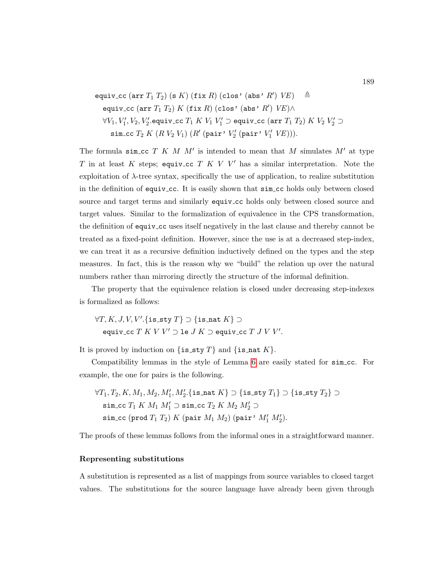$$
\begin{array}{ll}\texttt{equivv\_cc}\ (\texttt{arr}\ T_1\ T_2)\ (\texttt{s}\ K)\ (\texttt{fix}\ R)\ (\texttt{clos}\ \texttt{'}\ (\texttt{abs}\ \texttt{'}\ R')\ V E)\ &\triangleq\\ \texttt{equivv\_cc}\ (\texttt{arr}\ T_1\ T_2)\ K\ (\texttt{fix}\ R)\ (\texttt{clos}\ \texttt{'}\ (\texttt{abs}\ \texttt{'}\ R')\ V E)\wedge\\ &\forall V_1,V'_1,V_2,V'_2.\texttt{equivv\_cc}\ T_1\ K\ V_1\ V'_1\supset \texttt{equivv\_cc}\ (\texttt{arr}\ T_1\ T_2)\ K\ V_2\ V'_2\supset\\ &\texttt{sim\_cc}\ T_2\ K\ (R\ V_2\ V_1)\ (R'\ (\texttt{pair}\ \texttt{'}\ V'_2\ (\texttt{pair}\ \texttt{'}\ V'_1\ V E))).\end{array}
$$

The formula sim\_cc  $T K M M'$  is intended to mean that M simulates  $M'$  at type T in at least K steps; equiv\_cc T K V V' has a similar interpretation. Note the exploitation of  $\lambda$ -tree syntax, specifically the use of application, to realize substitution in the definition of equiv cc. It is easily shown that sim cc holds only between closed source and target terms and similarly equiv\_cc holds only between closed source and target values. Similar to the formalization of equivalence in the CPS transformation, the definition of equiv cc uses itself negatively in the last clause and thereby cannot be treated as a fixed-point definition. However, since the use is at a decreased step-index, we can treat it as a recursive definition inductively defined on the types and the step measures. In fact, this is the reason why we "build" the relation up over the natural numbers rather than mirroring directly the structure of the informal definition.

The property that the equivalence relation is closed under decreasing step-indexes is formalized as follows:

 $\forall T, K, J, V, V'.$ {is\_sty  $T$ }  $\supset$  {is\_nat  $K$ }  $\supset$ equiv\_cc  $T$   $K$   $V$   $V'$   $\supset$  le  $J$   $K$   $\supset$  equiv\_cc  $T$   $J$   $V$   $V'$ .

It is proved by induction on  $\{ \text{is\_sty } T \}$  and  $\{ \text{is\_nat } K \}.$ 

Compatibility lemmas in the style of Lemma [6](#page-0-0) are easily stated for sim cc. For example, the one for pairs is the following.

$$
\forall T_1, T_2, K, M_1, M_2, M'_1, M'_2.\{\text{is\_nat } K\} \supset \{\text{is\_sty } T_1\} \supset \{\text{is\_sty } T_2\} \supset
$$
  
\nsim\\_cc T\_1 K M\_1 M'\_1 \supset \text{sim\\_cc } T\_2 K M\_2 M'\_2 \supset  
\nsim\\_cc (prod T\_1 T\_2) K (pair M\_1 M\_2) (pair' M'\_1 M'\_2).

The proofs of these lemmas follows from the informal ones in a straightforward manner.

#### Representing substitutions

A substitution is represented as a list of mappings from source variables to closed target values. The substitutions for the source language have already been given through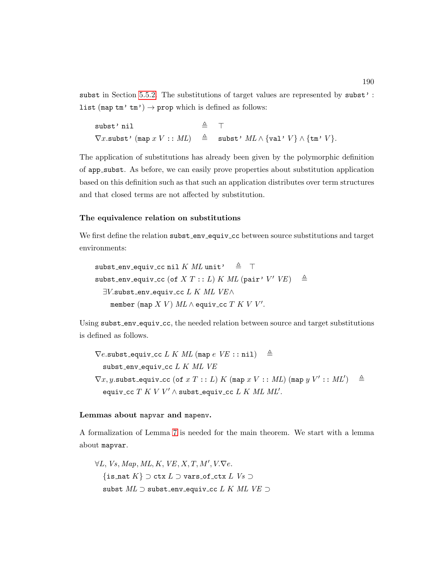subst in Section [5.5.2.](#page-170-0) The substitutions of target values are represented by subst': list (map  $\tan'$   $\tan'$ )  $\rightarrow$  prop which is defined as follows:

| subst'nil | $\triangleq$ T |                                                                                                                                                                                                             |
|-----------|----------------|-------------------------------------------------------------------------------------------------------------------------------------------------------------------------------------------------------------|
|           |                | $\nabla x.\mathtt{subst}\bm{\cdot} \ (\mathtt{map}\ x\ V\bm{\,} \mathrel{:}: ML) \quad\triangleq\quad \mathtt{subst}\bm{\cdot}\ ML\wedge \{\mathtt{val}\bm{\cdot}\ V\}\wedge \{\mathtt{tm}\bm{\cdot}\ V\}.$ |

The application of substitutions has already been given by the polymorphic definition of app subst. As before, we can easily prove properties about substitution application based on this definition such as that such an application distributes over term structures and that closed terms are not affected by substitution.

#### The equivalence relation on substitutions

We first define the relation subst\_env\_equiv\_cc between source substitutions and target environments:

subst\_env\_equiv\_cc nil K ML unit'  $\triangleq$  T  $\texttt{subst\_env\_equiv\_cc}$  (of  $X T :: L) K ML$  (pair'  $V' / V E$ )  $\triangleq$  $\exists V$ .subst\_env\_equiv\_cc  $L$  K ML VE $\wedge$ member (map  $X|V$ )  $ML \wedge$  equiv\_cc  $T|K|V|V'.$ 

Using subst\_env\_equiv\_cc, the needed relation between source and target substitutions is defined as follows.

 $\nabla e$ .subst\_equiv\_cc L K ML (map  $e$  VE :: nil)  $\triangleq$ subst\_env\_equiv\_cc  $L K ML VE$  $\nabla x, y$ .subst\_equiv\_cc (of  $x T : L$ ) K (map  $x V : M L$ ) (map  $y V' : M L'$ )  $\triangleq$ equiv\_cc  $T$   $K$   $V$   $V'$   $\wedge$  subst\_equiv\_cc  $L$   $K$   $ML$   $ML'$ .

#### Lemmas about mapvar and mapenv.

A formalization of Lemma [7](#page-197-0) is needed for the main theorem. We start with a lemma about mapvar.

 $\forall L, Vs, Map, ML, K, VE, X, T, M', V. \nabla e.$  $\{\text{is\_nat } K\} \supset \text{ctx } L$   $\supset$  vars\_of\_ctx  $L$   $Vs \supset$ subst  $ML \supset$  subst\_env\_equiv\_cc  $L K ML VE \supset$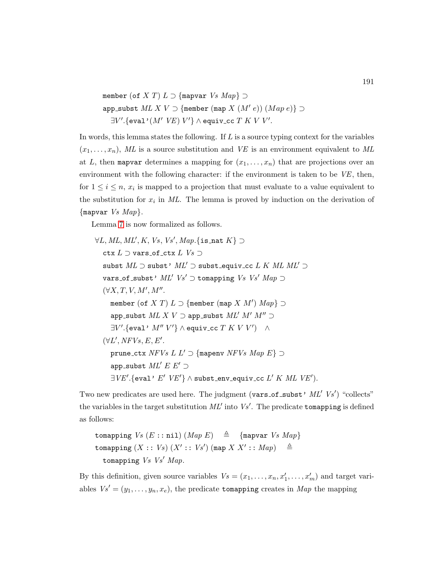member (of X T)  $L \supset$  {mapvar  $Vs$   $Map$ }  $\supset$ app\_subst  $ML X V \supset$  {member (map  $X (M' e)$ )  $(Map e)$ }  $\supset$  $\exists V'.$ {eval'(M'VE)V'}  $\wedge$  equiv\_cc  $T$  KVV'.

In words, this lemma states the following. If  $L$  is a source typing context for the variables  $(x_1, \ldots, x_n)$ , ML is a source substitution and VE is an environment equivalent to ML at L, then mapvar determines a mapping for  $(x_1, \ldots, x_n)$  that are projections over an environment with the following character: if the environment is taken to be  $VE$ , then, for  $1 \leq i \leq n$ ,  $x_i$  is mapped to a projection that must evaluate to a value equivalent to the substitution for  $x_i$  in ML. The lemma is proved by induction on the derivation of {mapvar  $Vs Map$ }.

Lemma [7](#page-197-0) is now formalized as follows.

$$
\forall L, ML, ML', K, Vs, Vs', Map. \{\text{is} \text{nat } K\} \supset
$$
  
\n
$$
\text{clx } L \supset \text{vars\_of\_ctx } L Vs \supset
$$
  
\n
$$
\text{subst } ML \supset \text{subst'} \; ML' \supset \text{subst\_equiv\_cc } L K \; ML \; ML' \supset
$$
  
\n
$$
\text{vars\_of\_subset'} \; ML' Vs' \supset \text{tomapping } Vs \; Vs' \; Map \supset
$$
  
\n
$$
(\forall X, T, V, M', M''.
$$
  
\n
$$
\text{member } (\text{of } X \; T) \; L \supset \{\text{member } (\text{map } X \; M') \; Map \} \supset
$$
  
\n
$$
\text{app\_subst } ML \; X \; V \supset \text{app\_subst } ML' \; M' \; M'' \supset
$$
  
\n
$$
\exists V'. \{\text{eval'} \; M'' \; V'\} \land \text{equiv\_cc } T \; K \; V \; V' \} \; \land
$$
  
\n
$$
(\forall L', NFVs, E, E'.
$$
  
\n
$$
\text{prune\_ctx } NFVs \; LL' \supset \{\text{mapenv } NFVs \; Map \; E\} \supset
$$
  
\n
$$
\exists V E'. \{\text{eval'} \; E' \; V E' \} \land \text{subst\_env\_equiv\_cc } L' \; K \; ML \; V E').
$$

Two new predicates are used here. The judgment (vars\_of\_subst'  $ML'$  Vs') "collects" the variables in the target substitution  $ML'$  into  $Vs'$ . The predicate tomapping is defined as follows:

tomapping  $Vs (E::nil)$   $(Map E) \triangleq {\text{[mapvar}}$   $Vs Map$ tomapping  $(X:: Vs)$   $(X':: Vs')$  (map  $X X':: Map$ )  $\triangleq$ tomapping  $Vs$  Vs' Map.

By this definition, given source variables  $V_s = (x_1, \ldots, x_n, x'_1, \ldots, x'_m)$  and target variables  $Vs' = (y_1, \ldots, y_n, x_e)$ , the predicate tomapping creates in Map the mapping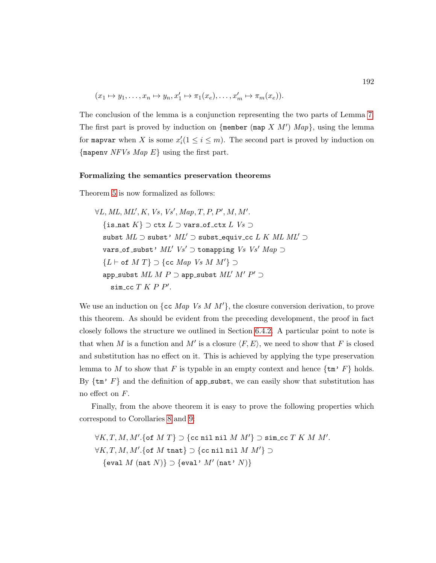$$
(x_1 \mapsto y_1, \dots, x_n \mapsto y_n, x'_1 \mapsto \pi_1(x_e), \dots, x'_m \mapsto \pi_m(x_e)).
$$

The conclusion of the lemma is a conjunction representing the two parts of Lemma [7.](#page-197-0) The first part is proved by induction on {member (map X  $M'$ )  $Map$ }, using the lemma for mapvar when X is some  $x_i'(1 \leq i \leq m)$ . The second part is proved by induction on {mapeny  $NFVs Map E$ } using the first part.

#### Formalizing the semantics preservation theorems

Theorem [5](#page-197-1) is now formalized as follows:

 $\forall L, ML, ML', K, Vs, Vs', Map, T, P, P', M, M'.$  $\{\text{is\_nat } K\} \supset \text{ctx } L$   $\supset$  vars of ctx  $L$   $Vs \supset$ subst  $ML \supset$  subst'  $ML' \supset$  subst equiv cc L K  $ML$   $ML' \supset$ vars\_of\_subst'  $ML'$   $Vs'$   $\supset$  tomapping  $Vs$   $Vs'$   $Map$   $\supset$  ${L \vdash \textsf{of } M T} \supset {\textsf{cc } Map V s M M'} \supset$ app\_subst  $ML$   $M$   $P$   $\supset$  app\_subst  $ML'$   $M'$   $P'$   $\supset$  $\texttt{sim\_cc}$   $T$   $K$   $P$   $P'$ .

We use an induction on  $\{cc \ Map \ Vs \ M \ M'\},\$  the closure conversion derivation, to prove this theorem. As should be evident from the preceding development, the proof in fact closely follows the structure we outlined in Section [6.4.2.](#page-193-4) A particular point to note is that when M is a function and M' is a closure  $\langle F, E \rangle$ , we need to show that F is closed and substitution has no effect on it. This is achieved by applying the type preservation lemma to M to show that F is typable in an empty context and hence  $\{\text{tm}^{\prime} F\}$  holds. By  $\{\text{tm}\,^\circ\,F\}$  and the definition of app subst, we can easily show that substitution has no effect on F.

Finally, from the above theorem it is easy to prove the following properties which correspond to Corollaries [8](#page-198-1) and [9:](#page-198-2)

 $\forall K, T, M, M'.\{\texttt{of } M T\} \supset \{\texttt{cc nil nil } M M'\} \supset \texttt{sim\_cc } T\,K\,M\,M'.$  $\forall K, T, M, M'.\{\texttt{of } M \texttt{ that}\} \supset \{\texttt{cc nil nil } M\ M'\} \supset$  $\{ \texttt{eval } M \text{ (nat } N) \} \supset \{ \texttt{eval'} \text{ } M' \text{ (nat'} \text{ } N) \}$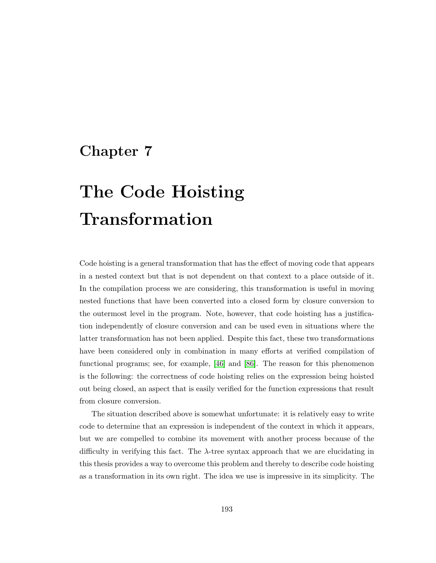# Chapter 7

# The Code Hoisting Transformation

Code hoisting is a general transformation that has the effect of moving code that appears in a nested context but that is not dependent on that context to a place outside of it. In the compilation process we are considering, this transformation is useful in moving nested functions that have been converted into a closed form by closure conversion to the outermost level in the program. Note, however, that code hoisting has a justification independently of closure conversion and can be used even in situations where the latter transformation has not been applied. Despite this fact, these two transformations have been considered only in combination in many efforts at verified compilation of functional programs; see, for example, [\[46\]](#page-253-0) and [\[86\]](#page-256-1). The reason for this phenomenon is the following: the correctness of code hoisting relies on the expression being hoisted out being closed, an aspect that is easily verified for the function expressions that result from closure conversion.

The situation described above is somewhat unfortunate: it is relatively easy to write code to determine that an expression is independent of the context in which it appears, but we are compelled to combine its movement with another process because of the difficulty in verifying this fact. The  $\lambda$ -tree syntax approach that we are elucidating in this thesis provides a way to overcome this problem and thereby to describe code hoisting as a transformation in its own right. The idea we use is impressive in its simplicity. The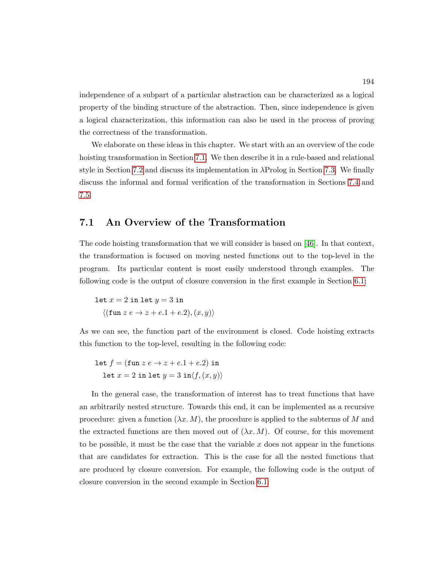independence of a subpart of a particular abstraction can be characterized as a logical property of the binding structure of the abstraction. Then, since independence is given a logical characterization, this information can also be used in the process of proving the correctness of the transformation.

We elaborate on these ideas in this chapter. We start with an an overview of the code hoisting transformation in Section [7.1.](#page-208-0) We then describe it in a rule-based and relational style in Section [7.2](#page-209-0) and discuss its implementation in  $\lambda \text{Prolog}$  in Section [7.3.](#page-210-0) We finally discuss the informal and formal verification of the transformation in Sections [7.4](#page-215-0) and [7.5.](#page-218-0)

# <span id="page-208-0"></span>7.1 An Overview of the Transformation

The code hoisting transformation that we will consider is based on [\[46\]](#page-253-0). In that context, the transformation is focused on moving nested functions out to the top-level in the program. Its particular content is most easily understood through examples. The following code is the output of closure conversion in the first example in Section [6.1:](#page-182-0)

$$
let x = 2 in let y = 3 in
$$

$$
\langle (\text{fun } z e \to z + e.1 + e.2), (x, y) \rangle
$$

As we can see, the function part of the environment is closed. Code hoisting extracts this function to the top-level, resulting in the following code:

$$
let f = (fun z e \rightarrow z + e.1 + e.2) in
$$
  

$$
let x = 2 in let y = 3 in \langle f, (x, y) \rangle
$$

In the general case, the transformation of interest has to treat functions that have an arbitrarily nested structure. Towards this end, it can be implemented as a recursive procedure: given a function  $(\lambda x. M)$ , the procedure is applied to the subterms of M and the extracted functions are then moved out of  $(\lambda x. M)$ . Of course, for this movement to be possible, it must be the case that the variable  $x$  does not appear in the functions that are candidates for extraction. This is the case for all the nested functions that are produced by closure conversion. For example, the following code is the output of closure conversion in the second example in Section [6.1:](#page-182-0)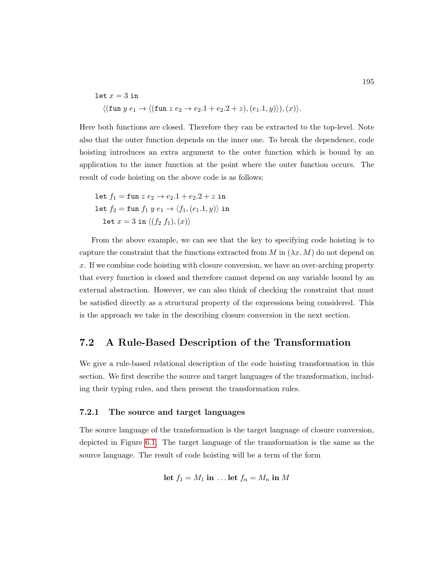$$
\begin{aligned} \texttt{let } x = 3 \text{ in} \\ & \langle (\texttt{fun } y \text{ } e_1 \rightarrow \langle (\texttt{fun } z \text{ } e_2 \rightarrow e_2.1 + e_2.2 + z), (e_1.1, y) \rangle), (x) \rangle. \end{aligned}
$$

Here both functions are closed. Therefore they can be extracted to the top-level. Note also that the outer function depends on the inner one. To break the dependence, code hoisting introduces an extra argument to the outer function which is bound by an application to the inner function at the point where the outer function occurs. The result of code hoisting on the above code is as follows:

let  $f_1 = \text{fun } z e_2 \to e_2.1 + e_2.2 + z$  in let  $f_2 = \text{fun } f_1 y e_1 \rightarrow \langle f_1, (e_1.1, y) \rangle$  in let  $x = 3$  in  $\langle (f_2 f_1), (x) \rangle$ 

From the above example, we can see that the key to specifying code hoisting is to capture the constraint that the functions extracted from M in  $(\lambda x. M)$  do not depend on  $x$ . If we combine code hoisting with closure conversion, we have an over-arching property that every function is closed and therefore cannot depend on any variable bound by an external abstraction. However, we can also think of checking the constraint that must be satisfied directly as a structural property of the expressions being considered. This is the approach we take in the describing closure conversion in the next section.

# <span id="page-209-0"></span>7.2 A Rule-Based Description of the Transformation

We give a rule-based relational description of the code hoisting transformation in this section. We first describe the source and target languages of the transformation, including their typing rules, and then present the transformation rules.

#### 7.2.1 The source and target languages

The source language of the transformation is the target language of closure conversion, depicted in Figure [6.1.](#page-185-0) The target language of the transformation is the same as the source language. The result of code hoisting will be a term of the form

$$
let f_1 = M_1 in \dots let f_n = M_n in M
$$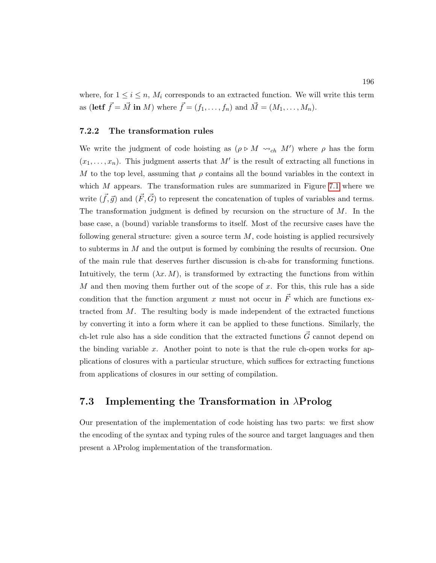where, for  $1 \leq i \leq n$ ,  $M_i$  corresponds to an extracted function. We will write this term as (let  $\vec{f} = \vec{M}$  in M) where  $\vec{f} = (f_1, \ldots, f_n)$  and  $\vec{M} = (M_1, \ldots, M_n)$ .

#### 7.2.2 The transformation rules

We write the judgment of code hoisting as  $(\rho \triangleright M \leadsto_{ch} M')$  where  $\rho$  has the form  $(x_1, \ldots, x_n)$ . This judgment asserts that M' is the result of extracting all functions in M to the top level, assuming that  $\rho$  contains all the bound variables in the context in which  $M$  appears. The transformation rules are summarized in Figure [7.1](#page-211-0) where we write  $(\vec{f}, \vec{g})$  and  $(\vec{F}, \vec{G})$  to represent the concatenation of tuples of variables and terms. The transformation judgment is defined by recursion on the structure of  $M$ . In the base case, a (bound) variable transforms to itself. Most of the recursive cases have the following general structure: given a source term  $M$ , code hoisting is applied recursively to subterms in  $M$  and the output is formed by combining the results of recursion. One of the main rule that deserves further discussion is ch-abs for transforming functions. Intuitively, the term  $(\lambda x. M)$ , is transformed by extracting the functions from within M and then moving them further out of the scope of x. For this, this rule has a side condition that the function argument x must not occur in  $\vec{F}$  which are functions extracted from  $M$ . The resulting body is made independent of the extracted functions by converting it into a form where it can be applied to these functions. Similarly, the ch-let rule also has a side condition that the extracted functions  $\vec{G}$  cannot depend on the binding variable x. Another point to note is that the rule ch-open works for applications of closures with a particular structure, which suffices for extracting functions from applications of closures in our setting of compilation.

# <span id="page-210-0"></span>7.3 Implementing the Transformation in  $\lambda$ Prolog

Our presentation of the implementation of code hoisting has two parts: we first show the encoding of the syntax and typing rules of the source and target languages and then present a λProlog implementation of the transformation.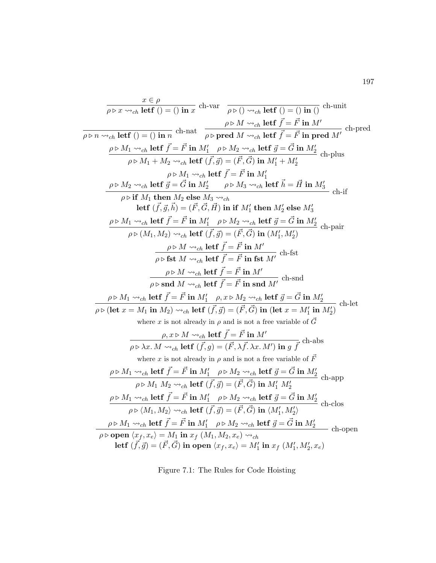<span id="page-211-0"></span>
$$
\frac{x \in \rho}{\rho \triangleright x \rightsquigarrow_{ch} \text{left } ( ) = () \text{ in } x \text{ ch-var } \rho \triangleright () \rightsquigarrow_{ch} \text{left } \vec{f} = \vec{F} \text{ in } M' \text{ when } \rho \triangleright M_1 \rightsquigarrow_{ch} \text{left } \vec{f} = \vec{F} \text{ in } M \text{ in } \rho \triangleright M_2 \rightsquigarrow_{ch} \text{left } \vec{f} = \vec{F} \text{ in } M' \text{ in } \rho \triangleright M_1 \rightsquigarrow_{ch} \text{left } \vec{f} = \vec{F} \text{ in } M' \text{ in } \rho \triangleright M_2 \rightsquigarrow_{ch} \text{left } \vec{f} = \vec{F} \text{ in } M_2' \text{ ch }, \text{plus } \rho \triangleright M_1 \rightsquigarrow_{ch} \text{left } \vec{f} = \vec{F} \text{ in } M_1' \text{ in } \rho \triangleright M_2 \rightsquigarrow_{ch} \text{ left } \vec{f} = \vec{G} \text{ in } M_2' \text{ ch }, \text{plus } \rho \triangleright M_1 \rightsquigarrow_{ch} \text{ left } \vec{f} = \vec{F} \text{ in } M_1' \text{ in } \rho \triangleright M_2 \rightsquigarrow_{ch} \text{ left } \vec{f} = \vec{F} \text{ in } M_1' \text{ in } \rho \triangleright M_2 \rightsquigarrow_{ch} \text{ left } \vec{f} = \vec{F} \text{ in } M_1' \text{ in } \rho \triangleright M_2 \rightsquigarrow_{ch} \text{ left } \vec{f} = \vec{H} \text{ in } M_2' \text{ in } \rho \triangleright M_1 \rightsquigarrow_{ch} \text{ left } \vec{f} = \vec{F} \text{ in } M_1' \text{ in } M_2' \text{ else } M_3' \text{ in } \rho \triangleright M_1 \rightsquigarrow_{ch} \text{ left } \vec{f} = \vec{F} \text{ in } M_1' \text{ in } M_2' \text{ else } M_3' \text{ in } \rho \triangleright M_1 \rightsquigarrow_{ch} \text{ left } \vec{f} = \vec{F} \text{ in } M_1' \text{ in } M_2' \text{ in } \rho \triangleright M_2 \rightsquigarrow
$$

Figure 7.1: The Rules for Code Hoisting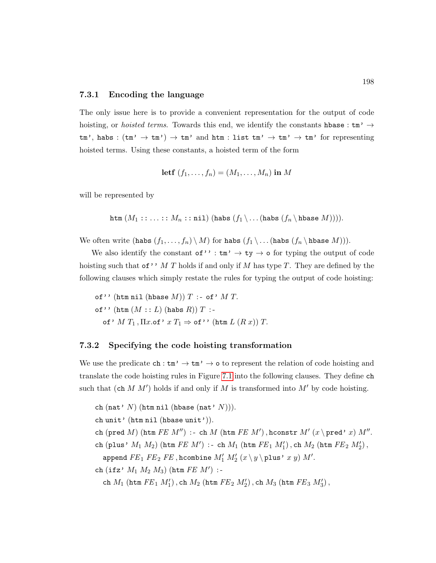#### 7.3.1 Encoding the language

The only issue here is to provide a convenient representation for the output of code hoisting, or *hoisted terms*. Towards this end, we identify the constants his assessment  $\rightarrow$  $tm'$ , habs :  $(tm' \rightarrow tm') \rightarrow tm'$  and  $htm$  : list  $tm' \rightarrow tm' \rightarrow tm'$  for representing hoisted terms. Using these constants, a hoisted term of the form

$$
letf (f_1, \ldots, f_n) = (M_1, \ldots, M_n) in M
$$

will be represented by

htm  $(M_1: \ldots: M_n: \text{nil})$  (habs  $(f_1 \backslash \ldots$  (habs  $(f_n \backslash \text{hbase } M))$ ).

We often write  $(habs (f_1, \ldots, f_n) \setminus M)$  for habs  $(f_1 \setminus \ldots (habs (f_n \setminus hbase M))).$ 

We also identify the constant of'' :  $\tan' \rightarrow \text{ty} \rightarrow \text{o}$  for typing the output of code hoisting such that of'' M T holds if and only if M has type T. They are defined by the following clauses which simply restate the rules for typing the output of code hoisting:

of'' (htm nil (hbase  $M$ ))  $T$  :- of'  $M$   $T$ . of'' (htm  $(M:: L)$  (habs  $R$ ))  $T:$ of'  $M T_1$ ,  $\Pi x$ .of'  $x T_1 \Rightarrow$  of'' (htm  $L (R x)$ )  $T$ .

#### 7.3.2 Specifying the code hoisting transformation

We use the predicate  $\texttt{ch}: \texttt{tm'} \to \texttt{tm'} \to \texttt{o}$  to represent the relation of code hoisting and translate the code hoisting rules in Figure [7.1](#page-211-0) into the following clauses. They define ch such that  $(\text{ch } M M')$  holds if and only if M is transformed into  $M'$  by code hoisting.

- ch (nat'  $N$ ) (htm nil (hbase (nat'  $N$ ))).
- ch unit' (htm nil (hbase unit')).
- ch (pred  $M$ ) (htm  $FE M'$ ) :- ch  $M$  (htm  $FE M'$ ), hconstr  $M'$  ( $x \$  pred'  $x$ )  $M''$ .
- ch (plus'  $M_1$   $M_2$ ) (htm  $FE$   $M'$ ) :- ch  $M_1$  (htm  $FE_1$   $M'_1$ ), ch  $M_2$  (htm  $FE_2$   $M'_2$ ), append  $FE_1$   $FE_2$   $FE$  , hcombine  $M'_1$   $M'_2$   $(x \backslash y \backslash \texttt{plus'}~x~y)$   $M'.$
- ch (ifz'  $M_1$   $M_2$   $M_3$ ) (htm  $FE$   $M'$ ) :-

ch  $M_1$  (htm  $FE_1$   $M'_1$ ), ch  $M_2$  (htm  $FE_2$   $M'_2$ ), ch  $M_3$  (htm  $FE_3$   $M'_3$ ),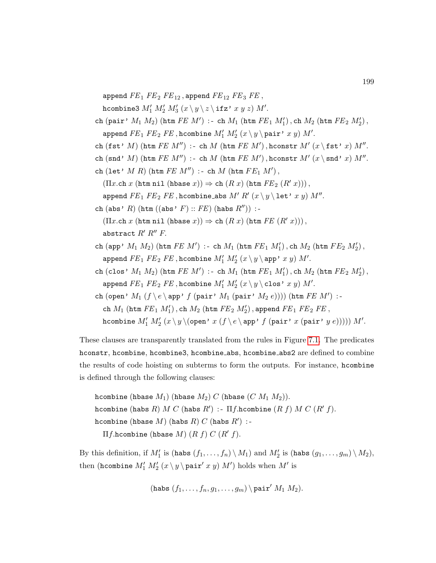append  $FE_1$   $FE_2$   $FE_{12}$ , append  $FE_{12}$   $FE_3$   $FE$ ,

hcombine3  $M'_1 \ M'_2 \ M'_3$   $(x \setminus y \setminus z \setminus \texttt{ifz'}\ x\ y\ z) \ M'.$ 

- ch (pair'  $M_1$   $M_2$ ) (htm  $FE$   $M'$ ) :- ch  $M_1$  (htm  $FE_1$   $M'_1$ ), ch  $M_2$  (htm  $FE_2$   $M'_2$ ), append  $FE_1$   $FE_2$   $FE$  , hcombine  $M'_1$   $M'_2$   $(x \backslash y \backslash \texttt{pair'}~x~y)$   $M'.$
- ch (fst'  $M$ ) (htm  $FE$   $M'$ ) :- ch  $M$  (htm  $FE$   $M'$ ), hconstr  $M'$  ( $x \$ fst'  $x$ )  $M''$ .
- ch (snd' M) (htm  $FE M'$ ) :- ch  $M$  (htm  $FE M'$ ), hconstr  $M'$  ( $x \$ snd'  $x$ )  $M''$ .
- ch (let'  $M R$ ) (htm  $FE M'$ ) :- ch  $M$  (htm  $FE<sub>1</sub> M'$ ),

 $(\Pi x.\texttt{ch } x \texttt{ (htm nil (hbase } x)) \Rightarrow \texttt{ch } (R x) \texttt{ (htm } FE_2 \texttt{ (}R' x))\texttt{)},$ 

- append  $FE_1$   $FE_2$   $FE$  ,hcombine abs  $M'$   $R'$   $(x \setminus y \setminus \texttt{let'}~x~y)$   $M''$ .
- ch (abs' R) (htm ((abs' F) :: FE) (habs  $R'$ )) :-

 $(\Pi x.\texttt{ch } x \texttt{ (htm nil (hbase } x)) \Rightarrow \texttt{ch } (R x) \texttt{ (htm } FE \texttt{ (}R' x))),$ abstract  $R'$   $R''$   $F$ .

- ch (app'  $M_1$   $M_2$ ) (htm  $FE$   $M'$ ) :- ch  $M_1$  (htm  $FE_1$   $M'_1$ ), ch  $M_2$  (htm  $FE_2$   $M'_2$ ), append  $FE_1$   $FE_2$   $FE$  , hcombine  $M'_1$   $M'_2$   $(x \setminus y \setminus$  app'  $x$   $y)$   $M'.$
- ch (clos'  $M_1$   $M_2$ ) (htm  $FE$   $M'$ ) :- ch  $M_1$  (htm  $FE_1$   $M'_1$ ), ch  $M_2$  (htm  $FE_2$   $M'_2$ ), append  $FE_1$   $FE_2$   $FE$  , hcombine  $M'_1$   $M'_2$   $(x \backslash y \backslash \text{clos} \cdot x y)$   $M'.$

ch (open'  $M_1(f \setminus e \setminus app' f$  (pair'  $M_1$  (pair'  $M_2$  e)))) (htm  $FE M'$ ) :ch  $M_1$  (htm  $FE_1$   $M_1'$ ), ch  $M_2$  (htm  $FE_2$   $M_2'$ ), append  $FE_1$   $FE_2$   $FE$ , hcombine  $M'_1 \ M'_2$   $(x \setminus y \setminus ({\tt open'} \ x \ (f \setminus e \setminus {\tt app'} \ f \ ({\tt pair'} \ x \ ({\tt pair'} \ y \ e)))) \ M'.$ 

These clauses are transparently translated from the rules in Figure [7.1.](#page-211-0) The predicates hconstr, hcombine, hcombine3, hcombine\_abs, hcombine\_abs2 are defined to combine the results of code hoisting on subterms to form the outputs. For instance, hcombine is defined through the following clauses:

hcombine (hbase  $M_1$ ) (hbase  $M_2$ ) C (hbase  $(C M_1 M_2)$ ). hcombine (habs  $R)$   $M$   $C$  (habs  $R'$ ) :–  $\Pi f$ .hcombine  $(R$   $f)$   $M$   $C$   $(R'$   $f)$ . hcombine (hbase  $M$ ) (habs  $R$ )  $C$  (habs  $R'$ ) :- $\Pi f$ .hcombine (hbase  $M$ )  $(R f) C (R' f)$ .

By this definition, if  $M'_1$  is (habs  $(f_1, \ldots, f_n) \setminus M_1$ ) and  $M'_2$  is (habs  $(g_1, \ldots, g_m) \setminus M_2$ ), then (hcombine  $M'_1 \ M'_2$   $(x \ y \ \text{pair}'\ x\ y) \ M'$ ) holds when  $M'$  is

(habs 
$$
(f_1, \ldots, f_n, g_1, \ldots, g_m)
$$
 \pair' M<sub>1</sub> M<sub>2</sub>).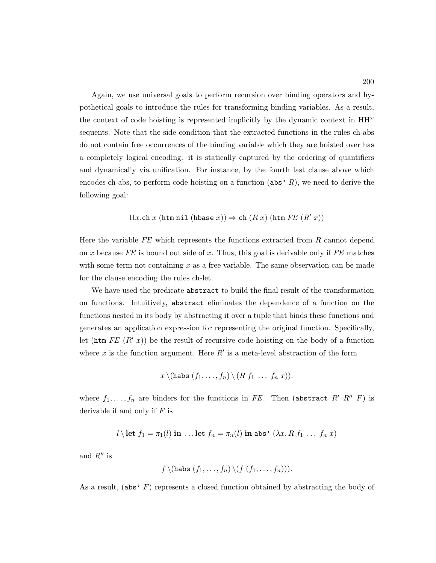Again, we use universal goals to perform recursion over binding operators and hypothetical goals to introduce the rules for transforming binding variables. As a result, the context of code hoisting is represented implicitly by the dynamic context in  $HH^{\omega}$ sequents. Note that the side condition that the extracted functions in the rules ch-abs do not contain free occurrences of the binding variable which they are hoisted over has a completely logical encoding: it is statically captured by the ordering of quantifiers and dynamically via unification. For instance, by the fourth last clause above which encodes ch-abs, to perform code hoisting on a function ( $\text{abs'} R$ ), we need to derive the following goal:

$$
\Pi x.\text{ch }x \text{ (htm nil (hbase }x)) \Rightarrow \text{ch }(R x) \text{ (htm }FE \text{ (R' }x))
$$

Here the variable  $FE$  which represents the functions extracted from  $R$  cannot depend on x because FE is bound out side of x. Thus, this goal is derivable only if  $FE$  matches with some term not containing  $x$  as a free variable. The same observation can be made for the clause encoding the rules ch-let.

We have used the predicate abstract to build the final result of the transformation on functions. Intuitively, abstract eliminates the dependence of a function on the functions nested in its body by abstracting it over a tuple that binds these functions and generates an application expression for representing the original function. Specifically, let (htm  $FE(R' x)$ ) be the result of recursive code hoisting on the body of a function where x is the function argument. Here  $R'$  is a meta-level abstraction of the form

$$
x \setminus (\mathtt{hash}(f_1, \ldots, f_n) \setminus (R f_1 \ldots f_n x)).
$$

where  $f_1, \ldots, f_n$  are binders for the functions in FE. Then (abstract R' R' F) is derivable if and only if  $F$  is

$$
l \setminus
$$
let  $f_1 = \pi_1(l)$  in ... let  $f_n = \pi_n(l)$  in abs' ( $\lambda x. R f_1 ... f_n x$ )

and  $R''$  is

$$
f \setminus (\mathtt{hash}(f_1, \ldots, f_n) \setminus (f (f_1, \ldots, f_n))).
$$

As a result, (abs'  $F$ ) represents a closed function obtained by abstracting the body of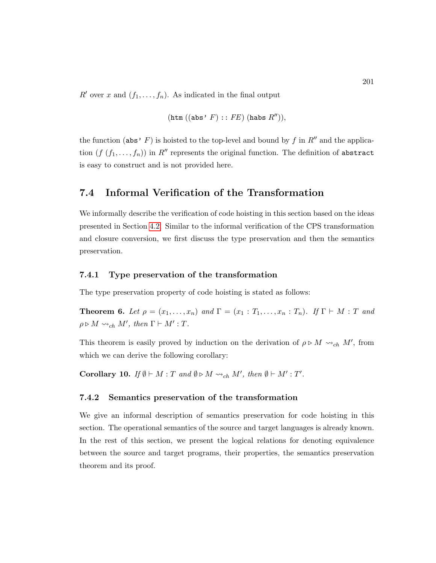R' over x and  $(f_1, \ldots, f_n)$ . As indicated in the final output

$$
(\mathtt{htm}\;((\mathtt{abs}\;^\centerdot\;F)\,:\,:\,FE)\;(\mathtt{hash}\;R'')),
$$

the function (abs' F) is hoisted to the top-level and bound by f in  $R''$  and the application  $(f (f_1, \ldots, f_n))$  in  $R''$  represents the original function. The definition of abstract is easy to construct and is not provided here.

# <span id="page-215-0"></span>7.4 Informal Verification of the Transformation

We informally describe the verification of code hoisting in this section based on the ideas presented in Section [4.2.](#page-126-0) Similar to the informal verification of the CPS transformation and closure conversion, we first discuss the type preservation and then the semantics preservation.

#### 7.4.1 Type preservation of the transformation

The type preservation property of code hoisting is stated as follows:

**Theorem 6.** Let  $\rho = (x_1, \ldots, x_n)$  and  $\Gamma = (x_1 : T_1, \ldots, x_n : T_n)$ . If  $\Gamma \vdash M : T$  and  $\rho \triangleright M \leadsto_{ch} M'$ , then  $\Gamma \vdash M' : T$ .

This theorem is easily proved by induction on the derivation of  $\rho \triangleright M \leadsto_{ch} M'$ , from which we can derive the following corollary:

Corollary 10. If  $\emptyset \vdash M : T$  and  $\emptyset \triangleright M \leadsto_{ch} M'$ , then  $\emptyset \vdash M' : T'$ .

#### 7.4.2 Semantics preservation of the transformation

We give an informal description of semantics preservation for code hoisting in this section. The operational semantics of the source and target languages is already known. In the rest of this section, we present the logical relations for denoting equivalence between the source and target programs, their properties, the semantics preservation theorem and its proof.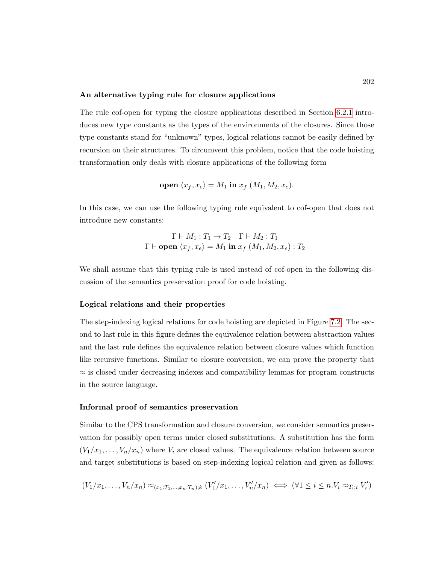#### An alternative typing rule for closure applications

The rule cof-open for typing the closure applications described in Section [6.2.1](#page-184-0) introduces new type constants as the types of the environments of the closures. Since those type constants stand for "unknown" types, logical relations cannot be easily defined by recursion on their structures. To circumvent this problem, notice that the code hoisting transformation only deals with closure applications of the following form

$$
\text{open } \langle x_f, x_e \rangle = M_1 \text{ in } x_f \ (M_1, M_2, x_e).
$$

In this case, we can use the following typing rule equivalent to cof-open that does not introduce new constants:

$$
\frac{\Gamma \vdash M_1 : T_1 \to T_2 \quad \Gamma \vdash M_2 : T_1}{\Gamma \vdash \textbf{open} \ \langle x_f, x_e \rangle = M_1 \textbf{in} \ x_f \ (M_1, M_2, x_e) : T_2}
$$

We shall assume that this typing rule is used instead of cof-open in the following discussion of the semantics preservation proof for code hoisting.

#### Logical relations and their properties

The step-indexing logical relations for code hoisting are depicted in Figure [7.2.](#page-217-0) The second to last rule in this figure defines the equivalence relation between abstraction values and the last rule defines the equivalence relation between closure values which function like recursive functions. Similar to closure conversion, we can prove the property that  $\approx$  is closed under decreasing indexes and compatibility lemmas for program constructs in the source language.

#### Informal proof of semantics preservation

Similar to the CPS transformation and closure conversion, we consider semantics preservation for possibly open terms under closed substitutions. A substitution has the form  $(V_1/x_1, \ldots, V_n/x_n)$  where  $V_i$  are closed values. The equivalence relation between source and target substitutions is based on step-indexing logical relation and given as follows:

$$
(V_1/x_1,\ldots,V_n/x_n) \approx_{(x_1:T_1,\ldots,x_n:T_n);k} (V'_1/x_1,\ldots,V'_n/x_n) \iff (\forall 1 \leq i \leq n.V_i \approx_{T_i;i} V'_i)
$$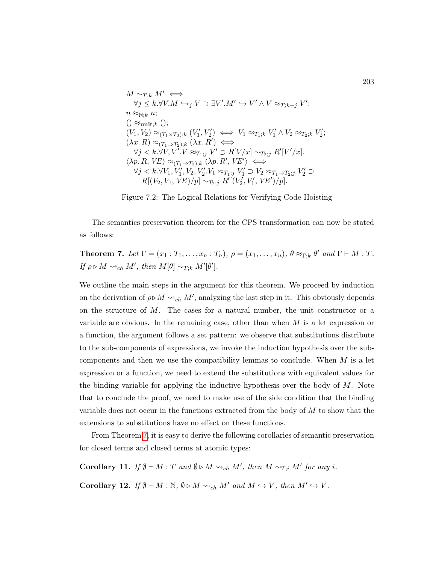<span id="page-217-0"></span>
$$
\begin{array}{l} M \sim_{T;k} M' \Longleftrightarrow \\ \forall j \leq k. \forall V.M \hookrightarrow_j V \supset \exists V'.M' \hookrightarrow V' \land V \approx_{T;k-j} V'; \\ n \approx_{\mathbb{N};k} n; \\ ( ) \approx_{\text{unit};k} ( ) ; \\ (V_1,V_2) \approx_{(T_1 \times T_2);k} (V_1',V_2') \Longleftrightarrow V_1 \approx_{T_1;k} V_1' \land V_2 \approx_{T_2;k} V_2'; \\ (\lambda x.\ R) \approx_{(T_1 \Rightarrow T_2);k} (\lambda x.\ R') \Longleftrightarrow \\ \forall j < k. \forall V,V'.V \approx_{T_1;j} V' \supset R[V/x] \sim_{T_2;j} R'[V'/x]. \\ \langle \lambda p.\ R,\ VE \rangle \approx_{(T_1 \rightarrow T_2);k} \langle \lambda p.\ R',\ VE' \rangle \Longleftrightarrow \\ \forall j < k. \forall V_1,V_1',V_2,V_2' . V_1 \approx_{T_1;j} V_1' \supset V_2 \approx_{T_1 \rightarrow T_2;j} V_2' \supset R[(V_2,V_1,\ VE)/p] \sim_{T_2;j} R'[(V_2',V_1',\ UE')/p]. \end{array}
$$

Figure 7.2: The Logical Relations for Verifying Code Hoisting

The semantics preservation theorem for the CPS transformation can now be stated as follows:

<span id="page-217-1"></span>**Theorem 7.** Let  $\Gamma = (x_1 : T_1, \ldots, x_n : T_n)$ ,  $\rho = (x_1, \ldots, x_n)$ ,  $\theta \approx_{\Gamma; k} \theta'$  and  $\Gamma \vdash M : T$ . If  $\rho \triangleright M \leadsto_{ch} M'$ , then  $M[\theta] \sim_{T;k} M'[\theta']$ .

We outline the main steps in the argument for this theorem. We proceed by induction on the derivation of  $\rho \triangleright M \leadsto_{ch} M'$ , analyzing the last step in it. This obviously depends on the structure of M. The cases for a natural number, the unit constructor or a variable are obvious. In the remaining case, other than when  $M$  is a let expression or a function, the argument follows a set pattern: we observe that substitutions distribute to the sub-components of expressions, we invoke the induction hypothesis over the subcomponents and then we use the compatibility lemmas to conclude. When  $M$  is a let expression or a function, we need to extend the substitutions with equivalent values for the binding variable for applying the inductive hypothesis over the body of  $M$ . Note that to conclude the proof, we need to make use of the side condition that the binding variable does not occur in the functions extracted from the body of  $M$  to show that the extensions to substitutions have no effect on these functions.

From Theorem [7,](#page-217-1) it is easy to derive the following corollaries of semantic preservation for closed terms and closed terms at atomic types:

<span id="page-217-2"></span>**Corollary 11.** If  $\emptyset \vdash M : T$  and  $\emptyset \triangleright M \leadsto_{ch} M'$ , then  $M \sim_{T,i} M'$  for any i.

<span id="page-217-3"></span>**Corollary 12.** If  $\emptyset \vdash M : \mathbb{N}, \emptyset \triangleright M \leadsto_{ch} M'$  and  $M \hookrightarrow V$ , then  $M' \hookrightarrow V$ .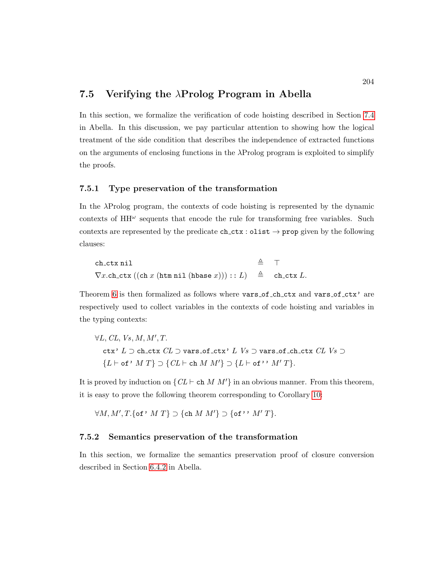# 7.5 Verifying the  $\lambda$ Prolog Program in Abella

In this section, we formalize the verification of code hoisting described in Section [7.4](#page-215-0) in Abella. In this discussion, we pay particular attention to showing how the logical treatment of the side condition that describes the independence of extracted functions on the arguments of enclosing functions in the  $\lambda$ Prolog program is exploited to simplify the proofs.

#### 7.5.1 Type preservation of the transformation

In the λProlog program, the contexts of code hoisting is represented by the dynamic contexts of  $HH^{\omega}$  sequents that encode the rule for transforming free variables. Such contexts are represented by the predicate  $ch_cctx : dist \rightarrow prop$  given by the following clauses:

```
ch ctx nil \triangleq \top\nabla x.\text{ch\_ctx}((\text{ch } x \text{ (htm nil (hbase } x))) :: L) \triangleq \text{ch\_ctx } L.
```
Theorem [6](#page-215-1) is then formalized as follows where vars of ch ctx and vars of ctx' are respectively used to collect variables in the contexts of code hoisting and variables in the typing contexts:

$$
\forall L, CL, Vs, M, M', T.
$$
  
ctx' L  $\supset$  ch\_ctx CL  $\supset$  vars\_of\_ctx' L Vs  $\supset$  vars\_of\_ch\_ctx CL Vs  $\supset$   
{L \vdash of' M T}  $\supset$  {CL \vdash ch M M'}  $\supset$  {L \vdash of''} M' T}.

It is proved by induction on  $\{CL \vdash ch M M'\}$  in an obvious manner. From this theorem, it is easy to prove the following theorem corresponding to Corollary [10:](#page-215-2)

 $\forall M, M', T.$  {of ' M T }  $\supset$  {ch M M'}  $\supset$  {of ' ' M' T }.

#### 7.5.2 Semantics preservation of the transformation

In this section, we formalize the semantics preservation proof of closure conversion described in Section [6.4.2](#page-193-0) in Abella.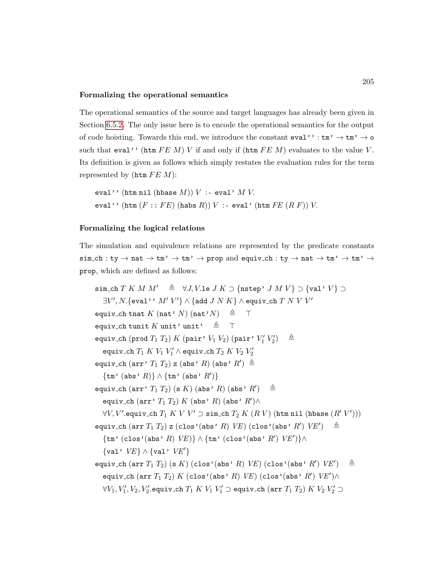#### Formalizing the operational semantics

The operational semantics of the source and target languages has already been given in Section [6.5.2.](#page-201-0) The only issue here is to encode the operational semantics for the output of code hoisting. Towards this end, we introduce the constant  $eval'':tm' \to tm' \to o$ such that eval'' (htm  $FE M$ ) V if and only if (htm  $FE M$ ) evaluates to the value V. Its definition is given as follows which simply restates the evaluation rules for the term represented by (htm  $FEM$ ):

eval'' (htm nil (hbase  $M$ ))  $V$  :- eval'  $M V$ . eval'' (htm  $(F : : FE)$  (habs  $R$ ))  $V : =$  eval' (htm  $FE(RF)$ )  $V.$ 

#### Formalizing the logical relations

The simulation and equivalence relations are represented by the predicate constants  $sim\_ch : ty \to nat \to tm' \to tm' \to prop and equiv\_ch : ty \to nat \to tm' \to tm' \to$ prop, which are defined as follows:

```
sim_ch T K M M' \triangleq \forall J, V.le J K \supset {\text{nstep'}} J M V \supset {\text{val'}} V \supset\exists V', N. \{\mathtt{eval}\,{}'\,{}'\,M'\,V'\} \wedge \{\mathtt{add}\; J\; N\; K\} \wedge \mathtt{equiv}\, \mathtt{ch}\; T\; N\; V\; V'equiv_ch tnat K (nat' N) (nat' N) \triangleq T
equiv_ch tunit K unit' unit' \triangleq \topequiv_ch (prod T_1 T_2) K (pair' V_1 V_2) (pair' V_1' V_2'\triangleqequiv_ch T_1 K V_1 V_1' \wedge equiv_ch T_2 K V_2 V_2'equiv_ch (arr' T_1 T_2) z (abs' R) (abs' R') \triangleq\{\texttt{tm' (abs'} R)\} \wedge \{\texttt{tm' (abs'} R')\}equiv_ch (\text{arr}' T_1 T_2) (s K) (abs' R) (abs' R')
                                                                                 \triangleqequiv_ch (\texttt{arr'}\; T_1\; T_2)\; K\; (\texttt{abs'}\; R)\; (\texttt{abs'}\; R') \wedge\forall V, V'.equiv_ch T_1 \: K \: V \: V' \supset \verb|sim.ch| \: T_2 \: K \: (R \: V) \: (\verb|html| \: \verb|thbase| \: (R' \: V')))equiv_ch (\texttt{arr}~ T_1~ T_2) z (\texttt{clos'}(\texttt{abs'}~ R)~ V\!E) (\texttt{clos'}(\texttt{abs'}~ R')~ V\!E') ~~\triangleq~\{\texttt{tm' (clos' (abs' R) VE)}\} \wedge \{\texttt{tm' (clos' (abs' R') VE')}\} \wedge\{val' \, VE\} \wedge \{val' \, VE'\}\mathtt{equivv\_ch}~(\mathtt{arr}~T_1~T_2)~(\mathtt{s}~K)~(\mathtt{clos}\,{}^\flat(\mathtt{abs}~^\flat~R)~V\!E)~(\mathtt{clos}\,{}^\flat(\mathtt{abs}\,{}^\flat~R')~V\!E') \quad \triangleqequiv_ch (arr T_1 T_2) K (clos'(abs' R) VE) (clos'(abs' R') VE')\land\forall V_1,V_1',V_2,V_2'.equiv_ch T_1\;K\;V_1\;V_1'\supset equiv_ch (\operatorname{\sf arr}\, T_1\;T_2)\;K\;V_2\;V_2'\supset
```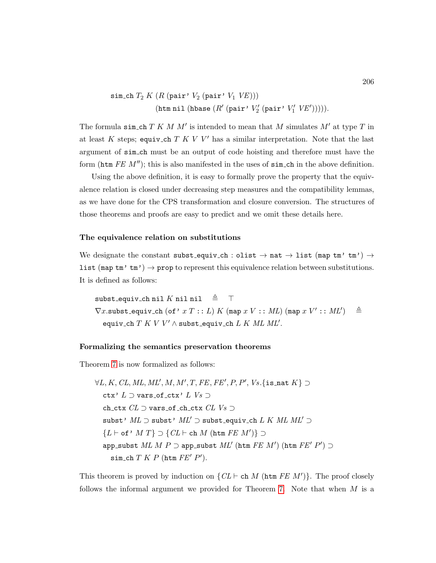$$
\begin{aligned} \mathtt{sim\_ch}\;T_2 \; & \; K\;(R\;(\mathtt{pair'}\;V_2\;(\mathtt{pair'}\;V_1\;V\!E)))\\ & \; (\mathtt{htm}\; \mathtt{nil}\;(\mathtt{hbase}\;(R'\;(\mathtt{pair'}\;V_2'\;(\mathtt{pair'}\;V_1'\;V\!E'))))). \end{aligned}
$$

The formula sim\_ch  $T K M M'$  is intended to mean that M simulates  $M'$  at type  $T$  in at least K steps; equiv\_ch  $T K V V'$  has a similar interpretation. Note that the last argument of sim ch must be an output of code hoisting and therefore must have the form (htm  $FE$  M''); this is also manifested in the uses of  $sim\_ch$  in the above definition.

Using the above definition, it is easy to formally prove the property that the equivalence relation is closed under decreasing step measures and the compatibility lemmas, as we have done for the CPS transformation and closure conversion. The structures of those theorems and proofs are easy to predict and we omit these details here.

#### The equivalence relation on substitutions

We designate the constant subst equiv ch : olist  $\rightarrow$  nat  $\rightarrow$  list (map tm' tm')  $\rightarrow$ list (map  $\tan'$  tm')  $\rightarrow$  prop to represent this equivalence relation between substitutions. It is defined as follows:

subst\_equiv\_ch nil K nil nil  $\triangleq$   $\top$  $\nabla x.\mathtt{subst}\_ \mathtt{equivv\_ch}~(\mathtt{of}~'~x~T::L)~K~(\mathtt{map}~x~V::ML)~(\mathtt{map}~x~V'::ML') \quad \triangleq$ equiv\_ch  $T$   $K$   $V$   $V'$   $\wedge$  subst\_equiv\_ch  $L$   $K$   $ML$   $ML'$ .

#### Formalizing the semantics preservation theorems

Theorem [7](#page-217-1) is now formalized as follows:

$$
\forall L, K, CL, ML, ML', M, M', T, FE, FE', P, P', Vs. \{\texttt{is\_nat } K\} \supset
$$
  
ctx' L \supset vars\_of\_ctx' L Vs \supset  
ch\_ctx CL \supset vars\_of\_ch\_ctx CL Vs \supset  
subst' ML \supset subst' ML' \supset subst\_equiv\_ch L K ML ML' \supset  
{L \vdash of' M T} \supset {CL \vdash ch M (htm FE M') } \supset  
app-subst ML M P \supset app-subst ML' (htm FE M') (htm FE' P') \supset  
sim\_ch T K P (htm FE' P').

This theorem is proved by induction on  $\{CL \vdash \texttt{ch} M (\texttt{htm} FE M')\}$ . The proof closely follows the informal argument we provided for Theorem [7.](#page-217-1) Note that when  $M$  is a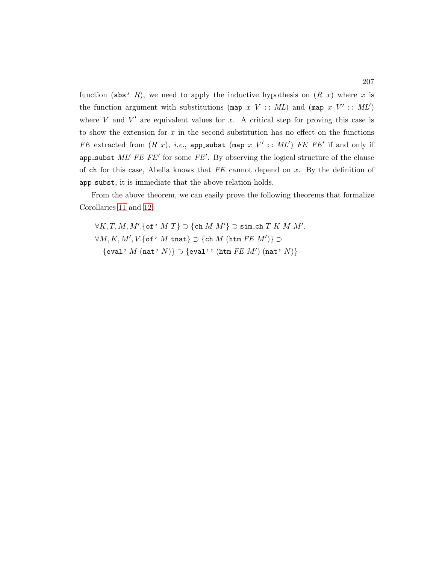function (abs' R), we need to apply the inductive hypothesis on  $(R x)$  where x is the function argument with substitutions (map  $x V : M L$ ) and (map  $x V' : M L'$ ) where  $V$  and  $V'$  are equivalent values for  $x$ . A critical step for proving this case is to show the extension for  $x$  in the second substitution has no effect on the functions FE extracted from  $(R x)$ , *i.e.*, app\_subst (map  $x V' :: ML'$ ) FE FE' if and only if app\_subst  $ML'$  FE FE' for some FE'. By observing the logical structure of the clause of ch for this case, Abella knows that  $FE$  cannot depend on x. By the definition of app subst, it is immediate that the above relation holds.

From the above theorem, we can easily prove the following theorems that formalize Corollaries [11](#page-217-2) and [12:](#page-217-3)

 $\forall K, T, M, M'.$ {of'  $M T$ }  $\supset$  {ch  $M M'$ }  $\supset$  sim\_ch  $T K M M'.$  $\forall M, K, M', V.$ {of' M tnat}  $\supset$  {ch M (htm  $FE M')$ }  $\supset$  $\{eval' M (nat' N)\} \supset \{eval'$ ' (htm  $FE M'$ ) (nat'  $N$ )}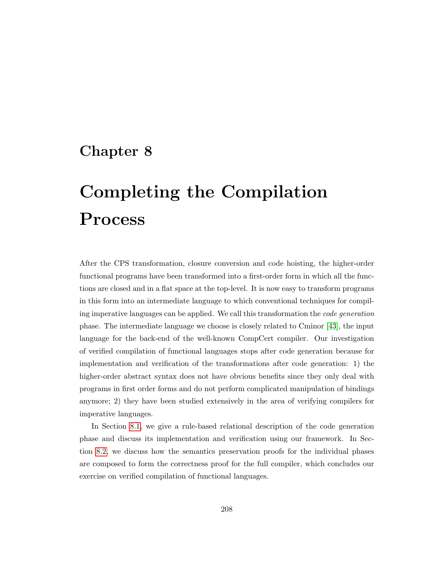# Chapter 8

# Completing the Compilation Process

After the CPS transformation, closure conversion and code hoisting, the higher-order functional programs have been transformed into a first-order form in which all the functions are closed and in a flat space at the top-level. It is now easy to transform programs in this form into an intermediate language to which conventional techniques for compiling imperative languages can be applied. We call this transformation the code generation phase. The intermediate language we choose is closely related to Cminor [\[43\]](#page-252-0), the input language for the back-end of the well-known CompCert compiler. Our investigation of verified compilation of functional languages stops after code generation because for implementation and verification of the transformations after code generation: 1) the higher-order abstract syntax does not have obvious benefits since they only deal with programs in first order forms and do not perform complicated manipulation of bindings anymore; 2) they have been studied extensively in the area of verifying compilers for imperative languages.

In Section [8.1,](#page-223-0) we give a rule-based relational description of the code generation phase and discuss its implementation and verification using our framework. In Section [8.2,](#page-233-0) we discuss how the semantics preservation proofs for the individual phases are composed to form the correctness proof for the full compiler, which concludes our exercise on verified compilation of functional languages.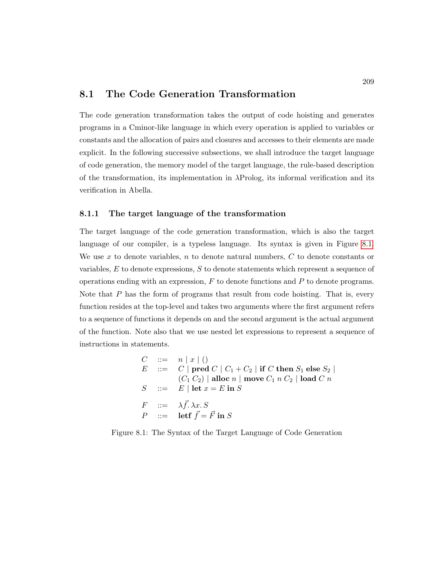### <span id="page-223-0"></span>8.1 The Code Generation Transformation

The code generation transformation takes the output of code hoisting and generates programs in a Cminor-like language in which every operation is applied to variables or constants and the allocation of pairs and closures and accesses to their elements are made explicit. In the following successive subsections, we shall introduce the target language of code generation, the memory model of the target language, the rule-based description of the transformation, its implementation in λProlog, its informal verification and its verification in Abella.

#### 8.1.1 The target language of the transformation

The target language of the code generation transformation, which is also the target language of our compiler, is a typeless language. Its syntax is given in Figure [8.1.](#page-223-1) We use x to denote variables, n to denote natural numbers,  $C$  to denote constants or variables,  $E$  to denote expressions,  $S$  to denote statements which represent a sequence of operations ending with an expression,  $F$  to denote functions and  $P$  to denote programs. Note that  $P$  has the form of programs that result from code hoisting. That is, every function resides at the top-level and takes two arguments where the first argument refers to a sequence of functions it depends on and the second argument is the actual argument of the function. Note also that we use nested let expressions to represent a sequence of instructions in statements.

<span id="page-223-1"></span>
$$
C ::= n | x | ()
$$
  
\n
$$
E ::= C | pred C | C1 + C2 | if C then S1 else S2 |\n(C1 C2) | allow n | move C1 n C2 | load C n\n
$$
S ::= E | let x = E in S
$$
  
\n
$$
F ::= \lambda \vec{f}.\lambda x.S
$$
  
\n
$$
P ::= let \vec{f} = \vec{F} in S
$$
$$

Figure 8.1: The Syntax of the Target Language of Code Generation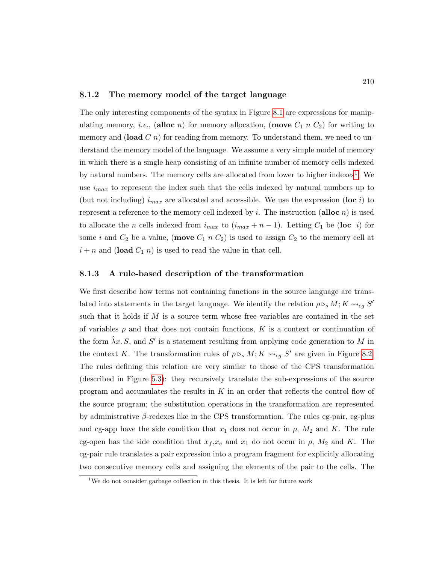#### 8.1.2 The memory model of the target language

The only interesting components of the syntax in Figure [8.1](#page-223-1) are expressions for manipulating memory, *i.e.*, (alloc *n*) for memory allocation, (move  $C_1$  *n*  $C_2$ ) for writing to memory and (load  $C$  n) for reading from memory. To understand them, we need to understand the memory model of the language. We assume a very simple model of memory in which there is a single heap consisting of an infinite number of memory cells indexed by natural numbers. The memory cells are allocated from lower to higher indexes<sup>[1](#page-224-0)</sup>. We use  $i_{max}$  to represent the index such that the cells indexed by natural numbers up to (but not including)  $i_{max}$  are allocated and accessible. We use the expression (loc i) to represent a reference to the memory cell indexed by i. The instruction (alloc n) is used to allocate the *n* cells indexed from  $i_{max}$  to  $(i_{max} + n - 1)$ . Letting  $C_1$  be (loc *i*) for some i and  $C_2$  be a value, (move  $C_1$  n  $C_2$ ) is used to assign  $C_2$  to the memory cell at  $i + n$  and (load  $C_1$  n) is used to read the value in that cell.

#### 8.1.3 A rule-based description of the transformation

We first describe how terms not containing functions in the source language are translated into statements in the target language. We identify the relation  $\rho \triangleright_s M; K \leadsto_{cg} S'$ such that it holds if  $M$  is a source term whose free variables are contained in the set of variables  $\rho$  and that does not contain functions, K is a context or continuation of the form  $\hat{\lambda}x. S$ , and S' is a statement resulting from applying code generation to M in the context K. The transformation rules of  $\rho \rhd_s M$ ;  $K \rhd_{cg} S'$  are given in Figure [8.2.](#page-225-0) The rules defining this relation are very similar to those of the CPS transformation (described in Figure [5.3\)](#page-154-0): they recursively translate the sub-expressions of the source program and accumulates the results in  $K$  in an order that reflects the control flow of the source program; the substitution operations in the transformation are represented by administrative  $\beta$ -redexes like in the CPS transformation. The rules cg-pair, cg-plus and cg-app have the side condition that  $x_1$  does not occur in  $\rho$ ,  $M_2$  and K. The rule cg-open has the side condition that  $x_f$ , $x_e$  and  $x_1$  do not occur in  $\rho$ ,  $M_2$  and K. The cg-pair rule translates a pair expression into a program fragment for explicitly allocating two consecutive memory cells and assigning the elements of the pair to the cells. The

<span id="page-224-0"></span><sup>&</sup>lt;sup>1</sup>We do not consider garbage collection in this thesis. It is left for future work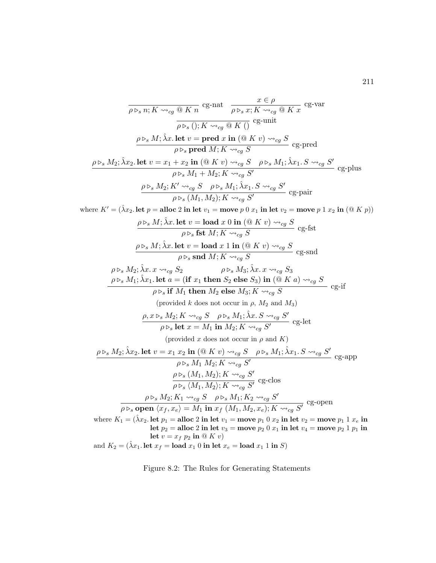<span id="page-225-0"></span>
$$
\frac{\partial \mathcal{L}_{\mathcal{S}}}{\partial \triangleright_{\mathcal{S}} n; K \rightsquigarrow_{cg} \text{ @ } K n} \operatorname{cg-nat} \quad \frac{x \in \rho}{\rho \triangleright_{\mathcal{S}} x; K \rightsquigarrow_{cg} \text{ @ } K x} \operatorname{cg-var}
$$
\n
$$
\frac{\partial \mathcal{L}_{\mathcal{S}}}{\partial \triangleright_{\mathcal{S}} ( ); K \rightsquigarrow_{cg} \text{ @ } K ( )} \operatorname{cg-unit}
$$
\n
$$
\frac{\rho \triangleright_{\mathcal{S}} M; \hat{\lambda} x. \operatorname{let} v = \operatorname{pred} x \operatorname{in} (\text{@ } K v) \rightsquigarrow_{cg} S}{\rho \triangleright_{\mathcal{S}} \operatorname{pred} M; K \rightsquigarrow_{cg} S} \operatorname{cg-pred}
$$
\n
$$
\frac{\rho \triangleright_{\mathcal{S}} M_2; \hat{\lambda} x_2. \operatorname{let} v = x_1 + x_2 \operatorname{in} (\text{@ } K v) \rightsquigarrow_{cg} S \quad \rho \triangleright_{\mathcal{S}} M_1; \hat{\lambda} x_1. S \rightsquigarrow_{cg} S'}{\rho \triangleright_{\mathcal{S}} M_1 + M_2; K \rightsquigarrow_{cg} S'} \operatorname{cg-plus}
$$
\n
$$
\frac{\rho \triangleright_{\mathcal{S}} M_2; K' \rightsquigarrow_{cg} S \quad \rho \triangleright_{\mathcal{S}} M_1; \hat{\lambda} x_1. S \rightsquigarrow_{cg} S'}{\rho \triangleright_{\mathcal{S}} (M_1, M_2); K \rightsquigarrow_{cg} S'} \operatorname{cg-pair}
$$

where  $K' = (\hat{\lambda}x_2.$  let  $p =$  alloc 2 in let  $v_1 =$  move  $p 0 x_1$  in let  $v_2 =$  move  $p 1 x_2$  in  $(\mathfrak{A} K p)$ 

$$
\rho \triangleright_s M; \hat{\lambda}x. \text{ let } v = \text{load } x 0 \text{ in } (\textcircled{K} V) \rightsquigarrow_{cg} S
$$
  
\n
$$
\rho \triangleright_s M; \hat{\lambda}x. \text{ let } v = \text{load } x 1 \text{ in } (\textcircled{K} V) \rightsquigarrow_{cg} S
$$
  
\n
$$
\rho \triangleright_s M; \hat{\lambda}x. \text{ let } v = \text{load } x 1 \text{ in } (\textcircled{K} V) \rightsquigarrow_{cg} S
$$
  
\n
$$
\rho \triangleright_s M_2; \hat{\lambda}x. x \rightsquigarrow_{cg} S_2 \qquad \rho \triangleright_s M_3; \hat{\lambda}x. x \rightsquigarrow_{cg} S_3
$$
  
\n
$$
\rho \triangleright_s M_1; \hat{\lambda}x_1. \text{ let } a = (\text{if } x_1 \text{ then } S_2 \text{ else } S_3) \text{ in } (\textcircled{K} a) \rightsquigarrow_{cg} S
$$
  
\n
$$
\rho \triangleright_s \text{ if } M_1 \text{ then } M_2 \text{ else } M_3; K \rightsquigarrow_{cg} S
$$
  
\n
$$
\rho \triangleright_s \text{ let } M_1 \text{ then } M_2 \text{ else } M_3; K \rightsquigarrow_{cg} S
$$
  
\n
$$
\rho \triangleright_s \text{ let } x = M_1 \text{ in } M_2; K \rightsquigarrow_{cg} S'
$$
  
\n
$$
\rho \triangleright_s \text{ let } x = M_1 \text{ in } M_2; K \rightsquigarrow_{cg} S'
$$
  
\n
$$
\rho \triangleright_s M_2; \hat{\lambda}x_2. \text{ let } v = x_1 x_2 \text{ in } (\textcircled{K} V) \rightsquigarrow_{cg} S \qquad \rho \triangleright_s M_1; \hat{\lambda}x_1. S \rightsquigarrow_{cg} S'
$$
  
\n
$$
\rho \triangleright_s M_2; K \rightsquigarrow_{cg} S'
$$
  
\n
$$
\rho \triangleright_s M_1, M_2; K \rightsquigarrow_{cg} S'
$$
  
\n
$$
\rho \triangleright_s M_1, M_2; K \rightsquigarrow_{cg} S'
$$
  
\n
$$
\
$$

 $\mathrm{let}\ p_{2} = \mathrm{alloc}\ 2\ \mathrm{in}\ \mathrm{let}\ v_{3} = \mathrm{move}\ p_{2}\ 0\ x_{1}\ \mathrm{in}\ \mathrm{let}\ v_{4} = \mathrm{move}\ p_{2}\ 1\ p_{1}\ \mathrm{in}$ let  $v = x_f p_2$  in  $\mathfrak{D}(K v)$ 

and  $K_2 = (\hat{\lambda} x_1)$ . let  $x_f = \text{load } x_1$  0 in let  $x_e = \text{load } x_1$  1 in S)

Figure 8.2: The Rules for Generating Statements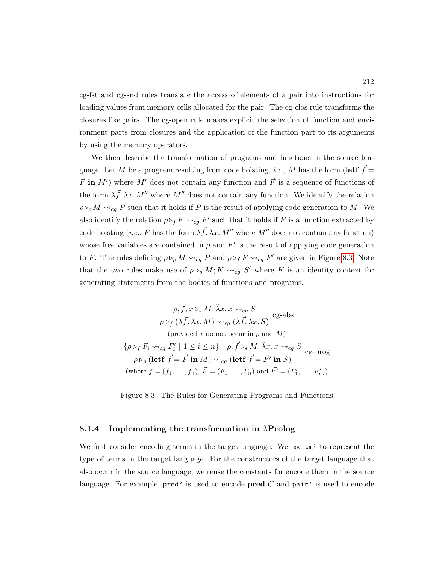cg-fst and cg-snd rules translate the access of elements of a pair into instructions for loading values from memory cells allocated for the pair. The cg-clos rule transforms the closures like pairs. The cg-open rule makes explicit the selection of function and environment parts from closures and the application of the function part to its arguments by using the memory operators.

We then describe the transformation of programs and functions in the source language. Let M be a program resulting from code hoisting, *i.e.*, M has the form (lett  $\vec{f}$  =  $\vec{F}$  in M') where M' does not contain any function and  $\vec{F}$  is a sequence of functions of the form  $\lambda \vec{f}$ .  $\lambda x$ . M'' where M'' does not contain any function. We identify the relation  $\rho \triangleright_p M \leadsto_{cg} P$  such that it holds if P is the result of applying code generation to M. We also identify the relation  $\rho \triangleright_f F \leadsto_{cg} F'$  such that it holds if F is a function extracted by code hoisting (*i.e.*, F has the form  $\lambda \vec{f}$ .  $\lambda x$ . M'' where M'' does not contain any function) whose free variables are contained in  $\rho$  and  $F'$  is the result of applying code generation to F. The rules defining  $\rho \triangleright_p M \leadsto_{cg} P$  and  $\rho \triangleright_f F \leadsto_{cg} F'$  are given in Figure [8.3.](#page-226-0) Note that the two rules make use of  $\rho \rhd_s M$ ;  $K \rhd_{cg} S'$  where K is an identity context for generating statements from the bodies of functions and programs.

<span id="page-226-0"></span>
$$
\frac{\rho, \vec{f}, x \rhd_s M; \hat{\lambda}x. x \rightsquigarrow_{cg} S}{\rho \rhd_f (\lambda \vec{f}. \lambda x. M) \rightsquigarrow_{cg} (\lambda \vec{f}. \lambda x. S)} \text{cg-abs}
$$
\n(provided  $x \text{ do not occur in } \rho \text{ and } M$ )

\n
$$
\{\rho \rhd_f F_i \rightsquigarrow_{cg} F'_i \mid 1 \leq i \leq n\} \quad \rho, \vec{f} \rhd_s M; \hat{\lambda}x. x \rightsquigarrow_{cg} S
$$
\n
$$
\rho \rhd_p (\text{left } \vec{f} = \vec{F} \text{ in } M) \rightsquigarrow_{cg} (\text{left } \vec{f} = \vec{F}' \text{ in } S)
$$
\n(where  $f = (f_1, \ldots, f_n), \vec{F} = (F_1, \ldots, F_n)$  and  $\vec{F'} = (F'_1, \ldots, F'_n)$ )

Figure 8.3: The Rules for Generating Programs and Functions

#### 8.1.4 Implementing the transformation in  $\lambda$ Prolog

We first consider encoding terms in the target language. We use  $\tan$  to represent the type of terms in the target language. For the constructors of the target language that also occur in the source language, we reuse the constants for encode them in the source language. For example,  $pred'$  is used to encode  $pred C$  and  $pair'$  is used to encode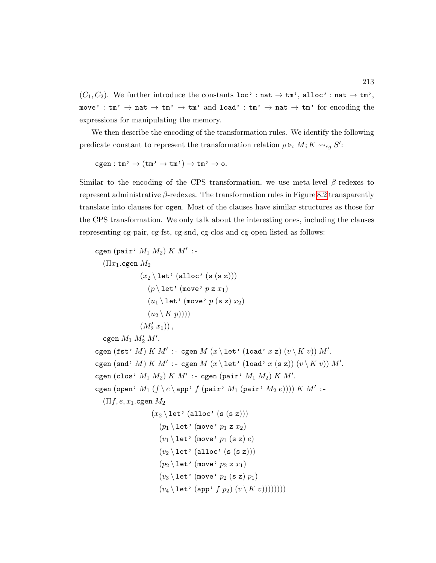$(C_1, C_2)$ . We further introduce the constants loc' : nat  $\rightarrow \text{tm'}$ , alloc' : nat  $\rightarrow \text{tm'}$ , move' :  $tm' \rightarrow nat \rightarrow tm' \rightarrow tm'$  and load' :  $tm' \rightarrow nat \rightarrow tm'$  for encoding the expressions for manipulating the memory.

We then describe the encoding of the transformation rules. We identify the following predicate constant to represent the transformation relation  $\rho \triangleright_s M; K \leadsto_{cg} S'$ :

 $cgen:tm' \to (tm' \to tm') \to tm' \to co.$ 

Similar to the encoding of the CPS transformation, we use meta-level  $\beta$ -redexes to represent administrative  $\beta$ -redexes. The transformation rules in Figure [8.2](#page-225-0) transparently translate into clauses for cgen. Most of the clauses have similar structures as those for the CPS transformation. We only talk about the interesting ones, including the clauses representing cg-pair, cg-fst, cg-snd, cg-clos and cg-open listed as follows:

```
cgen (pair' M_1 M_2) K M' :-
  (Πx1.cgen M2
                (x_2 \leq t' (alloc' (s (s z)))
                   (p \setminus \text{let'} (move' p z x_1))(u_1 \setminus \text{let'} (move' p (s z) x_2))(u_2 \setminus K p)))(M'_2 x_1),
   cgen M_1 M'_2 M'.
cgen (fst' M) K M' :- cgen M (x \leq 1et' (load' x z) (v \leq K v)) M'.
cgen (snd' M) K M' :- cgen M (x \leq 1) (load' x (s z)) (v \leq K v) M'.cgen (clos' M_1 M_2) K M': - cgen (pair' M_1 M_2) K M'.
cgen (open' M_1 (f \setminus e \setminus app' f (pair' M_1 (pair' M_2 e)))) K M' :-
  (\Pi f, e, x_1 \ldotp \ldots \Pi M_2)(x_2 \setminus \text{let'} (\text{alloc'} (s (s z)))(p_1 \setminus \text{let'} (move' p_1 z x_2))(v_1 \setminus \text{let'} (move' p_1 (s z) e)(v_2 \setminus \text{let'} (allow' (s (s z)))(p_2 \setminus \text{let'} (move' p_2 z x_1))(v_3 \setminus let' (move' p_2 (s z) p_1)
                        (v_4 \setminus \text{let'} (app' f p_2) (v \setminus K v))))))
```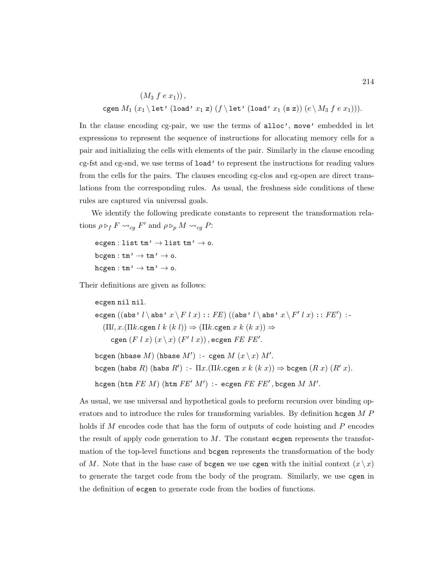$(M_3 f e x_1)$ , cgen  $M_1(x_1 \leq t'$  (load'  $x_1$  z)  $(f \leq t'$  (load'  $x_1$  (s z))  $(e \leq M_3 f e x_1))$ .

In the clause encoding cg-pair, we use the terms of alloc', move' embedded in let expressions to represent the sequence of instructions for allocating memory cells for a pair and initializing the cells with elements of the pair. Similarly in the clause encoding cg-fst and cg-snd, we use terms of load' to represent the instructions for reading values from the cells for the pairs. The clauses encoding cg-clos and cg-open are direct translations from the corresponding rules. As usual, the freshness side conditions of these rules are captured via universal goals.

We identify the following predicate constants to represent the transformation relations  $\rho \triangleright_f F \leadsto_{cg} F'$  and  $\rho \triangleright_p M \leadsto_{cg} P$ :

```
ecgen : list tm' \rightarrow list tm' \rightarrow o.
bcgen : tm' \rightarrow tm' \rightarrow o.h^{(1)} \rightarrow \text{tm'} \rightarrow \text{tm'} \rightarrow \text{o}.
```
Their definitions are given as follows:

```
ecgen nil nil.
ecgen ((\texttt{abs'}~l \backslash \texttt{abs'}~x \backslash F~l~x) :: FE) ((\texttt{abs'}~l \backslash \texttt{abs'}~x \backslash F'~l~x) :: FE') :-(\Pi l, x.(\Pi k.cgen l \ k \ (k \ l)) \Rightarrow (\Pi k.cgen x \ k \ (k \ x)) \Rightarrowcgen (F \mid x) (x \setminus x) (F' \mid x), ecgen FE FE'.\mathtt{bcgen}\;(\mathtt{hbase}\;M)\;(\mathtt{hbase}\;M')\,:\text{-}\; \mathtt{cgen}\;M\;(x\mathop{\backslash} x)\;M'.bcgen (habs R) (habs R') :- \Pi x.(\Pi k.cgen x k (k x)) \Rightarrow bcgen (R x) (R' x).
```
 $\hbox{hcgen (htm } FE\;M)$   $(\hbox{htm } FE'\;M')$  :- ecgen  $FE\;FE'$ , bcgen  $M\;M'.$ As usual, we use universal and hypothetical goals to preform recursion over binding op-

erators and to introduce the rules for transforming variables. By definition hogen M P holds if M encodes code that has the form of outputs of code hoisting and  $P$  encodes the result of apply code generation to  $M$ . The constant ecgen represents the transformation of the top-level functions and bcgen represents the transformation of the body of M. Note that in the base case of bords we use cgen with the initial context  $(x \nvert x)$ to generate the target code from the body of the program. Similarly, we use cgen in the definition of ecgen to generate code from the bodies of functions.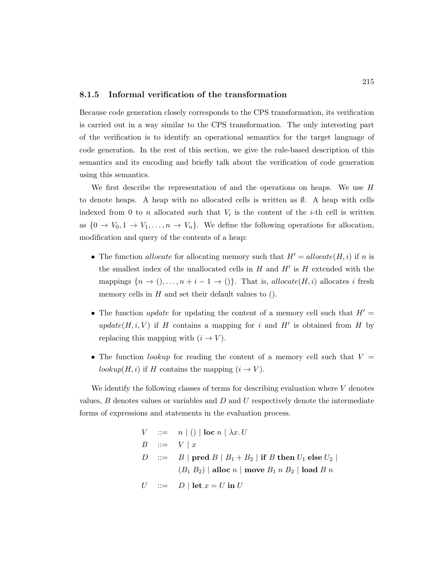#### 8.1.5 Informal verification of the transformation

Because code generation closely corresponds to the CPS transformation, its verification is carried out in a way similar to the CPS transformation. The only interesting part of the verification is to identify an operational semantics for the target language of code generation. In the rest of this section, we give the rule-based description of this semantics and its encoding and briefly talk about the verification of code generation using this semantics.

We first describe the representation of and the operations on heaps. We use H to denote heaps. A heap with no allocated cells is written as  $\emptyset$ . A heap with cells indexed from 0 to n allocated such that  $V_i$  is the content of the *i*-th cell is written as  $\{0 \to V_0, 1 \to V_1, \ldots, n \to V_n\}$ . We define the following operations for allocation, modification and query of the contents of a heap:

- The function *allocate* for allocating memory such that  $H' = allocate(H, i)$  if n is the smallest index of the unallocated cells in  $H$  and  $H'$  is  $H$  extended with the mappings  $\{n \to 0, \ldots, n + i - 1 \to 0\}$ . That is, allocate $(H, i)$  allocates i fresh memory cells in  $H$  and set their default values to  $()$ .
- The function *update* for updating the content of a memory cell such that  $H' =$ update( $H, i, V$ ) if H contains a mapping for i and H' is obtained from H by replacing this mapping with  $(i \rightarrow V)$ .
- The function *lookup* for reading the content of a memory cell such that  $V =$ lookup $(H, i)$  if H contains the mapping  $(i \rightarrow V)$ .

We identify the following classes of terms for describing evaluation where  $V$  denotes values,  $B$  denotes values or variables and  $D$  and  $U$  respectively denote the intermediate forms of expressions and statements in the evaluation process.

$$
V ::= n | () | \text{loc } n | \lambda x. U
$$
  
\n
$$
B ::= V | x
$$
  
\n
$$
D ::= B | \text{pred } B | B_1 + B_2 | \text{if } B \text{ then } U_1 \text{ else } U_2 |
$$
  
\n
$$
(B_1 B_2) | \text{alloc } n | \text{ move } B_1 n B_2 | \text{load } B n
$$
  
\n
$$
U ::= D | \text{let } x = U \text{ in } U
$$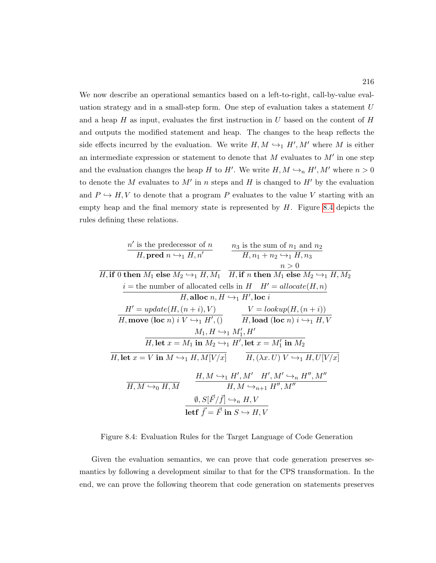We now describe an operational semantics based on a left-to-right, call-by-value evaluation strategy and in a small-step form. One step of evaluation takes a statement  $U$ and a heap  $H$  as input, evaluates the first instruction in U based on the content of  $H$ and outputs the modified statement and heap. The changes to the heap reflects the side effects incurred by the evaluation. We write  $H, M \hookrightarrow_1 H', M'$  where M is either an intermediate expression or statement to denote that  $M$  evaluates to  $M'$  in one step and the evaluation changes the heap H to H'. We write  $H, M \hookrightarrow_n H', M'$  where  $n > 0$ to denote the M evaluates to M' in n steps and H is changed to  $H'$  by the evaluation and  $P \hookrightarrow H, V$  to denote that a program P evaluates to the value V starting with an empty heap and the final memory state is represented by  $H$ . Figure [8.4](#page-230-0) depicts the rules defining these relations.

<span id="page-230-0"></span>

| $n'$ is the predecessor of $n$                                                                             | $n_3$ is the sum of $n_1$ and $n_2$                                              |
|------------------------------------------------------------------------------------------------------------|----------------------------------------------------------------------------------|
| $H$ , <b>pred</b> $n \leftrightarrow_1 H, n'$                                                              | $n_3$ is the sum of $n_1$ and $n_2$                                              |
| $H$ , <b>if</b> 0 <b>then</b> $M_1$ <b>else</b> $M_2 \leftrightarrow_1 H, M_1$                             | $H$ , <b>if</b> $n$ <b>then</b> $M_1$ <b>else</b> $M_2 \leftrightarrow_1 H, M_2$ |
| $i$ = the number of allocated cells in $H$                                                                 | $H'$ = $allocate(H, n)$                                                          |
| $H$ , <b>alloc</b> $n, H \leftrightarrow_1 H'$ , <b>loc</b> $i$                                            |                                                                                  |
| $H'$ = $update(H, (n + i), V)$                                                                             | $V = lookup(H, (n + i))$                                                         |
| $H$ , <b>move</b> ( <b>loc</b> $n$ ) $i$ $V \leftrightarrow_1 H'$ , $($ )                                  | $H$ , <b>load</b> ( <b>loc</b> $n$ ) $i \leftrightarrow_1 H, V$                  |
| $M_1, H \leftrightarrow_1 M'_1, H'$                                                                        |                                                                                  |
| $H$ , <b>let</b> $x = M_1$ <b>in</b> $M_2 \leftrightarrow_1 H'$ , <b>let</b> $x = M'_1$ <b>in</b> $M_2$ \n |                                                                                  |
| $H$ , <b>let</b> $x = V$ <b>in</b> $M \leftrightarrow_1 H, M[V/x]$                                         | $H$ , $(\lambda x, U) V \leftrightarrow_1 H, U[V/x]$                             |
| $H$ , $M \leftrightarrow_0 H, M$                                                                           | $H, M \leftrightarrow_1 H', M' \leftrightarrow$                                  |

Figure 8.4: Evaluation Rules for the Target Language of Code Generation

Given the evaluation semantics, we can prove that code generation preserves semantics by following a development similar to that for the CPS transformation. In the end, we can prove the following theorem that code generation on statements preserves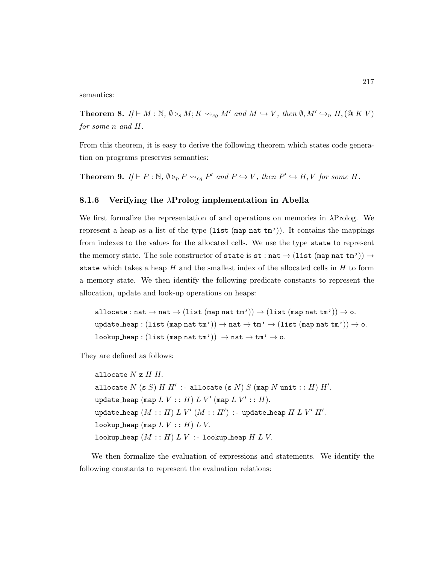semantics:

<span id="page-231-0"></span>**Theorem 8.** If  $\vdash M : \mathbb{N}, \emptyset \triangleright_s M; K \leadsto_{cg} M'$  and  $M \hookrightarrow V$ , then  $\emptyset, M' \hookrightarrow_n H, (\mathbb{Q} K V)$ for some n and H.

From this theorem, it is easy to derive the following theorem which states code generation on programs preserves semantics:

<span id="page-231-1"></span>**Theorem 9.** If  $\vdash P : \mathbb{N}, \emptyset \triangleright_p P \leadsto_{cg} P'$  and  $P \hookrightarrow V$ , then  $P' \hookrightarrow H, V$  for some H.

### 8.1.6 Verifying the  $\lambda$ Prolog implementation in Abella

We first formalize the representation of and operations on memories in λProlog. We represent a heap as a list of the type  $(\text{list } (\text{map nat } \text{tm}'))$ . It contains the mappings from indexes to the values for the allocated cells. We use the type state to represent the memory state. The sole constructor of state is st : nat  $\rightarrow$  (list (map nat tm'))  $\rightarrow$ state which takes a heap  $H$  and the smallest index of the allocated cells in  $H$  to form a memory state. We then identify the following predicate constants to represent the allocation, update and look-up operations on heaps:

allocate : nat  $\rightarrow$  nat  $\rightarrow$  (list (map nat tm'))  $\rightarrow$  (list (map nat tm'))  $\rightarrow$  o. update heap :  $(list (map nat tm')) \rightarrow nat \rightarrow tm' \rightarrow (list (map nat tm')) \rightarrow o.$ lookup heap : (list (map nat  $tm')$ )  $\rightarrow$  nat  $\rightarrow$   $tm' \rightarrow$  o.

They are defined as follows:

allocate  $N z H H$ . allocate  $N$  (s  $S$ )  $H$   $H'$  :- allocate (s  $N$ )  $S$  (map  $N$  unit  $::$   $H$ )  $H'.$ update\_heap  $(\texttt{map } L\ V : : H) \ L \ V' \ (\texttt{map } L \ V' : : H).$  $\mathtt{update}\_\mathtt{heap}\ (M\mathrel{{\mathop{:}}}:H)\ L\ V'\ (M\mathrel{{\mathop{:}}:}H')\ \mathtt{:}\mathtt{\text{-} update}\_\mathtt{heap}\ H\ L\ V'\ H'.$ lookup heap (map  $L V :: H$ )  $L V$ . lookup heap  $(M :: H) L V :$ - lookup heap  $H L V$ .

We then formalize the evaluation of expressions and statements. We identify the following constants to represent the evaluation relations: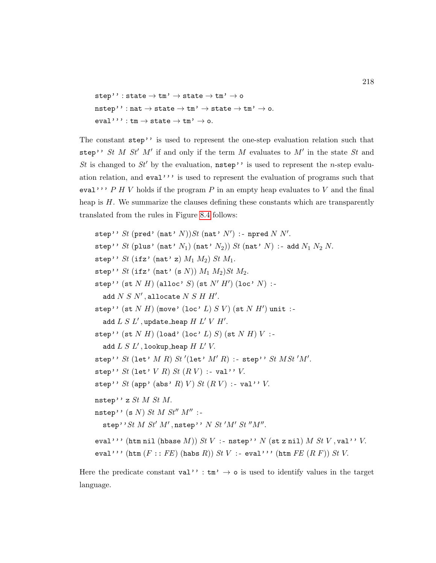```
step'': state \rightarrow tm' \rightarrow state \rightarrow tm' \rightarrow o
nstep'': nat \rightarrow state \rightarrow tm' \rightarrow state \rightarrow tm' \rightarrow o.eval''' : \tan \rightarrow state \rightarrow tm' \rightarrow o.
```
The constant step'' is used to represent the one-step evaluation relation such that step'' St M St' M' if and only if the term M evaluates to  $M'$  in the state St and St is changed to St<sup>'</sup> by the evaluation,  $nstep'$  is used to represent the *n*-step evaluation relation, and eval''' is used to represent the evaluation of programs such that eval''' P H V holds if the program P in an empty heap evaluates to V and the final heap is H. We summarize the clauses defining these constants which are transparently translated from the rules in Figure [8.4](#page-230-0) follows:

step'' St (pred' (nat'  $N$ )) St (nat'  $N'$ ) : - npred  $N N'.$ step'' St (plus' (nat'  $N_1$ ) (nat'  $N_2$ )) St (nat'  $N$ ) :- add  $N_1 N_2 N$ . step'' St (ifz' (nat' z)  $M_1 M_2$ ) St  $M_1$ . step'' St (ifz' (nat' (s N))  $M_1 M_2$ ) St  $M_2$ . step'' (st  $N$   $H$ ) (alloc'  $S$ ) (st  $N'$   $H'$ ) (loc'  $N$ ) :add  $N S N'$ , allocate  $N S H H'$ . step'' (st  $N$   $H$ ) (move' (loc'  $L$ )  $S$   $V$ ) (st  $N$   $H'$ ) unit :add  $L S L'$ , update\_heap  $H L' V H'$ . step'' (st  $N$   $H$ ) (load' (loc'  $L$ )  $S$ ) (st  $N$   $H$ )  $V$  :add  $L S L'$ , lookup heap  $H L' V$ . step'' St (let' M R) St'(let'  $M'R$ ) :- step'' St MSt'M'. step''  $St$  (let'  $V$   $R$ )  $St$   $(R V)$  :- val''  $V$ . step'' St (app' (abs' R) V) St  $(R V)$  :- val'' V. nstep'' z  $St$   $M$   $St$   $M$ . nstep'' (s  $N$ ) St  $M$  St''  $M''$  :step''St  $M$  St' $M'$ , nstep''  $N$  St' $M'$  St" $M''$ . eval''' (htm nil (hbase  $M$ ))  $St$   $V$  :- nstep''  $N$  (st z nil)  $M$   $St$   $V$ , val''  $V$ . eval''' (htm  $(F:: FE)$  (habs  $R)$ )  $St$   $V$  :- eval''' (htm  $FE$   $(R F)$ )  $St$   $V$ .

Here the predicate constant val'':  $\tan' \rightarrow o$  is used to identify values in the target language.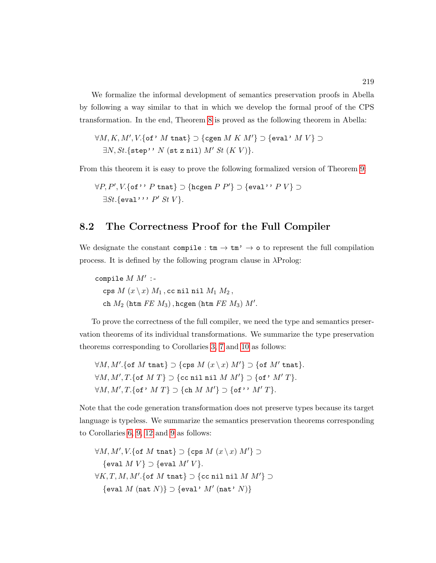We formalize the informal development of semantics preservation proofs in Abella by following a way similar to that in which we develop the formal proof of the CPS transformation. In the end, Theorem [8](#page-231-0) is proved as the following theorem in Abella:

 $\forall M,K,M',V.\{\textsf{of'}\; M \;\textsf{tnat}\} \supset \{\textsf{cgen}\; M \; K \; M'\}\supset \{\textsf{eval'}\; M \; V\} \supset$  $\exists N, St.\{\texttt{step'}\colon N \text{ (st z nil) } M' \text{ } St \text{ } (K \text{ } V)\}.$ 

From this theorem it is easy to prove the following formalized version of Theorem [9:](#page-231-1)

```
\forall P, P', V.{of'' P tnat} ⊃ {hcgen P P'} ⊃ {eval'' P V} ⊃
   \exists St. \{ \text{eval'} \cdot P' \; St \; V \}.
```
## <span id="page-233-0"></span>8.2 The Correctness Proof for the Full Compiler

We designate the constant compile :  $\tan \rightarrow \tan' \rightarrow o$  to represent the full compilation process. It is defined by the following program clause in  $\lambda$ Prolog:

compile  $M M'$  :cps  $M(x \mid x) M_1$ , cc nil nil  $M_1 M_2$ , ch  $M_2$  (htm  $FE$   $M_3$ ), hcgen (htm  $FE$   $M_3$ )  $M'$ .

To prove the correctness of the full compiler, we need the type and semantics preservation theorems of its individual transformations. We summarize the type preservation theorems corresponding to Corollaries [3,](#page-161-0) [7](#page-193-1) and [10](#page-215-2) as follows:

 $\forall M, M'.$  {of  $M$  tnat}  $\supset$  {cps  $M(x \setminus x) M'$ }  $\supset$  {of  $M'$  tnat}.  $\forall M, M', T.$  {of  $M T$ }  $\supset$  {cc nil nil  $M M'$ }  $\supset$  {of'  $M' T$ }.  $\forall M, M', T.$  {of ' M T }  $\supset$  {ch M M'}  $\supset$  {of ' ' M' T }.

Note that the code generation transformation does not preserve types because its target language is typeless. We summarize the semantics preservation theorems corresponding to Corollaries [6,](#page-167-0) [9,](#page-198-0) [12](#page-217-3) and [9](#page-231-1) as follows:

 $\forall M, M', V.$  {of  $M$  tnat}  $\supset$  {cps  $M(x \setminus x) M'$ }  $\supset$  $\{eval\ M\ V\} \supset \{eval\ M'\ V\}.$  $\forall K, T, M, M'.$ {of  $M$  tnat}  $\supset$  {cc nil nil  $M M'$ }  $\supset$  $\{ \texttt{eval } M \text{ (nat } N) \} \supset \{ \texttt{eval'} \text{ } M' \text{ (nat'} \text{ } N) \}$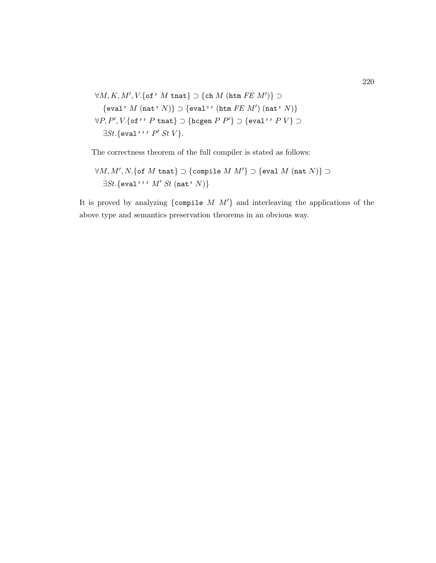$$
\forall M, K, M', V. \{ \text{of'} M \text{ that} \} \supset \{ \text{ch } M \text{ (htm } FE \text{ } M') \} \supset
$$
  

$$
\{ \text{eval'} M \text{ (nat'} N) \} \supset \{ \text{eval'}' \text{ (htm } FE \text{ } M') \text{ (nat'} N) \}
$$
  

$$
\forall P, P', V. \{ \text{of'}' P \text{ that} \} \supset \{ \text{hogen } P \text{ } P' \} \supset \{ \text{eval'}' P \text{ } V \} \supset
$$
  

$$
\exists St. \{ \text{eval'}' \text{ } P' \text{ } St \text{ } V \}.
$$

The correctness theorem of the full compiler is stated as follows:

$$
\forall M,M',N.\{\texttt{of }M \texttt{ that}\} \supset \{\texttt{compile }M \text{ }M'\}\supset \{\texttt{eval }M \text{ (nat }N)\}\supset \\ \exists St.\{\texttt{eval}\text{'}\text{'}\text{'}\text{ }M'\text{ }St\text{ (nat'}\text{ }N)\}
$$

It is proved by analyzing {compile  $M$   $M'$ } and interleaving the applications of the above type and semantics preservation theorems in an obvious way.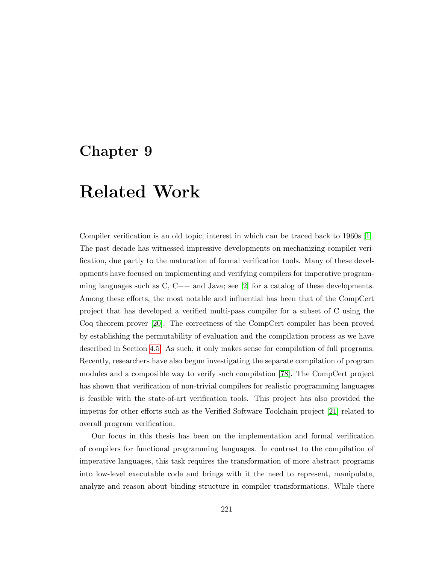# Chapter 9

# Related Work

Compiler verification is an old topic, interest in which can be traced back to 1960s [\[1\]](#page-248-0). The past decade has witnessed impressive developments on mechanizing compiler verification, due partly to the maturation of formal verification tools. Many of these developments have focused on implementing and verifying compilers for imperative programming languages such as  $C, C++$  and Java; see [\[2\]](#page-248-1) for a catalog of these developments. Among these efforts, the most notable and influential has been that of the CompCert project that has developed a verified multi-pass compiler for a subset of C using the Coq theorem prover [\[20\]](#page-250-0). The correctness of the CompCert compiler has been proved by establishing the permutability of evaluation and the compilation process as we have described in Section [4.5.](#page-139-0) As such, it only makes sense for compilation of full programs. Recently, researchers have also begun investigating the separate compilation of program modules and a composible way to verify such compilation [\[78\]](#page-256-0). The CompCert project has shown that verification of non-trivial compilers for realistic programming languages is feasible with the state-of-art verification tools. This project has also provided the impetus for other efforts such as the Verified Software Toolchain project [\[21\]](#page-250-1) related to overall program verification.

Our focus in this thesis has been on the implementation and formal verification of compilers for functional programming languages. In contrast to the compilation of imperative languages, this task requires the transformation of more abstract programs into low-level executable code and brings with it the need to represent, manipulate, analyze and reason about binding structure in compiler transformations. While there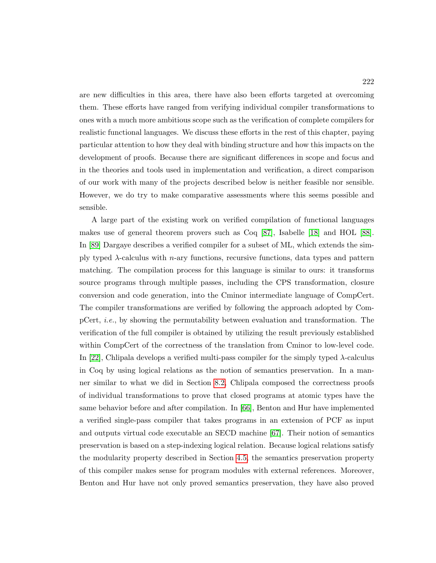are new difficulties in this area, there have also been efforts targeted at overcoming them. These efforts have ranged from verifying individual compiler transformations to ones with a much more ambitious scope such as the verification of complete compilers for realistic functional languages. We discuss these efforts in the rest of this chapter, paying particular attention to how they deal with binding structure and how this impacts on the development of proofs. Because there are significant differences in scope and focus and in the theories and tools used in implementation and verification, a direct comparison of our work with many of the projects described below is neither feasible nor sensible. However, we do try to make comparative assessments where this seems possible and sensible.

A large part of the existing work on verified compilation of functional languages makes use of general theorem provers such as Coq [\[87\]](#page-257-0), Isabelle [\[18\]](#page-250-2) and HOL [\[88\]](#page-257-1). In [\[89\]](#page-257-2) Dargaye describes a verified compiler for a subset of ML, which extends the simply typed  $\lambda$ -calculus with *n*-ary functions, recursive functions, data types and pattern matching. The compilation process for this language is similar to ours: it transforms source programs through multiple passes, including the CPS transformation, closure conversion and code generation, into the Cminor intermediate language of CompCert. The compiler transformations are verified by following the approach adopted by CompCert, i.e., by showing the permutability between evaluation and transformation. The verification of the full compiler is obtained by utilizing the result previously established within CompCert of the correctness of the translation from Cminor to low-level code. In [\[22\]](#page-250-3), Chlipala develops a verified multi-pass compiler for the simply typed  $\lambda$ -calculus in Coq by using logical relations as the notion of semantics preservation. In a manner similar to what we did in Section [8.2,](#page-233-0) Chlipala composed the correctness proofs of individual transformations to prove that closed programs at atomic types have the same behavior before and after compilation. In [\[66\]](#page-255-0), Benton and Hur have implemented a verified single-pass compiler that takes programs in an extension of PCF as input and outputs virtual code executable an SECD machine [\[67\]](#page-255-1). Their notion of semantics preservation is based on a step-indexing logical relation. Because logical relations satisfy the modularity property described in Section [4.5,](#page-139-0) the semantics preservation property of this compiler makes sense for program modules with external references. Moreover, Benton and Hur have not only proved semantics preservation, they have also proved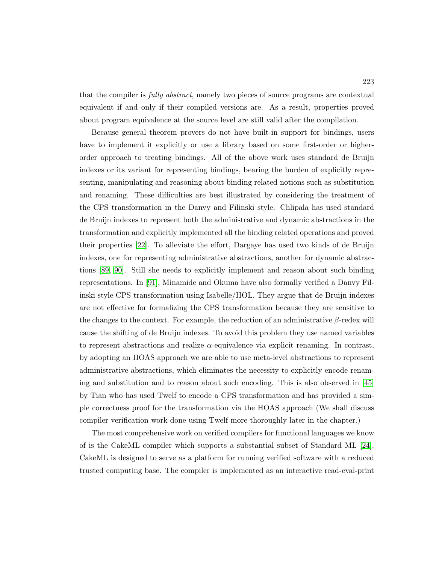that the compiler is *fully abstract*, namely two pieces of source programs are contextual equivalent if and only if their compiled versions are. As a result, properties proved about program equivalence at the source level are still valid after the compilation.

Because general theorem provers do not have built-in support for bindings, users have to implement it explicitly or use a library based on some first-order or higherorder approach to treating bindings. All of the above work uses standard de Bruijn indexes or its variant for representing bindings, bearing the burden of explicitly representing, manipulating and reasoning about binding related notions such as substitution and renaming. These difficulties are best illustrated by considering the treatment of the CPS transformation in the Danvy and Filinski style. Chlipala has used standard de Bruijn indexes to represent both the administrative and dynamic abstractions in the transformation and explicitly implemented all the binding related operations and proved their properties [\[22\]](#page-250-3). To alleviate the effort, Dargaye has used two kinds of de Bruijn indexes, one for representing administrative abstractions, another for dynamic abstractions [\[89,](#page-257-2) [90\]](#page-257-3). Still she needs to explicitly implement and reason about such binding representations. In [\[91\]](#page-257-4), Minamide and Okuma have also formally verified a Danvy Filinski style CPS transformation using Isabelle/HOL. They argue that de Bruijn indexes are not effective for formalizing the CPS transformation because they are sensitive to the changes to the context. For example, the reduction of an administrative  $\beta$ -redex will cause the shifting of de Bruijn indexes. To avoid this problem they use named variables to represent abstractions and realize  $\alpha$ -equivalence via explicit renaming. In contrast, by adopting an HOAS approach we are able to use meta-level abstractions to represent administrative abstractions, which eliminates the necessity to explicitly encode renaming and substitution and to reason about such encoding. This is also observed in [\[45\]](#page-253-0) by Tian who has used Twelf to encode a CPS transformation and has provided a simple correctness proof for the transformation via the HOAS approach (We shall discuss compiler verification work done using Twelf more thoroughly later in the chapter.)

The most comprehensive work on verified compilers for functional languages we know of is the CakeML compiler which supports a substantial subset of Standard ML [\[24\]](#page-250-4). CakeML is designed to serve as a platform for running verified software with a reduced trusted computing base. The compiler is implemented as an interactive read-eval-print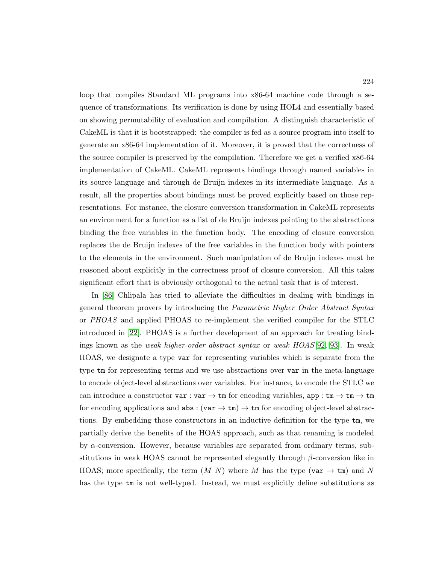loop that compiles Standard ML programs into x86-64 machine code through a sequence of transformations. Its verification is done by using HOL4 and essentially based on showing permutability of evaluation and compilation. A distinguish characteristic of CakeML is that it is bootstrapped: the compiler is fed as a source program into itself to generate an x86-64 implementation of it. Moreover, it is proved that the correctness of the source compiler is preserved by the compilation. Therefore we get a verified x86-64 implementation of CakeML. CakeML represents bindings through named variables in its source language and through de Bruijn indexes in its intermediate language. As a result, all the properties about bindings must be proved explicitly based on those representations. For instance, the closure conversion transformation in CakeML represents an environment for a function as a list of de Bruijn indexes pointing to the abstractions binding the free variables in the function body. The encoding of closure conversion replaces the de Bruijn indexes of the free variables in the function body with pointers to the elements in the environment. Such manipulation of de Bruijn indexes must be reasoned about explicitly in the correctness proof of closure conversion. All this takes significant effort that is obviously orthogonal to the actual task that is of interest.

In [\[86\]](#page-256-1) Chlipala has tried to alleviate the difficulties in dealing with bindings in general theorem provers by introducing the Parametric Higher Order Abstract Syntax or PHOAS and applied PHOAS to re-implement the verified compiler for the STLC introduced in [\[22\]](#page-250-3). PHOAS is a further development of an approach for treating bindings known as the *weak higher-order abstract syntax* or *weak HOAS*[\[92,](#page-257-5) [93\]](#page-257-6). In weak HOAS, we designate a type var for representing variables which is separate from the type tm for representing terms and we use abstractions over var in the meta-language to encode object-level abstractions over variables. For instance, to encode the STLC we can introduce a constructor var : var  $\rightarrow \text{tm}$  for encoding variables, app :  $\tan \rightarrow \text{tm} \rightarrow \text{tm}$ for encoding applications and  $\texttt{abs}: (\texttt{var} \rightarrow \texttt{tm}) \rightarrow \texttt{tm}$  for encoding object-level abstractions. By embedding those constructors in an inductive definition for the type tm, we partially derive the benefits of the HOAS approach, such as that renaming is modeled by  $\alpha$ -conversion. However, because variables are separated from ordinary terms, substitutions in weak HOAS cannot be represented elegantly through  $\beta$ -conversion like in HOAS; more specifically, the term  $(M N)$  where M has the type (var  $\rightarrow \text{tm}$ ) and N has the type  $tm$  is not well-typed. Instead, we must explicitly define substitutions as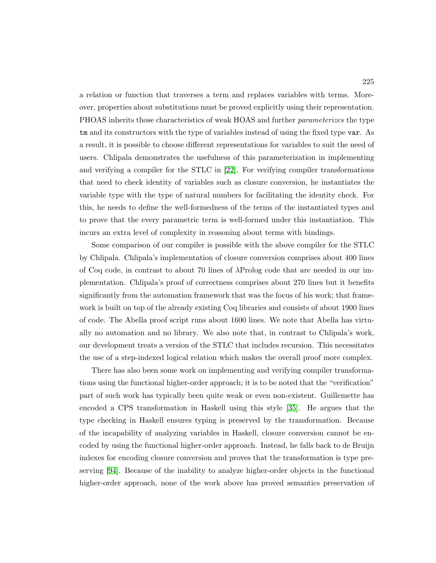a relation or function that traverses a term and replaces variables with terms. Moreover, properties about substitutions must be proved explicitly using their representation. PHOAS inherits those characteristics of weak HOAS and further parameterizes the type tm and its constructors with the type of variables instead of using the fixed type var. As a result, it is possible to choose different representations for variables to suit the need of users. Chlipala demonstrates the usefulness of this parameterization in implementing and verifying a compiler for the STLC in [\[22\]](#page-250-3). For verifying compiler transformations that need to check identity of variables such as closure conversion, he instantiates the variable type with the type of natural numbers for facilitating the identity check. For this, he needs to define the well-formedness of the terms of the instantiated types and to prove that the every parametric term is well-formed under this instantiation. This incurs an extra level of complexity in reasoning about terms with bindings.

Some comparison of our compiler is possible with the above compiler for the STLC by Chlipala. Chlipala's implementation of closure conversion comprises about 400 lines of Coq code, in contrast to about 70 lines of λProlog code that are needed in our implementation. Chlipala's proof of correctness comprises about 270 lines but it benefits significantly from the automation framework that was the focus of his work; that framework is built on top of the already existing Coq libraries and consists of about 1900 lines of code. The Abella proof script runs about 1600 lines. We note that Abella has virtually no automation and no library. We also note that, in contrast to Chlipala's work, our development treats a version of the STLC that includes recursion. This necessitates the use of a step-indexed logical relation which makes the overall proof more complex.

There has also been some work on implementing and verifying compiler transformations using the functional higher-order approach; it is to be noted that the "verification" part of such work has typically been quite weak or even non-existent. Guillemette has encoded a CPS transformation in Haskell using this style [\[35\]](#page-252-1). He argues that the type checking in Haskell ensures typing is preserved by the transformation. Because of the incapability of analyzing variables in Haskell, closure conversion cannot be encoded by using the functional higher-order approach. Instead, he falls back to de Bruijn indexes for encoding closure conversion and proves that the transformation is type preserving [\[94\]](#page-257-7). Because of the inability to analyze higher-order objects in the functional higher-order approach, none of the work above has proved semantics preservation of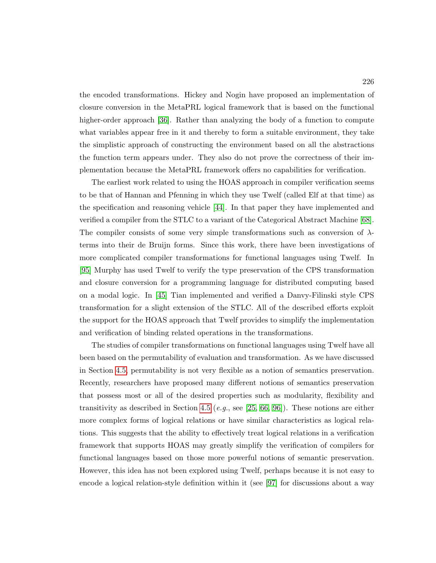the encoded transformations. Hickey and Nogin have proposed an implementation of closure conversion in the MetaPRL logical framework that is based on the functional higher-order approach [\[36\]](#page-252-2). Rather than analyzing the body of a function to compute what variables appear free in it and thereby to form a suitable environment, they take the simplistic approach of constructing the environment based on all the abstractions the function term appears under. They also do not prove the correctness of their implementation because the MetaPRL framework offers no capabilities for verification.

The earliest work related to using the HOAS approach in compiler verification seems to be that of Hannan and Pfenning in which they use Twelf (called Elf at that time) as the specification and reasoning vehicle [\[44\]](#page-252-3). In that paper they have implemented and verified a compiler from the STLC to a variant of the Categorical Abstract Machine [\[68\]](#page-255-2). The compiler consists of some very simple transformations such as conversion of  $\lambda$ terms into their de Bruijn forms. Since this work, there have been investigations of more complicated compiler transformations for functional languages using Twelf. In [\[95\]](#page-258-0) Murphy has used Twelf to verify the type preservation of the CPS transformation and closure conversion for a programming language for distributed computing based on a modal logic. In [\[45\]](#page-253-0) Tian implemented and verified a Danvy-Filinski style CPS transformation for a slight extension of the STLC. All of the described efforts exploit the support for the HOAS approach that Twelf provides to simplify the implementation and verification of binding related operations in the transformations.

The studies of compiler transformations on functional languages using Twelf have all been based on the permutability of evaluation and transformation. As we have discussed in Section [4.5,](#page-139-0) permutability is not very flexible as a notion of semantics preservation. Recently, researchers have proposed many different notions of semantics preservation that possess most or all of the desired properties such as modularity, flexibility and transitivity as described in Section [4.5](#page-139-0) (e.g., see [\[25,](#page-251-0) [66,](#page-255-0) [96\]](#page-258-1)). These notions are either more complex forms of logical relations or have similar characteristics as logical relations. This suggests that the ability to effectively treat logical relations in a verification framework that supports HOAS may greatly simplify the verification of compilers for functional languages based on those more powerful notions of semantic preservation. However, this idea has not been explored using Twelf, perhaps because it is not easy to encode a logical relation-style definition within it (see [\[97\]](#page-258-2) for discussions about a way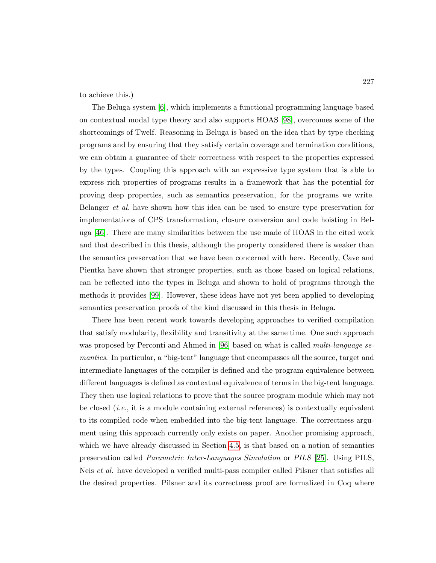to achieve this.)

The Beluga system [\[6\]](#page-248-2), which implements a functional programming language based on contextual modal type theory and also supports HOAS [\[98\]](#page-258-3), overcomes some of the shortcomings of Twelf. Reasoning in Beluga is based on the idea that by type checking programs and by ensuring that they satisfy certain coverage and termination conditions, we can obtain a guarantee of their correctness with respect to the properties expressed by the types. Coupling this approach with an expressive type system that is able to express rich properties of programs results in a framework that has the potential for proving deep properties, such as semantics preservation, for the programs we write. Belanger et al. have shown how this idea can be used to ensure type preservation for implementations of CPS transformation, closure conversion and code hoisting in Beluga [\[46\]](#page-253-1). There are many similarities between the use made of HOAS in the cited work and that described in this thesis, although the property considered there is weaker than the semantics preservation that we have been concerned with here. Recently, Cave and Pientka have shown that stronger properties, such as those based on logical relations, can be reflected into the types in Beluga and shown to hold of programs through the methods it provides [\[99\]](#page-258-4). However, these ideas have not yet been applied to developing semantics preservation proofs of the kind discussed in this thesis in Beluga.

There has been recent work towards developing approaches to verified compilation that satisfy modularity, flexibility and transitivity at the same time. One such approach was proposed by Perconti and Ahmed in [\[96\]](#page-258-1) based on what is called *multi-language se*mantics. In particular, a "big-tent" language that encompasses all the source, target and intermediate languages of the compiler is defined and the program equivalence between different languages is defined as contextual equivalence of terms in the big-tent language. They then use logical relations to prove that the source program module which may not be closed  $(i.e., it is a module containing external references)$  is contextually equivalent to its compiled code when embedded into the big-tent language. The correctness argument using this approach currently only exists on paper. Another promising approach, which we have already discussed in Section [4.5,](#page-139-0) is that based on a notion of semantics preservation called Parametric Inter-Languages Simulation or PILS [\[25\]](#page-251-0). Using PILS, Neis *et al.* have developed a verified multi-pass compiler called Pilsner that satisfies all the desired properties. Pilsner and its correctness proof are formalized in Coq where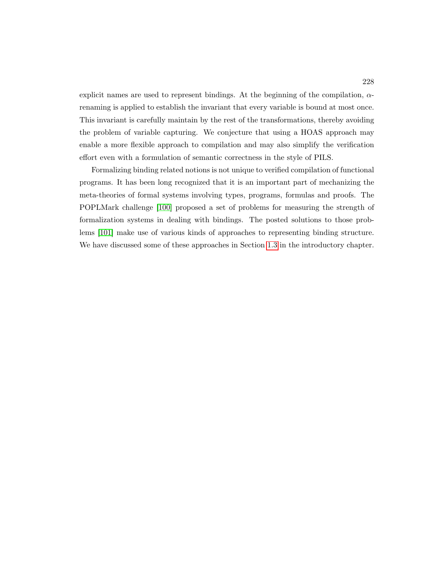explicit names are used to represent bindings. At the beginning of the compilation,  $\alpha$ renaming is applied to establish the invariant that every variable is bound at most once. This invariant is carefully maintain by the rest of the transformations, thereby avoiding the problem of variable capturing. We conjecture that using a HOAS approach may enable a more flexible approach to compilation and may also simplify the verification effort even with a formulation of semantic correctness in the style of PILS.

Formalizing binding related notions is not unique to verified compilation of functional programs. It has been long recognized that it is an important part of mechanizing the meta-theories of formal systems involving types, programs, formulas and proofs. The POPLMark challenge [\[100\]](#page-258-5) proposed a set of problems for measuring the strength of formalization systems in dealing with bindings. The posted solutions to those problems [\[101\]](#page-258-6) make use of various kinds of approaches to representing binding structure. We have discussed some of these approaches in Section [1.3](#page-23-0) in the introductory chapter.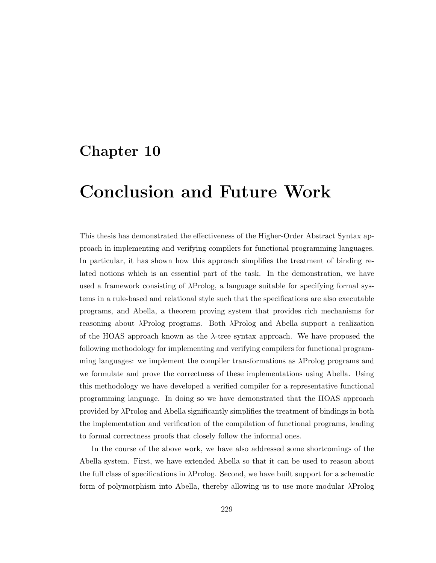# Chapter 10

# Conclusion and Future Work

This thesis has demonstrated the effectiveness of the Higher-Order Abstract Syntax approach in implementing and verifying compilers for functional programming languages. In particular, it has shown how this approach simplifies the treatment of binding related notions which is an essential part of the task. In the demonstration, we have used a framework consisting of λProlog, a language suitable for specifying formal systems in a rule-based and relational style such that the specifications are also executable programs, and Abella, a theorem proving system that provides rich mechanisms for reasoning about λProlog programs. Both λProlog and Abella support a realization of the HOAS approach known as the  $\lambda$ -tree syntax approach. We have proposed the following methodology for implementing and verifying compilers for functional programming languages: we implement the compiler transformations as λProlog programs and we formulate and prove the correctness of these implementations using Abella. Using this methodology we have developed a verified compiler for a representative functional programming language. In doing so we have demonstrated that the HOAS approach provided by λProlog and Abella significantly simplifies the treatment of bindings in both the implementation and verification of the compilation of functional programs, leading to formal correctness proofs that closely follow the informal ones.

In the course of the above work, we have also addressed some shortcomings of the Abella system. First, we have extended Abella so that it can be used to reason about the full class of specifications in λProlog. Second, we have built support for a schematic form of polymorphism into Abella, thereby allowing us to use more modular λProlog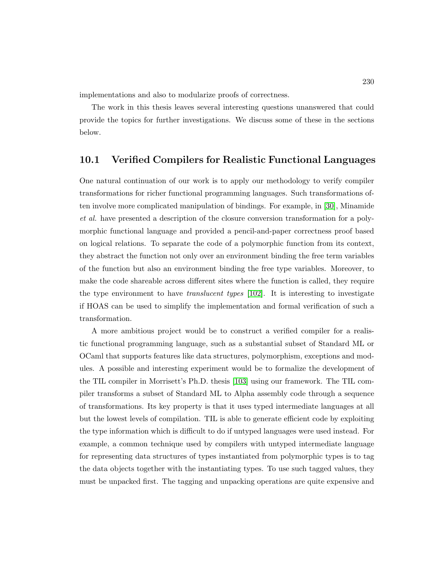implementations and also to modularize proofs of correctness.

The work in this thesis leaves several interesting questions unanswered that could provide the topics for further investigations. We discuss some of these in the sections below.

### 10.1 Verified Compilers for Realistic Functional Languages

One natural continuation of our work is to apply our methodology to verify compiler transformations for richer functional programming languages. Such transformations often involve more complicated manipulation of bindings. For example, in [\[30\]](#page-251-1), Minamide et al. have presented a description of the closure conversion transformation for a polymorphic functional language and provided a pencil-and-paper correctness proof based on logical relations. To separate the code of a polymorphic function from its context, they abstract the function not only over an environment binding the free term variables of the function but also an environment binding the free type variables. Moreover, to make the code shareable across different sites where the function is called, they require the type environment to have *translucent types*  $[102]$ . It is interesting to investigate if HOAS can be used to simplify the implementation and formal verification of such a transformation.

A more ambitious project would be to construct a verified compiler for a realistic functional programming language, such as a substantial subset of Standard ML or OCaml that supports features like data structures, polymorphism, exceptions and modules. A possible and interesting experiment would be to formalize the development of the TIL compiler in Morrisett's Ph.D. thesis [\[103\]](#page-258-8) using our framework. The TIL compiler transforms a subset of Standard ML to Alpha assembly code through a sequence of transformations. Its key property is that it uses typed intermediate languages at all but the lowest levels of compilation. TIL is able to generate efficient code by exploiting the type information which is difficult to do if untyped languages were used instead. For example, a common technique used by compilers with untyped intermediate language for representing data structures of types instantiated from polymorphic types is to tag the data objects together with the instantiating types. To use such tagged values, they must be unpacked first. The tagging and unpacking operations are quite expensive and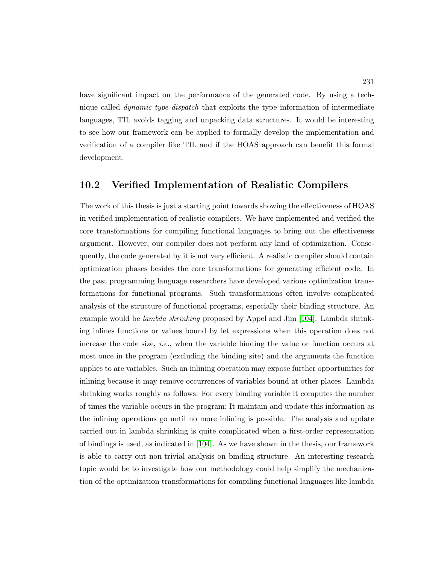have significant impact on the performance of the generated code. By using a technique called *dynamic type dispatch* that exploits the type information of intermediate languages, TIL avoids tagging and unpacking data structures. It would be interesting to see how our framework can be applied to formally develop the implementation and verification of a compiler like TIL and if the HOAS approach can benefit this formal development.

## 10.2 Verified Implementation of Realistic Compilers

The work of this thesis is just a starting point towards showing the effectiveness of HOAS in verified implementation of realistic compilers. We have implemented and verified the core transformations for compiling functional languages to bring out the effectiveness argument. However, our compiler does not perform any kind of optimization. Consequently, the code generated by it is not very efficient. A realistic compiler should contain optimization phases besides the core transformations for generating efficient code. In the past programming language researchers have developed various optimization transformations for functional programs. Such transformations often involve complicated analysis of the structure of functional programs, especially their binding structure. An example would be *lambda shrinking* proposed by Appel and Jim [\[104\]](#page-258-9). Lambda shrinking inlines functions or values bound by let expressions when this operation does not increase the code size, *i.e.*, when the variable binding the value or function occurs at most once in the program (excluding the binding site) and the arguments the function applies to are variables. Such an inlining operation may expose further opportunities for inlining because it may remove occurrences of variables bound at other places. Lambda shrinking works roughly as follows: For every binding variable it computes the number of times the variable occurs in the program; It maintain and update this information as the inlining operations go until no more inlining is possible. The analysis and update carried out in lambda shrinking is quite complicated when a first-order representation of bindings is used, as indicated in [\[104\]](#page-258-9). As we have shown in the thesis, our framework is able to carry out non-trivial analysis on binding structure. An interesting research topic would be to investigate how our methodology could help simplify the mechanization of the optimization transformations for compiling functional languages like lambda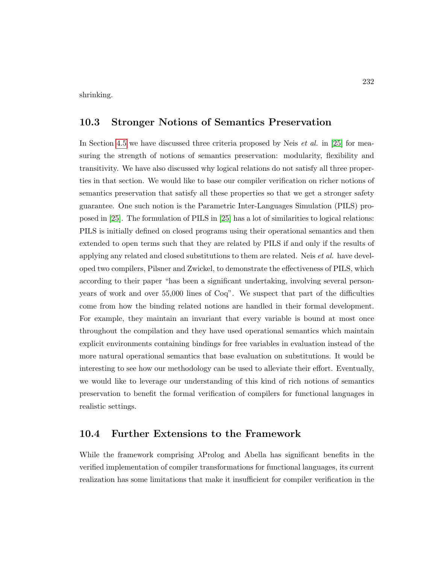shrinking.

### 10.3 Stronger Notions of Semantics Preservation

In Section [4.5](#page-139-0) we have discussed three criteria proposed by Neis *et al.* in [\[25\]](#page-251-0) for measuring the strength of notions of semantics preservation: modularity, flexibility and transitivity. We have also discussed why logical relations do not satisfy all three properties in that section. We would like to base our compiler verification on richer notions of semantics preservation that satisfy all these properties so that we get a stronger safety guarantee. One such notion is the Parametric Inter-Languages Simulation (PILS) proposed in [\[25\]](#page-251-0). The formulation of PILS in [\[25\]](#page-251-0) has a lot of similarities to logical relations: PILS is initially defined on closed programs using their operational semantics and then extended to open terms such that they are related by PILS if and only if the results of applying any related and closed substitutions to them are related. Neis *et al.* have developed two compilers, Pilsner and Zwickel, to demonstrate the effectiveness of PILS, which according to their paper "has been a significant undertaking, involving several personyears of work and over 55,000 lines of Coq". We suspect that part of the difficulties come from how the binding related notions are handled in their formal development. For example, they maintain an invariant that every variable is bound at most once throughout the compilation and they have used operational semantics which maintain explicit environments containing bindings for free variables in evaluation instead of the more natural operational semantics that base evaluation on substitutions. It would be interesting to see how our methodology can be used to alleviate their effort. Eventually, we would like to leverage our understanding of this kind of rich notions of semantics preservation to benefit the formal verification of compilers for functional languages in realistic settings.

### 10.4 Further Extensions to the Framework

While the framework comprising λProlog and Abella has significant benefits in the verified implementation of compiler transformations for functional languages, its current realization has some limitations that make it insufficient for compiler verification in the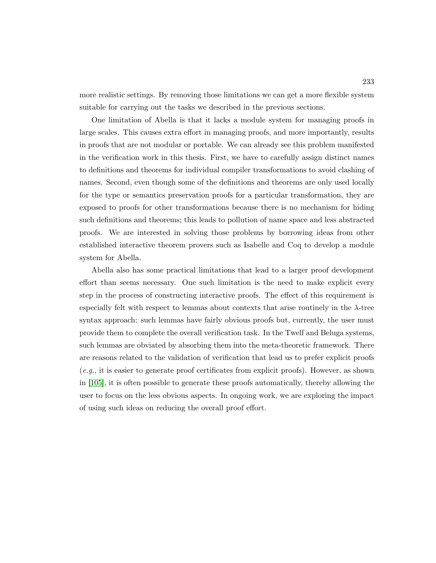more realistic settings. By removing those limitations we can get a more flexible system suitable for carrying out the tasks we described in the previous sections.

One limitation of Abella is that it lacks a module system for managing proofs in large scales. This causes extra effort in managing proofs, and more importantly, results in proofs that are not modular or portable. We can already see this problem manifested in the verification work in this thesis. First, we have to carefully assign distinct names to definitions and theorems for individual compiler transformations to avoid clashing of names. Second, even though some of the definitions and theorems are only used locally for the type or semantics preservation proofs for a particular transformation, they are exposed to proofs for other transformations because there is no mechanism for hiding such definitions and theorems; this leads to pollution of name space and less abstracted proofs. We are interested in solving those problems by borrowing ideas from other established interactive theorem provers such as Isabelle and Coq to develop a module system for Abella.

Abella also has some practical limitations that lead to a larger proof development effort than seems necessary. One such limitation is the need to make explicit every step in the process of constructing interactive proofs. The effect of this requirement is especially felt with respect to lemmas about contexts that arise routinely in the  $\lambda$ -tree syntax approach: such lemmas have fairly obvious proofs but, currently, the user must provide them to complete the overall verification task. In the Twelf and Beluga systems, such lemmas are obviated by absorbing them into the meta-theoretic framework. There are reasons related to the validation of verification that lead us to prefer explicit proofs (e.g., it is easier to generate proof certificates from explicit proofs). However, as shown in [\[105\]](#page-259-0), it is often possible to generate these proofs automatically, thereby allowing the user to focus on the less obvious aspects. In ongoing work, we are exploring the impact of using such ideas on reducing the overall proof effort.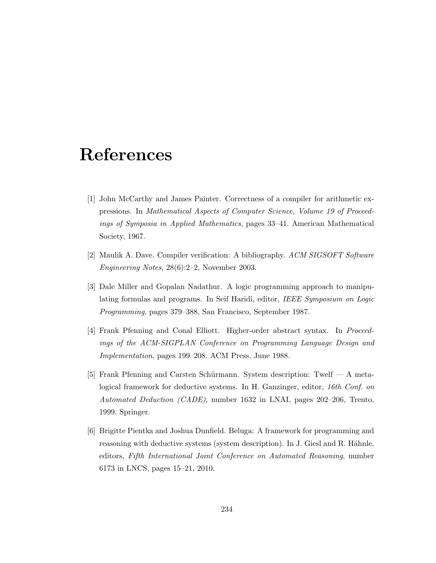# References

- <span id="page-248-0"></span>[1] John McCarthy and James Painter. Correctness of a compiler for arithmetic expressions. In Mathematical Aspects of Computer Science, Volume 19 of Proceedings of Symposia in Applied Mathematics, pages 33–41. American Mathematical Society, 1967.
- <span id="page-248-1"></span>[2] Maulik A. Dave. Compiler verification: A bibliography. ACM SIGSOFT Software Engineering Notes, 28(6):2–2, November 2003.
- [3] Dale Miller and Gopalan Nadathur. A logic programming approach to manipulating formulas and programs. In Seif Haridi, editor, IEEE Symposium on Logic Programming, pages 379–388, San Francisco, September 1987.
- [4] Frank Pfenning and Conal Elliott. Higher-order abstract syntax. In Proceedings of the ACM-SIGPLAN Conference on Programming Language Design and Implementation, pages 199–208. ACM Press, June 1988.
- [5] Frank Pfenning and Carsten Schürmann. System description: Twelf A metalogical framework for deductive systems. In H. Ganzinger, editor, 16th Conf. on Automated Deduction (CADE), number 1632 in LNAI, pages 202–206, Trento, 1999. Springer.
- <span id="page-248-2"></span>[6] Brigitte Pientka and Joshua Dunfield. Beluga: A framework for programming and reasoning with deductive systems (system description). In J. Giesl and R. Hähnle, editors, Fifth International Joint Conference on Automated Reasoning, number 6173 in LNCS, pages 15–21, 2010.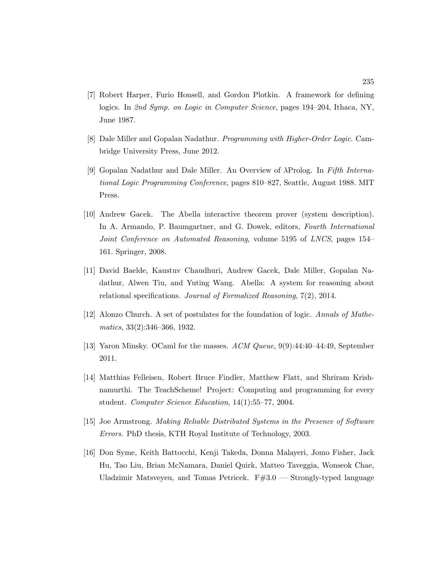- [7] Robert Harper, Furio Honsell, and Gordon Plotkin. A framework for defining logics. In 2nd Symp. on Logic in Computer Science, pages 194–204, Ithaca, NY, June 1987.
- [8] Dale Miller and Gopalan Nadathur. Programming with Higher-Order Logic. Cambridge University Press, June 2012.
- [9] Gopalan Nadathur and Dale Miller. An Overview of λProlog. In Fifth International Logic Programming Conference, pages 810–827, Seattle, August 1988. MIT Press.
- [10] Andrew Gacek. The Abella interactive theorem prover (system description). In A. Armando, P. Baumgartner, and G. Dowek, editors, Fourth International Joint Conference on Automated Reasoning, volume 5195 of LNCS, pages 154– 161. Springer, 2008.
- [11] David Baelde, Kaustuv Chaudhuri, Andrew Gacek, Dale Miller, Gopalan Nadathur, Alwen Tiu, and Yuting Wang. Abella: A system for reasoning about relational specifications. Journal of Formalized Reasoning, 7(2), 2014.
- [12] Alonzo Church. A set of postulates for the foundation of logic. Annals of Mathematics, 33(2):346–366, 1932.
- [13] Yaron Minsky. OCaml for the masses. ACM Queue, 9(9):44:40–44:49, September 2011.
- [14] Matthias Felleisen, Robert Bruce Findler, Matthew Flatt, and Shriram Krishnamurthi. The TeachScheme! Project: Computing and programming for every student. Computer Science Education, 14(1):55–77, 2004.
- [15] Joe Armstrong. Making Reliable Distributed Systems in the Presence of Software Errors. PhD thesis, KTH Royal Institute of Technology, 2003.
- [16] Don Syme, Keith Battocchi, Kenji Takeda, Donna Malayeri, Jomo Fisher, Jack Hu, Tao Liu, Brian McNamara, Daniel Quirk, Matteo Taveggia, Wonseok Chae, Uladzimir Matsveyeu, and Tomas Petricek.  $F#3.0$  — Strongly-typed language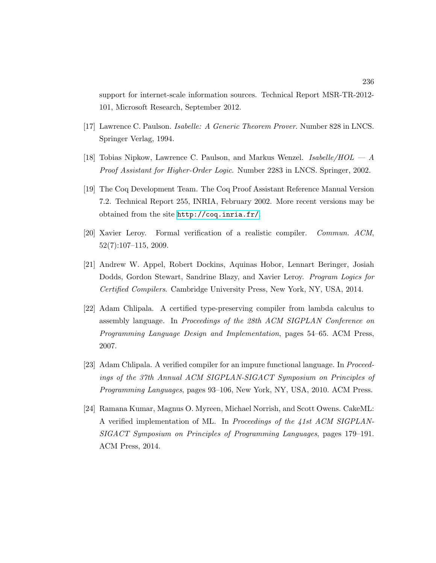support for internet-scale information sources. Technical Report MSR-TR-2012- 101, Microsoft Research, September 2012.

- [17] Lawrence C. Paulson. Isabelle: A Generic Theorem Prover. Number 828 in LNCS. Springer Verlag, 1994.
- <span id="page-250-2"></span>[18] Tobias Nipkow, Lawrence C. Paulson, and Markus Wenzel. *Isabelle/HOL*  $-A$ Proof Assistant for Higher-Order Logic. Number 2283 in LNCS. Springer, 2002.
- [19] The Coq Development Team. The Coq Proof Assistant Reference Manual Version 7.2. Technical Report 255, INRIA, February 2002. More recent versions may be obtained from the site <http://coq.inria.fr/>.
- <span id="page-250-0"></span>[20] Xavier Leroy. Formal verification of a realistic compiler. Commun. ACM, 52(7):107–115, 2009.
- <span id="page-250-1"></span>[21] Andrew W. Appel, Robert Dockins, Aquinas Hobor, Lennart Beringer, Josiah Dodds, Gordon Stewart, Sandrine Blazy, and Xavier Leroy. Program Logics for Certified Compilers. Cambridge University Press, New York, NY, USA, 2014.
- <span id="page-250-3"></span>[22] Adam Chlipala. A certified type-preserving compiler from lambda calculus to assembly language. In Proceedings of the 28th ACM SIGPLAN Conference on Programming Language Design and Implementation, pages 54–65. ACM Press, 2007.
- [23] Adam Chlipala. A verified compiler for an impure functional language. In Proceedings of the 37th Annual ACM SIGPLAN-SIGACT Symposium on Principles of Programming Languages, pages 93–106, New York, NY, USA, 2010. ACM Press.
- <span id="page-250-4"></span>[24] Ramana Kumar, Magnus O. Myreen, Michael Norrish, and Scott Owens. CakeML: A verified implementation of ML. In Proceedings of the 41st ACM SIGPLAN-SIGACT Symposium on Principles of Programming Languages, pages 179–191. ACM Press, 2014.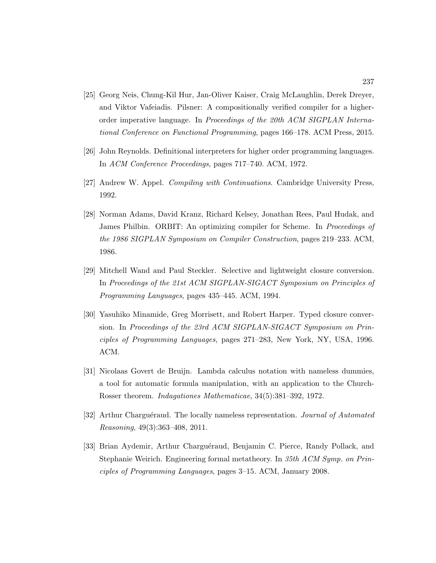- <span id="page-251-0"></span>[25] Georg Neis, Chung-Kil Hur, Jan-Oliver Kaiser, Craig McLaughlin, Derek Dreyer, and Viktor Vafeiadis. Pilsner: A compositionally verified compiler for a higherorder imperative language. In Proceedings of the 20th ACM SIGPLAN International Conference on Functional Programming, pages 166–178. ACM Press, 2015.
- [26] John Reynolds. Definitional interpreters for higher order programming languages. In ACM Conference Proceedings, pages 717–740. ACM, 1972.
- [27] Andrew W. Appel. Compiling with Continuations. Cambridge University Press, 1992.
- [28] Norman Adams, David Kranz, Richard Kelsey, Jonathan Rees, Paul Hudak, and James Philbin. ORBIT: An optimizing compiler for Scheme. In *Proceedings of* the 1986 SIGPLAN Symposium on Compiler Construction, pages 219–233. ACM, 1986.
- [29] Mitchell Wand and Paul Steckler. Selective and lightweight closure conversion. In Proceedings of the 21st ACM SIGPLAN-SIGACT Symposium on Principles of Programming Languages, pages 435–445. ACM, 1994.
- <span id="page-251-1"></span>[30] Yasuhiko Minamide, Greg Morrisett, and Robert Harper. Typed closure conversion. In Proceedings of the 23rd ACM SIGPLAN-SIGACT Symposium on Principles of Programming Languages, pages 271–283, New York, NY, USA, 1996. ACM.
- [31] Nicolaas Govert de Bruijn. Lambda calculus notation with nameless dummies, a tool for automatic formula manipulation, with an application to the Church-Rosser theorem. Indagationes Mathematicae, 34(5):381–392, 1972.
- [32] Arthur Charguéraud. The locally nameless representation. *Journal of Automated* Reasoning, 49(3):363–408, 2011.
- [33] Brian Aydemir, Arthur Charguéraud, Benjamin C. Pierce, Randy Pollack, and Stephanie Weirich. Engineering formal metatheory. In 35th ACM Symp. on Principles of Programming Languages, pages 3–15. ACM, January 2008.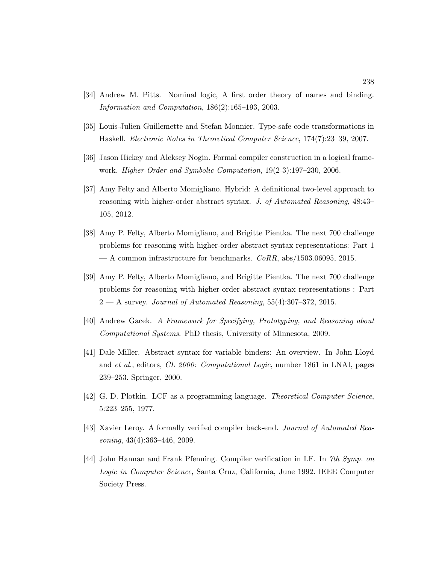- [34] Andrew M. Pitts. Nominal logic, A first order theory of names and binding. Information and Computation, 186(2):165–193, 2003.
- [35] Louis-Julien Guillemette and Stefan Monnier. Type-safe code transformations in Haskell. Electronic Notes in Theoretical Computer Science, 174(7):23–39, 2007.
- [36] Jason Hickey and Aleksey Nogin. Formal compiler construction in a logical framework. Higher-Order and Symbolic Computation, 19(2-3):197–230, 2006.
- [37] Amy Felty and Alberto Momigliano. Hybrid: A definitional two-level approach to reasoning with higher-order abstract syntax. J. of Automated Reasoning, 48:43– 105, 2012.
- [38] Amy P. Felty, Alberto Momigliano, and Brigitte Pientka. The next 700 challenge problems for reasoning with higher-order abstract syntax representations: Part 1 — A common infrastructure for benchmarks.  $CoRR$ , abs/1503.06095, 2015.
- [39] Amy P. Felty, Alberto Momigliano, and Brigitte Pientka. The next 700 challenge problems for reasoning with higher-order abstract syntax representations : Part  $2 - A$  survey. Journal of Automated Reasoning, 55(4):307-372, 2015.
- [40] Andrew Gacek. A Framework for Specifying, Prototyping, and Reasoning about Computational Systems. PhD thesis, University of Minnesota, 2009.
- [41] Dale Miller. Abstract syntax for variable binders: An overview. In John Lloyd and et al., editors, CL 2000: Computational Logic, number 1861 in LNAI, pages 239–253. Springer, 2000.
- [42] G. D. Plotkin. LCF as a programming language. Theoretical Computer Science, 5:223–255, 1977.
- [43] Xavier Leroy. A formally verified compiler back-end. Journal of Automated Reasoning, 43(4):363–446, 2009.
- [44] John Hannan and Frank Pfenning. Compiler verification in LF. In 7th Symp. on Logic in Computer Science, Santa Cruz, California, June 1992. IEEE Computer Society Press.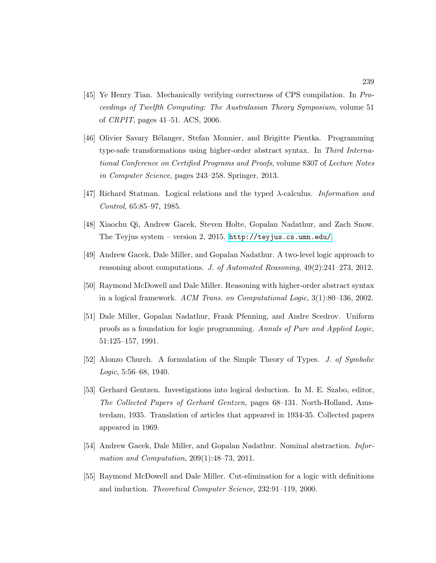- [45] Ye Henry Tian. Mechanically verifying correctness of CPS compilation. In Proceedings of Twelfth Computing: The Australasian Theory Symposium, volume 51 of CRPIT, pages 41–51. ACS, 2006.
- [46] Olivier Savary B´elanger, Stefan Monnier, and Brigitte Pientka. Programming type-safe transformations using higher-order abstract syntax. In Third International Conference on Certified Programs and Proofs, volume 8307 of Lecture Notes in Computer Science, pages 243–258. Springer, 2013.
- [47] Richard Statman. Logical relations and the typed  $\lambda$ -calculus. *Information and* Control, 65:85–97, 1985.
- [48] Xiaochu Qi, Andrew Gacek, Steven Holte, Gopalan Nadathur, and Zach Snow. The Teyjus system – version 2, 2015. <http://teyjus.cs.umn.edu/>.
- [49] Andrew Gacek, Dale Miller, and Gopalan Nadathur. A two-level logic approach to reasoning about computations. J. of Automated Reasoning, 49(2):241–273, 2012.
- [50] Raymond McDowell and Dale Miller. Reasoning with higher-order abstract syntax in a logical framework. ACM Trans. on Computational Logic, 3(1):80–136, 2002.
- [51] Dale Miller, Gopalan Nadathur, Frank Pfenning, and Andre Scedrov. Uniform proofs as a foundation for logic programming. Annals of Pure and Applied Logic, 51:125–157, 1991.
- [52] Alonzo Church. A formulation of the Simple Theory of Types. J. of Symbolic Logic, 5:56–68, 1940.
- [53] Gerhard Gentzen. Investigations into logical deduction. In M. E. Szabo, editor, The Collected Papers of Gerhard Gentzen, pages 68–131. North-Holland, Amsterdam, 1935. Translation of articles that appeared in 1934-35. Collected papers appeared in 1969.
- [54] Andrew Gacek, Dale Miller, and Gopalan Nadathur. Nominal abstraction. Information and Computation,  $209(1):48-73$ ,  $2011$ .
- [55] Raymond McDowell and Dale Miller. Cut-elimination for a logic with definitions and induction. Theoretical Computer Science, 232:91–119, 2000.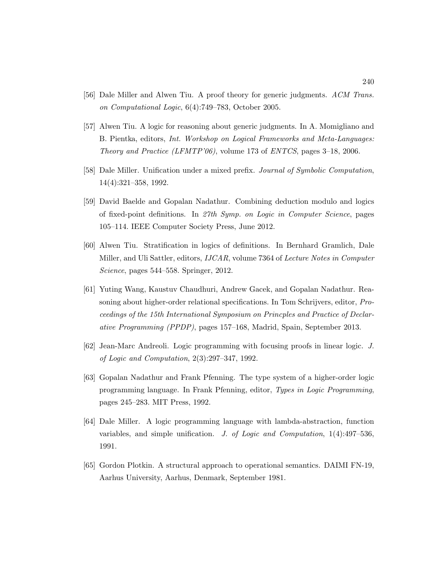- [56] Dale Miller and Alwen Tiu. A proof theory for generic judgments. ACM Trans. on Computational Logic, 6(4):749–783, October 2005.
- [57] Alwen Tiu. A logic for reasoning about generic judgments. In A. Momigliano and B. Pientka, editors, Int. Workshop on Logical Frameworks and Meta-Languages: Theory and Practice (LFMTP'06), volume 173 of ENTCS, pages 3–18, 2006.
- [58] Dale Miller. Unification under a mixed prefix. Journal of Symbolic Computation, 14(4):321–358, 1992.
- [59] David Baelde and Gopalan Nadathur. Combining deduction modulo and logics of fixed-point definitions. In 27th Symp. on Logic in Computer Science, pages 105–114. IEEE Computer Society Press, June 2012.
- [60] Alwen Tiu. Stratification in logics of definitions. In Bernhard Gramlich, Dale Miller, and Uli Sattler, editors, IJCAR, volume 7364 of Lecture Notes in Computer Science, pages 544–558. Springer, 2012.
- [61] Yuting Wang, Kaustuv Chaudhuri, Andrew Gacek, and Gopalan Nadathur. Reasoning about higher-order relational specifications. In Tom Schrijvers, editor, Proceedings of the 15th International Symposium on Princples and Practice of Declarative Programming (PPDP), pages 157–168, Madrid, Spain, September 2013.
- [62] Jean-Marc Andreoli. Logic programming with focusing proofs in linear logic. J. of Logic and Computation, 2(3):297–347, 1992.
- [63] Gopalan Nadathur and Frank Pfenning. The type system of a higher-order logic programming language. In Frank Pfenning, editor, Types in Logic Programming, pages 245–283. MIT Press, 1992.
- [64] Dale Miller. A logic programming language with lambda-abstraction, function variables, and simple unification. J. of Logic and Computation, 1(4):497–536, 1991.
- [65] Gordon Plotkin. A structural approach to operational semantics. DAIMI FN-19, Aarhus University, Aarhus, Denmark, September 1981.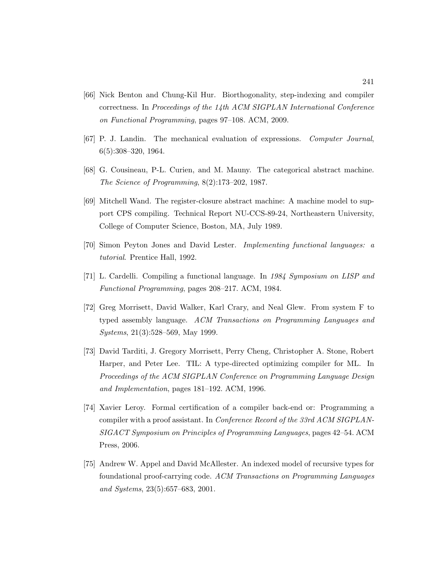- [66] Nick Benton and Chung-Kil Hur. Biorthogonality, step-indexing and compiler correctness. In Proceedings of the 14th ACM SIGPLAN International Conference on Functional Programming, pages 97–108. ACM, 2009.
- [67] P. J. Landin. The mechanical evaluation of expressions. Computer Journal, 6(5):308–320, 1964.
- [68] G. Cousineau, P-L. Curien, and M. Mauny. The categorical abstract machine. The Science of Programming, 8(2):173–202, 1987.
- [69] Mitchell Wand. The register-closure abstract machine: A machine model to support CPS compiling. Technical Report NU-CCS-89-24, Northeastern University, College of Computer Science, Boston, MA, July 1989.
- [70] Simon Peyton Jones and David Lester. Implementing functional languages: a tutorial. Prentice Hall, 1992.
- [71] L. Cardelli. Compiling a functional language. In 1984 Symposium on LISP and Functional Programming, pages 208–217. ACM, 1984.
- [72] Greg Morrisett, David Walker, Karl Crary, and Neal Glew. From system F to typed assembly language. ACM Transactions on Programming Languages and Systems, 21(3):528–569, May 1999.
- [73] David Tarditi, J. Gregory Morrisett, Perry Cheng, Christopher A. Stone, Robert Harper, and Peter Lee. TIL: A type-directed optimizing compiler for ML. In Proceedings of the ACM SIGPLAN Conference on Programming Language Design and Implementation, pages 181–192. ACM, 1996.
- [74] Xavier Leroy. Formal certification of a compiler back-end or: Programming a compiler with a proof assistant. In Conference Record of the 33rd ACM SIGPLAN-SIGACT Symposium on Principles of Programming Languages, pages 42–54. ACM Press, 2006.
- [75] Andrew W. Appel and David McAllester. An indexed model of recursive types for foundational proof-carrying code. ACM Transactions on Programming Languages and Systems, 23(5):657–683, 2001.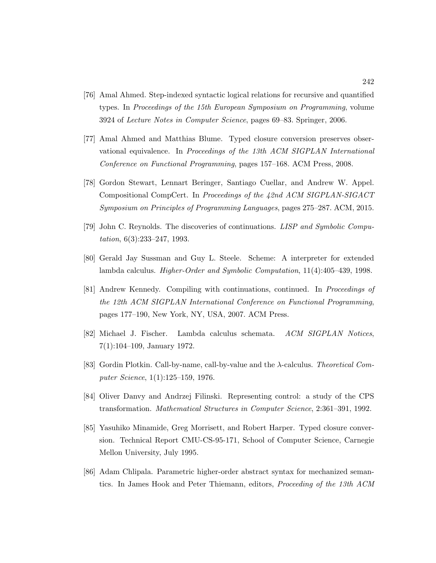- [76] Amal Ahmed. Step-indexed syntactic logical relations for recursive and quantified types. In Proceedings of the 15th European Symposium on Programming, volume 3924 of Lecture Notes in Computer Science, pages 69–83. Springer, 2006.
- [77] Amal Ahmed and Matthias Blume. Typed closure conversion preserves observational equivalence. In Proceedings of the 13th ACM SIGPLAN International Conference on Functional Programming, pages 157–168. ACM Press, 2008.
- [78] Gordon Stewart, Lennart Beringer, Santiago Cuellar, and Andrew W. Appel. Compositional CompCert. In Proceedings of the 42nd ACM SIGPLAN-SIGACT Symposium on Principles of Programming Languages, pages 275–287. ACM, 2015.
- [79] John C. Reynolds. The discoveries of continuations. LISP and Symbolic Computation, 6(3):233–247, 1993.
- [80] Gerald Jay Sussman and Guy L. Steele. Scheme: A interpreter for extended lambda calculus. Higher-Order and Symbolic Computation, 11(4):405–439, 1998.
- [81] Andrew Kennedy. Compiling with continuations, continued. In Proceedings of the 12th ACM SIGPLAN International Conference on Functional Programming, pages 177–190, New York, NY, USA, 2007. ACM Press.
- [82] Michael J. Fischer. Lambda calculus schemata. ACM SIGPLAN Notices, 7(1):104–109, January 1972.
- [83] Gordin Plotkin. Call-by-name, call-by-value and the λ-calculus. Theoretical Computer Science, 1(1):125–159, 1976.
- [84] Oliver Danvy and Andrzej Filinski. Representing control: a study of the CPS transformation. Mathematical Structures in Computer Science, 2:361–391, 1992.
- [85] Yasuhiko Minamide, Greg Morrisett, and Robert Harper. Typed closure conversion. Technical Report CMU-CS-95-171, School of Computer Science, Carnegie Mellon University, July 1995.
- [86] Adam Chlipala. Parametric higher-order abstract syntax for mechanized semantics. In James Hook and Peter Thiemann, editors, Proceeding of the 13th ACM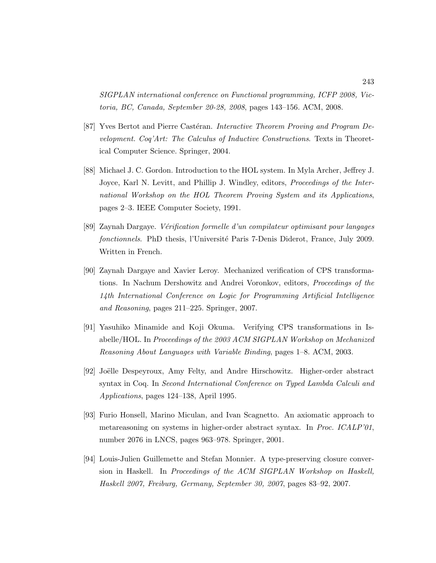SIGPLAN international conference on Functional programming, ICFP 2008, Victoria, BC, Canada, September 20-28, 2008, pages 143–156. ACM, 2008.

- [87] Yves Bertot and Pierre Castéran. Interactive Theorem Proving and Program Development. Coq'Art: The Calculus of Inductive Constructions. Texts in Theoretical Computer Science. Springer, 2004.
- [88] Michael J. C. Gordon. Introduction to the HOL system. In Myla Archer, Jeffrey J. Joyce, Karl N. Levitt, and Phillip J. Windley, editors, *Proceedings of the Inter*national Workshop on the HOL Theorem Proving System and its Applications, pages 2–3. IEEE Computer Society, 1991.
- [89] Zaynah Dargaye. V´erification formelle d'un compilateur optimisant pour langages fonctionnels. PhD thesis, l'Université Paris 7-Denis Diderot, France, July 2009. Written in French.
- [90] Zaynah Dargaye and Xavier Leroy. Mechanized verification of CPS transformations. In Nachum Dershowitz and Andrei Voronkov, editors, Proceedings of the 14th International Conference on Logic for Programming Artificial Intelligence and Reasoning, pages 211–225. Springer, 2007.
- [91] Yasuhiko Minamide and Koji Okuma. Verifying CPS transformations in Isabelle/HOL. In Proceedings of the 2003 ACM SIGPLAN Workshop on Mechanized Reasoning About Languages with Variable Binding, pages 1–8. ACM, 2003.
- [92] Joëlle Despeyroux, Amy Felty, and Andre Hirschowitz. Higher-order abstract syntax in Coq. In Second International Conference on Typed Lambda Calculi and Applications, pages 124–138, April 1995.
- [93] Furio Honsell, Marino Miculan, and Ivan Scagnetto. An axiomatic approach to metareasoning on systems in higher-order abstract syntax. In Proc. ICALP'01, number 2076 in LNCS, pages 963–978. Springer, 2001.
- [94] Louis-Julien Guillemette and Stefan Monnier. A type-preserving closure conversion in Haskell. In Proceedings of the ACM SIGPLAN Workshop on Haskell, Haskell 2007, Freiburg, Germany, September 30, 2007, pages 83–92, 2007.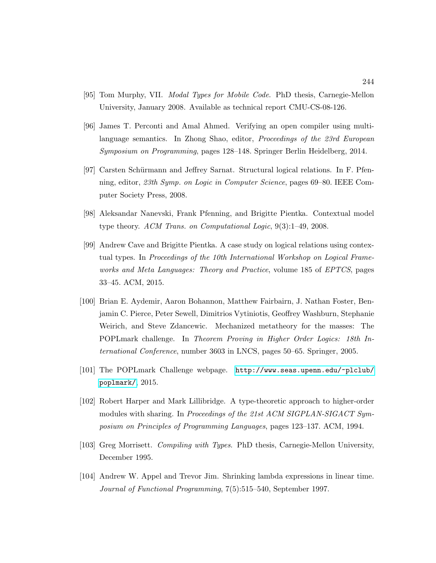- [95] Tom Murphy, VII. Modal Types for Mobile Code. PhD thesis, Carnegie-Mellon University, January 2008. Available as technical report CMU-CS-08-126.
- [96] James T. Perconti and Amal Ahmed. Verifying an open compiler using multilanguage semantics. In Zhong Shao, editor, *Proceedings of the 23rd European* Symposium on Programming, pages 128–148. Springer Berlin Heidelberg, 2014.
- [97] Carsten Schürmann and Jeffrey Sarnat. Structural logical relations. In F. Pfenning, editor, 23th Symp. on Logic in Computer Science, pages 69–80. IEEE Computer Society Press, 2008.
- [98] Aleksandar Nanevski, Frank Pfenning, and Brigitte Pientka. Contextual model type theory. ACM Trans. on Computational Logic, 9(3):1–49, 2008.
- [99] Andrew Cave and Brigitte Pientka. A case study on logical relations using contextual types. In Proceedings of the 10th International Workshop on Logical Frameworks and Meta Languages: Theory and Practice, volume 185 of EPTCS, pages 33–45. ACM, 2015.
- [100] Brian E. Aydemir, Aaron Bohannon, Matthew Fairbairn, J. Nathan Foster, Benjamin C. Pierce, Peter Sewell, Dimitrios Vytiniotis, Geoffrey Washburn, Stephanie Weirich, and Steve Zdancewic. Mechanized metatheory for the masses: The POPLmark challenge. In Theorem Proving in Higher Order Logics: 18th International Conference, number 3603 in LNCS, pages 50–65. Springer, 2005.
- [101] The POPLmark Challenge webpage. [http://www.seas.upenn.edu/~plclub/](http://www.seas.upenn.edu/~plclub/poplmark/) [poplmark/](http://www.seas.upenn.edu/~plclub/poplmark/), 2015.
- [102] Robert Harper and Mark Lillibridge. A type-theoretic approach to higher-order modules with sharing. In Proceedings of the 21st ACM SIGPLAN-SIGACT Symposium on Principles of Programming Languages, pages 123–137. ACM, 1994.
- [103] Greg Morrisett. Compiling with Types. PhD thesis, Carnegie-Mellon University, December 1995.
- [104] Andrew W. Appel and Trevor Jim. Shrinking lambda expressions in linear time. Journal of Functional Programming, 7(5):515–540, September 1997.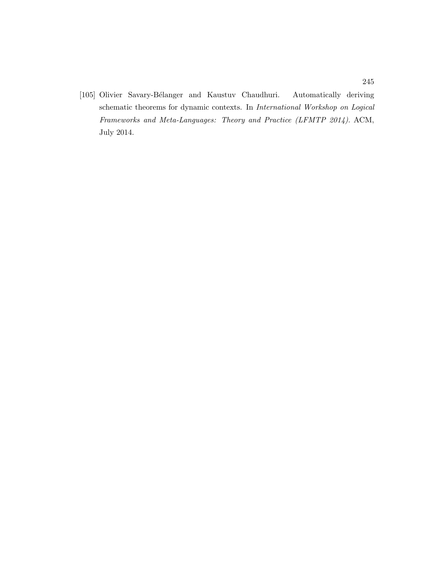[105] Olivier Savary-B´elanger and Kaustuv Chaudhuri. Automatically deriving schematic theorems for dynamic contexts. In International Workshop on Logical Frameworks and Meta-Languages: Theory and Practice (LFMTP 2014). ACM, July 2014.